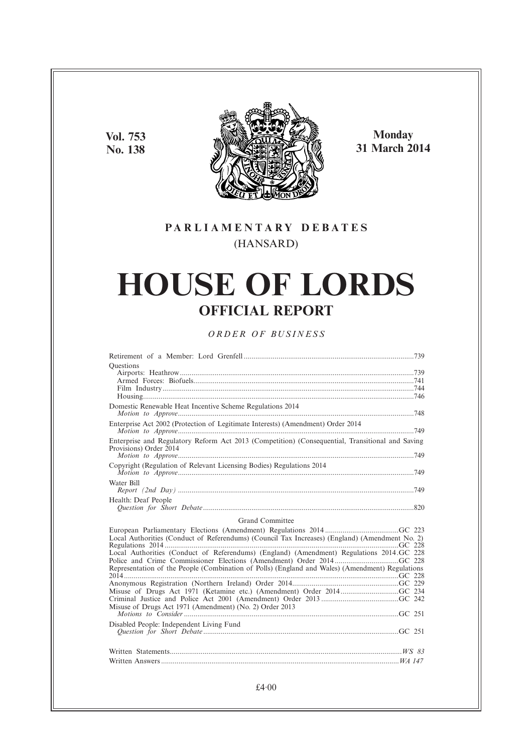**Vol. 753 No. 138**



**Monday 31 March 2014**

## **PARL IAMENTARY DEBATES** (HANSARD)

# **HOUSE OF LORDS OFFICIAL REPORT**

## *ORDER OF BUSINESS*

| Ouestions                                                                                                                 |
|---------------------------------------------------------------------------------------------------------------------------|
|                                                                                                                           |
|                                                                                                                           |
|                                                                                                                           |
|                                                                                                                           |
| Domestic Renewable Heat Incentive Scheme Regulations 2014                                                                 |
| Enterprise Act 2002 (Protection of Legitimate Interests) (Amendment) Order 2014                                           |
| Enterprise and Regulatory Reform Act 2013 (Competition) (Consequential, Transitional and Saving<br>Provisions) Order 2014 |
|                                                                                                                           |
| Copyright (Regulation of Relevant Licensing Bodies) Regulations 2014                                                      |
| Water Bill                                                                                                                |
| Health: Deaf People                                                                                                       |
|                                                                                                                           |
| Grand Committee                                                                                                           |
|                                                                                                                           |
| Local Authorities (Conduct of Referendums) (Council Tax Increases) (England) (Amendment No. 2)                            |
|                                                                                                                           |
| Local Authorities (Conduct of Referendums) (England) (Amendment) Regulations 2014.GC 228                                  |
|                                                                                                                           |
| Representation of the People (Combination of Polls) (England and Wales) (Amendment) Regulations                           |
|                                                                                                                           |
|                                                                                                                           |
|                                                                                                                           |
| Misuse of Drugs Act 1971 (Amendment) (No. 2) Order 2013                                                                   |
|                                                                                                                           |
| Disabled People: Independent Living Fund                                                                                  |
|                                                                                                                           |
|                                                                                                                           |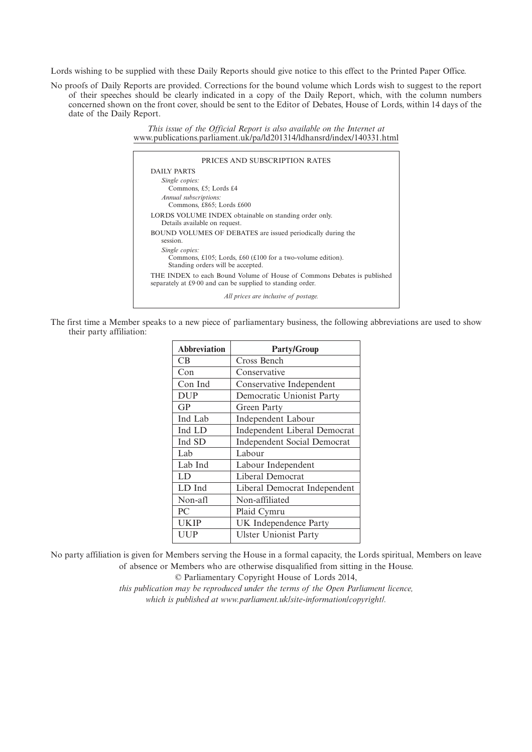Lords wishing to be supplied with these Daily Reports should give notice to this effect to the Printed Paper Office.

No proofs of Daily Reports are provided. Corrections for the bound volume which Lords wish to suggest to the report of their speeches should be clearly indicated in a copy of the Daily Report, which, with the column numbers concerned shown on the front cover, should be sent to the Editor of Debates, House of Lords, within 14 days of the date of the Daily Report.

> *This issue of the Official Report is also available on the Internet at* www.publications.parliament.uk/pa/ld201314/ldhansrd/index/140331.html

| PRICES AND SUBSCRIPTION RATES                                                                                                         |
|---------------------------------------------------------------------------------------------------------------------------------------|
| DAILY PARTS                                                                                                                           |
| Single copies:<br>Commons, £5; Lords £4                                                                                               |
| Annual subscriptions:<br>Commons, £865; Lords £600                                                                                    |
| LORDS VOLUME INDEX obtainable on standing order only.<br>Details available on request.                                                |
| <b>BOUND VOLUMES OF DEBATES</b> are issued periodically during the<br>session.                                                        |
| Single copies:<br>Commons, £105; Lords, £60 (£100 for a two-volume edition).<br>Standing orders will be accepted.                     |
| THE INDEX to each Bound Volume of House of Commons Debates is published<br>separately at £9.00 and can be supplied to standing order. |
| All prices are inclusive of postage.                                                                                                  |

The first time a Member speaks to a new piece of parliamentary business, the following abbreviations are used to show their party affiliation:

| <b>Abbreviation</b> | <b>Party/Group</b>                  |
|---------------------|-------------------------------------|
| CB                  | Cross Bench                         |
| Con                 | Conservative                        |
| Con Ind             | Conservative Independent            |
| <b>DUP</b>          | Democratic Unionist Party           |
| <b>GP</b>           | Green Party                         |
| Ind Lab             | <b>Independent Labour</b>           |
| Ind LD              | <b>Independent Liberal Democrat</b> |
| Ind SD              | <b>Independent Social Democrat</b>  |
| Lab                 | Labour                              |
| Lab Ind             | Labour Independent                  |
| LD                  | Liberal Democrat                    |
| LD Ind              | Liberal Democrat Independent        |
| Non-afl             | Non-affiliated                      |
| PC                  | Plaid Cymru                         |
| UKIP                | UK Independence Party               |
| UUP                 | <b>Ulster Unionist Party</b>        |

No party affiliation is given for Members serving the House in a formal capacity, the Lords spiritual, Members on leave of absence or Members who are otherwise disqualified from sitting in the House.

© Parliamentary Copyright House of Lords 2014,

*this publication may be reproduced under the terms of the Open Parliament licence, which is published at www.parliament.uk/site-information/copyright/.*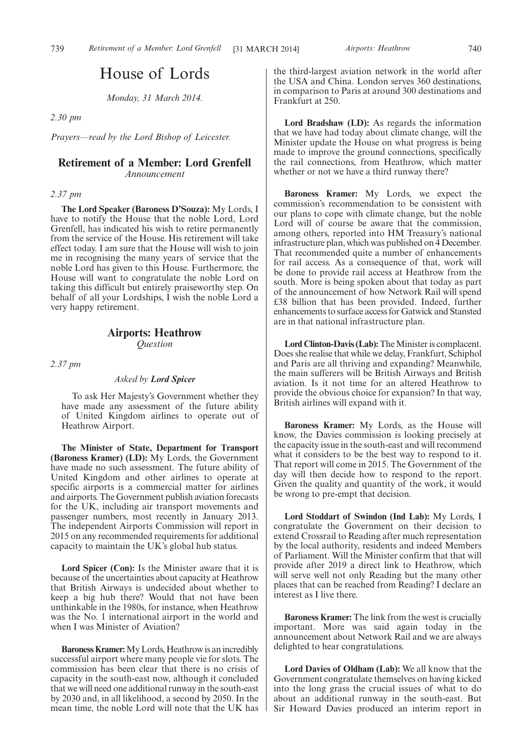## House of Lords

*Monday, 31 March 2014.*

*2.30 pm*

*Prayers—read by the Lord Bishop of Leicester.*

## **Retirement of a Member: Lord Grenfell** *Announcement*

#### *2.37 pm*

**The Lord Speaker (Baroness D'Souza):** My Lords, I have to notify the House that the noble Lord, Lord Grenfell, has indicated his wish to retire permanently from the service of the House. His retirement will take effect today. I am sure that the House will wish to join me in recognising the many years of service that the noble Lord has given to this House. Furthermore, the House will want to congratulate the noble Lord on taking this difficult but entirely praiseworthy step. On behalf of all your Lordships, I wish the noble Lord a very happy retirement.

## **Airports: Heathrow**

*Question*

*2.37 pm*

## *Asked by Lord Spicer*

To ask Her Majesty's Government whether they have made any assessment of the future ability of United Kingdom airlines to operate out of Heathrow Airport.

**The Minister of State, Department for Transport (Baroness Kramer) (LD):** My Lords, the Government have made no such assessment. The future ability of United Kingdom and other airlines to operate at specific airports is a commercial matter for airlines and airports. The Government publish aviation forecasts for the UK, including air transport movements and passenger numbers, most recently in January 2013. The independent Airports Commission will report in 2015 on any recommended requirements for additional capacity to maintain the UK's global hub status.

**Lord Spicer (Con):** Is the Minister aware that it is because of the uncertainties about capacity at Heathrow that British Airways is undecided about whether to keep a big hub there? Would that not have been unthinkable in the 1980s, for instance, when Heathrow was the No. 1 international airport in the world and when I was Minister of Aviation?

**Baroness Kramer:**My Lords, Heathrow is an incredibly successful airport where many people vie for slots. The commission has been clear that there is no crisis of capacity in the south-east now, although it concluded that we will need one additional runway in the south-east by 2030 and, in all likelihood, a second by 2050. In the mean time, the noble Lord will note that the UK has

the third-largest aviation network in the world after the USA and China. London serves 360 destinations, in comparison to Paris at around 300 destinations and Frankfurt at 250.

**Lord Bradshaw (LD):** As regards the information that we have had today about climate change, will the Minister update the House on what progress is being made to improve the ground connections, specifically the rail connections, from Heathrow, which matter whether or not we have a third runway there?

**Baroness Kramer:** My Lords, we expect the commission's recommendation to be consistent with our plans to cope with climate change, but the noble Lord will of course be aware that the commission, among others, reported into HM Treasury's national infrastructure plan, which was published on 4 December. That recommended quite a number of enhancements for rail access. As a consequence of that, work will be done to provide rail access at Heathrow from the south. More is being spoken about that today as part of the announcement of how Network Rail will spend £38 billion that has been provided. Indeed, further enhancements to surface access for Gatwick and Stansted are in that national infrastructure plan.

Lord Clinton-Davis (Lab): The Minister is complacent. Does she realise that while we delay, Frankfurt, Schiphol and Paris are all thriving and expanding? Meanwhile, the main sufferers will be British Airways and British aviation. Is it not time for an altered Heathrow to provide the obvious choice for expansion? In that way, British airlines will expand with it.

**Baroness Kramer:** My Lords, as the House will know, the Davies commission is looking precisely at the capacity issue in the south-east and will recommend what it considers to be the best way to respond to it. That report will come in 2015. The Government of the day will then decide how to respond to the report. Given the quality and quantity of the work, it would be wrong to pre-empt that decision.

**Lord Stoddart of Swindon (Ind Lab):** My Lords, I congratulate the Government on their decision to extend Crossrail to Reading after much representation by the local authority, residents and indeed Members of Parliament. Will the Minister confirm that that will provide after 2019 a direct link to Heathrow, which will serve well not only Reading but the many other places that can be reached from Reading? I declare an interest as I live there.

**Baroness Kramer:** The link from the west is crucially important. More was said again today in the announcement about Network Rail and we are always delighted to hear congratulations.

**Lord Davies of Oldham (Lab):** We all know that the Government congratulate themselves on having kicked into the long grass the crucial issues of what to do about an additional runway in the south-east. But Sir Howard Davies produced an interim report in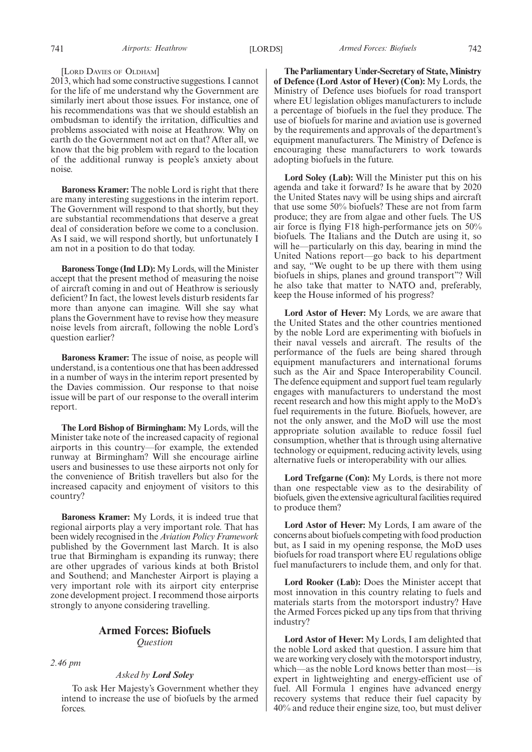#### [LORD DAVIES OF OLDHAM]

2013, which had some constructive suggestions. I cannot for the life of me understand why the Government are similarly inert about those issues. For instance, one of his recommendations was that we should establish an ombudsman to identify the irritation, difficulties and problems associated with noise at Heathrow. Why on earth do the Government not act on that? After all, we know that the big problem with regard to the location of the additional runway is people's anxiety about noise.

**Baroness Kramer:** The noble Lord is right that there are many interesting suggestions in the interim report. The Government will respond to that shortly, but they are substantial recommendations that deserve a great deal of consideration before we come to a conclusion. As I said, we will respond shortly, but unfortunately I am not in a position to do that today.

**Baroness Tonge (Ind LD):** My Lords, will the Minister accept that the present method of measuring the noise of aircraft coming in and out of Heathrow is seriously deficient? In fact, the lowest levels disturb residents far more than anyone can imagine. Will she say what plans the Government have to revise how they measure noise levels from aircraft, following the noble Lord's question earlier?

**Baroness Kramer:** The issue of noise, as people will understand, is a contentious one that has been addressed in a number of ways in the interim report presented by the Davies commission. Our response to that noise issue will be part of our response to the overall interim report.

**The Lord Bishop of Birmingham:** My Lords, will the Minister take note of the increased capacity of regional airports in this country—for example, the extended runway at Birmingham? Will she encourage airline users and businesses to use these airports not only for the convenience of British travellers but also for the increased capacity and enjoyment of visitors to this country?

**Baroness Kramer:** My Lords, it is indeed true that regional airports play a very important role. That has been widely recognised in the *Aviation Policy Framework* published by the Government last March. It is also true that Birmingham is expanding its runway; there are other upgrades of various kinds at both Bristol and Southend; and Manchester Airport is playing a very important role with its airport city enterprise zone development project. I recommend those airports strongly to anyone considering travelling.

## **Armed Forces: Biofuels** *Question*

*2.46 pm*

#### *Asked by Lord Soley*

To ask Her Majesty's Government whether they intend to increase the use of biofuels by the armed forces.

**The Parliamentary Under-Secretary of State,Ministry of Defence (Lord Astor of Hever) (Con):** My Lords, the Ministry of Defence uses biofuels for road transport where EU legislation obliges manufacturers to include a percentage of biofuels in the fuel they produce. The use of biofuels for marine and aviation use is governed by the requirements and approvals of the department's equipment manufacturers. The Ministry of Defence is encouraging these manufacturers to work towards adopting biofuels in the future.

**Lord Soley (Lab):** Will the Minister put this on his agenda and take it forward? Is he aware that by 2020 the United States navy will be using ships and aircraft that use some 50% biofuels? These are not from farm produce; they are from algae and other fuels. The US air force is flying F18 high-performance jets on 50% biofuels. The Italians and the Dutch are using it, so will he—particularly on this day, bearing in mind the United Nations report—go back to his department and say, "We ought to be up there with them using biofuels in ships, planes and ground transport"? Will he also take that matter to NATO and, preferably, keep the House informed of his progress?

**Lord Astor of Hever:** My Lords, we are aware that the United States and the other countries mentioned by the noble Lord are experimenting with biofuels in their naval vessels and aircraft. The results of the performance of the fuels are being shared through equipment manufacturers and international forums such as the Air and Space Interoperability Council. The defence equipment and support fuel team regularly engages with manufacturers to understand the most recent research and how this might apply to the MoD's fuel requirements in the future. Biofuels, however, are not the only answer, and the MoD will use the most appropriate solution available to reduce fossil fuel consumption, whether that is through using alternative technology or equipment, reducing activity levels, using alternative fuels or interoperability with our allies.

**Lord Trefgarne (Con):** My Lords, is there not more than one respectable view as to the desirability of biofuels, given the extensive agricultural facilities required to produce them?

**Lord Astor of Hever:** My Lords, I am aware of the concerns about biofuels competing with food production but, as I said in my opening response, the MoD uses biofuels for road transport where EU regulations oblige fuel manufacturers to include them, and only for that.

**Lord Rooker (Lab):** Does the Minister accept that most innovation in this country relating to fuels and materials starts from the motorsport industry? Have the Armed Forces picked up any tips from that thriving industry?

**Lord Astor of Hever:** My Lords, I am delighted that the noble Lord asked that question. I assure him that we are working very closely with the motorsport industry, which—as the noble Lord knows better than most—is expert in lightweighting and energy-efficient use of fuel. All Formula 1 engines have advanced energy recovery systems that reduce their fuel capacity by 40% and reduce their engine size, too, but must deliver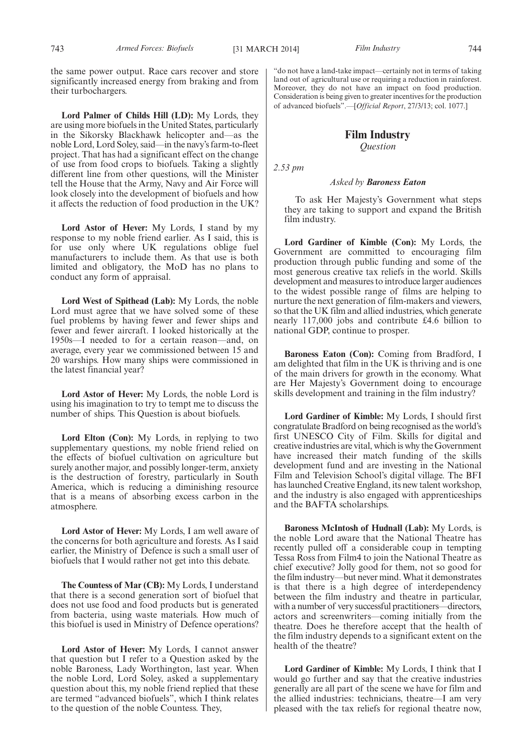the same power output. Race cars recover and store significantly increased energy from braking and from their turbochargers.

**Lord Palmer of Childs Hill (LD):** My Lords, they are using more biofuels in the United States, particularly in the Sikorsky Blackhawk helicopter and—as the noble Lord, Lord Soley, said—in the navy's farm-to-fleet project. That has had a significant effect on the change of use from food crops to biofuels. Taking a slightly different line from other questions, will the Minister tell the House that the Army, Navy and Air Force will look closely into the development of biofuels and how it affects the reduction of food production in the UK?

**Lord Astor of Hever:** My Lords, I stand by my response to my noble friend earlier. As I said, this is for use only where UK regulations oblige fuel manufacturers to include them. As that use is both limited and obligatory, the MoD has no plans to conduct any form of appraisal.

**Lord West of Spithead (Lab):** My Lords, the noble Lord must agree that we have solved some of these fuel problems by having fewer and fewer ships and fewer and fewer aircraft. I looked historically at the 1950s—I needed to for a certain reason—and, on average, every year we commissioned between 15 and 20 warships. How many ships were commissioned in the latest financial year?

**Lord Astor of Hever:** My Lords, the noble Lord is using his imagination to try to tempt me to discuss the number of ships. This Question is about biofuels.

Lord Elton (Con): My Lords, in replying to two supplementary questions, my noble friend relied on the effects of biofuel cultivation on agriculture but surely another major, and possibly longer-term, anxiety is the destruction of forestry, particularly in South America, which is reducing a diminishing resource that is a means of absorbing excess carbon in the atmosphere.

**Lord Astor of Hever:** My Lords, I am well aware of the concerns for both agriculture and forests. As I said earlier, the Ministry of Defence is such a small user of biofuels that I would rather not get into this debate.

**The Countess of Mar (CB):** My Lords, I understand that there is a second generation sort of biofuel that does not use food and food products but is generated from bacteria, using waste materials. How much of this biofuel is used in Ministry of Defence operations?

**Lord Astor of Hever:** My Lords, I cannot answer that question but I refer to a Question asked by the noble Baroness, Lady Worthington, last year. When the noble Lord, Lord Soley, asked a supplementary question about this, my noble friend replied that these are termed "advanced biofuels", which I think relates to the question of the noble Countess. They,

"do not have a land-take impact—certainly not in terms of taking land out of agricultural use or requiring a reduction in rainforest. Moreover, they do not have an impact on food production. Consideration is being given to greater incentives for the production of advanced biofuels".—[*Official Report*, 27/3/13; col. 1077.]

## **Film Industry** *Question*

*2.53 pm*

#### *Asked by Baroness Eaton*

To ask Her Majesty's Government what steps they are taking to support and expand the British film industry.

**Lord Gardiner of Kimble (Con):** My Lords, the Government are committed to encouraging film production through public funding and some of the most generous creative tax reliefs in the world. Skills development and measures to introduce larger audiences to the widest possible range of films are helping to nurture the next generation of film-makers and viewers, so that the UK film and allied industries, which generate nearly 117,000 jobs and contribute £4.6 billion to national GDP, continue to prosper.

**Baroness Eaton (Con):** Coming from Bradford, I am delighted that film in the UK is thriving and is one of the main drivers for growth in the economy. What are Her Majesty's Government doing to encourage skills development and training in the film industry?

**Lord Gardiner of Kimble:** My Lords, I should first congratulate Bradford on being recognised as the world's first UNESCO City of Film. Skills for digital and creative industries are vital, which is why the Government have increased their match funding of the skills development fund and are investing in the National Film and Television School's digital village. The BFI has launched Creative England, its new talent workshop, and the industry is also engaged with apprenticeships and the BAFTA scholarships.

**Baroness McIntosh of Hudnall (Lab):** My Lords, is the noble Lord aware that the National Theatre has recently pulled off a considerable coup in tempting Tessa Ross from Film4 to join the National Theatre as chief executive? Jolly good for them, not so good for the film industry—but never mind.What it demonstrates is that there is a high degree of interdependency between the film industry and theatre in particular, with a number of very successful practitioners—directors, actors and screenwriters—coming initially from the theatre. Does he therefore accept that the health of the film industry depends to a significant extent on the health of the theatre?

**Lord Gardiner of Kimble:** My Lords, I think that I would go further and say that the creative industries generally are all part of the scene we have for film and the allied industries: technicians, theatre—I am very pleased with the tax reliefs for regional theatre now,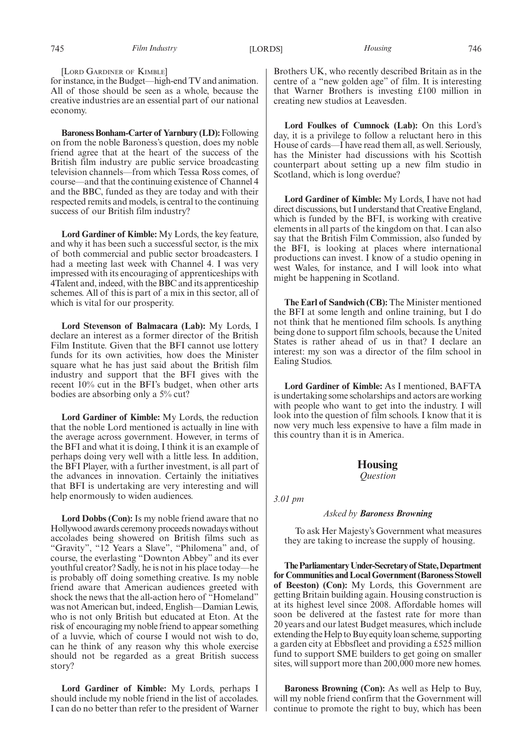[LORD GARDINER OF KIMBLE]

for instance, in the Budget—high-end TV and animation. All of those should be seen as a whole, because the creative industries are an essential part of our national economy.

**Baroness Bonham-Carter of Yarnbury (LD):** Following on from the noble Baroness's question, does my noble friend agree that at the heart of the success of the British film industry are public service broadcasting television channels—from which Tessa Ross comes, of course—and that the continuing existence of Channel 4 and the BBC, funded as they are today and with their respected remits and models, is central to the continuing success of our British film industry?

**Lord Gardiner of Kimble:** My Lords, the key feature, and why it has been such a successful sector, is the mix of both commercial and public sector broadcasters. I had a meeting last week with Channel 4. I was very impressed with its encouraging of apprenticeships with 4Talent and, indeed, with the BBC and its apprenticeship schemes. All of this is part of a mix in this sector, all of which is vital for our prosperity.

**Lord Stevenson of Balmacara (Lab):** My Lords, I declare an interest as a former director of the British Film Institute. Given that the BFI cannot use lottery funds for its own activities, how does the Minister square what he has just said about the British film industry and support that the BFI gives with the recent 10% cut in the BFI's budget, when other arts bodies are absorbing only a 5% cut?

**Lord Gardiner of Kimble:** My Lords, the reduction that the noble Lord mentioned is actually in line with the average across government. However, in terms of the BFI and what it is doing, I think it is an example of perhaps doing very well with a little less. In addition, the BFI Player, with a further investment, is all part of the advances in innovation. Certainly the initiatives that BFI is undertaking are very interesting and will help enormously to widen audiences.

**Lord Dobbs (Con):** Is my noble friend aware that no Hollywood awards ceremony proceeds nowadays without accolades being showered on British films such as "Gravity", "12 Years a Slave", "Philomena" and, of course, the everlasting "Downton Abbey" and its ever youthful creator? Sadly, he is not in his place today—he is probably off doing something creative. Is my noble friend aware that American audiences greeted with shock the news that the all-action hero of "Homeland" was not American but, indeed, English—Damian Lewis, who is not only British but educated at Eton. At the risk of encouraging my noble friend to appear something of a luvvie, which of course I would not wish to do, can he think of any reason why this whole exercise should not be regarded as a great British success story?

**Lord Gardiner of Kimble:** My Lords, perhaps I should include my noble friend in the list of accolades. I can do no better than refer to the president of Warner Brothers UK, who recently described Britain as in the centre of a "new golden age" of film. It is interesting that Warner Brothers is investing £100 million in creating new studios at Leavesden.

**Lord Foulkes of Cumnock (Lab):** On this Lord's day, it is a privilege to follow a reluctant hero in this House of cards—I have read them all, as well. Seriously, has the Minister had discussions with his Scottish counterpart about setting up a new film studio in Scotland, which is long overdue?

**Lord Gardiner of Kimble:** My Lords, I have not had direct discussions, but I understand that Creative England, which is funded by the BFI, is working with creative elements in all parts of the kingdom on that. I can also say that the British Film Commission, also funded by the BFI, is looking at places where international productions can invest. I know of a studio opening in west Wales, for instance, and I will look into what might be happening in Scotland.

**The Earl of Sandwich (CB):** The Minister mentioned the BFI at some length and online training, but I do not think that he mentioned film schools. Is anything being done to support film schools, because the United States is rather ahead of us in that? I declare an interest: my son was a director of the film school in Ealing Studios.

**Lord Gardiner of Kimble:** As I mentioned, BAFTA is undertaking some scholarships and actors are working with people who want to get into the industry. I will look into the question of film schools. I know that it is now very much less expensive to have a film made in this country than it is in America.

## **Housing**

*Question*

*3.01 pm*

### *Asked by Baroness Browning*

To ask Her Majesty's Government what measures they are taking to increase the supply of housing.

**TheParliamentaryUnder-Secretaryof State,Department for Communities and Local Government (Baroness Stowell of Beeston) (Con):** My Lords, this Government are getting Britain building again. Housing construction is at its highest level since 2008. Affordable homes will soon be delivered at the fastest rate for more than 20 years and our latest Budget measures, which include extending the Help to Buy equity loan scheme, supporting a garden city at Ebbsfleet and providing a £525 million fund to support SME builders to get going on smaller sites, will support more than 200,000 more new homes.

**Baroness Browning (Con):** As well as Help to Buy, will my noble friend confirm that the Government will continue to promote the right to buy, which has been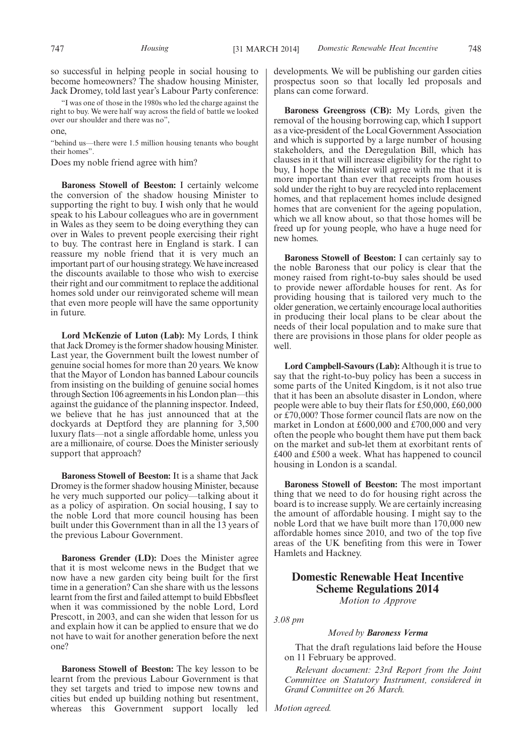"I was one of those in the 1980s who led the charge against the right to buy. We were half way across the field of battle we looked over our shoulder and there was no",

one,

"behind us—there were 1.5 million housing tenants who bought their homes".

Does my noble friend agree with him?

**Baroness Stowell of Beeston:** I certainly welcome the conversion of the shadow housing Minister to supporting the right to buy. I wish only that he would speak to his Labour colleagues who are in government in Wales as they seem to be doing everything they can over in Wales to prevent people exercising their right to buy. The contrast here in England is stark. I can reassure my noble friend that it is very much an important part of our housing strategy.We have increased the discounts available to those who wish to exercise their right and our commitment to replace the additional homes sold under our reinvigorated scheme will mean that even more people will have the same opportunity in future.

**Lord McKenzie of Luton (Lab):** My Lords, I think that Jack Dromey is the former shadow housing Minister. Last year, the Government built the lowest number of genuine social homes for more than 20 years. We know that the Mayor of London has banned Labour councils from insisting on the building of genuine social homes through Section 106 agreements in his London plan—this against the guidance of the planning inspector. Indeed, we believe that he has just announced that at the dockyards at Deptford they are planning for 3,500 luxury flats—not a single affordable home, unless you are a millionaire, of course. Does the Minister seriously support that approach?

**Baroness Stowell of Beeston:** It is a shame that Jack Dromey is the former shadow housing Minister, because he very much supported our policy—talking about it as a policy of aspiration. On social housing, I say to the noble Lord that more council housing has been built under this Government than in all the 13 years of the previous Labour Government.

**Baroness Grender (LD):** Does the Minister agree that it is most welcome news in the Budget that we now have a new garden city being built for the first time in a generation? Can she share with us the lessons learnt from the first and failed attempt to build Ebbsfleet when it was commissioned by the noble Lord, Lord Prescott, in 2003, and can she widen that lesson for us and explain how it can be applied to ensure that we do not have to wait for another generation before the next one?

**Baroness Stowell of Beeston:** The key lesson to be learnt from the previous Labour Government is that they set targets and tried to impose new towns and cities but ended up building nothing but resentment, whereas this Government support locally led developments. We will be publishing our garden cities prospectus soon so that locally led proposals and plans can come forward.

**Baroness Greengross (CB):** My Lords, given the removal of the housing borrowing cap, which I support as a vice-president of the Local Government Association and which is supported by a large number of housing stakeholders, and the Deregulation Bill, which has clauses in it that will increase eligibility for the right to buy, I hope the Minister will agree with me that it is more important than ever that receipts from houses sold under the right to buy are recycled into replacement homes, and that replacement homes include designed homes that are convenient for the ageing population, which we all know about, so that those homes will be freed up for young people, who have a huge need for new homes.

**Baroness Stowell of Beeston:** I can certainly say to the noble Baroness that our policy is clear that the money raised from right-to-buy sales should be used to provide newer affordable houses for rent. As for providing housing that is tailored very much to the older generation, we certainly encourage local authorities in producing their local plans to be clear about the needs of their local population and to make sure that there are provisions in those plans for older people as well.

**Lord Campbell-Savours (Lab):** Although it is true to say that the right-to-buy policy has been a success in some parts of the United Kingdom, is it not also true that it has been an absolute disaster in London, where people were able to buy their flats for £50,000, £60,000 or £70,000? Those former council flats are now on the market in London at £600,000 and £700,000 and very often the people who bought them have put them back on the market and sub-let them at exorbitant rents of £400 and £500 a week. What has happened to council housing in London is a scandal.

**Baroness Stowell of Beeston:** The most important thing that we need to do for housing right across the board is to increase supply. We are certainly increasing the amount of affordable housing. I might say to the noble Lord that we have built more than 170,000 new affordable homes since 2010, and two of the top five areas of the UK benefiting from this were in Tower Hamlets and Hackney.

## **Domestic Renewable Heat Incentive Scheme Regulations 2014**

*Motion to Approve*

*3.08 pm*

#### *Moved by Baroness Verma*

That the draft regulations laid before the House on 11 February be approved.

*Relevant document: 23rd Report from the Joint Committee on Statutory Instrument, considered in Grand Committee on 26 March.*

*Motion agreed.*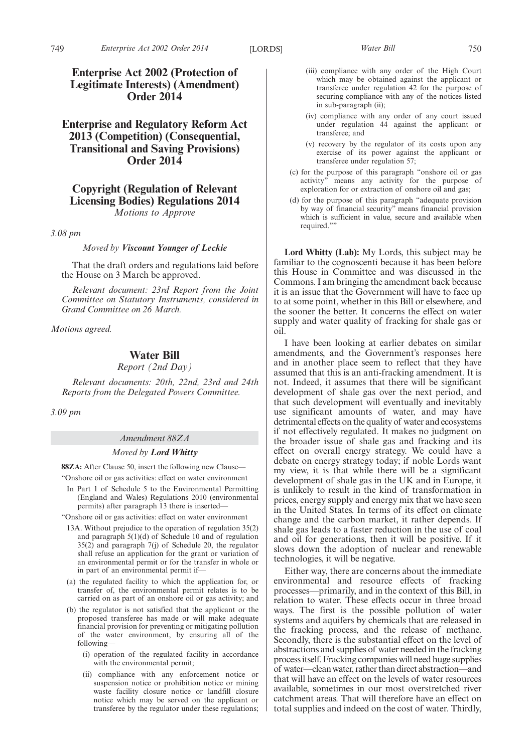## **Enterprise and Regulatory Reform Act 2013 (Competition) (Consequential, Transitional and Saving Provisions) Order 2014**

## **Copyright (Regulation of Relevant Licensing Bodies) Regulations 2014** *Motions to Approve*

*3.08 pm*

*Moved by Viscount Younger of Leckie*

That the draft orders and regulations laid before the House on 3 March be approved.

*Relevant document: 23rd Report from the Joint Committee on Statutory Instruments, considered in Grand Committee on 26 March.*

*Motions agreed.*

## **Water Bill**

*Report (2nd Day)*

*Relevant documents: 20th, 22nd, 23rd and 24th Reports from the Delegated Powers Committee.*

*3.09 pm*

#### *Amendment 88ZA*

#### *Moved by Lord Whitty*

**88ZA:** After Clause 50, insert the following new Clause—

"Onshore oil or gas activities: effect on water environment

- In Part 1 of Schedule 5 to the Environmental Permitting (England and Wales) Regulations 2010 (environmental permits) after paragraph 13 there is inserted—
- "Onshore oil or gas activities: effect on water environment
	- 13A. Without prejudice to the operation of regulation 35(2) and paragraph 5(1)(d) of Schedule 10 and of regulation 35(2) and paragraph 7(j) of Schedule 20, the regulator shall refuse an application for the grant or variation of an environmental permit or for the transfer in whole or in part of an environmental permit if—
- (a) the regulated facility to which the application for, or transfer of, the environmental permit relates is to be carried on as part of an onshore oil or gas activity; and
- (b) the regulator is not satisfied that the applicant or the proposed transferee has made or will make adequate financial provision for preventing or mitigating pollution of the water environment, by ensuring all of the following—
	- (i) operation of the regulated facility in accordance with the environmental permit;
	- (ii) compliance with any enforcement notice or suspension notice or prohibition notice or mining waste facility closure notice or landfill closure notice which may be served on the applicant or transferee by the regulator under these regulations;
- (iii) compliance with any order of the High Court which may be obtained against the applicant or transferee under regulation 42 for the purpose of securing compliance with any of the notices listed in sub-paragraph (ii);
- (iv) compliance with any order of any court issued under regulation 44 against the applicant or transferee; and
- (v) recovery by the regulator of its costs upon any exercise of its power against the applicant or transferee under regulation 57;
- (c) for the purpose of this paragraph "onshore oil or gas activity" means any activity for the purpose of exploration for or extraction of onshore oil and gas;
- (d) for the purpose of this paragraph "adequate provision by way of financial security" means financial provision which is sufficient in value, secure and available when required.""

**Lord Whitty (Lab):** My Lords, this subject may be familiar to the cognoscenti because it has been before this House in Committee and was discussed in the Commons. I am bringing the amendment back because it is an issue that the Government will have to face up to at some point, whether in this Bill or elsewhere, and the sooner the better. It concerns the effect on water supply and water quality of fracking for shale gas or oil.

I have been looking at earlier debates on similar amendments, and the Government's responses here and in another place seem to reflect that they have assumed that this is an anti-fracking amendment. It is not. Indeed, it assumes that there will be significant development of shale gas over the next period, and that such development will eventually and inevitably use significant amounts of water, and may have detrimental effects on the quality of water and ecosystems if not effectively regulated. It makes no judgment on the broader issue of shale gas and fracking and its effect on overall energy strategy. We could have a debate on energy strategy today; if noble Lords want my view, it is that while there will be a significant development of shale gas in the UK and in Europe, it is unlikely to result in the kind of transformation in prices, energy supply and energy mix that we have seen in the United States. In terms of its effect on climate change and the carbon market, it rather depends. If shale gas leads to a faster reduction in the use of coal and oil for generations, then it will be positive. If it slows down the adoption of nuclear and renewable technologies, it will be negative.

Either way, there are concerns about the immediate environmental and resource effects of fracking processes—primarily, and in the context of this Bill, in relation to water. These effects occur in three broad ways. The first is the possible pollution of water systems and aquifers by chemicals that are released in the fracking process, and the release of methane. Secondly, there is the substantial effect on the level of abstractions and supplies of water needed in the fracking process itself. Fracking companies will need huge supplies of water—clean water, rather than direct abstraction—and that will have an effect on the levels of water resources available, sometimes in our most overstretched river catchment areas. That will therefore have an effect on total supplies and indeed on the cost of water. Thirdly,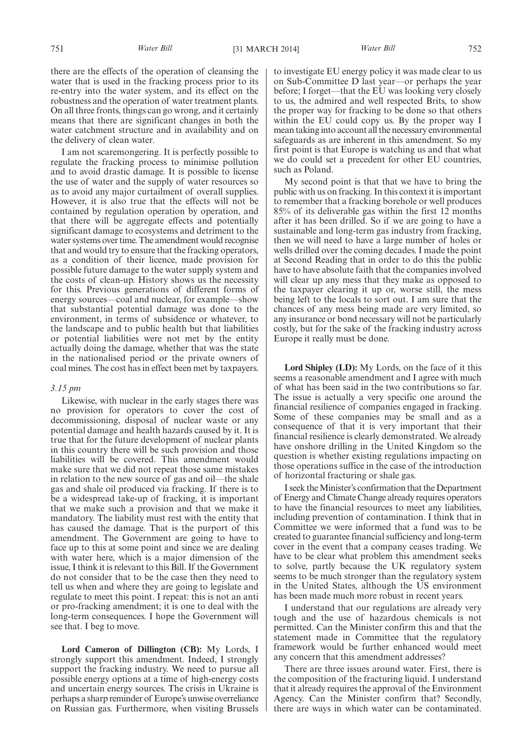there are the effects of the operation of cleansing the water that is used in the fracking process prior to its re-entry into the water system, and its effect on the robustness and the operation of water treatment plants. On all three fronts, things can go wrong, and it certainly means that there are significant changes in both the water catchment structure and in availability and on the delivery of clean water.

I am not scaremongering. It is perfectly possible to regulate the fracking process to minimise pollution and to avoid drastic damage. It is possible to license the use of water and the supply of water resources so as to avoid any major curtailment of overall supplies. However, it is also true that the effects will not be contained by regulation operation by operation, and that there will be aggregate effects and potentially significant damage to ecosystems and detriment to the water systems over time. The amendment would recognise that and would try to ensure that the fracking operators, as a condition of their licence, made provision for possible future damage to the water supply system and the costs of clean-up. History shows us the necessity for this. Previous generations of different forms of energy sources—coal and nuclear, for example—show that substantial potential damage was done to the environment, in terms of subsidence or whatever, to the landscape and to public health but that liabilities or potential liabilities were not met by the entity actually doing the damage, whether that was the state in the nationalised period or the private owners of coal mines. The cost has in effect been met by taxpayers.

#### *3.15 pm*

Likewise, with nuclear in the early stages there was no provision for operators to cover the cost of decommissioning, disposal of nuclear waste or any potential damage and health hazards caused by it. It is true that for the future development of nuclear plants in this country there will be such provision and those liabilities will be covered. This amendment would make sure that we did not repeat those same mistakes in relation to the new source of gas and oil—the shale gas and shale oil produced via fracking. If there is to be a widespread take-up of fracking, it is important that we make such a provision and that we make it mandatory. The liability must rest with the entity that has caused the damage. That is the purport of this amendment. The Government are going to have to face up to this at some point and since we are dealing with water here, which is a major dimension of the issue, I think it is relevant to this Bill. If the Government do not consider that to be the case then they need to tell us when and where they are going to legislate and regulate to meet this point. I repeat: this is not an anti or pro-fracking amendment; it is one to deal with the long-term consequences. I hope the Government will see that. I beg to move.

**Lord Cameron of Dillington (CB):** My Lords, I strongly support this amendment. Indeed, I strongly support the fracking industry. We need to pursue all possible energy options at a time of high-energy costs and uncertain energy sources. The crisis in Ukraine is perhaps a sharp reminder of Europe's unwise overreliance on Russian gas. Furthermore, when visiting Brussels to investigate EU energy policy it was made clear to us on Sub-Committee D last year—or perhaps the year before; I forget—that the EU was looking very closely to us, the admired and well respected Brits, to show the proper way for fracking to be done so that others within the EU could copy us. By the proper way I mean taking into account all the necessary environmental safeguards as are inherent in this amendment. So my first point is that Europe is watching us and that what we do could set a precedent for other EU countries, such as Poland.

My second point is that that we have to bring the public with us on fracking. In this context it is important to remember that a fracking borehole or well produces 85% of its deliverable gas within the first 12 months after it has been drilled. So if we are going to have a sustainable and long-term gas industry from fracking, then we will need to have a large number of holes or wells drilled over the coming decades. I made the point at Second Reading that in order to do this the public have to have absolute faith that the companies involved will clear up any mess that they make as opposed to the taxpayer clearing it up or, worse still, the mess being left to the locals to sort out. I am sure that the chances of any mess being made are very limited, so any insurance or bond necessary will not be particularly costly, but for the sake of the fracking industry across Europe it really must be done.

**Lord Shipley (LD):** My Lords, on the face of it this seems a reasonable amendment and I agree with much of what has been said in the two contributions so far. The issue is actually a very specific one around the financial resilience of companies engaged in fracking. Some of these companies may be small and as a consequence of that it is very important that their financial resilience is clearly demonstrated. We already have onshore drilling in the United Kingdom so the question is whether existing regulations impacting on those operations suffice in the case of the introduction of horizontal fracturing or shale gas.

I seek theMinister's confirmation that the Department of Energy and Climate Change already requires operators to have the financial resources to meet any liabilities, including prevention of contamination. I think that in Committee we were informed that a fund was to be created to guarantee financial sufficiency and long-term cover in the event that a company ceases trading. We have to be clear what problem this amendment seeks to solve, partly because the UK regulatory system seems to be much stronger than the regulatory system in the United States, although the US environment has been made much more robust in recent years.

I understand that our regulations are already very tough and the use of hazardous chemicals is not permitted. Can the Minister confirm this and that the statement made in Committee that the regulatory framework would be further enhanced would meet any concern that this amendment addresses?

There are three issues around water. First, there is the composition of the fracturing liquid. I understand that it already requires the approval of the Environment Agency. Can the Minister confirm that? Secondly, there are ways in which water can be contaminated.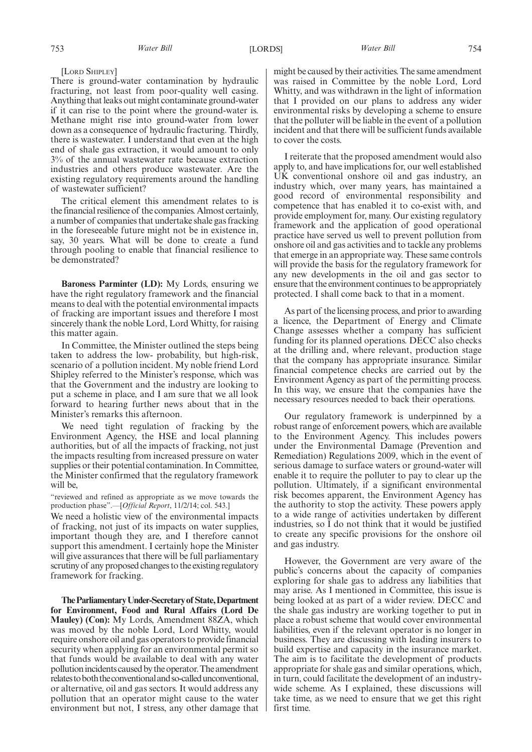[LORD SHIPLEY]

There is ground-water contamination by hydraulic fracturing, not least from poor-quality well casing. Anything that leaks out might contaminate ground-water if it can rise to the point where the ground-water is. Methane might rise into ground-water from lower down as a consequence of hydraulic fracturing. Thirdly, there is wastewater. I understand that even at the high end of shale gas extraction, it would amount to only 3% of the annual wastewater rate because extraction industries and others produce wastewater. Are the existing regulatory requirements around the handling of wastewater sufficient?

The critical element this amendment relates to is the financial resilience of the companies. Almost certainly, a number of companies that undertake shale gas fracking in the foreseeable future might not be in existence in, say, 30 years. What will be done to create a fund through pooling to enable that financial resilience to be demonstrated?

**Baroness Parminter (LD):** My Lords, ensuring we have the right regulatory framework and the financial means to deal with the potential environmental impacts of fracking are important issues and therefore I most sincerely thank the noble Lord, Lord Whitty, for raising this matter again.

In Committee, the Minister outlined the steps being taken to address the low- probability, but high-risk, scenario of a pollution incident. My noble friend Lord Shipley referred to the Minister's response, which was that the Government and the industry are looking to put a scheme in place, and I am sure that we all look forward to hearing further news about that in the Minister's remarks this afternoon.

We need tight regulation of fracking by the Environment Agency, the HSE and local planning authorities, but of all the impacts of fracking, not just the impacts resulting from increased pressure on water supplies or their potential contamination. In Committee, the Minister confirmed that the regulatory framework will be,

"reviewed and refined as appropriate as we move towards the production phase".—[*Official Report*, 11/2/14; col. 543.]

We need a holistic view of the environmental impacts of fracking, not just of its impacts on water supplies, important though they are, and I therefore cannot support this amendment. I certainly hope the Minister will give assurances that there will be full parliamentary scrutiny of any proposed changes to the existing regulatory framework for fracking.

**TheParliamentaryUnder-Secretaryof State,Department for Environment, Food and Rural Affairs (Lord De Mauley) (Con):** My Lords, Amendment 88ZA, which was moved by the noble Lord, Lord Whitty, would require onshore oil and gas operators to provide financial security when applying for an environmental permit so that funds would be available to deal with any water pollution incidents caused by the operator. The amendment relates to both the conventional and so-called unconventional, or alternative, oil and gas sectors. It would address any pollution that an operator might cause to the water environment but not, I stress, any other damage that might be caused by their activities. The same amendment was raised in Committee by the noble Lord, Lord Whitty, and was withdrawn in the light of information that I provided on our plans to address any wider environmental risks by developing a scheme to ensure that the polluter will be liable in the event of a pollution incident and that there will be sufficient funds available to cover the costs.

I reiterate that the proposed amendment would also apply to, and have implications for, our well established UK conventional onshore oil and gas industry, an industry which, over many years, has maintained a good record of environmental responsibility and competence that has enabled it to co-exist with, and provide employment for, many. Our existing regulatory framework and the application of good operational practice have served us well to prevent pollution from onshore oil and gas activities and to tackle any problems that emerge in an appropriate way. These same controls will provide the basis for the regulatory framework for any new developments in the oil and gas sector to ensure that the environment continues to be appropriately protected. I shall come back to that in a moment.

As part of the licensing process, and prior to awarding a licence, the Department of Energy and Climate Change assesses whether a company has sufficient funding for its planned operations. DECC also checks at the drilling and, where relevant, production stage that the company has appropriate insurance. Similar financial competence checks are carried out by the Environment Agency as part of the permitting process. In this way, we ensure that the companies have the necessary resources needed to back their operations.

Our regulatory framework is underpinned by a robust range of enforcement powers, which are available to the Environment Agency. This includes powers under the Environmental Damage (Prevention and Remediation) Regulations 2009, which in the event of serious damage to surface waters or ground-water will enable it to require the polluter to pay to clear up the pollution. Ultimately, if a significant environmental risk becomes apparent, the Environment Agency has the authority to stop the activity. These powers apply to a wide range of activities undertaken by different industries, so I do not think that it would be justified to create any specific provisions for the onshore oil and gas industry.

However, the Government are very aware of the public's concerns about the capacity of companies exploring for shale gas to address any liabilities that may arise. As I mentioned in Committee, this issue is being looked at as part of a wider review. DECC and the shale gas industry are working together to put in place a robust scheme that would cover environmental liabilities, even if the relevant operator is no longer in business. They are discussing with leading insurers to build expertise and capacity in the insurance market. The aim is to facilitate the development of products appropriate for shale gas and similar operations, which, in turn, could facilitate the development of an industrywide scheme. As I explained, these discussions will take time, as we need to ensure that we get this right first time.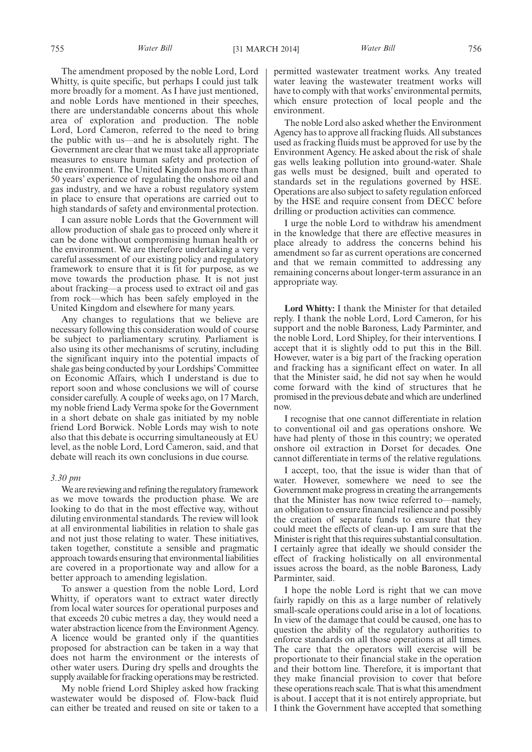The amendment proposed by the noble Lord, Lord Whitty, is quite specific, but perhaps I could just talk more broadly for a moment. As I have just mentioned, and noble Lords have mentioned in their speeches, there are understandable concerns about this whole area of exploration and production. The noble Lord, Lord Cameron, referred to the need to bring the public with us—and he is absolutely right. The Government are clear that we must take all appropriate measures to ensure human safety and protection of the environment. The United Kingdom has more than 50 years' experience of regulating the onshore oil and gas industry, and we have a robust regulatory system in place to ensure that operations are carried out to high standards of safety and environmental protection.

I can assure noble Lords that the Government will allow production of shale gas to proceed only where it can be done without compromising human health or the environment. We are therefore undertaking a very careful assessment of our existing policy and regulatory framework to ensure that it is fit for purpose, as we move towards the production phase. It is not just about fracking—a process used to extract oil and gas from rock—which has been safely employed in the United Kingdom and elsewhere for many years.

Any changes to regulations that we believe are necessary following this consideration would of course be subject to parliamentary scrutiny. Parliament is also using its other mechanisms of scrutiny, including the significant inquiry into the potential impacts of shale gas being conducted by your Lordships'Committee on Economic Affairs, which I understand is due to report soon and whose conclusions we will of course consider carefully. A couple of weeks ago, on 17 March, my noble friend Lady Verma spoke for the Government in a short debate on shale gas initiated by my noble friend Lord Borwick. Noble Lords may wish to note also that this debate is occurring simultaneously at EU level, as the noble Lord, Lord Cameron, said, and that debate will reach its own conclusions in due course.

#### *3.30 pm*

We are reviewing and refining the regulatory framework as we move towards the production phase. We are looking to do that in the most effective way, without diluting environmental standards. The review will look at all environmental liabilities in relation to shale gas and not just those relating to water. These initiatives, taken together, constitute a sensible and pragmatic approach towards ensuring that environmental liabilities are covered in a proportionate way and allow for a better approach to amending legislation.

To answer a question from the noble Lord, Lord Whitty, if operators want to extract water directly from local water sources for operational purposes and that exceeds 20 cubic metres a day, they would need a water abstraction licence from the Environment Agency. A licence would be granted only if the quantities proposed for abstraction can be taken in a way that does not harm the environment or the interests of other water users. During dry spells and droughts the supply available for fracking operations may be restricted.

My noble friend Lord Shipley asked how fracking wastewater would be disposed of. Flow-back fluid can either be treated and reused on site or taken to a permitted wastewater treatment works. Any treated water leaving the wastewater treatment works will have to comply with that works' environmental permits, which ensure protection of local people and the environment.

The noble Lord also asked whether the Environment Agency has to approve all fracking fluids. All substances used as fracking fluids must be approved for use by the Environment Agency. He asked about the risk of shale gas wells leaking pollution into ground-water. Shale gas wells must be designed, built and operated to standards set in the regulations governed by HSE. Operations are also subject to safety regulation enforced by the HSE and require consent from DECC before drilling or production activities can commence.

I urge the noble Lord to withdraw his amendment in the knowledge that there are effective measures in place already to address the concerns behind his amendment so far as current operations are concerned and that we remain committed to addressing any remaining concerns about longer-term assurance in an appropriate way.

**Lord Whitty:** I thank the Minister for that detailed reply. I thank the noble Lord, Lord Cameron, for his support and the noble Baroness, Lady Parminter, and the noble Lord, Lord Shipley, for their interventions. I accept that it is slightly odd to put this in the Bill. However, water is a big part of the fracking operation and fracking has a significant effect on water. In all that the Minister said, he did not say when he would come forward with the kind of structures that he promised in the previous debate and which are underlined now.

I recognise that one cannot differentiate in relation to conventional oil and gas operations onshore. We have had plenty of those in this country; we operated onshore oil extraction in Dorset for decades. One cannot differentiate in terms of the relative regulations.

I accept, too, that the issue is wider than that of water. However, somewhere we need to see the Government make progress in creating the arrangements that the Minister has now twice referred to—namely, an obligation to ensure financial resilience and possibly the creation of separate funds to ensure that they could meet the effects of clean-up. I am sure that the Minister is right that this requires substantial consultation. I certainly agree that ideally we should consider the effect of fracking holistically on all environmental issues across the board, as the noble Baroness, Lady Parminter, said.

I hope the noble Lord is right that we can move fairly rapidly on this as a large number of relatively small-scale operations could arise in a lot of locations. In view of the damage that could be caused, one has to question the ability of the regulatory authorities to enforce standards on all those operations at all times. The care that the operators will exercise will be proportionate to their financial stake in the operation and their bottom line. Therefore, it is important that they make financial provision to cover that before these operations reach scale. That is what this amendment is about. I accept that it is not entirely appropriate, but I think the Government have accepted that something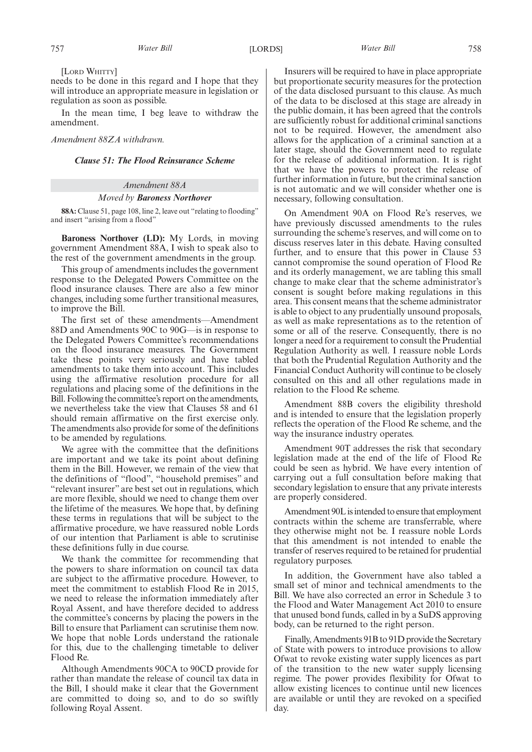[LORD WHITTY]

needs to be done in this regard and I hope that they will introduce an appropriate measure in legislation or regulation as soon as possible.

In the mean time, I beg leave to withdraw the amendment.

#### *Amendment 88ZA withdrawn.*

### *Clause 51: The Flood Reinsurance Scheme*

## *Amendment 88A*

#### *Moved by Baroness Northover*

**88A:** Clause 51, page 108, line 2, leave out "relating to flooding" and insert "arising from a flood"

**Baroness Northover (LD):** My Lords, in moving government Amendment 88A, I wish to speak also to the rest of the government amendments in the group.

This group of amendments includes the government response to the Delegated Powers Committee on the flood insurance clauses. There are also a few minor changes, including some further transitional measures, to improve the Bill.

The first set of these amendments—Amendment 88D and Amendments 90C to 90G—is in response to the Delegated Powers Committee's recommendations on the flood insurance measures. The Government take these points very seriously and have tabled amendments to take them into account. This includes using the affirmative resolution procedure for all regulations and placing some of the definitions in the Bill. Following the committee's report on the amendments, we nevertheless take the view that Clauses 58 and 61 should remain affirmative on the first exercise only. The amendments also provide for some of the definitions to be amended by regulations.

We agree with the committee that the definitions are important and we take its point about defining them in the Bill. However, we remain of the view that the definitions of "flood", "household premises" and "relevant insurer" are best set out in regulations, which are more flexible, should we need to change them over the lifetime of the measures. We hope that, by defining these terms in regulations that will be subject to the affirmative procedure, we have reassured noble Lords of our intention that Parliament is able to scrutinise these definitions fully in due course.

We thank the committee for recommending that the powers to share information on council tax data are subject to the affirmative procedure. However, to meet the commitment to establish Flood Re in 2015, we need to release the information immediately after Royal Assent, and have therefore decided to address the committee's concerns by placing the powers in the Bill to ensure that Parliament can scrutinise them now. We hope that noble Lords understand the rationale for this, due to the challenging timetable to deliver Flood Re.

Although Amendments 90CA to 90CD provide for rather than mandate the release of council tax data in the Bill, I should make it clear that the Government are committed to doing so, and to do so swiftly following Royal Assent.

Insurers will be required to have in place appropriate but proportionate security measures for the protection of the data disclosed pursuant to this clause. As much of the data to be disclosed at this stage are already in the public domain, it has been agreed that the controls are sufficiently robust for additional criminal sanctions not to be required. However, the amendment also allows for the application of a criminal sanction at a later stage, should the Government need to regulate for the release of additional information. It is right that we have the powers to protect the release of further information in future, but the criminal sanction is not automatic and we will consider whether one is necessary, following consultation.

On Amendment 90A on Flood Re's reserves, we have previously discussed amendments to the rules surrounding the scheme's reserves, and will come on to discuss reserves later in this debate. Having consulted further, and to ensure that this power in Clause 53 cannot compromise the sound operation of Flood Re and its orderly management, we are tabling this small change to make clear that the scheme administrator's consent is sought before making regulations in this area. This consent means that the scheme administrator is able to object to any prudentially unsound proposals, as well as make representations as to the retention of some or all of the reserve. Consequently, there is no longer a need for a requirement to consult the Prudential Regulation Authority as well. I reassure noble Lords that both the Prudential Regulation Authority and the Financial Conduct Authority will continue to be closely consulted on this and all other regulations made in relation to the Flood Re scheme.

Amendment 88B covers the eligibility threshold and is intended to ensure that the legislation properly reflects the operation of the Flood Re scheme, and the way the insurance industry operates.

Amendment 90T addresses the risk that secondary legislation made at the end of the life of Flood Re could be seen as hybrid. We have every intention of carrying out a full consultation before making that secondary legislation to ensure that any private interests are properly considered.

Amendment 90L is intended to ensure that employment contracts within the scheme are transferrable, where they otherwise might not be. I reassure noble Lords that this amendment is not intended to enable the transfer of reserves required to be retained for prudential regulatory purposes.

In addition, the Government have also tabled a small set of minor and technical amendments to the Bill. We have also corrected an error in Schedule 3 to the Flood and Water Management Act 2010 to ensure that unused bond funds, called in by a SuDS approving body, can be returned to the right person.

Finally, Amendments 91B to 91D provide the Secretary of State with powers to introduce provisions to allow Ofwat to revoke existing water supply licences as part of the transition to the new water supply licensing regime. The power provides flexibility for Ofwat to allow existing licences to continue until new licences are available or until they are revoked on a specified day.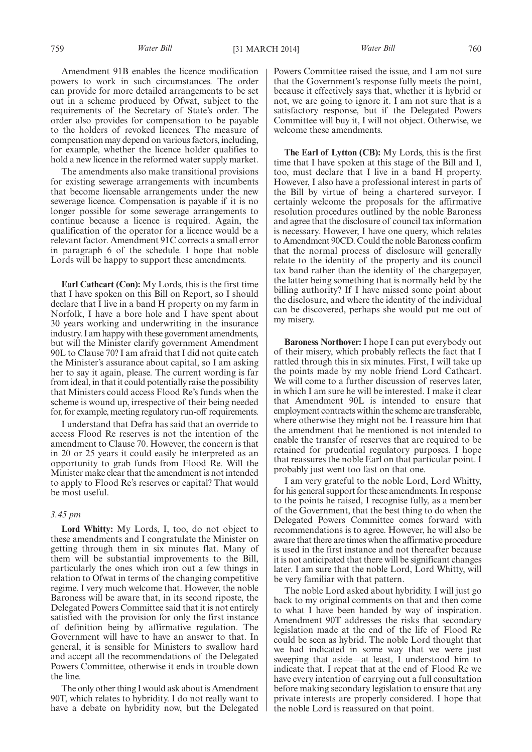Amendment 91B enables the licence modification powers to work in such circumstances. The order can provide for more detailed arrangements to be set out in a scheme produced by Ofwat, subject to the requirements of the Secretary of State's order. The order also provides for compensation to be payable to the holders of revoked licences. The measure of compensation may depend on various factors, including, for example, whether the licence holder qualifies to hold a new licence in the reformed water supply market.

The amendments also make transitional provisions for existing sewerage arrangements with incumbents that become licensable arrangements under the new sewerage licence. Compensation is payable if it is no longer possible for some sewerage arrangements to continue because a licence is required. Again, the qualification of the operator for a licence would be a relevant factor. Amendment 91C corrects a small error in paragraph 6 of the schedule. I hope that noble Lords will be happy to support these amendments.

**Earl Cathcart (Con):** My Lords, this is the first time that I have spoken on this Bill on Report, so I should declare that I live in a band H property on my farm in Norfolk, I have a bore hole and I have spent about 30 years working and underwriting in the insurance industry. I am happy with these government amendments, but will the Minister clarify government Amendment 90L to Clause 70? I am afraid that I did not quite catch the Minister's assurance about capital, so I am asking her to say it again, please. The current wording is far from ideal, in that it could potentially raise the possibility that Ministers could access Flood Re's funds when the scheme is wound up, irrespective of their being needed for, for example, meeting regulatory run-off requirements.

I understand that Defra has said that an override to access Flood Re reserves is not the intention of the amendment to Clause 70. However, the concern is that in 20 or 25 years it could easily be interpreted as an opportunity to grab funds from Flood Re. Will the Minister make clear that the amendment is not intended to apply to Flood Re's reserves or capital? That would be most useful.

#### *3.45 pm*

**Lord Whitty:** My Lords, I, too, do not object to these amendments and I congratulate the Minister on getting through them in six minutes flat. Many of them will be substantial improvements to the Bill, particularly the ones which iron out a few things in relation to Ofwat in terms of the changing competitive regime. I very much welcome that. However, the noble Baroness will be aware that, in its second riposte, the Delegated Powers Committee said that it is not entirely satisfied with the provision for only the first instance of definition being by affirmative regulation. The Government will have to have an answer to that. In general, it is sensible for Ministers to swallow hard and accept all the recommendations of the Delegated Powers Committee, otherwise it ends in trouble down the line.

The only other thing I would ask about is Amendment 90T, which relates to hybridity. I do not really want to have a debate on hybridity now, but the Delegated Powers Committee raised the issue, and I am not sure that the Government's response fully meets the point, because it effectively says that, whether it is hybrid or not, we are going to ignore it. I am not sure that is a satisfactory response, but if the Delegated Powers Committee will buy it, I will not object. Otherwise, we welcome these amendments.

**The Earl of Lytton (CB):** My Lords, this is the first time that I have spoken at this stage of the Bill and I, too, must declare that I live in a band H property. However, I also have a professional interest in parts of the Bill by virtue of being a chartered surveyor. I certainly welcome the proposals for the affirmative resolution procedures outlined by the noble Baroness and agree that the disclosure of council tax information is necessary. However, I have one query, which relates to Amendment 90CD. Could the noble Baroness confirm that the normal process of disclosure will generally relate to the identity of the property and its council tax band rather than the identity of the chargepayer, the latter being something that is normally held by the billing authority? If I have missed some point about the disclosure, and where the identity of the individual can be discovered, perhaps she would put me out of my misery.

**Baroness Northover:** I hope I can put everybody out of their misery, which probably reflects the fact that I rattled through this in six minutes. First, I will take up the points made by my noble friend Lord Cathcart. We will come to a further discussion of reserves later, in which I am sure he will be interested. I make it clear that Amendment 90L is intended to ensure that employment contracts within the scheme are transferable, where otherwise they might not be. I reassure him that the amendment that he mentioned is not intended to enable the transfer of reserves that are required to be retained for prudential regulatory purposes. I hope that reassures the noble Earl on that particular point. I probably just went too fast on that one.

I am very grateful to the noble Lord, Lord Whitty, for his general support for these amendments. In response to the points he raised, I recognise fully, as a member of the Government, that the best thing to do when the Delegated Powers Committee comes forward with recommendations is to agree. However, he will also be aware that there are times when the affirmative procedure is used in the first instance and not thereafter because it is not anticipated that there will be significant changes later. I am sure that the noble Lord, Lord Whitty, will be very familiar with that pattern.

The noble Lord asked about hybridity. I will just go back to my original comments on that and then come to what I have been handed by way of inspiration. Amendment 90T addresses the risks that secondary legislation made at the end of the life of Flood Re could be seen as hybrid. The noble Lord thought that we had indicated in some way that we were just sweeping that aside—at least, I understood him to indicate that. I repeat that at the end of Flood Re we have every intention of carrying out a full consultation before making secondary legislation to ensure that any private interests are properly considered. I hope that the noble Lord is reassured on that point.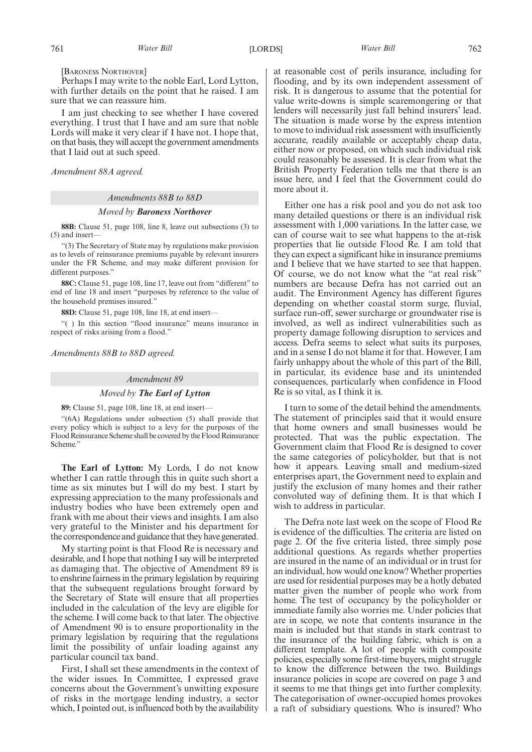[BARONESS NORTHOVER]

Perhaps I may write to the noble Earl, Lord Lytton, with further details on the point that he raised. I am sure that we can reassure him.

I am just checking to see whether I have covered everything. I trust that I have and am sure that noble Lords will make it very clear if I have not. I hope that, on that basis, they will accept the government amendments that I laid out at such speed.

*Amendment 88A agreed.*

#### *Amendments 88B to 88D*

#### *Moved by Baroness Northover*

**88B:** Clause 51, page 108, line 8, leave out subsections (3) to (5) and insert—

"(3) The Secretary of State may by regulations make provision as to levels of reinsurance premiums payable by relevant insurers under the FR Scheme, and may make different provision for different purposes."

**88C:** Clause 51, page 108, line 17, leave out from "different" to end of line 18 and insert "purposes by reference to the value of the household premises insured."

**88D:** Clause 51, page 108, line 18, at end insert—

"( ) In this section "flood insurance" means insurance in respect of risks arising from a flood."

*Amendments 88B to 88D agreed.*

#### *Amendment 89*

#### *Moved by The Earl of Lytton*

**89:** Clause 51, page 108, line 18, at end insert—

"(6A) Regulations under subsection (5) shall provide that every policy which is subject to a levy for the purposes of the Flood Reinsurance Scheme shall be covered by the Flood Reinsurance Scheme."

**The Earl of Lytton:** My Lords, I do not know whether I can rattle through this in quite such short a time as six minutes but I will do my best. I start by expressing appreciation to the many professionals and industry bodies who have been extremely open and frank with me about their views and insights. I am also very grateful to the Minister and his department for the correspondence and guidance that they have generated.

My starting point is that Flood Re is necessary and desirable, and I hope that nothing I say will be interpreted as damaging that. The objective of Amendment 89 is to enshrine fairness in the primary legislation by requiring that the subsequent regulations brought forward by the Secretary of State will ensure that all properties included in the calculation of the levy are eligible for the scheme. I will come back to that later. The objective of Amendment 90 is to ensure proportionality in the primary legislation by requiring that the regulations limit the possibility of unfair loading against any particular council tax band.

First, I shall set these amendments in the context of the wider issues. In Committee, I expressed grave concerns about the Government's unwitting exposure of risks in the mortgage lending industry, a sector which, I pointed out, is influenced both by the availability at reasonable cost of perils insurance, including for flooding, and by its own independent assessment of risk. It is dangerous to assume that the potential for value write-downs is simple scaremongering or that lenders will necessarily just fall behind insurers' lead. The situation is made worse by the express intention to move to individual risk assessment with insufficiently accurate, readily available or acceptably cheap data, either now or proposed, on which such individual risk could reasonably be assessed. It is clear from what the British Property Federation tells me that there is an issue here, and I feel that the Government could do more about it.

Either one has a risk pool and you do not ask too many detailed questions or there is an individual risk assessment with 1,000 variations. In the latter case, we can of course wait to see what happens to the at-risk properties that lie outside Flood Re. I am told that they can expect a significant hike in insurance premiums and I believe that we have started to see that happen. Of course, we do not know what the "at real risk" numbers are because Defra has not carried out an audit. The Environment Agency has different figures depending on whether coastal storm surge, fluvial, surface run-off, sewer surcharge or groundwater rise is involved, as well as indirect vulnerabilities such as property damage following disruption to services and access. Defra seems to select what suits its purposes, and in a sense I do not blame it for that. However, I am fairly unhappy about the whole of this part of the Bill, in particular, its evidence base and its unintended consequences, particularly when confidence in Flood Re is so vital, as I think it is.

I turn to some of the detail behind the amendments. The statement of principles said that it would ensure that home owners and small businesses would be protected. That was the public expectation. The Government claim that Flood Re is designed to cover the same categories of policyholder, but that is not how it appears. Leaving small and medium-sized enterprises apart, the Government need to explain and justify the exclusion of many homes and their rather convoluted way of defining them. It is that which I wish to address in particular.

The Defra note last week on the scope of Flood Re is evidence of the difficulties. The criteria are listed on page 2. Of the five criteria listed, three simply pose additional questions. As regards whether properties are insured in the name of an individual or in trust for an individual, how would one know? Whether properties are used for residential purposes may be a hotly debated matter given the number of people who work from home. The test of occupancy by the policyholder or immediate family also worries me. Under policies that are in scope, we note that contents insurance in the main is included but that stands in stark contrast to the insurance of the building fabric, which is on a different template. A lot of people with composite policies, especially some first-time buyers, might struggle to know the difference between the two. Buildings insurance policies in scope are covered on page 3 and it seems to me that things get into further complexity. The categorisation of owner-occupied homes provokes a raft of subsidiary questions. Who is insured? Who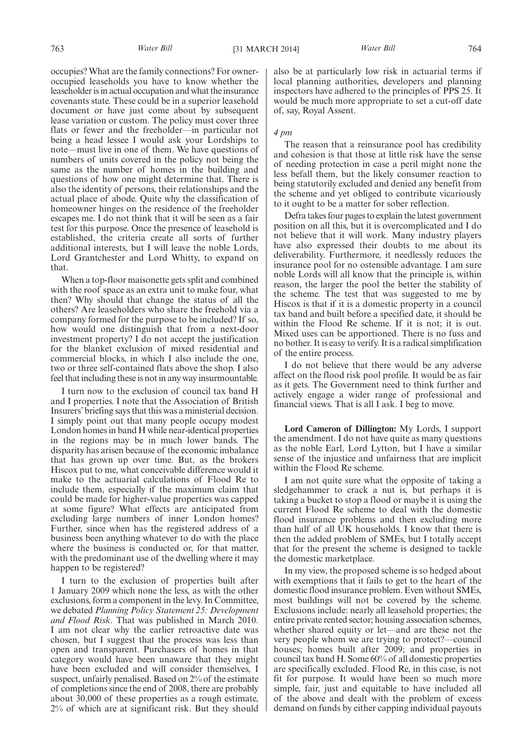occupies? What are the family connections? For owneroccupied leaseholds you have to know whether the leaseholder is in actual occupation and what the insurance covenants state. These could be in a superior leasehold document or have just come about by subsequent lease variation or custom. The policy must cover three flats or fewer and the freeholder—in particular not being a head lessee I would ask your Lordships to note—must live in one of them. We have questions of numbers of units covered in the policy not being the same as the number of homes in the building and questions of how one might determine that. There is also the identity of persons, their relationships and the actual place of abode. Quite why the classification of homeowner hinges on the residence of the freeholder escapes me. I do not think that it will be seen as a fair test for this purpose. Once the presence of leasehold is established, the criteria create all sorts of further additional interests, but I will leave the noble Lords, Lord Grantchester and Lord Whitty, to expand on that.

When a top-floor maisonette gets split and combined with the roof space as an extra unit to make four, what then? Why should that change the status of all the others? Are leaseholders who share the freehold via a company formed for the purpose to be included? If so, how would one distinguish that from a next-door investment property? I do not accept the justification for the blanket exclusion of mixed residential and commercial blocks, in which I also include the one, two or three self-contained flats above the shop. I also feel that including these is not in any way insurmountable.

I turn now to the exclusion of council tax band H and I properties. I note that the Association of British Insurers' briefing says that this was a ministerial decision. I simply point out that many people occupy modest London homes in band H while near-identical properties in the regions may be in much lower bands. The disparity has arisen because of the economic imbalance that has grown up over time. But, as the brokers Hiscox put to me, what conceivable difference would it make to the actuarial calculations of Flood Re to include them, especially if the maximum claim that could be made for higher-value properties was capped at some figure? What effects are anticipated from excluding large numbers of inner London homes? Further, since when has the registered address of a business been anything whatever to do with the place where the business is conducted or, for that matter, with the predominant use of the dwelling where it may happen to be registered?

I turn to the exclusion of properties built after 1 January 2009 which none the less, as with the other exclusions, form a component in the levy. In Committee, we debated *Planning Policy Statement 25: Development and Flood Risk*. That was published in March 2010. I am not clear why the earlier retroactive date was chosen, but I suggest that the process was less than open and transparent. Purchasers of homes in that category would have been unaware that they might have been excluded and will consider themselves, I suspect, unfairly penalised. Based on 2% of the estimate of completions since the end of 2008, there are probably about 30,000 of these properties as a rough estimate, 2% of which are at significant risk. But they should also be at particularly low risk in actuarial terms if local planning authorities, developers and planning inspectors have adhered to the principles of PPS 25. It would be much more appropriate to set a cut-off date of, say, Royal Assent.

#### *4 pm*

The reason that a reinsurance pool has credibility and cohesion is that those at little risk have the sense of needing protection in case a peril might none the less befall them, but the likely consumer reaction to being statutorily excluded and denied any benefit from the scheme and yet obliged to contribute vicariously to it ought to be a matter for sober reflection.

Defra takes four pages to explain the latest government position on all this, but it is overcomplicated and I do not believe that it will work. Many industry players have also expressed their doubts to me about its deliverability. Furthermore, it needlessly reduces the insurance pool for no ostensible advantage. I am sure noble Lords will all know that the principle is, within reason, the larger the pool the better the stability of the scheme. The test that was suggested to me by Hiscox is that if it is a domestic property in a council tax band and built before a specified date, it should be within the Flood Re scheme. If it is not; it is out. Mixed uses can be apportioned. There is no fuss and no bother. It is easy to verify. It is a radical simplification of the entire process.

I do not believe that there would be any adverse affect on the flood risk pool profile. It would be as fair as it gets. The Government need to think further and actively engage a wider range of professional and financial views. That is all I ask. I beg to move.

**Lord Cameron of Dillington:** My Lords, I support the amendment. I do not have quite as many questions as the noble Earl, Lord Lytton, but I have a similar sense of the injustice and unfairness that are implicit within the Flood Re scheme.

I am not quite sure what the opposite of taking a sledgehammer to crack a nut is, but perhaps it is taking a bucket to stop a flood or maybe it is using the current Flood Re scheme to deal with the domestic flood insurance problems and then excluding more than half of all UK households. I know that there is then the added problem of SMEs, but I totally accept that for the present the scheme is designed to tackle the domestic marketplace.

In my view, the proposed scheme is so hedged about with exemptions that it fails to get to the heart of the domestic flood insurance problem. Even without SMEs, most buildings will not be covered by the scheme. Exclusions include: nearly all leasehold properties; the entire private rented sector; housing association schemes, whether shared equity or let—and are these not the very people whom we are trying to protect?—council houses; homes built after 2009; and properties in council tax band H. Some 60% of all domestic properties are specifically excluded. Flood Re, in this case, is not fit for purpose. It would have been so much more simple, fair, just and equitable to have included all of the above and dealt with the problem of excess demand on funds by either capping individual payouts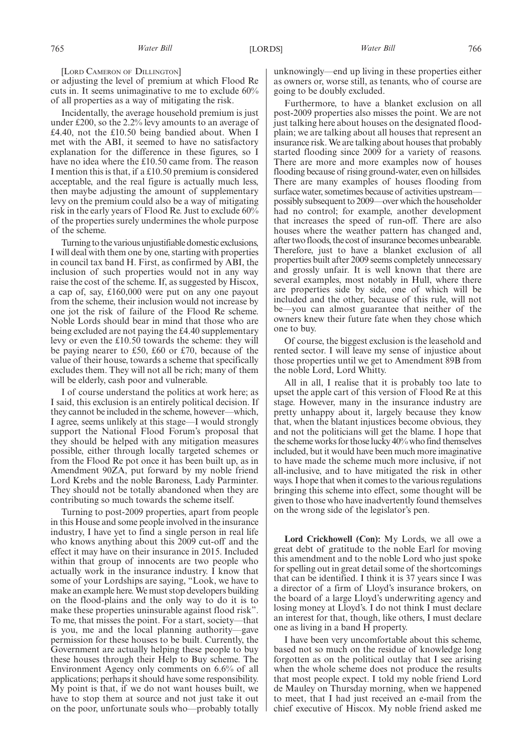[LORD CAMERON OF DILLINGTON]

or adjusting the level of premium at which Flood Re cuts in. It seems unimaginative to me to exclude 60% of all properties as a way of mitigating the risk.

Incidentally, the average household premium is just under £200, so the 2.2% levy amounts to an average of £4.40, not the £10.50 being bandied about. When I met with the ABI, it seemed to have no satisfactory explanation for the difference in these figures, so I have no idea where the £10.50 came from. The reason I mention this is that, if a £10.50 premium is considered acceptable, and the real figure is actually much less, then maybe adjusting the amount of supplementary levy on the premium could also be a way of mitigating risk in the early years of Flood Re. Just to exclude 60% of the properties surely undermines the whole purpose of the scheme.

Turning to the various unjustifiable domestic exclusions, I will deal with them one by one, starting with properties in council tax band H. First, as confirmed by ABI, the inclusion of such properties would not in any way raise the cost of the scheme. If, as suggested by Hiscox, a cap of, say, £160,000 were put on any one payout from the scheme, their inclusion would not increase by one jot the risk of failure of the Flood Re scheme. Noble Lords should bear in mind that those who are being excluded are not paying the £4.40 supplementary levy or even the £10.50 towards the scheme: they will be paying nearer to £50, £60 or £70, because of the value of their house, towards a scheme that specifically excludes them. They will not all be rich; many of them will be elderly, cash poor and vulnerable.

I of course understand the politics at work here; as I said, this exclusion is an entirely political decision. If they cannot be included in the scheme, however—which, I agree, seems unlikely at this stage—I would strongly support the National Flood Forum's proposal that they should be helped with any mitigation measures possible, either through locally targeted schemes or from the Flood Re pot once it has been built up, as in Amendment 90ZA, put forward by my noble friend Lord Krebs and the noble Baroness, Lady Parminter. They should not be totally abandoned when they are contributing so much towards the scheme itself.

Turning to post-2009 properties, apart from people in this House and some people involved in the insurance industry, I have yet to find a single person in real life who knows anything about this 2009 cut-off and the effect it may have on their insurance in 2015. Included within that group of innocents are two people who actually work in the insurance industry. I know that some of your Lordships are saying, "Look, we have to make an example here. We must stop developers building on the flood-plains and the only way to do it is to make these properties uninsurable against flood risk". To me, that misses the point. For a start, society—that is you, me and the local planning authority—gave permission for these houses to be built. Currently, the Government are actually helping these people to buy these houses through their Help to Buy scheme. The Environment Agency only comments on 6.6% of all applications; perhaps it should have some responsibility. My point is that, if we do not want houses built, we have to stop them at source and not just take it out on the poor, unfortunate souls who—probably totally unknowingly—end up living in these properties either as owners or, worse still, as tenants, who of course are going to be doubly excluded.

Furthermore, to have a blanket exclusion on all post-2009 properties also misses the point. We are not just talking here about houses on the designated floodplain; we are talking about all houses that represent an insurance risk.We are talking about houses that probably started flooding since 2009 for a variety of reasons. There are more and more examples now of houses flooding because of rising ground-water, even on hillsides. There are many examples of houses flooding from surface water, sometimes because of activities upstream possibly subsequent to 2009—over which the householder had no control; for example, another development that increases the speed of run-off. There are also houses where the weather pattern has changed and, after two floods, the cost of insurance becomes unbearable. Therefore, just to have a blanket exclusion of all properties built after 2009 seems completely unnecessary and grossly unfair. It is well known that there are several examples, most notably in Hull, where there are properties side by side, one of which will be included and the other, because of this rule, will not be—you can almost guarantee that neither of the owners knew their future fate when they chose which one to buy.

Of course, the biggest exclusion is the leasehold and rented sector. I will leave my sense of injustice about those properties until we get to Amendment 89B from the noble Lord, Lord Whitty.

All in all, I realise that it is probably too late to upset the apple cart of this version of Flood Re at this stage. However, many in the insurance industry are pretty unhappy about it, largely because they know that, when the blatant injustices become obvious, they and not the politicians will get the blame. I hope that the scheme works for those lucky 40% who find themselves included, but it would have been much more imaginative to have made the scheme much more inclusive, if not all-inclusive, and to have mitigated the risk in other ways. I hope that when it comes to the various regulations bringing this scheme into effect, some thought will be given to those who have inadvertently found themselves on the wrong side of the legislator's pen.

**Lord Crickhowell (Con):** My Lords, we all owe a great debt of gratitude to the noble Earl for moving this amendment and to the noble Lord who just spoke for spelling out in great detail some of the shortcomings that can be identified. I think it is 37 years since I was a director of a firm of Lloyd's insurance brokers, on the board of a large Lloyd's underwriting agency and losing money at Lloyd's. I do not think I must declare an interest for that, though, like others, I must declare one as living in a band H property.

I have been very uncomfortable about this scheme, based not so much on the residue of knowledge long forgotten as on the political outlay that I see arising when the whole scheme does not produce the results that most people expect. I told my noble friend Lord de Mauley on Thursday morning, when we happened to meet, that I had just received an e-mail from the chief executive of Hiscox. My noble friend asked me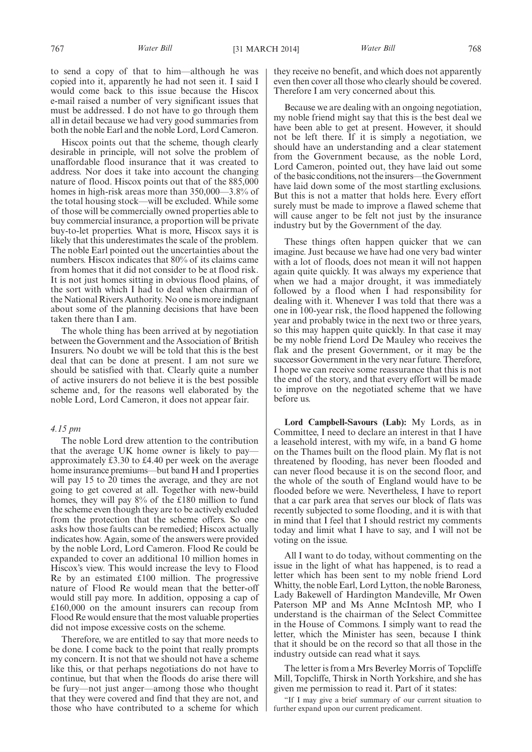to send a copy of that to him—although he was copied into it, apparently he had not seen it. I said I would come back to this issue because the Hiscox e-mail raised a number of very significant issues that must be addressed. I do not have to go through them all in detail because we had very good summaries from both the noble Earl and the noble Lord, Lord Cameron.

Hiscox points out that the scheme, though clearly desirable in principle, will not solve the problem of unaffordable flood insurance that it was created to address. Nor does it take into account the changing nature of flood. Hiscox points out that of the 885,000 homes in high-risk areas more than 350,000—3.8% of the total housing stock—will be excluded. While some of those will be commercially owned properties able to buy commercial insurance, a proportion will be private buy-to-let properties. What is more, Hiscox says it is likely that this underestimates the scale of the problem. The noble Earl pointed out the uncertainties about the numbers. Hiscox indicates that 80% of its claims came from homes that it did not consider to be at flood risk. It is not just homes sitting in obvious flood plains, of the sort with which I had to deal when chairman of the National Rivers Authority. No one is more indignant about some of the planning decisions that have been taken there than I am.

The whole thing has been arrived at by negotiation between the Government and the Association of British Insurers. No doubt we will be told that this is the best deal that can be done at present. I am not sure we should be satisfied with that. Clearly quite a number of active insurers do not believe it is the best possible scheme and, for the reasons well elaborated by the noble Lord, Lord Cameron, it does not appear fair.

#### *4.15 pm*

The noble Lord drew attention to the contribution that the average UK home owner is likely to pay approximately £3.30 to £4.40 per week on the average home insurance premiums—but band H and I properties will pay 15 to 20 times the average, and they are not going to get covered at all. Together with new-build homes, they will pay 8% of the £180 million to fund the scheme even though they are to be actively excluded from the protection that the scheme offers. So one asks how those faults can be remedied; Hiscox actually indicates how. Again, some of the answers were provided by the noble Lord, Lord Cameron. Flood Re could be expanded to cover an additional 10 million homes in Hiscox's view. This would increase the levy to Flood Re by an estimated £100 million. The progressive nature of Flood Re would mean that the better-off would still pay more. In addition, opposing a cap of £160,000 on the amount insurers can recoup from Flood Re would ensure that the most valuable properties did not impose excessive costs on the scheme.

Therefore, we are entitled to say that more needs to be done. I come back to the point that really prompts my concern. It is not that we should not have a scheme like this, or that perhaps negotiations do not have to continue, but that when the floods do arise there will be fury—not just anger—among those who thought that they were covered and find that they are not, and those who have contributed to a scheme for which they receive no benefit, and which does not apparently even then cover all those who clearly should be covered. Therefore I am very concerned about this.

Because we are dealing with an ongoing negotiation, my noble friend might say that this is the best deal we have been able to get at present. However, it should not be left there. If it is simply a negotiation, we should have an understanding and a clear statement from the Government because, as the noble Lord, Lord Cameron, pointed out, they have laid out some of the basic conditions, not the insurers—the Government have laid down some of the most startling exclusions. But this is not a matter that holds here. Every effort surely must be made to improve a flawed scheme that will cause anger to be felt not just by the insurance industry but by the Government of the day.

These things often happen quicker that we can imagine. Just because we have had one very bad winter with a lot of floods, does not mean it will not happen again quite quickly. It was always my experience that when we had a major drought, it was immediately followed by a flood when I had responsibility for dealing with it. Whenever I was told that there was a one in 100-year risk, the flood happened the following year and probably twice in the next two or three years, so this may happen quite quickly. In that case it may be my noble friend Lord De Mauley who receives the flak and the present Government, or it may be the successor Government in the very near future. Therefore, I hope we can receive some reassurance that this is not the end of the story, and that every effort will be made to improve on the negotiated scheme that we have before us.

**Lord Campbell-Savours (Lab):** My Lords, as in Committee, I need to declare an interest in that I have a leasehold interest, with my wife, in a band G home on the Thames built on the flood plain. My flat is not threatened by flooding, has never been flooded and can never flood because it is on the second floor, and the whole of the south of England would have to be flooded before we were. Nevertheless, I have to report that a car park area that serves our block of flats was recently subjected to some flooding, and it is with that in mind that I feel that I should restrict my comments today and limit what I have to say, and I will not be voting on the issue.

All I want to do today, without commenting on the issue in the light of what has happened, is to read a letter which has been sent to my noble friend Lord Whitty, the noble Earl, Lord Lytton, the noble Baroness, Lady Bakewell of Hardington Mandeville, Mr Owen Paterson MP and Ms Anne McIntosh MP, who I understand is the chairman of the Select Committee in the House of Commons. I simply want to read the letter, which the Minister has seen, because I think that it should be on the record so that all those in the industry outside can read what it says.

The letter is from a Mrs Beverley Morris of Topcliffe Mill, Topcliffe, Thirsk in North Yorkshire, and she has given me permission to read it. Part of it states:

"If I may give a brief summary of our current situation to further expand upon our current predicament.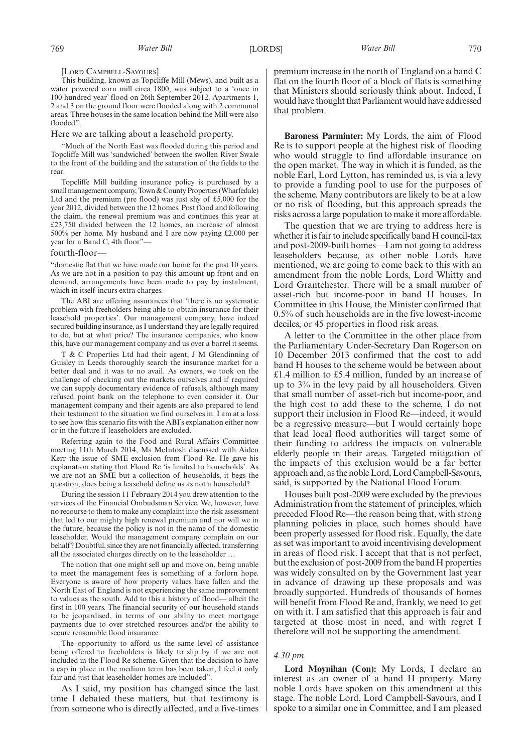#### [LORD CAMPBELL-SAVOURS]

This building, known as Topcliffe Mill (Mews), and built as a water powered corn mill circa 1800, was subject to a 'once in 100 hundred year' flood on 26th September 2012. Apartments 1, 2 and 3 on the ground floor were flooded along with 2 communal areas. Three houses in the same location behind the Mill were also flooded".

#### Here we are talking about a leasehold property.

"Much of the North East was flooded during this period and Topcliffe Mill was 'sandwiched' between the swollen River Swale to the front of the building and the saturation of the fields to the rear.

Topcliffe Mill building insurance policy is purchased by a smallmanagement company, Town & County Properties (Wharfedale) Ltd and the premium (pre flood) was just shy of £5,000 for the year 2012, divided between the 12 homes. Post flood and following the claim, the renewal premium was and continues this year at £23,750 divided between the 12 homes, an increase of almost 500% per home. My husband and I are now paying £2,000 per year for a Band C, 4th floor"—

#### fourth-floor—

"domestic flat that we have made our home for the past 10 years. As we are not in a position to pay this amount up front and on demand, arrangements have been made to pay by instalment, which in itself incurs extra charges.

The ABI are offering assurances that 'there is no systematic problem with freeholders being able to obtain insurance for their leasehold properties'. Our management company, have indeed secured building insurance, as I understand they are legally required to do, but at what price? The insurance companies, who know this, have our management company and us over a barrel it seems.

T & C Properties Ltd had their agent, J M Glendinning of Guisley in Leeds thoroughly search the insurance market for a better deal and it was to no avail. As owners, we took on the challenge of checking out the markets ourselves and if required we can supply documentary evidence of refusals, although many refused point bank on the telephone to even consider it. Our management company and their agents are also prepared to lend their testament to the situation we find ourselves in. I am at a loss to see how this scenario fits with the ABI's explanation either now or in the future if leaseholders are excluded.

Referring again to the Food and Rural Affairs Committee meeting 11th March 2014, Ms McIntosh discussed with Aiden Kerr the issue of SME exclusion from Flood Re. He gave his explanation stating that Flood Re 'is limited to households'. As we are not an SME but a collection of households, it begs the question, does being a leasehold define us as not a household?

During the session 11 February 2014 you drew attention to the services of the Financial Ombudsman Service. We, however, have no recourse to them to make any complaint into the risk assessment that led to our mighty high renewal premium and nor will we in the future, because the policy is not in the name of the domestic leaseholder. Would the management company complain on our behalf? Doubtful, since they are not financially affected, transferring all the associated charges directly on to the leaseholder …

The notion that one might sell up and move on, being unable to meet the management fees is something of a forlorn hope. Everyone is aware of how property values have fallen and the North East of England is not experiencing the same improvement to values as the south. Add to this a history of flood— albeit the first in 100 years. The financial security of our household stands to be jeopardised, in terms of our ability to meet mortgage payments due to over stretched resources and/or the ability to secure reasonable flood insurance.

The opportunity to afford us the same level of assistance being offered to freeholders is likely to slip by if we are not included in the Flood Re scheme. Given that the decision to have a cap in place in the medium term has been taken, I feel it only fair and just that leaseholder homes are included".

As I said, my position has changed since the last time I debated these matters, but that testimony is from someone who is directly affected, and a five-times premium increase in the north of England on a band C flat on the fourth floor of a block of flats is something that Ministers should seriously think about. Indeed, I would have thought that Parliament would have addressed that problem.

**Baroness Parminter:** My Lords, the aim of Flood Re is to support people at the highest risk of flooding who would struggle to find affordable insurance on the open market. The way in which it is funded, as the noble Earl, Lord Lytton, has reminded us, is via a levy to provide a funding pool to use for the purposes of the scheme. Many contributors are likely to be at a low or no risk of flooding, but this approach spreads the risks across a large population to make it more affordable.

The question that we are trying to address here is whether it is fair to include specifically band H council-tax and post-2009-built homes—I am not going to address leaseholders because, as other noble Lords have mentioned, we are going to come back to this with an amendment from the noble Lords, Lord Whitty and Lord Grantchester. There will be a small number of asset-rich but income-poor in band H houses. In Committee in this House, the Minister confirmed that 0.5% of such households are in the five lowest-income deciles, or 45 properties in flood risk areas.

A letter to the Committee in the other place from the Parliamentary Under-Secretary Dan Rogerson on 10 December 2013 confirmed that the cost to add band H houses to the scheme would be between about £1.4 million to £5.4 million, funded by an increase of up to 3% in the levy paid by all householders. Given that small number of asset-rich but income-poor, and the high cost to add these to the scheme, I do not support their inclusion in Flood Re—indeed, it would be a regressive measure—but I would certainly hope that lead local flood authorities will target some of their funding to address the impacts on vulnerable elderly people in their areas. Targeted mitigation of the impacts of this exclusion would be a far better approach and, as the noble Lord, Lord Campbell-Savours, said, is supported by the National Flood Forum.

Houses built post-2009 were excluded by the previous Administration from the statement of principles, which preceded Flood Re—the reason being that, with strong planning policies in place, such homes should have been properly assessed for flood risk. Equally, the date as set was important to avoid incentivising development in areas of flood risk. I accept that that is not perfect, but the exclusion of post-2009 from the band H properties was widely consulted on by the Government last year in advance of drawing up these proposals and was broadly supported. Hundreds of thousands of homes will benefit from Flood Re and, frankly, we need to get on with it. I am satisfied that this approach is fair and targeted at those most in need, and with regret I therefore will not be supporting the amendment.

#### *4.30 pm*

**Lord Moynihan (Con):** My Lords, I declare an interest as an owner of a band H property. Many noble Lords have spoken on this amendment at this stage. The noble Lord, Lord Campbell-Savours, and I spoke to a similar one in Committee, and I am pleased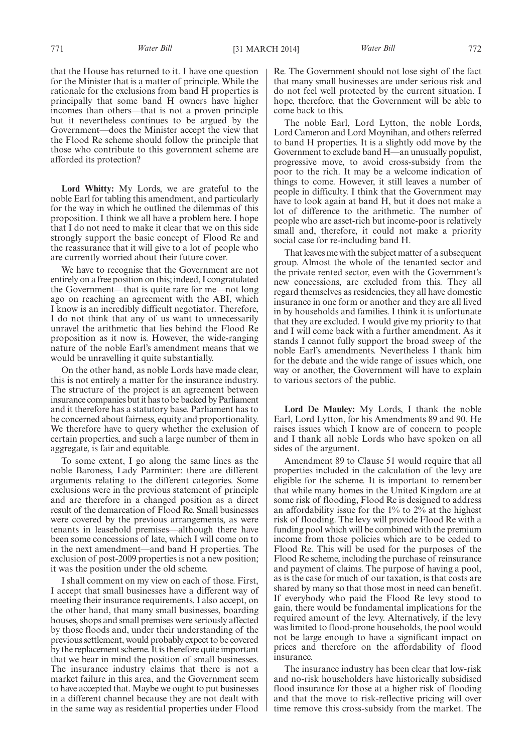that the House has returned to it. I have one question for the Minister that is a matter of principle. While the rationale for the exclusions from band H properties is principally that some band H owners have higher incomes than others—that is not a proven principle but it nevertheless continues to be argued by the Government—does the Minister accept the view that the Flood Re scheme should follow the principle that those who contribute to this government scheme are afforded its protection?

**Lord Whitty:** My Lords, we are grateful to the noble Earl for tabling this amendment, and particularly for the way in which he outlined the dilemmas of this proposition. I think we all have a problem here. I hope that I do not need to make it clear that we on this side strongly support the basic concept of Flood Re and the reassurance that it will give to a lot of people who are currently worried about their future cover.

We have to recognise that the Government are not entirely on a free position on this; indeed, I congratulated the Government—that is quite rare for me—not long ago on reaching an agreement with the ABI, which I know is an incredibly difficult negotiator. Therefore, I do not think that any of us want to unnecessarily unravel the arithmetic that lies behind the Flood Re proposition as it now is. However, the wide-ranging nature of the noble Earl's amendment means that we would be unravelling it quite substantially.

On the other hand, as noble Lords have made clear, this is not entirely a matter for the insurance industry. The structure of the project is an agreement between insurance companies but it has to be backed by Parliament and it therefore has a statutory base. Parliament has to be concerned about fairness, equity and proportionality. We therefore have to query whether the exclusion of certain properties, and such a large number of them in aggregate, is fair and equitable.

To some extent, I go along the same lines as the noble Baroness, Lady Parminter: there are different arguments relating to the different categories. Some exclusions were in the previous statement of principle and are therefore in a changed position as a direct result of the demarcation of Flood Re. Small businesses were covered by the previous arrangements, as were tenants in leasehold premises—although there have been some concessions of late, which I will come on to in the next amendment—and band H properties. The exclusion of post-2009 properties is not a new position; it was the position under the old scheme.

I shall comment on my view on each of those. First, I accept that small businesses have a different way of meeting their insurance requirements. I also accept, on the other hand, that many small businesses, boarding houses, shops and small premises were seriously affected by those floods and, under their understanding of the previous settlement, would probably expect to be covered by the replacement scheme. It is therefore quite important that we bear in mind the position of small businesses. The insurance industry claims that there is not a market failure in this area, and the Government seem to have accepted that. Maybe we ought to put businesses in a different channel because they are not dealt with in the same way as residential properties under Flood

Re. The Government should not lose sight of the fact that many small businesses are under serious risk and do not feel well protected by the current situation. I hope, therefore, that the Government will be able to come back to this.

The noble Earl, Lord Lytton, the noble Lords, Lord Cameron and Lord Moynihan, and others referred to band H properties. It is a slightly odd move by the Government to exclude band H—an unusually populist, progressive move, to avoid cross-subsidy from the poor to the rich. It may be a welcome indication of things to come. However, it still leaves a number of people in difficulty. I think that the Government may have to look again at band H, but it does not make a lot of difference to the arithmetic. The number of people who are asset-rich but income-poor is relatively small and, therefore, it could not make a priority social case for re-including band H.

That leaves me with the subject matter of a subsequent group. Almost the whole of the tenanted sector and the private rented sector, even with the Government's new concessions, are excluded from this. They all regard themselves as residencies, they all have domestic insurance in one form or another and they are all lived in by households and families. I think it is unfortunate that they are excluded. I would give my priority to that and I will come back with a further amendment. As it stands I cannot fully support the broad sweep of the noble Earl's amendments. Nevertheless I thank him for the debate and the wide range of issues which, one way or another, the Government will have to explain to various sectors of the public.

**Lord De Mauley:** My Lords, I thank the noble Earl, Lord Lytton, for his Amendments 89 and 90. He raises issues which I know are of concern to people and I thank all noble Lords who have spoken on all sides of the argument.

Amendment 89 to Clause 51 would require that all properties included in the calculation of the levy are eligible for the scheme. It is important to remember that while many homes in the United Kingdom are at some risk of flooding, Flood Re is designed to address an affordability issue for the 1% to 2% at the highest risk of flooding. The levy will provide Flood Re with a funding pool which will be combined with the premium income from those policies which are to be ceded to Flood Re. This will be used for the purposes of the Flood Re scheme, including the purchase of reinsurance and payment of claims. The purpose of having a pool, as is the case for much of our taxation, is that costs are shared by many so that those most in need can benefit. If everybody who paid the Flood Re levy stood to gain, there would be fundamental implications for the required amount of the levy. Alternatively, if the levy was limited to flood-prone households, the pool would not be large enough to have a significant impact on prices and therefore on the affordability of flood insurance.

The insurance industry has been clear that low-risk and no-risk householders have historically subsidised flood insurance for those at a higher risk of flooding and that the move to risk-reflective pricing will over time remove this cross-subsidy from the market. The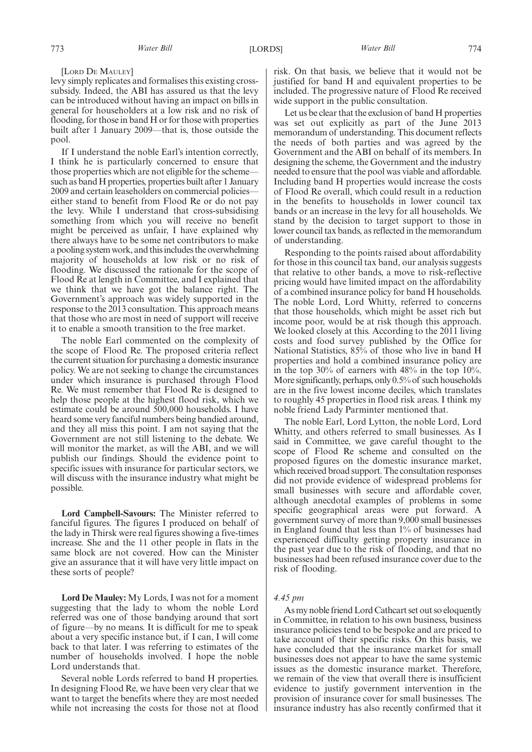#### [LORD DE MAULEY]

levy simply replicates and formalises this existing crosssubsidy. Indeed, the ABI has assured us that the levy can be introduced without having an impact on bills in general for householders at a low risk and no risk of flooding, for those in band H or for those with properties built after 1 January 2009—that is, those outside the pool.

If I understand the noble Earl's intention correctly, I think he is particularly concerned to ensure that those properties which are not eligible for the scheme such as band H properties, properties built after 1 January 2009 and certain leaseholders on commercial policies either stand to benefit from Flood Re or do not pay the levy. While I understand that cross-subsidising something from which you will receive no benefit might be perceived as unfair, I have explained why there always have to be some net contributors to make a pooling system work, and this includes the overwhelming majority of households at low risk or no risk of flooding. We discussed the rationale for the scope of Flood Re at length in Committee, and I explained that we think that we have got the balance right. The Government's approach was widely supported in the response to the 2013 consultation. This approach means that those who are most in need of support will receive it to enable a smooth transition to the free market.

The noble Earl commented on the complexity of the scope of Flood Re. The proposed criteria reflect the current situation for purchasing a domestic insurance policy. We are not seeking to change the circumstances under which insurance is purchased through Flood Re. We must remember that Flood Re is designed to help those people at the highest flood risk, which we estimate could be around 500,000 households. I have heard some very fanciful numbers being bandied around, and they all miss this point. I am not saying that the Government are not still listening to the debate. We will monitor the market, as will the ABI, and we will publish our findings. Should the evidence point to specific issues with insurance for particular sectors, we will discuss with the insurance industry what might be possible.

**Lord Campbell-Savours:** The Minister referred to fanciful figures. The figures I produced on behalf of the lady in Thirsk were real figures showing a five-times increase. She and the 11 other people in flats in the same block are not covered. How can the Minister give an assurance that it will have very little impact on these sorts of people?

**Lord De Mauley:** My Lords, I was not for a moment suggesting that the lady to whom the noble Lord referred was one of those bandying around that sort of figure—by no means. It is difficult for me to speak about a very specific instance but, if I can, I will come back to that later. I was referring to estimates of the number of households involved. I hope the noble Lord understands that.

Several noble Lords referred to band H properties. In designing Flood Re, we have been very clear that we want to target the benefits where they are most needed while not increasing the costs for those not at flood risk. On that basis, we believe that it would not be justified for band H and equivalent properties to be included. The progressive nature of Flood Re received wide support in the public consultation.

Let us be clear that the exclusion of band H properties was set out explicitly as part of the June 2013 memorandum of understanding. This document reflects the needs of both parties and was agreed by the Government and the ABI on behalf of its members. In designing the scheme, the Government and the industry needed to ensure that the pool was viable and affordable. Including band H properties would increase the costs of Flood Re overall, which could result in a reduction in the benefits to households in lower council tax bands or an increase in the levy for all households. We stand by the decision to target support to those in lower council tax bands, as reflected in the memorandum of understanding.

Responding to the points raised about affordability for those in this council tax band, our analysis suggests that relative to other bands, a move to risk-reflective pricing would have limited impact on the affordability of a combined insurance policy for band H households. The noble Lord, Lord Whitty, referred to concerns that those households, which might be asset rich but income poor, would be at risk though this approach. We looked closely at this. According to the 2011 living costs and food survey published by the Office for National Statistics, 85% of those who live in band H properties and hold a combined insurance policy are in the top 30% of earners with 48% in the top 10%. More significantly, perhaps, only 0.5% of such households are in the five lowest income deciles, which translates to roughly 45 properties in flood risk areas. I think my noble friend Lady Parminter mentioned that.

The noble Earl, Lord Lytton, the noble Lord, Lord Whitty, and others referred to small businesses. As I said in Committee, we gave careful thought to the scope of Flood Re scheme and consulted on the proposed figures on the domestic insurance market, which received broad support. The consultation responses did not provide evidence of widespread problems for small businesses with secure and affordable cover, although anecdotal examples of problems in some specific geographical areas were put forward. A government survey of more than 9,000 small businesses in England found that less than 1% of businesses had experienced difficulty getting property insurance in the past year due to the risk of flooding, and that no businesses had been refused insurance cover due to the risk of flooding.

#### *4.45 pm*

As my noble friend Lord Cathcart set out so eloquently in Committee, in relation to his own business, business insurance policies tend to be bespoke and are priced to take account of their specific risks. On this basis, we have concluded that the insurance market for small businesses does not appear to have the same systemic issues as the domestic insurance market. Therefore, we remain of the view that overall there is insufficient evidence to justify government intervention in the provision of insurance cover for small businesses. The insurance industry has also recently confirmed that it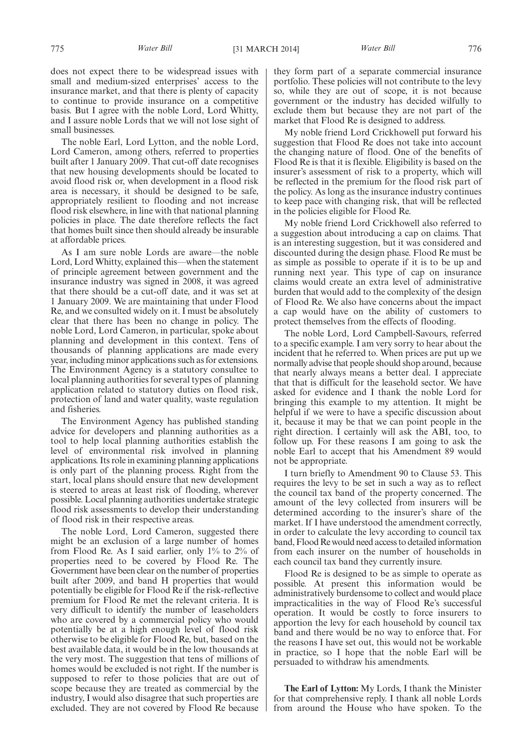does not expect there to be widespread issues with small and medium-sized enterprises' access to the insurance market, and that there is plenty of capacity to continue to provide insurance on a competitive basis. But I agree with the noble Lord, Lord Whitty, and I assure noble Lords that we will not lose sight of small businesses.

The noble Earl, Lord Lytton, and the noble Lord, Lord Cameron, among others, referred to properties built after 1 January 2009. That cut-off date recognises that new housing developments should be located to avoid flood risk or, when development in a flood risk area is necessary, it should be designed to be safe, appropriately resilient to flooding and not increase flood risk elsewhere, in line with that national planning policies in place. The date therefore reflects the fact that homes built since then should already be insurable at affordable prices.

As I am sure noble Lords are aware—the noble Lord, Lord Whitty, explained this—when the statement of principle agreement between government and the insurance industry was signed in 2008, it was agreed that there should be a cut-off date, and it was set at 1 January 2009. We are maintaining that under Flood Re, and we consulted widely on it. I must be absolutely clear that there has been no change in policy. The noble Lord, Lord Cameron, in particular, spoke about planning and development in this context. Tens of thousands of planning applications are made every year, including minor applications such as for extensions. The Environment Agency is a statutory consultee to local planning authorities for several types of planning application related to statutory duties on flood risk, protection of land and water quality, waste regulation and fisheries.

The Environment Agency has published standing advice for developers and planning authorities as a tool to help local planning authorities establish the level of environmental risk involved in planning applications. Its role in examining planning applications is only part of the planning process. Right from the start, local plans should ensure that new development is steered to areas at least risk of flooding, wherever possible. Local planning authorities undertake strategic flood risk assessments to develop their understanding of flood risk in their respective areas.

The noble Lord, Lord Cameron, suggested there might be an exclusion of a large number of homes from Flood Re. As I said earlier, only 1% to 2% of properties need to be covered by Flood Re. The Government have been clear on the number of properties built after 2009, and band H properties that would potentially be eligible for Flood Re if the risk-reflective premium for Flood Re met the relevant criteria. It is very difficult to identify the number of leaseholders who are covered by a commercial policy who would potentially be at a high enough level of flood risk otherwise to be eligible for Flood Re, but, based on the best available data, it would be in the low thousands at the very most. The suggestion that tens of millions of homes would be excluded is not right. If the number is supposed to refer to those policies that are out of scope because they are treated as commercial by the industry, I would also disagree that such properties are excluded. They are not covered by Flood Re because

they form part of a separate commercial insurance portfolio. These policies will not contribute to the levy so, while they are out of scope, it is not because government or the industry has decided wilfully to exclude them but because they are not part of the market that Flood Re is designed to address.

My noble friend Lord Crickhowell put forward his suggestion that Flood Re does not take into account the changing nature of flood. One of the benefits of Flood Re is that it is flexible. Eligibility is based on the insurer's assessment of risk to a property, which will be reflected in the premium for the flood risk part of the policy. As long as the insurance industry continues to keep pace with changing risk, that will be reflected in the policies eligible for Flood Re.

My noble friend Lord Crickhowell also referred to a suggestion about introducing a cap on claims. That is an interesting suggestion, but it was considered and discounted during the design phase. Flood Re must be as simple as possible to operate if it is to be up and running next year. This type of cap on insurance claims would create an extra level of administrative burden that would add to the complexity of the design of Flood Re. We also have concerns about the impact a cap would have on the ability of customers to protect themselves from the effects of flooding.

The noble Lord, Lord Campbell-Savours, referred to a specific example. I am very sorry to hear about the incident that he referred to. When prices are put up we normally advise that people should shop around, because that nearly always means a better deal. I appreciate that that is difficult for the leasehold sector. We have asked for evidence and I thank the noble Lord for bringing this example to my attention. It might be helpful if we were to have a specific discussion about it, because it may be that we can point people in the right direction. I certainly will ask the ABI, too, to follow up. For these reasons I am going to ask the noble Earl to accept that his Amendment 89 would not be appropriate.

I turn briefly to Amendment 90 to Clause 53. This requires the levy to be set in such a way as to reflect the council tax band of the property concerned. The amount of the levy collected from insurers will be determined according to the insurer's share of the market. If I have understood the amendment correctly, in order to calculate the levy according to council tax band, Flood Re would need access to detailed information from each insurer on the number of households in each council tax band they currently insure.

Flood Re is designed to be as simple to operate as possible. At present this information would be administratively burdensome to collect and would place impracticalities in the way of Flood Re's successful operation. It would be costly to force insurers to apportion the levy for each household by council tax band and there would be no way to enforce that. For the reasons I have set out, this would not be workable in practice, so I hope that the noble Earl will be persuaded to withdraw his amendments.

**The Earl of Lytton:** My Lords, I thank the Minister for that comprehensive reply. I thank all noble Lords from around the House who have spoken. To the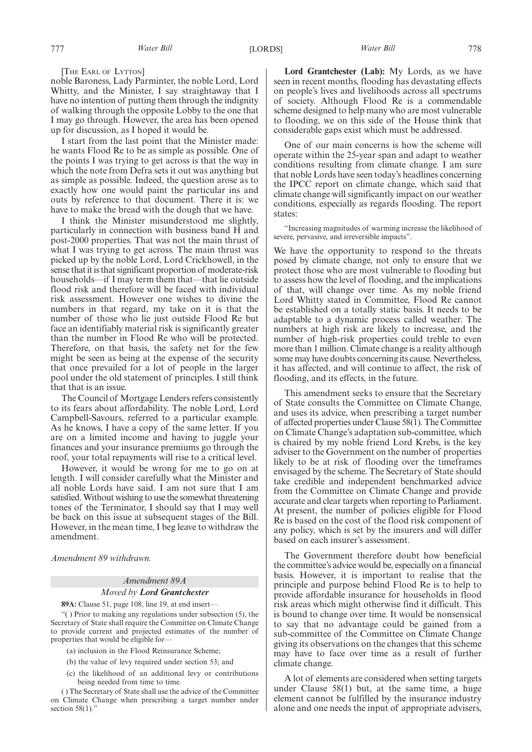[THE EARL OF LYTTON]

noble Baroness, Lady Parminter, the noble Lord, Lord Whitty, and the Minister, I say straightaway that I have no intention of putting them through the indignity of walking through the opposite Lobby to the one that I may go through. However, the area has been opened up for discussion, as I hoped it would be.

I start from the last point that the Minister made: he wants Flood Re to be as simple as possible. One of the points I was trying to get across is that the way in which the note from Defra sets it out was anything but as simple as possible. Indeed, the question arose as to exactly how one would paint the particular ins and outs by reference to that document. There it is: we have to make the bread with the dough that we have.

I think the Minister misunderstood me slightly, particularly in connection with business band H and post-2000 properties. That was not the main thrust of what I was trying to get across. The main thrust was picked up by the noble Lord, Lord Crickhowell, in the sense that it is that significant proportion of moderate-risk households—if I may term them that—that lie outside flood risk and therefore will be faced with individual risk assessment. However one wishes to divine the numbers in that regard, my take on it is that the number of those who lie just outside Flood Re but face an identifiably material risk is significantly greater than the number in Flood Re who will be protected. Therefore, on that basis, the safety net for the few might be seen as being at the expense of the security that once prevailed for a lot of people in the larger pool under the old statement of principles. I still think that that is an issue.

The Council of Mortgage Lenders refers consistently to its fears about affordability. The noble Lord, Lord Campbell-Savours, referred to a particular example. As he knows, I have a copy of the same letter. If you are on a limited income and having to juggle your finances and your insurance premiums go through the roof, your total repayments will rise to a critical level.

However, it would be wrong for me to go on at length. I will consider carefully what the Minister and all noble Lords have said. I am not sure that I am satisfied.Without wishing to use the somewhat threatening tones of the Terminator, I should say that I may well be back on this issue at subsequent stages of the Bill. However, in the mean time, I beg leave to withdraw the amendment.

*Amendment 89 withdrawn.*

## *Amendment 89A Moved by Lord Grantchester*

**89A:** Clause 51, page 108, line 19, at end insert—

"( ) Prior to making any regulations under subsection (5), the Secretary of State shall require the Committee on Climate Change to provide current and projected estimates of the number of properties that would be eligible for—

(a) inclusion in the Flood Reinsurance Scheme;

(b) the value of levy required under section 53; and

(c) the likelihood of an additional levy or contributions being needed from time to time.

( ) The Secretary of State shall use the advice of the Committee on Climate Change when prescribing a target number under section  $58(1)$ ."

**Lord Grantchester (Lab):** My Lords, as we have seen in recent months, flooding has devastating effects on people's lives and livelihoods across all spectrums of society. Although Flood Re is a commendable scheme designed to help many who are most vulnerable to flooding, we on this side of the House think that considerable gaps exist which must be addressed.

One of our main concerns is how the scheme will operate within the 25-year span and adapt to weather conditions resulting from climate change. I am sure that noble Lords have seen today's headlines concerning the IPCC report on climate change, which said that climate change will significantly impact on our weather conditions, especially as regards flooding. The report states:

"Increasing magnitudes of warming increase the likelihood of severe, pervasive, and irreversible impacts".

We have the opportunity to respond to the threats posed by climate change, not only to ensure that we protect those who are most vulnerable to flooding but to assess how the level of flooding, and the implications of that, will change over time. As my noble friend Lord Whitty stated in Committee, Flood Re cannot be established on a totally static basis. It needs to be adaptable to a dynamic process called weather. The numbers at high risk are likely to increase, and the number of high-risk properties could treble to even more than 1 million. Climate change is a reality although some may have doubts concerning its cause. Nevertheless, it has affected, and will continue to affect, the risk of flooding, and its effects, in the future.

This amendment seeks to ensure that the Secretary of State consults the Committee on Climate Change, and uses its advice, when prescribing a target number of affected properties under Clause 58(1). The Committee on Climate Change's adaptation sub-committee, which is chaired by my noble friend Lord Krebs, is the key adviser to the Government on the number of properties likely to be at risk of flooding over the timeframes envisaged by the scheme. The Secretary of State should take credible and independent benchmarked advice from the Committee on Climate Change and provide accurate and clear targets when reporting to Parliament. At present, the number of policies eligible for Flood Re is based on the cost of the flood risk component of any policy, which is set by the insurers and will differ based on each insurer's assessment.

The Government therefore doubt how beneficial the committee's advice would be, especially on a financial basis. However, it is important to realise that the principle and purpose behind Flood Re is to help to provide affordable insurance for households in flood risk areas which might otherwise find it difficult. This is bound to change over time. It would be nonsensical to say that no advantage could be gained from a sub-committee of the Committee on Climate Change giving its observations on the changes that this scheme may have to face over time as a result of further climate change.

A lot of elements are considered when setting targets under Clause 58(1) but, at the same time, a huge element cannot be fulfilled by the insurance industry alone and one needs the input of appropriate advisers,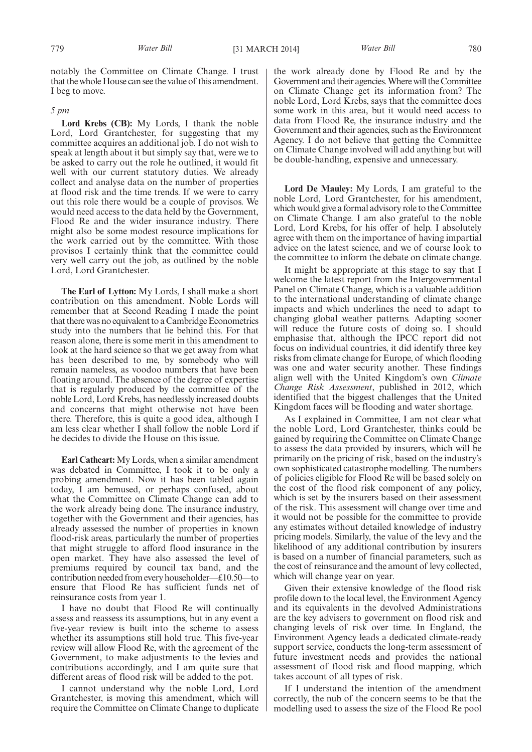notably the Committee on Climate Change. I trust that the whole House can see the value of this amendment. I beg to move.

#### *5 pm*

**Lord Krebs (CB):** My Lords, I thank the noble Lord, Lord Grantchester, for suggesting that my committee acquires an additional job. I do not wish to speak at length about it but simply say that, were we to be asked to carry out the role he outlined, it would fit well with our current statutory duties. We already collect and analyse data on the number of properties at flood risk and the time trends. If we were to carry out this role there would be a couple of provisos. We would need access to the data held by the Government, Flood Re and the wider insurance industry. There might also be some modest resource implications for the work carried out by the committee. With those provisos I certainly think that the committee could very well carry out the job, as outlined by the noble Lord, Lord Grantchester.

**The Earl of Lytton:** My Lords, I shall make a short contribution on this amendment. Noble Lords will remember that at Second Reading I made the point that there was no equivalent to a Cambridge Econometrics study into the numbers that lie behind this. For that reason alone, there is some merit in this amendment to look at the hard science so that we get away from what has been described to me, by somebody who will remain nameless, as voodoo numbers that have been floating around. The absence of the degree of expertise that is regularly produced by the committee of the noble Lord, Lord Krebs, has needlessly increased doubts and concerns that might otherwise not have been there. Therefore, this is quite a good idea, although I am less clear whether I shall follow the noble Lord if he decides to divide the House on this issue.

**Earl Cathcart:** My Lords, when a similar amendment was debated in Committee, I took it to be only a probing amendment. Now it has been tabled again today, I am bemused, or perhaps confused, about what the Committee on Climate Change can add to the work already being done. The insurance industry, together with the Government and their agencies, has already assessed the number of properties in known flood-risk areas, particularly the number of properties that might struggle to afford flood insurance in the open market. They have also assessed the level of premiums required by council tax band, and the contribution needed from every householder—£10.50—to ensure that Flood Re has sufficient funds net of reinsurance costs from year 1.

I have no doubt that Flood Re will continually assess and reassess its assumptions, but in any event a five-year review is built into the scheme to assess whether its assumptions still hold true. This five-year review will allow Flood Re, with the agreement of the Government, to make adjustments to the levies and contributions accordingly, and I am quite sure that different areas of flood risk will be added to the pot.

I cannot understand why the noble Lord, Lord Grantchester, is moving this amendment, which will require the Committee on Climate Change to duplicate the work already done by Flood Re and by the Government and their agencies.Where will the Committee on Climate Change get its information from? The noble Lord, Lord Krebs, says that the committee does some work in this area, but it would need access to data from Flood Re, the insurance industry and the Government and their agencies, such as the Environment Agency. I do not believe that getting the Committee on Climate Change involved will add anything but will be double-handling, expensive and unnecessary.

**Lord De Mauley:** My Lords, I am grateful to the noble Lord, Lord Grantchester, for his amendment, which would give a formal advisory role to the Committee on Climate Change. I am also grateful to the noble Lord, Lord Krebs, for his offer of help. I absolutely agree with them on the importance of having impartial advice on the latest science, and we of course look to the committee to inform the debate on climate change.

It might be appropriate at this stage to say that I welcome the latest report from the Intergovernmental Panel on Climate Change, which is a valuable addition to the international understanding of climate change impacts and which underlines the need to adapt to changing global weather patterns. Adapting sooner will reduce the future costs of doing so. I should emphasise that, although the IPCC report did not focus on individual countries, it did identify three key risks from climate change for Europe, of which flooding was one and water security another. These findings align well with the United Kingdom's own *Climate Change Risk Assessment*, published in 2012, which identified that the biggest challenges that the United Kingdom faces will be flooding and water shortage.

As I explained in Committee, I am not clear what the noble Lord, Lord Grantchester, thinks could be gained by requiring the Committee on Climate Change to assess the data provided by insurers, which will be primarily on the pricing of risk, based on the industry's own sophisticated catastrophe modelling. The numbers of policies eligible for Flood Re will be based solely on the cost of the flood risk component of any policy, which is set by the insurers based on their assessment of the risk. This assessment will change over time and it would not be possible for the committee to provide any estimates without detailed knowledge of industry pricing models. Similarly, the value of the levy and the likelihood of any additional contribution by insurers is based on a number of financial parameters, such as the cost of reinsurance and the amount of levy collected, which will change year on year.

Given their extensive knowledge of the flood risk profile down to the local level, the Environment Agency and its equivalents in the devolved Administrations are the key advisers to government on flood risk and changing levels of risk over time. In England, the Environment Agency leads a dedicated climate-ready support service, conducts the long-term assessment of future investment needs and provides the national assessment of flood risk and flood mapping, which takes account of all types of risk.

If I understand the intention of the amendment correctly, the nub of the concern seems to be that the modelling used to assess the size of the Flood Re pool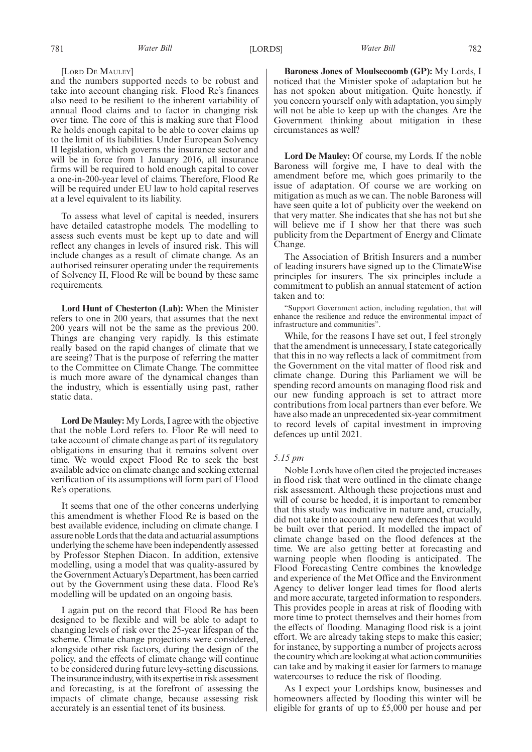#### [LORD DE MAULEY]

and the numbers supported needs to be robust and take into account changing risk. Flood Re's finances also need to be resilient to the inherent variability of annual flood claims and to factor in changing risk over time. The core of this is making sure that Flood Re holds enough capital to be able to cover claims up to the limit of its liabilities. Under European Solvency II legislation, which governs the insurance sector and will be in force from 1 January 2016, all insurance firms will be required to hold enough capital to cover a one-in-200-year level of claims. Therefore, Flood Re will be required under EU law to hold capital reserves at a level equivalent to its liability.

To assess what level of capital is needed, insurers have detailed catastrophe models. The modelling to assess such events must be kept up to date and will reflect any changes in levels of insured risk. This will include changes as a result of climate change. As an authorised reinsurer operating under the requirements of Solvency II, Flood Re will be bound by these same requirements.

**Lord Hunt of Chesterton (Lab):** When the Minister refers to one in 200 years, that assumes that the next 200 years will not be the same as the previous 200. Things are changing very rapidly. Is this estimate really based on the rapid changes of climate that we are seeing? That is the purpose of referring the matter to the Committee on Climate Change. The committee is much more aware of the dynamical changes than the industry, which is essentially using past, rather static data.

**Lord De Mauley:** My Lords, I agree with the objective that the noble Lord refers to. Floor Re will need to take account of climate change as part of its regulatory obligations in ensuring that it remains solvent over time. We would expect Flood Re to seek the best available advice on climate change and seeking external verification of its assumptions will form part of Flood Re's operations.

It seems that one of the other concerns underlying this amendment is whether Flood Re is based on the best available evidence, including on climate change. I assure nobleLords that the data and actuarial assumptions underlying the scheme have been independently assessed by Professor Stephen Diacon. In addition, extensive modelling, using a model that was quality-assured by the Government Actuary's Department, has been carried out by the Government using these data. Flood Re's modelling will be updated on an ongoing basis.

I again put on the record that Flood Re has been designed to be flexible and will be able to adapt to changing levels of risk over the 25-year lifespan of the scheme. Climate change projections were considered, alongside other risk factors, during the design of the policy, and the effects of climate change will continue to be considered during future levy-setting discussions. The insurance industry, with its expertise in risk assessment and forecasting, is at the forefront of assessing the impacts of climate change, because assessing risk accurately is an essential tenet of its business.

**Baroness Jones of Moulsecoomb (GP):** My Lords, I noticed that the Minister spoke of adaptation but he has not spoken about mitigation. Quite honestly, if you concern yourself only with adaptation, you simply will not be able to keep up with the changes. Are the Government thinking about mitigation in these circumstances as well?

**Lord De Mauley:** Of course, my Lords. If the noble Baroness will forgive me, I have to deal with the amendment before me, which goes primarily to the issue of adaptation. Of course we are working on mitigation as much as we can. The noble Baroness will have seen quite a lot of publicity over the weekend on that very matter. She indicates that she has not but she will believe me if I show her that there was such publicity from the Department of Energy and Climate Change.

The Association of British Insurers and a number of leading insurers have signed up to the ClimateWise principles for insurers. The six principles include a commitment to publish an annual statement of action taken and to:

"Support Government action, including regulation, that will enhance the resilience and reduce the environmental impact of infrastructure and communities".

While, for the reasons I have set out, I feel strongly that the amendment is unnecessary, I state categorically that this in no way reflects a lack of commitment from the Government on the vital matter of flood risk and climate change. During this Parliament we will be spending record amounts on managing flood risk and our new funding approach is set to attract more contributions from local partners than ever before. We have also made an unprecedented six-year commitment to record levels of capital investment in improving defences up until 2021.

#### *5.15 pm*

Noble Lords have often cited the projected increases in flood risk that were outlined in the climate change risk assessment. Although these projections must and will of course be heeded, it is important to remember that this study was indicative in nature and, crucially, did not take into account any new defences that would be built over that period. It modelled the impact of climate change based on the flood defences at the time. We are also getting better at forecasting and warning people when flooding is anticipated. The Flood Forecasting Centre combines the knowledge and experience of the Met Office and the Environment Agency to deliver longer lead times for flood alerts and more accurate, targeted information to responders. This provides people in areas at risk of flooding with more time to protect themselves and their homes from the effects of flooding. Managing flood risk is a joint effort. We are already taking steps to make this easier; for instance, by supporting a number of projects across the country which are looking at what action communities can take and by making it easier for farmers to manage watercourses to reduce the risk of flooding.

As I expect your Lordships know, businesses and homeowners affected by flooding this winter will be eligible for grants of up to £5,000 per house and per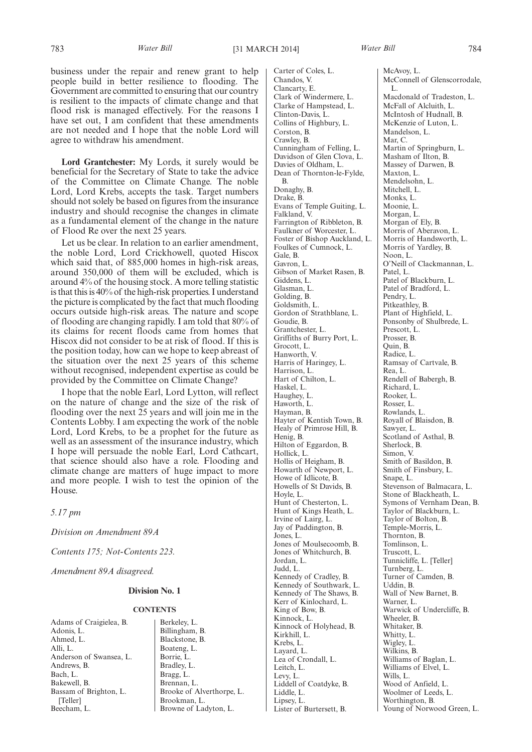business under the repair and renew grant to help people build in better resilience to flooding. The Government are committed to ensuring that our country is resilient to the impacts of climate change and that flood risk is managed effectively. For the reasons I have set out, I am confident that these amendments are not needed and I hope that the noble Lord will agree to withdraw his amendment.

**Lord Grantchester:** My Lords, it surely would be beneficial for the Secretary of State to take the advice of the Committee on Climate Change. The noble Lord, Lord Krebs, accepts the task. Target numbers should not solely be based on figures from the insurance industry and should recognise the changes in climate as a fundamental element of the change in the nature of Flood Re over the next 25 years.

Let us be clear. In relation to an earlier amendment, the noble Lord, Lord Crickhowell, quoted Hiscox which said that, of 885,000 homes in high-risk areas, around 350,000 of them will be excluded, which is around 4% of the housing stock. A more telling statistic is that this is 40% of the high-risk properties. I understand the picture is complicated by the fact that much flooding occurs outside high-risk areas. The nature and scope of flooding are changing rapidly. I am told that 80% of its claims for recent floods came from homes that Hiscox did not consider to be at risk of flood. If this is the position today, how can we hope to keep abreast of the situation over the next 25 years of this scheme without recognised, independent expertise as could be provided by the Committee on Climate Change?

I hope that the noble Earl, Lord Lytton, will reflect on the nature of change and the size of the risk of flooding over the next 25 years and will join me in the Contents Lobby. I am expecting the work of the noble Lord, Lord Krebs, to be a prophet for the future as well as an assessment of the insurance industry, which I hope will persuade the noble Earl, Lord Cathcart, that science should also have a role. Flooding and climate change are matters of huge impact to more and more people. I wish to test the opinion of the House.

*5.17 pm*

*Division on Amendment 89A*

*Contents 175; Not-Contents 223.*

*Amendment 89A disagreed.*

#### **Division No. 1**

#### **CONTENTS**

Adams of Craigielea, B. Adonis, L. Ahmed, L. Alli, L. Anderson of Swansea, L. Andrews, B. Bach, L. Bakewell, B. Bassam of Brighton, L. [Teller] Beecham, L.

Berkeley, L. Billingham, B. Blackstone, B. Boateng, L. Borrie, L. Bradley, L. Bragg, L. Brennan, L. Brooke of Alverthorpe, L. Brookman, L. Browne of Ladyton, L.

Carter of Coles, L. Chandos, V. Clancarty, E. Clark of Windermere, L. Clarke of Hampstead, L. Clinton-Davis, L. Collins of Highbury, L. Corston, B. Crawley, B. Cunningham of Felling, L. Davidson of Glen Clova, L. Davies of Oldham, L. Dean of Thornton-le-Fylde, B. Donaghy, B. Drake, B. Evans of Temple Guiting, L. Falkland, V. Farrington of Ribbleton, B. Faulkner of Worcester, L. Foster of Bishop Auckland, L. Foulkes of Cumnock, L. Gale, B. Gavron, L. Gibson of Market Rasen, B. Giddens, L. Glasman, L. Golding, B. Goldsmith, L. Gordon of Strathblane, L. Goudie, B. Grantchester, L. Griffiths of Burry Port, L. Grocott, L. Hanworth, V. Harris of Haringey, L. Harrison, L. Hart of Chilton, L. Haskel, L. Haughey, L. Haworth, L. Hayman, B. Hayter of Kentish Town, B. Healy of Primrose Hill, B. Henig, B. Hilton of Eggardon, B. Hollick, L. Hollis of Heigham, B. Howarth of Newport, L. Howe of Idlicote, B. Howells of St Davids, B. Hoyle, L. Hunt of Chesterton, L. Hunt of Kings Heath, L. Irvine of Lairg, L. Jay of Paddington, B. Jones, L. Jones of Moulsecoomb, B. Jones of Whitchurch, B. Jordan, L. Judd, L. Kennedy of Cradley, B. Kennedy of Southwark, L. Kennedy of The Shaws, B. Kerr of Kinlochard, L. King of Bow, B. Kinnock, L. Kinnock of Holyhead, B. Kirkhill, L. Krebs, L. Layard, L. Lea of Crondall, L. Leitch, L. Levy, L. Liddell of Coatdyke, B. Liddle, L. Lipsey, L. Lister of Burtersett, B.

McAvoy, L. McConnell of Glenscorrodale, L. Macdonald of Tradeston, L. McFall of Alcluith, L. McIntosh of Hudnall, B. McKenzie of Luton, L. Mandelson, L. Mar, C. Martin of Springburn, L. Masham of Ilton, B. Massey of Darwen, B. Maxton, L. Mendelsohn, L. Mitchell, L. Monks, L. Moonie, L. Morgan, L. Morgan of Ely, B. Morris of Aberavon, L. Morris of Handsworth, L. Morris of Yardley, B. Noon, L. O'Neill of Clackmannan, L. Patel, L. Patel of Blackburn, L. Patel of Bradford, L. Pendry, L. Pitkeathley, B. Plant of Highfield, L. Ponsonby of Shulbrede, L. Prescott, L. Prosser, B. Quin, B. Radice, L. Ramsay of Cartvale, B. Rea, L. Rendell of Babergh, B. Richard, L. Rooker, L. Rosser, L. Rowlands, L. Royall of Blaisdon, B. Sawyer, L. Scotland of Asthal, B. Sherlock, B. Simon, V. Smith of Basildon, B. Smith of Finsbury, L. Snape, L. Stevenson of Balmacara, L. Stone of Blackheath, L. Symons of Vernham Dean, B. Taylor of Blackburn, L. Taylor of Bolton, B. Temple-Morris, L. Thornton, B. Tomlinson, L. Truscott, L. Tunnicliffe, L. [Teller] Turnberg, L. Turner of Camden, B. Uddin, B. Wall of New Barnet, B. Warner, L. Warwick of Undercliffe, B. Wheeler, B. Whitaker, B. Whitty, L. Wigley, L. Wilkins, B. Williams of Baglan, L. Williams of Elvel, L. Wills, L. Wood of Anfield, L. Woolmer of Leeds, L. Worthington, B. Young of Norwood Green, L.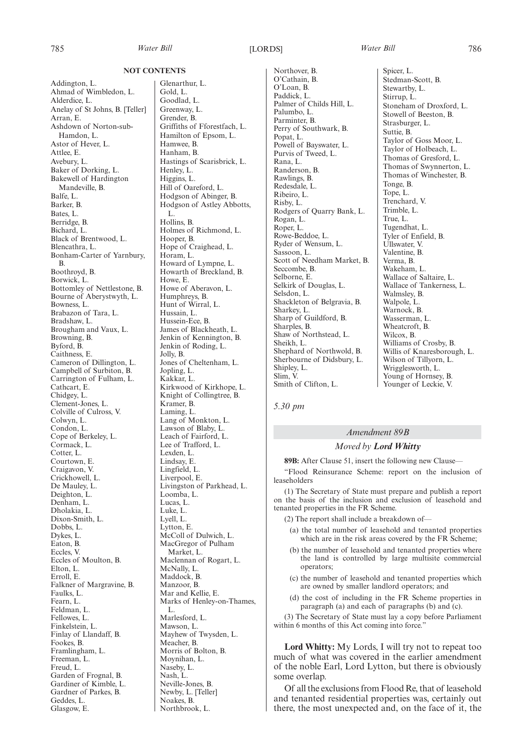785 *Water Bill Water Bill* [LORDS] 786

#### **NOT CONTENTS**

Addington, L. Ahmad of Wimbledon, L. Alderdice, L. Anelay of St Johns, B. [Teller] Arran, E. Ashdown of Norton-sub-Hamdon, L. Astor of Hever, L. Attlee, E. Avebury, L. Baker of Dorking, L. Bakewell of Hardington Mandeville, B. Balfe, L. Barker, B. Bates, L. Berridge, B. Bichard, L. Black of Brentwood, L. Blencathra, L. Bonham-Carter of Yarnbury, B. Boothroyd, B. Borwick, L. Bottomley of Nettlestone, B. Bourne of Aberystwyth, L. Bowness, L. Brabazon of Tara, L. Bradshaw, L. Brougham and Vaux, L. Browning, B. Byford, B. Caithness, E. Cameron of Dillington, L. Campbell of Surbiton, B. Carrington of Fulham, L. Cathcart, E. Chidgey, L. Clement-Jones, L. Colville of Culross, V. Colwyn, L. Condon, L. Cope of Berkeley, L. Cormack, L. Cotter, L. Courtown, E. Craigavon, V. Crickhowell, L. De Mauley, L. Deighton, L. Denham, L. Dholakia, L. Dixon-Smith, L. Dobbs, L. Dykes, L. Eaton, B. Eccles, V. Eccles of Moulton, B. Elton, L. Erroll, E. Falkner of Margravine, B. Faulks, L. Fearn, L. Feldman, L. Fellowes, L. Finkelstein, L. Finlay of Llandaff, B. Fookes, B. Framlingham, L. Freeman, L. Freud, L. Garden of Frognal, B. Gardiner of Kimble, L. Gardner of Parkes, B. Geddes, L. Glasgow, E.

Glenarthur, L. Gold, L. Goodlad, L. Greenway, L. Grender, B. Griffiths of Fforestfach, L. Hamilton of Epsom, L. Hamwee, B. Hanham, B. Hastings of Scarisbrick, L. Henley, L. Higgins, L. Hill of Oareford, L. Hodgson of Abinger, B. Hodgson of Astley Abbotts, L. Hollins, B. Holmes of Richmond, L. Hooper, B. Hope of Craighead, L. Horam, L. Howard of Lympne, L. Howarth of Breckland, B. Howe, E. Howe of Aberavon, L. Humphreys, B. Hunt of Wirral, L. Hussain, L. Hussein-Ece, B. James of Blackheath, L. Jenkin of Kennington, B. Jenkin of Roding, L. Jolly, B. Jones of Cheltenham, L. Jopling, L. Kakkar, L. Kirkwood of Kirkhope, L. Knight of Collingtree, B. Kramer, B. Laming, L. Lang of Monkton, L. Lawson of Blaby, L. Leach of Fairford, L. Lee of Trafford, L. Lexden, L. Lindsay, E. Lingfield, L. Liverpool, E. Livingston of Parkhead, L. Loomba, L. Lucas, L. Luke, L. Lyell, L. Lytton, E. McColl of Dulwich, L. MacGregor of Pulham Market, L. Maclennan of Rogart, L. McNally, L. Maddock, B. Manzoor, B. Mar and Kellie, E. Marks of Henley-on-Thames, L. Marlesford, L. Mawson, L. Mayhew of Twysden, L. Meacher, B. Morris of Bolton, B. Moynihan, L. Naseby, L. Nash, L. Neville-Jones, B. Newby, L. [Teller] Noakes, B.

Northbrook, L.

Northover, B. O'Cathain, B. O'Loan, B. Paddick, L. Palmer of Childs Hill, L. Palumbo, L. Parminter, B. Perry of Southwark, B. Popat, L. Powell of Bayswater, L. Purvis of Tweed, L. Rana, L. Randerson, B. Rawlings, B. Redesdale, L. Ribeiro, L. Risby, L. Rodgers of Quarry Bank, L. Rogan, L. Roper, L. Rowe-Beddoe, L. Ryder of Wensum, L. Sassoon, L. Scott of Needham Market, B. Seccombe, B. Selborne, E. Selkirk of Douglas, L. Selsdon, L. Shackleton of Belgravia, B. Sharkey, L. Sharp of Guildford, B. Sharples, B. Shaw of Northstead, L. Sheikh, L. Shephard of Northwold, B. Sherbourne of Didsbury, L. Shipley, L. Slim, V. Smith of Clifton, L.

Spicer, L. Stedman-Scott, B. Stewartby, L. Stirrup, L. Stoneham of Droxford, L. Stowell of Beeston, B. Strasburger, L. Suttie, B. Taylor of Goss Moor, L. Taylor of Holbeach, L. Thomas of Gresford, L. Thomas of Swynnerton, L. Thomas of Winchester, B. Tonge, B. Tope, L. Trenchard, V. Trimble, L. True, L. Tugendhat, L. Tyler of Enfield, B. Ullswater, V. Valentine, B. Verma, B. Wakeham, L. Wallace of Saltaire, L. Wallace of Tankerness, L. Walmsley, B. Walpole, L. Warnock, B. Wasserman, L. Wheatcroft, B. Wilcox, B. Williams of Crosby, B. Willis of Knaresborough, L. Wilson of Tillyorn, L. Wrigglesworth, L. Young of Hornsey, B. Younger of Leckie, V.

*5.30 pm*

#### *Amendment 89B*

### *Moved by Lord Whitty*

**89B:** After Clause 51, insert the following new Clause—

"Flood Reinsurance Scheme: report on the inclusion of leaseholders

(1) The Secretary of State must prepare and publish a report on the basis of the inclusion and exclusion of leasehold and tenanted properties in the FR Scheme.

- (2) The report shall include a breakdown of—
	- (a) the total number of leasehold and tenanted properties which are in the risk areas covered by the FR Scheme;
	- (b) the number of leasehold and tenanted properties where the land is controlled by large multisite commercial operators;
- (c) the number of leasehold and tenanted properties which are owned by smaller landlord operators; and
- (d) the cost of including in the FR Scheme properties in paragraph (a) and each of paragraphs (b) and (c).

(3) The Secretary of State must lay a copy before Parliament within 6 months of this Act coming into force."

**Lord Whitty:** My Lords, I will try not to repeat too much of what was covered in the earlier amendment of the noble Earl, Lord Lytton, but there is obviously some overlap.

Of all the exclusions from Flood Re, that of leasehold and tenanted residential properties was, certainly out there, the most unexpected and, on the face of it, the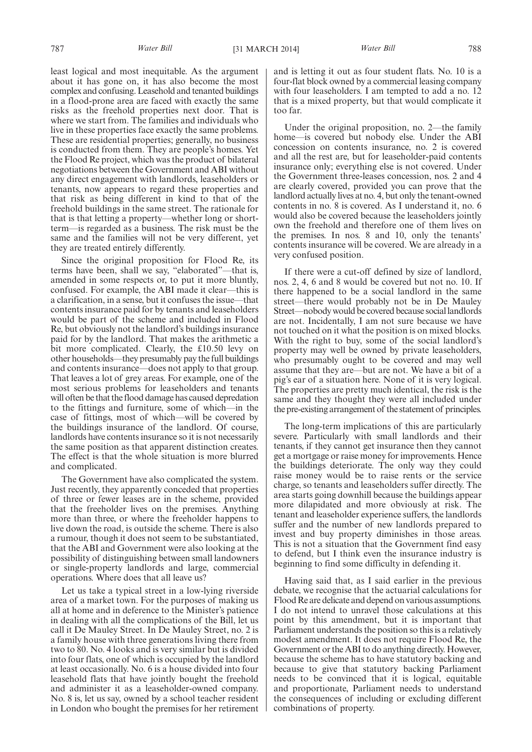least logical and most inequitable. As the argument about it has gone on, it has also become the most complex and confusing. Leasehold and tenanted buildings in a flood-prone area are faced with exactly the same risks as the freehold properties next door. That is where we start from. The families and individuals who live in these properties face exactly the same problems. These are residential properties; generally, no business is conducted from them. They are people's homes. Yet the Flood Re project, which was the product of bilateral negotiations between the Government and ABI without any direct engagement with landlords, leaseholders or tenants, now appears to regard these properties and that risk as being different in kind to that of the freehold buildings in the same street. The rationale for that is that letting a property—whether long or shortterm—is regarded as a business. The risk must be the same and the families will not be very different, yet they are treated entirely differently.

Since the original proposition for Flood Re, its terms have been, shall we say, "elaborated"—that is, amended in some respects or, to put it more bluntly, confused. For example, the ABI made it clear—this is a clarification, in a sense, but it confuses the issue—that contents insurance paid for by tenants and leaseholders would be part of the scheme and included in Flood Re, but obviously not the landlord's buildings insurance paid for by the landlord. That makes the arithmetic a bit more complicated. Clearly, the £10.50 levy on other households—they presumably pay the full buildings and contents insurance—does not apply to that group. That leaves a lot of grey areas. For example, one of the most serious problems for leaseholders and tenants will often be that the flood damage has caused depredation to the fittings and furniture, some of which—in the case of fittings, most of which—will be covered by the buildings insurance of the landlord. Of course, landlords have contents insurance so it is not necessarily the same position as that apparent distinction creates. The effect is that the whole situation is more blurred and complicated.

The Government have also complicated the system. Just recently, they apparently conceded that properties of three or fewer leases are in the scheme, provided that the freeholder lives on the premises. Anything more than three, or where the freeholder happens to live down the road, is outside the scheme. There is also a rumour, though it does not seem to be substantiated, that the ABI and Government were also looking at the possibility of distinguishing between small landowners or single-property landlords and large, commercial operations. Where does that all leave us?

Let us take a typical street in a low-lying riverside area of a market town. For the purposes of making us all at home and in deference to the Minister's patience in dealing with all the complications of the Bill, let us call it De Mauley Street. In De Mauley Street, no. 2 is a family house with three generations living there from two to 80. No. 4 looks and is very similar but is divided into four flats, one of which is occupied by the landlord at least occasionally. No. 6 is a house divided into four leasehold flats that have jointly bought the freehold and administer it as a leaseholder-owned company. No. 8 is, let us say, owned by a school teacher resident in London who bought the premises for her retirement and is letting it out as four student flats. No. 10 is a four-flat block owned by a commercial leasing company with four leaseholders. I am tempted to add a no. 12 that is a mixed property, but that would complicate it too far.

Under the original proposition, no. 2—the family home—is covered but nobody else. Under the ABI concession on contents insurance, no. 2 is covered and all the rest are, but for leaseholder-paid contents insurance only; everything else is not covered. Under the Government three-leases concession, nos. 2 and 4 are clearly covered, provided you can prove that the landlord actually lives at no. 4, but only the tenant-owned contents in no. 8 is covered. As I understand it, no. 6 would also be covered because the leaseholders jointly own the freehold and therefore one of them lives on the premises. In nos. 8 and 10, only the tenants' contents insurance will be covered. We are already in a very confused position.

If there were a cut-off defined by size of landlord, nos. 2, 4, 6 and 8 would be covered but not no. 10. If there happened to be a social landlord in the same street—there would probably not be in De Mauley Street—nobody would be covered because social landlords are not. Incidentally, I am not sure because we have not touched on it what the position is on mixed blocks. With the right to buy, some of the social landlord's property may well be owned by private leaseholders, who presumably ought to be covered and may well assume that they are—but are not. We have a bit of a pig's ear of a situation here. None of it is very logical. The properties are pretty much identical, the risk is the same and they thought they were all included under the pre-existing arrangement of the statement of principles.

The long-term implications of this are particularly severe. Particularly with small landlords and their tenants, if they cannot get insurance then they cannot get a mortgage or raise money for improvements. Hence the buildings deteriorate. The only way they could raise money would be to raise rents or the service charge, so tenants and leaseholders suffer directly. The area starts going downhill because the buildings appear more dilapidated and more obviously at risk. The tenant and leaseholder experience suffers, the landlords suffer and the number of new landlords prepared to invest and buy property diminishes in those areas. This is not a situation that the Government find easy to defend, but I think even the insurance industry is beginning to find some difficulty in defending it.

Having said that, as I said earlier in the previous debate, we recognise that the actuarial calculations for Flood Re are delicate and depend on various assumptions. I do not intend to unravel those calculations at this point by this amendment, but it is important that Parliament understands the position so this is a relatively modest amendment. It does not require Flood Re, the Government or the ABI to do anything directly. However, because the scheme has to have statutory backing and because to give that statutory backing Parliament needs to be convinced that it is logical, equitable and proportionate, Parliament needs to understand the consequences of including or excluding different combinations of property.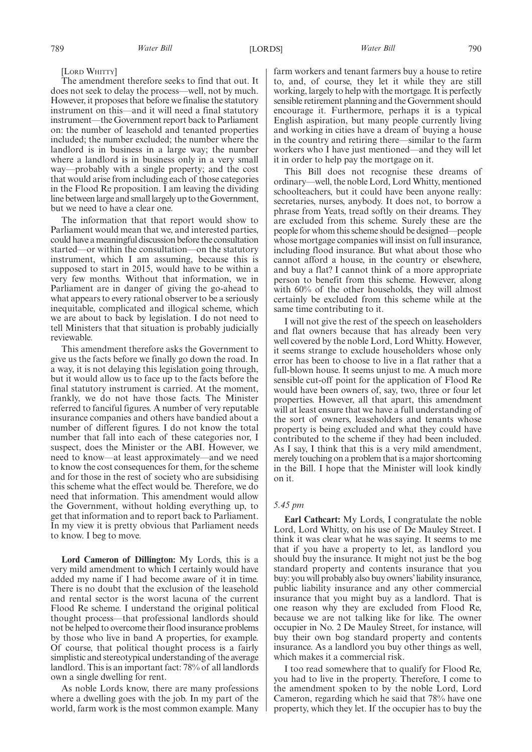[LORD WHITTY]

The amendment therefore seeks to find that out. It does not seek to delay the process—well, not by much. However, it proposes that before we finalise the statutory instrument on this—and it will need a final statutory instrument—the Government report back to Parliament on: the number of leasehold and tenanted properties included; the number excluded; the number where the landlord is in business in a large way; the number where a landlord is in business only in a very small way—probably with a single property; and the cost that would arise from including each of those categories in the Flood Re proposition. I am leaving the dividing line between large and small largely up to the Government, but we need to have a clear one.

The information that that report would show to Parliament would mean that we, and interested parties, could have ameaningful discussion before the consultation started—or within the consultation—on the statutory instrument, which I am assuming, because this is supposed to start in 2015, would have to be within a very few months. Without that information, we in Parliament are in danger of giving the go-ahead to what appears to every rational observer to be a seriously inequitable, complicated and illogical scheme, which we are about to back by legislation. I do not need to tell Ministers that that situation is probably judicially reviewable.

This amendment therefore asks the Government to give us the facts before we finally go down the road. In a way, it is not delaying this legislation going through, but it would allow us to face up to the facts before the final statutory instrument is carried. At the moment, frankly, we do not have those facts. The Minister referred to fanciful figures. A number of very reputable insurance companies and others have bandied about a number of different figures. I do not know the total number that fall into each of these categories nor, I suspect, does the Minister or the ABI. However, we need to know—at least approximately—and we need to know the cost consequences for them, for the scheme and for those in the rest of society who are subsidising this scheme what the effect would be. Therefore, we do need that information. This amendment would allow the Government, without holding everything up, to get that information and to report back to Parliament. In my view it is pretty obvious that Parliament needs to know. I beg to move.

**Lord Cameron of Dillington:** My Lords, this is a very mild amendment to which I certainly would have added my name if I had become aware of it in time. There is no doubt that the exclusion of the leasehold and rental sector is the worst lacuna of the current Flood Re scheme. I understand the original political thought process—that professional landlords should not be helped to overcome their flood insurance problems by those who live in band A properties, for example. Of course, that political thought process is a fairly simplistic and stereotypical understanding of the average landlord. This is an important fact: 78% of all landlords own a single dwelling for rent.

As noble Lords know, there are many professions where a dwelling goes with the job. In my part of the world, farm work is the most common example. Many farm workers and tenant farmers buy a house to retire to, and, of course, they let it while they are still working, largely to help with the mortgage. It is perfectly sensible retirement planning and the Government should encourage it. Furthermore, perhaps it is a typical English aspiration, but many people currently living and working in cities have a dream of buying a house in the country and retiring there—similar to the farm workers who I have just mentioned—and they will let it in order to help pay the mortgage on it.

This Bill does not recognise these dreams of ordinary—well, the noble Lord, LordWhitty, mentioned schoolteachers, but it could have been anyone really: secretaries, nurses, anybody. It does not, to borrow a phrase from Yeats, tread softly on their dreams. They are excluded from this scheme. Surely these are the people for whom this scheme should be designed—people whose mortgage companies will insist on full insurance, including flood insurance. But what about those who cannot afford a house, in the country or elsewhere, and buy a flat? I cannot think of a more appropriate person to benefit from this scheme. However, along with 60% of the other households, they will almost certainly be excluded from this scheme while at the same time contributing to it.

I will not give the rest of the speech on leaseholders and flat owners because that has already been very well covered by the noble Lord, Lord Whitty. However, it seems strange to exclude householders whose only error has been to choose to live in a flat rather that a full-blown house. It seems unjust to me. A much more sensible cut-off point for the application of Flood Re would have been owners of, say, two, three or four let properties. However, all that apart, this amendment will at least ensure that we have a full understanding of the sort of owners, leaseholders and tenants whose property is being excluded and what they could have contributed to the scheme if they had been included. As I say, I think that this is a very mild amendment, merely touching on a problem that is a major shortcoming in the Bill. I hope that the Minister will look kindly on it.

#### *5.45 pm*

**Earl Cathcart:** My Lords, I congratulate the noble Lord, Lord Whitty, on his use of De Mauley Street. I think it was clear what he was saying. It seems to me that if you have a property to let, as landlord you should buy the insurance. It might not just be the bog standard property and contents insurance that you buy: you will probably also buy owners'liability insurance, public liability insurance and any other commercial insurance that you might buy as a landlord. That is one reason why they are excluded from Flood Re, because we are not talking like for like. The owner occupier in No. 2 De Mauley Street, for instance, will buy their own bog standard property and contents insurance. As a landlord you buy other things as well, which makes it a commercial risk.

I too read somewhere that to qualify for Flood Re, you had to live in the property. Therefore, I come to the amendment spoken to by the noble Lord, Lord Cameron, regarding which he said that 78% have one property, which they let. If the occupier has to buy the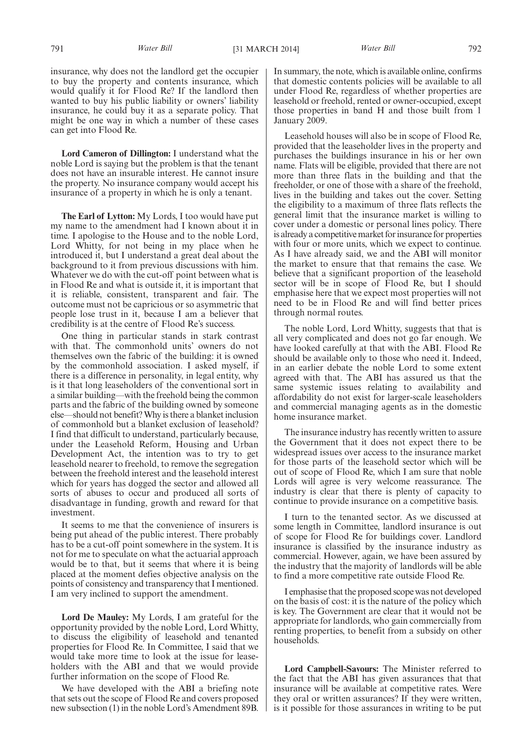insurance, why does not the landlord get the occupier to buy the property and contents insurance, which would qualify it for Flood Re? If the landlord then wanted to buy his public liability or owners' liability insurance, he could buy it as a separate policy. That might be one way in which a number of these cases can get into Flood Re.

**Lord Cameron of Dillington:** I understand what the noble Lord is saying but the problem is that the tenant does not have an insurable interest. He cannot insure the property. No insurance company would accept his insurance of a property in which he is only a tenant.

**The Earl of Lytton:** My Lords, I too would have put my name to the amendment had I known about it in time. I apologise to the House and to the noble Lord, Lord Whitty, for not being in my place when he introduced it, but I understand a great deal about the background to it from previous discussions with him. Whatever we do with the cut-off point between what is in Flood Re and what is outside it, it is important that it is reliable, consistent, transparent and fair. The outcome must not be capricious or so asymmetric that people lose trust in it, because I am a believer that credibility is at the centre of Flood Re's success.

One thing in particular stands in stark contrast with that. The commonhold units' owners do not themselves own the fabric of the building: it is owned by the commonhold association. I asked myself, if there is a difference in personality, in legal entity, why is it that long leaseholders of the conventional sort in a similar building—with the freehold being the common parts and the fabric of the building owned by someone else—should not benefit?Why is there a blanket inclusion of commonhold but a blanket exclusion of leasehold? I find that difficult to understand, particularly because, under the Leasehold Reform, Housing and Urban Development Act, the intention was to try to get leasehold nearer to freehold, to remove the segregation between the freehold interest and the leasehold interest which for years has dogged the sector and allowed all sorts of abuses to occur and produced all sorts of disadvantage in funding, growth and reward for that investment.

It seems to me that the convenience of insurers is being put ahead of the public interest. There probably has to be a cut-off point somewhere in the system. It is not for me to speculate on what the actuarial approach would be to that, but it seems that where it is being placed at the moment defies objective analysis on the points of consistency and transparency that I mentioned. I am very inclined to support the amendment.

**Lord De Mauley:** My Lords, I am grateful for the opportunity provided by the noble Lord, Lord Whitty, to discuss the eligibility of leasehold and tenanted properties for Flood Re. In Committee, I said that we would take more time to look at the issue for leaseholders with the ABI and that we would provide further information on the scope of Flood Re.

We have developed with the ABI a briefing note that sets out the scope of Flood Re and covers proposed new subsection (1) in the noble Lord's Amendment 89B. In summary, the note, which is available online, confirms that domestic contents policies will be available to all under Flood Re, regardless of whether properties are leasehold or freehold, rented or owner-occupied, except those properties in band H and those built from 1 January 2009.

Leasehold houses will also be in scope of Flood Re, provided that the leaseholder lives in the property and purchases the buildings insurance in his or her own name. Flats will be eligible, provided that there are not more than three flats in the building and that the freeholder, or one of those with a share of the freehold, lives in the building and takes out the cover. Setting the eligibility to a maximum of three flats reflects the general limit that the insurance market is willing to cover under a domestic or personal lines policy. There is already a competitive market for insurance for properties with four or more units, which we expect to continue. As I have already said, we and the ABI will monitor the market to ensure that that remains the case. We believe that a significant proportion of the leasehold sector will be in scope of Flood Re, but I should emphasise here that we expect most properties will not need to be in Flood Re and will find better prices through normal routes.

The noble Lord, Lord Whitty, suggests that that is all very complicated and does not go far enough. We have looked carefully at that with the ABI. Flood Re should be available only to those who need it. Indeed, in an earlier debate the noble Lord to some extent agreed with that. The ABI has assured us that the same systemic issues relating to availability and affordability do not exist for larger-scale leaseholders and commercial managing agents as in the domestic home insurance market.

The insurance industry has recently written to assure the Government that it does not expect there to be widespread issues over access to the insurance market for those parts of the leasehold sector which will be out of scope of Flood Re, which I am sure that noble Lords will agree is very welcome reassurance. The industry is clear that there is plenty of capacity to continue to provide insurance on a competitive basis.

I turn to the tenanted sector. As we discussed at some length in Committee, landlord insurance is out of scope for Flood Re for buildings cover. Landlord insurance is classified by the insurance industry as commercial. However, again, we have been assured by the industry that the majority of landlords will be able to find a more competitive rate outside Flood Re.

I emphasise that the proposed scope was not developed on the basis of cost: it is the nature of the policy which is key. The Government are clear that it would not be appropriate for landlords, who gain commercially from renting properties, to benefit from a subsidy on other households.

**Lord Campbell-Savours:** The Minister referred to the fact that the ABI has given assurances that that insurance will be available at competitive rates. Were they oral or written assurances? If they were written, is it possible for those assurances in writing to be put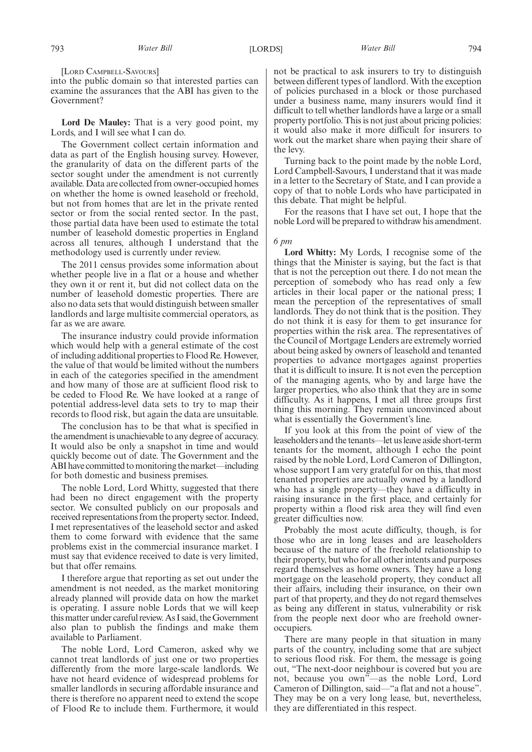[LORD CAMPBELL-SAVOURS]

into the public domain so that interested parties can examine the assurances that the ABI has given to the Government?

**Lord De Mauley:** That is a very good point, my Lords, and I will see what I can do.

The Government collect certain information and data as part of the English housing survey. However, the granularity of data on the different parts of the sector sought under the amendment is not currently available. Data are collected from owner-occupied homes on whether the home is owned leasehold or freehold, but not from homes that are let in the private rented sector or from the social rented sector. In the past, those partial data have been used to estimate the total number of leasehold domestic properties in England across all tenures, although I understand that the methodology used is currently under review.

The 2011 census provides some information about whether people live in a flat or a house and whether they own it or rent it, but did not collect data on the number of leasehold domestic properties. There are also no data sets that would distinguish between smaller landlords and large multisite commercial operators, as far as we are aware.

The insurance industry could provide information which would help with a general estimate of the cost of including additional properties to Flood Re. However, the value of that would be limited without the numbers in each of the categories specified in the amendment and how many of those are at sufficient flood risk to be ceded to Flood Re. We have looked at a range of potential address-level data sets to try to map their records to flood risk, but again the data are unsuitable.

The conclusion has to be that what is specified in the amendment is unachievable to any degree of accuracy. It would also be only a snapshot in time and would quickly become out of date. The Government and the ABI have committed to monitoring the market—including for both domestic and business premises.

The noble Lord, Lord Whitty, suggested that there had been no direct engagement with the property sector. We consulted publicly on our proposals and received representations from the property sector. Indeed, I met representatives of the leasehold sector and asked them to come forward with evidence that the same problems exist in the commercial insurance market. I must say that evidence received to date is very limited, but that offer remains.

I therefore argue that reporting as set out under the amendment is not needed, as the market monitoring already planned will provide data on how the market is operating. I assure noble Lords that we will keep thismatter under careful review. As I said, theGovernment also plan to publish the findings and make them available to Parliament.

The noble Lord, Lord Cameron, asked why we cannot treat landlords of just one or two properties differently from the more large-scale landlords. We have not heard evidence of widespread problems for smaller landlords in securing affordable insurance and there is therefore no apparent need to extend the scope of Flood Re to include them. Furthermore, it would not be practical to ask insurers to try to distinguish between different types of landlord. With the exception of policies purchased in a block or those purchased under a business name, many insurers would find it difficult to tell whether landlords have a large or a small property portfolio. This is not just about pricing policies: it would also make it more difficult for insurers to work out the market share when paying their share of the levy.

Turning back to the point made by the noble Lord, Lord Campbell-Savours, I understand that it was made in a letter to the Secretary of State, and I can provide a copy of that to noble Lords who have participated in this debate. That might be helpful.

For the reasons that I have set out, I hope that the noble Lord will be prepared to withdraw his amendment.

#### *6 pm*

**Lord Whitty:** My Lords, I recognise some of the things that the Minister is saying, but the fact is that that is not the perception out there. I do not mean the perception of somebody who has read only a few articles in their local paper or the national press; I mean the perception of the representatives of small landlords. They do not think that is the position. They do not think it is easy for them to get insurance for properties within the risk area. The representatives of the Council of Mortgage Lenders are extremely worried about being asked by owners of leasehold and tenanted properties to advance mortgages against properties that it is difficult to insure. It is not even the perception of the managing agents, who by and large have the larger properties, who also think that they are in some difficulty. As it happens, I met all three groups first thing this morning. They remain unconvinced about what is essentially the Government's line.

If you look at this from the point of view of the leaseholders and the tenants—let us leave aside short-term tenants for the moment, although I echo the point raised by the noble Lord, Lord Cameron of Dillington, whose support I am very grateful for on this, that most tenanted properties are actually owned by a landlord who has a single property—they have a difficulty in raising insurance in the first place, and certainly for property within a flood risk area they will find even greater difficulties now.

Probably the most acute difficulty, though, is for those who are in long leases and are leaseholders because of the nature of the freehold relationship to their property, but who for all other intents and purposes regard themselves as home owners. They have a long mortgage on the leasehold property, they conduct all their affairs, including their insurance, on their own part of that property, and they do not regard themselves as being any different in status, vulnerability or risk from the people next door who are freehold owneroccupiers.

There are many people in that situation in many parts of the country, including some that are subject to serious flood risk. For them, the message is going out, "The next-door neighbour is covered but you are not, because you own"—as the noble Lord, Lord Cameron of Dillington, said—"a flat and not a house". They may be on a very long lease, but, nevertheless, they are differentiated in this respect.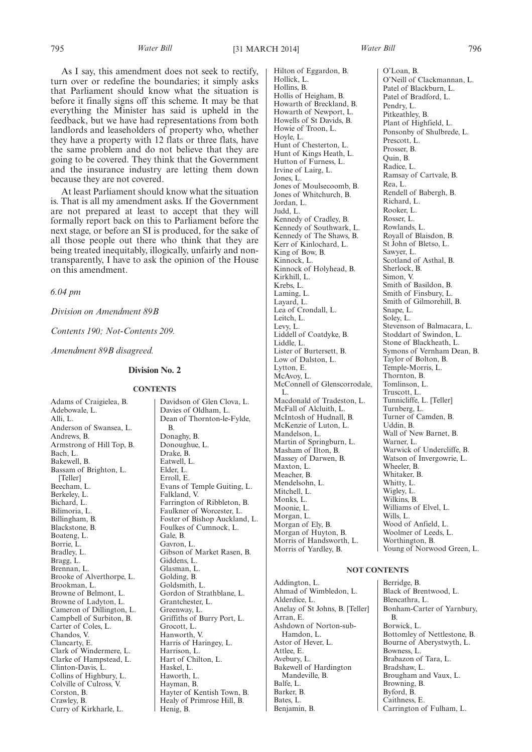As I say, this amendment does not seek to rectify, turn over or redefine the boundaries; it simply asks that Parliament should know what the situation is before it finally signs off this scheme. It may be that everything the Minister has said is upheld in the feedback, but we have had representations from both landlords and leaseholders of property who, whether they have a property with 12 flats or three flats, have the same problem and do not believe that they are going to be covered. They think that the Government and the insurance industry are letting them down because they are not covered.

At least Parliament should know what the situation is. That is all my amendment asks. If the Government are not prepared at least to accept that they will formally report back on this to Parliament before the next stage, or before an SI is produced, for the sake of all those people out there who think that they are being treated inequitably, illogically, unfairly and nontransparently, I have to ask the opinion of the House on this amendment.

*6.04 pm*

*Division on Amendment 89B*

*Contents 190; Not-Contents 209.*

*Amendment 89B disagreed.*

### **Division No. 2**

#### **CONTENTS**

Adams of Craigielea, B. Adebowale, L. Alli, L. Anderson of Swansea, L. Andrews, B. Armstrong of Hill Top, B. Bach, L. Bakewell, B. Bassam of Brighton, L. [Teller] Beecham, L. Berkeley, L. Bichard, L. Bilimoria, L. Billingham, B. Blackstone, B. Boateng, L. Borrie, L. Bradley, L. Bragg, L. Brennan, L. Brooke of Alverthorpe, L. Brookman, L. Browne of Belmont, L. Browne of Ladyton, L. Cameron of Dillington, L. Campbell of Surbiton, B. Carter of Coles, L. Chandos, V. Clancarty, E. Clark of Windermere, L. Clarke of Hampstead, L. Clinton-Davis, L. Collins of Highbury, L. Colville of Culross, V. Corston, B. Crawley, B. Curry of Kirkharle, L.

Davies of Oldham, L. Dean of Thornton-le-Fylde, B. Donaghy, B. Donoughue, L. Drake, B. Eatwell, L. Elder, L. Erroll, E. Evans of Temple Guiting, L. Falkland, V. Farrington of Ribbleton, B. Faulkner of Worcester, L. Foster of Bishop Auckland, L. Foulkes of Cumnock, L. Gale, B. Gavron, L. Gibson of Market Rasen, B. Giddens, L. Glasman, L. Golding, B. Goldsmith, L. Gordon of Strathblane, L. Grantchester, L. Greenway, L. Griffiths of Burry Port, L. Grocott, L. Hanworth, V. Harris of Haringey, L. Harrison, L. Hart of Chilton, L. Haskel, L. Haworth, L. Hayman, B. Hayter of Kentish Town, B. Healy of Primrose Hill, B. Henig, B.

Davidson of Glen Clova, L.

Hilton of Eggardon, B. Hollick, L. Hollins, B. Hollis of Heigham, B. Howarth of Breckland, B. Howarth of Newport, L. Howells of St Davids, B. Howie of Troon, L. Hoyle, L. Hunt of Chesterton, L. Hunt of Kings Heath, L. Hutton of Furness, L. Irvine of Lairg, L. Jones, L. Jones of Moulsecoomb, B. Jones of Whitchurch, B. Jordan, L. Judd, L. Kennedy of Cradley, B. Kennedy of Southwark, L. Kennedy of The Shaws, B. Kerr of Kinlochard, L. King of Bow, B. Kinnock, L. Kinnock of Holyhead, B. Kirkhill, L. Krebs, L. Laming, L. Layard, L. Lea of Crondall, L. Leitch, L. Levy, L. Liddell of Coatdyke, B. Liddle, L. Lister of Burtersett, B. Low of Dalston, L. Lytton, E. McAvoy, L. McConnell of Glenscorrodale, L. Macdonald of Tradeston, L. McFall of Alcluith, L. McIntosh of Hudnall, B. McKenzie of Luton, L. Mandelson, L. Martin of Springburn, L. Masham of Ilton, B. Massey of Darwen, B. Maxton, L. Meacher, B. Mendelsohn, L. Mitchell, L. Monks, L. Moonie, L. Morgan, L. Morgan of Ely, B. Morgan of Huyton, B. Morris of Handsworth, L. Morris of Yardley, B.

O'Loan, B. O'Neill of Clackmannan, L. Patel of Blackburn, L. Patel of Bradford, L. Pendry, L. Pitkeathley, B. Plant of Highfield, L. Ponsonby of Shulbrede, L. Prescott, L. Prosser, B. Quin, B. Radice, L. Ramsay of Cartvale, B. Rea, L. Rendell of Babergh, B. Richard, L. Rooker, L. Rosser, L. Rowlands, L. Royall of Blaisdon, B. St John of Bletso, L. Sawyer, L. Scotland of Asthal, B. Sherlock, B. Simon, V. Smith of Basildon, B. Smith of Finsbury, L. Smith of Gilmorehill, B. Snape, L. Soley, L. Stevenson of Balmacara, L. Stoddart of Swindon, L. Stone of Blackheath, L. Symons of Vernham Dean, B. Taylor of Bolton, B. Temple-Morris, L. Thornton, B. Tomlinson, L. Truscott, L. Tunnicliffe, L. [Teller] Turnberg, L. Turner of Camden, B. Uddin, B. Wall of New Barnet, B. Warner, L. Warwick of Undercliffe, B. Watson of Invergowrie, L. Wheeler, B. Whitaker, B. Whitty, L. Wigley, L. Wilkins, B. Williams of Elvel, L. Wills, L. Wood of Anfield, L. Woolmer of Leeds, L. Worthington, B. Young of Norwood Green, L.

#### **NOT CONTENTS**

Addington, L. Ahmad of Wimbledon, L. Alderdice, L. Anelay of St Johns, B. [Teller] Arran, E. Ashdown of Norton-sub-Hamdon, L. Astor of Hever, L. Attlee, E. Avebury, L. Bakewell of Hardington Mandeville, B. Balfe, L. Barker, B. Bates, L. Benjamin, B.

Berridge, B. Black of Brentwood, L. Blencathra, L. Bonham-Carter of Yarnbury, B. Borwick, L. Bottomley of Nettlestone, B. Bourne of Aberystwyth, L. Bowness, L. Brabazon of Tara, L. Bradshaw, L. Brougham and Vaux, L. Browning, B. Byford, B. Caithness, E. Carrington of Fulham, L.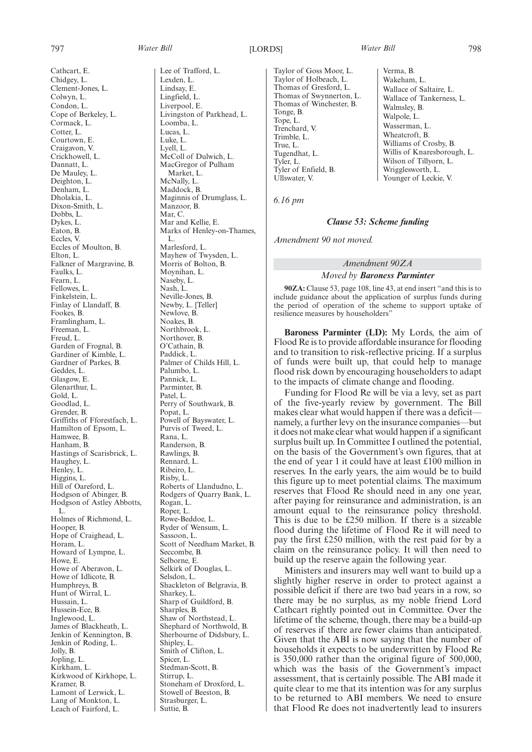Cathcart, E.

Chidgey, L. Clement-Jones, L. Colwyn, L. Condon, L. Cope of Berkeley, L. Cormack, L. Cotter, L. Courtown, E. Craigavon, V. Crickhowell, L. Dannatt, L. De Mauley, L. Deighton, L. Denham, L. Dholakia, L. Dixon-Smith, L. Dobbs, L. Dykes, L. Eaton, B. Eccles, V. Eccles of Moulton, B. Elton, L. Falkner of Margravine, B. Faulks, L. Fearn, L. Fellowes, L. Finkelstein, L. Finlay of Llandaff, B. Fookes, B. Framlingham, L. Freeman, L. Freud, L. Garden of Frognal, B. Gardiner of Kimble, L. Gardner of Parkes, B. Geddes, L. Glasgow, E. Glenarthur, L. Gold, L. Goodlad, L. Grender, B. Griffiths of Fforestfach, L. Hamilton of Epsom, L. Hamwee, B. Hanham, B. Hastings of Scarisbrick, L. Haughey, L. Henley, L. Higgins, L. Hill of Oareford, L. Hodgson of Abinger, B. Hodgson of Astley Abbotts, L. Holmes of Richmond, L. Hooper, B. Hope of Craighead, L. Horam, L. Howard of Lympne, L. Howe, E. Howe of Aberavon, L. Howe of Idlicote, B. Humphreys, B. Hunt of Wirral, L. Hussain, L. Hussein-Ece, B. Inglewood, L. James of Blackheath, L. Jenkin of Kennington, B. Jenkin of Roding, L. Jolly, B. Jopling, L. Kirkham, L. Kirkwood of Kirkhope, L. Kramer, B. Lamont of Lerwick, L. Lang of Monkton, L. Leach of Fairford, L.

Lee of Trafford, L. Lexden, L. Lindsay, E. Lingfield, L. Liverpool, E. Livingston of Parkhead, L. Loomba, L. Lucas, L. Luke, L. Lyell, L. McColl of Dulwich, L. MacGregor of Pulham Market, L. McNally, L. Maddock, B. Maginnis of Drumglass, L. Manzoor, B. Mar, C. Mar and Kellie, E. Marks of Henley-on-Thames, L. Marlesford, L. Mayhew of Twysden, L. Morris of Bolton, B. Moynihan, L. Naseby, L. Nash, L. Neville-Jones, B. Newby, L. [Teller] Newlove, B. Noakes, B. Northbrook, L. Northover, B. O'Cathain, B. Paddick, L. Palmer of Childs Hill, L. Palumbo, L. Pannick, L. Parminter, B. Patel, L. Perry of Southwark, B. Popat, L. Powell of Bayswater, L. Purvis of Tweed, L. Rana, L. Randerson, B. Rawlings, B. Rennard, L. Ribeiro, L. Risby, L. Roberts of Llandudno, L. Rodgers of Quarry Bank, L. Rogan, L. Roper, L. Rowe-Beddoe, L. Ryder of Wensum, L. Sassoon, L. Scott of Needham Market, B. Seccombe, B. Selborne, E. Selkirk of Douglas, L. Selsdon, L. Shackleton of Belgravia, B. Sharkey, L. Sharp of Guildford, B. Sharples, B. Shaw of Northstead, L. Shephard of Northwold, B. Sherbourne of Didsbury, L. Shipley, L. Smith of Clifton, L. Spicer, L. Stedman-Scott, B. Stirrup, L. Stoneham of Droxford, L. Stowell of Beeston, B. Strasburger, L. Suttie, B.

Taylor of Goss Moor, L. Taylor of Holbeach, L. Thomas of Gresford, L. Thomas of Swynnerton, L. Thomas of Winchester, B. Tonge, B. Tope, L. Trenchard, V. Trimble, L. True, L. Tugendhat, L. Tyler, L. Tyler of Enfield, B. Ullswater, V.

Verma, B. Wakeham, L. Wallace of Saltaire, L. Wallace of Tankerness, L. Walmsley, B. Walpole, L. Wasserman, L. Wheatcroft, B. Williams of Crosby, B. Willis of Knaresborough, L. Wilson of Tillyorn, L. Wrigglesworth, L. Younger of Leckie, V.

*6.16 pm*

#### *Clause 53: Scheme funding*

*Amendment 90 not moved.*

## *Amendment 90ZA Moved by Baroness Parminter*

**90ZA:** Clause 53, page 108, line 43, at end insert "and this is to include guidance about the application of surplus funds during the period of operation of the scheme to support uptake of resilience measures by householders"

**Baroness Parminter (LD):** My Lords, the aim of Flood Re is to provide affordable insurance for flooding and to transition to risk-reflective pricing. If a surplus of funds were built up, that could help to manage flood risk down by encouraging householders to adapt to the impacts of climate change and flooding.

Funding for Flood Re will be via a levy, set as part of the five-yearly review by government. The Bill makes clear what would happen if there was a deficit namely, a further levy on the insurance companies—but it does not make clear what would happen if a significant surplus built up. In Committee I outlined the potential, on the basis of the Government's own figures, that at the end of year 1 it could have at least £100 million in reserves. In the early years, the aim would be to build this figure up to meet potential claims. The maximum reserves that Flood Re should need in any one year, after paying for reinsurance and administration, is an amount equal to the reinsurance policy threshold. This is due to be £250 million. If there is a sizeable flood during the lifetime of Flood Re it will need to pay the first £250 million, with the rest paid for by a claim on the reinsurance policy. It will then need to build up the reserve again the following year.

Ministers and insurers may well want to build up a slightly higher reserve in order to protect against a possible deficit if there are two bad years in a row, so there may be no surplus, as my noble friend Lord Cathcart rightly pointed out in Committee. Over the lifetime of the scheme, though, there may be a build-up of reserves if there are fewer claims than anticipated. Given that the ABI is now saying that the number of households it expects to be underwritten by Flood Re is 350,000 rather than the original figure of 500,000, which was the basis of the Government's impact assessment, that is certainly possible. The ABI made it quite clear to me that its intention was for any surplus to be returned to ABI members. We need to ensure that Flood Re does not inadvertently lead to insurers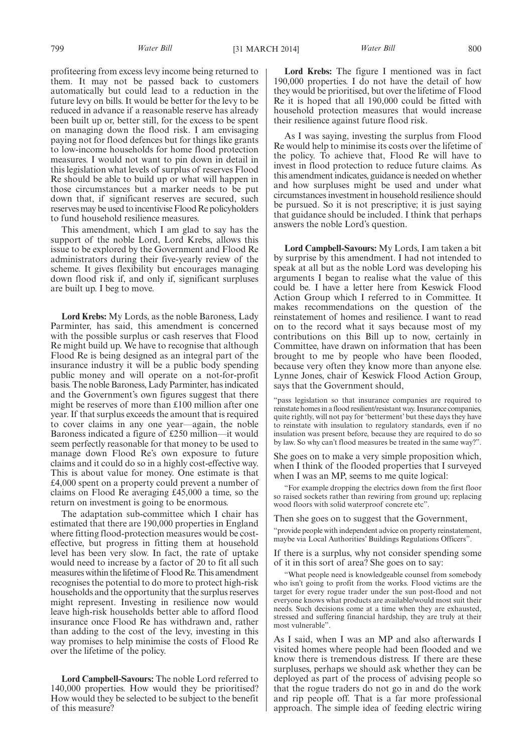profiteering from excess levy income being returned to them. It may not be passed back to customers automatically but could lead to a reduction in the future levy on bills. It would be better for the levy to be reduced in advance if a reasonable reserve has already been built up or, better still, for the excess to be spent on managing down the flood risk. I am envisaging paying not for flood defences but for things like grants to low-income households for home flood protection measures. I would not want to pin down in detail in this legislation what levels of surplus of reserves Flood Re should be able to build up or what will happen in those circumstances but a marker needs to be put down that, if significant reserves are secured, such reserves may be used to incentivise Flood Re policyholders to fund household resilience measures.

This amendment, which I am glad to say has the support of the noble Lord, Lord Krebs, allows this issue to be explored by the Government and Flood Re administrators during their five-yearly review of the scheme. It gives flexibility but encourages managing down flood risk if, and only if, significant surpluses are built up. I beg to move.

**Lord Krebs:** My Lords, as the noble Baroness, Lady Parminter, has said, this amendment is concerned with the possible surplus or cash reserves that Flood Re might build up. We have to recognise that although Flood Re is being designed as an integral part of the insurance industry it will be a public body spending public money and will operate on a not-for-profit basis. The noble Baroness, Lady Parminter, has indicated and the Government's own figures suggest that there might be reserves of more than £100 million after one year. If that surplus exceeds the amount that is required to cover claims in any one year—again, the noble Baroness indicated a figure of £250 million—it would seem perfectly reasonable for that money to be used to manage down Flood Re's own exposure to future claims and it could do so in a highly cost-effective way. This is about value for money. One estimate is that £4,000 spent on a property could prevent a number of claims on Flood Re averaging £45,000 a time, so the return on investment is going to be enormous.

The adaptation sub-committee which I chair has estimated that there are 190,000 properties in England where fitting flood-protection measures would be costeffective, but progress in fitting them at household level has been very slow. In fact, the rate of uptake would need to increase by a factor of 20 to fit all such measures within the lifetime of Flood Re. This amendment recognises the potential to do more to protect high-risk households and the opportunity that the surplus reserves might represent. Investing in resilience now would leave high-risk households better able to afford flood insurance once Flood Re has withdrawn and, rather than adding to the cost of the levy, investing in this way promises to help minimise the costs of Flood Re over the lifetime of the policy.

**Lord Campbell-Savours:** The noble Lord referred to 140,000 properties. How would they be prioritised? How would they be selected to be subject to the benefit of this measure?

**Lord Krebs:** The figure I mentioned was in fact 190,000 properties. I do not have the detail of how they would be prioritised, but over the lifetime of Flood Re it is hoped that all 190,000 could be fitted with household protection measures that would increase their resilience against future flood risk.

As I was saying, investing the surplus from Flood Re would help to minimise its costs over the lifetime of the policy. To achieve that, Flood Re will have to invest in flood protection to reduce future claims. As this amendment indicates, guidance is needed on whether and how surpluses might be used and under what circumstances investment in household resilience should be pursued. So it is not prescriptive; it is just saying that guidance should be included. I think that perhaps answers the noble Lord's question.

**Lord Campbell-Savours:** My Lords, I am taken a bit by surprise by this amendment. I had not intended to speak at all but as the noble Lord was developing his arguments I began to realise what the value of this could be. I have a letter here from Keswick Flood Action Group which I referred to in Committee. It makes recommendations on the question of the reinstatement of homes and resilience. I want to read on to the record what it says because most of my contributions on this Bill up to now, certainly in Committee, have drawn on information that has been brought to me by people who have been flooded, because very often they know more than anyone else. Lynne Jones, chair of Keswick Flood Action Group, says that the Government should,

"pass legislation so that insurance companies are required to reinstate homes in a flood resilient/resistant way. Insurance companies, quite rightly, will not pay for 'betterment' but these days they have to reinstate with insulation to regulatory standards, even if no insulation was present before, because they are required to do so by law. So why can't flood measures be treated in the same way?".

She goes on to make a very simple proposition which, when I think of the flooded properties that I surveyed when I was an MP, seems to me quite logical:

"For example dropping the electrics down from the first floor so raised sockets rather than rewiring from ground up; replacing wood floors with solid waterproof concrete etc".

Then she goes on to suggest that the Government,

"provide people with independent advice on property reinstatement, maybe via Local Authorities' Buildings Regulations Officers".

If there is a surplus, why not consider spending some of it in this sort of area? She goes on to say:

"What people need is knowledgeable counsel from somebody who isn't going to profit from the works. Flood victims are the target for every rogue trader under the sun post-flood and not everyone knows what products are available/would most suit their needs. Such decisions come at a time when they are exhausted, stressed and suffering financial hardship, they are truly at their most vulnerable".

As I said, when I was an MP and also afterwards I visited homes where people had been flooded and we know there is tremendous distress. If there are these surpluses, perhaps we should ask whether they can be deployed as part of the process of advising people so that the rogue traders do not go in and do the work and rip people off. That is a far more professional approach. The simple idea of feeding electric wiring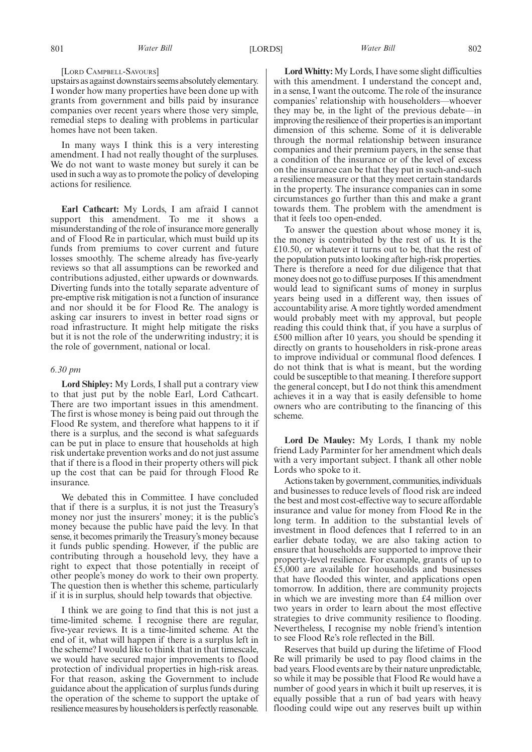#### [LORD CAMPBELL-SAVOURS]

upstairs as against downstairs seems absolutely elementary. I wonder how many properties have been done up with grants from government and bills paid by insurance companies over recent years where those very simple, remedial steps to dealing with problems in particular homes have not been taken.

In many ways I think this is a very interesting amendment. I had not really thought of the surpluses. We do not want to waste money but surely it can be used in such a way as to promote the policy of developing actions for resilience.

**Earl Cathcart:** My Lords, I am afraid I cannot support this amendment. To me it shows a misunderstanding of the role of insurance more generally and of Flood Re in particular, which must build up its funds from premiums to cover current and future losses smoothly. The scheme already has five-yearly reviews so that all assumptions can be reworked and contributions adjusted, either upwards or downwards. Diverting funds into the totally separate adventure of pre-emptive risk mitigation is not a function of insurance and nor should it be for Flood Re. The analogy is asking car insurers to invest in better road signs or road infrastructure. It might help mitigate the risks but it is not the role of the underwriting industry; it is the role of government, national or local.

#### *6.30 pm*

**Lord Shipley:** My Lords, I shall put a contrary view to that just put by the noble Earl, Lord Cathcart. There are two important issues in this amendment. The first is whose money is being paid out through the Flood Re system, and therefore what happens to it if there is a surplus, and the second is what safeguards can be put in place to ensure that households at high risk undertake prevention works and do not just assume that if there is a flood in their property others will pick up the cost that can be paid for through Flood Re insurance.

We debated this in Committee. I have concluded that if there is a surplus, it is not just the Treasury's money nor just the insurers' money; it is the public's money because the public have paid the levy. In that sense, it becomes primarily the Treasury's money because it funds public spending. However, if the public are contributing through a household levy, they have a right to expect that those potentially in receipt of other people's money do work to their own property. The question then is whether this scheme, particularly if it is in surplus, should help towards that objective.

I think we are going to find that this is not just a time-limited scheme. I recognise there are regular, five-year reviews. It is a time-limited scheme. At the end of it, what will happen if there is a surplus left in the scheme? I would like to think that in that timescale, we would have secured major improvements to flood protection of individual properties in high-risk areas. For that reason, asking the Government to include guidance about the application of surplus funds during the operation of the scheme to support the uptake of resilience measures by householders is perfectly reasonable.

**Lord Whitty:** My Lords, I have some slight difficulties with this amendment. I understand the concept and, in a sense, I want the outcome. The role of the insurance companies' relationship with householders—whoever they may be, in the light of the previous debate—in improving the resilience of their properties is an important dimension of this scheme. Some of it is deliverable through the normal relationship between insurance companies and their premium payers, in the sense that a condition of the insurance or of the level of excess on the insurance can be that they put in such-and-such a resilience measure or that they meet certain standards in the property. The insurance companies can in some circumstances go further than this and make a grant towards them. The problem with the amendment is that it feels too open-ended.

To answer the question about whose money it is, the money is contributed by the rest of us. It is the £10.50, or whatever it turns out to be, that the rest of the population puts into looking after high-risk properties. There is therefore a need for due diligence that that money does not go to diffuse purposes. If this amendment would lead to significant sums of money in surplus years being used in a different way, then issues of accountability arise. A more tightly worded amendment would probably meet with my approval, but people reading this could think that, if you have a surplus of £500 million after 10 years, you should be spending it directly on grants to householders in risk-prone areas to improve individual or communal flood defences. I do not think that is what is meant, but the wording could be susceptible to that meaning. I therefore support the general concept, but I do not think this amendment achieves it in a way that is easily defensible to home owners who are contributing to the financing of this scheme.

**Lord De Mauley:** My Lords, I thank my noble friend Lady Parminter for her amendment which deals with a very important subject. I thank all other noble Lords who spoke to it.

Actions taken by government, communities, individuals and businesses to reduce levels of flood risk are indeed the best and most cost-effective way to secure affordable insurance and value for money from Flood Re in the long term. In addition to the substantial levels of investment in flood defences that I referred to in an earlier debate today, we are also taking action to ensure that households are supported to improve their property-level resilience. For example, grants of up to £5,000 are available for households and businesses that have flooded this winter, and applications open tomorrow. In addition, there are community projects in which we are investing more than £4 million over two years in order to learn about the most effective strategies to drive community resilience to flooding. Nevertheless, I recognise my noble friend's intention to see Flood Re's role reflected in the Bill.

Reserves that build up during the lifetime of Flood Re will primarily be used to pay flood claims in the bad years. Flood events are by their nature unpredictable, so while it may be possible that Flood Re would have a number of good years in which it built up reserves, it is equally possible that a run of bad years with heavy flooding could wipe out any reserves built up within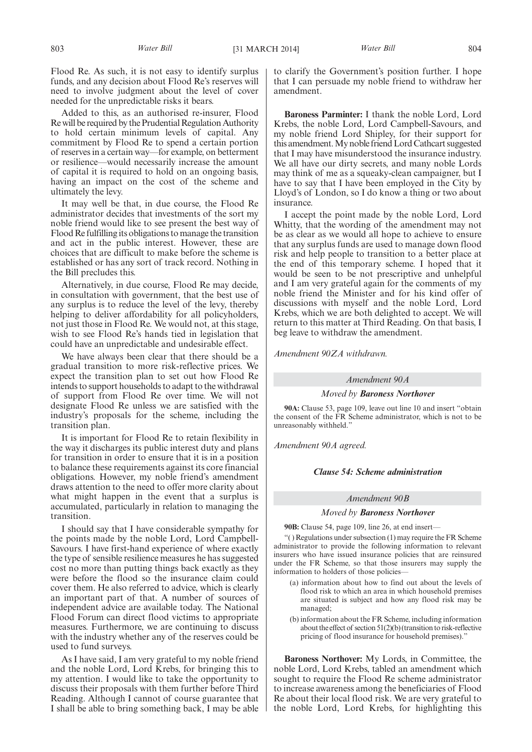Flood Re. As such, it is not easy to identify surplus funds, and any decision about Flood Re's reserves will need to involve judgment about the level of cover needed for the unpredictable risks it bears.

Added to this, as an authorised re-insurer, Flood Re will be required by the Prudential Regulation Authority to hold certain minimum levels of capital. Any commitment by Flood Re to spend a certain portion of reserves in a certain way—for example, on betterment or resilience—would necessarily increase the amount of capital it is required to hold on an ongoing basis, having an impact on the cost of the scheme and ultimately the levy.

It may well be that, in due course, the Flood Re administrator decides that investments of the sort my noble friend would like to see present the best way of Flood Re fulfilling its obligations to manage the transition and act in the public interest. However, these are choices that are difficult to make before the scheme is established or has any sort of track record. Nothing in the Bill precludes this.

Alternatively, in due course, Flood Re may decide, in consultation with government, that the best use of any surplus is to reduce the level of the levy, thereby helping to deliver affordability for all policyholders, not just those in Flood Re. We would not, at this stage, wish to see Flood Re's hands tied in legislation that could have an unpredictable and undesirable effect.

We have always been clear that there should be a gradual transition to more risk-reflective prices. We expect the transition plan to set out how Flood Re intends to support households to adapt to the withdrawal of support from Flood Re over time. We will not designate Flood Re unless we are satisfied with the industry's proposals for the scheme, including the transition plan.

It is important for Flood Re to retain flexibility in the way it discharges its public interest duty and plans for transition in order to ensure that it is in a position to balance these requirements against its core financial obligations. However, my noble friend's amendment draws attention to the need to offer more clarity about what might happen in the event that a surplus is accumulated, particularly in relation to managing the transition.

I should say that I have considerable sympathy for the points made by the noble Lord, Lord Campbell-Savours. I have first-hand experience of where exactly the type of sensible resilience measures he has suggested cost no more than putting things back exactly as they were before the flood so the insurance claim could cover them. He also referred to advice, which is clearly an important part of that. A number of sources of independent advice are available today. The National Flood Forum can direct flood victims to appropriate measures. Furthermore, we are continuing to discuss with the industry whether any of the reserves could be used to fund surveys.

As I have said, I am very grateful to my noble friend and the noble Lord, Lord Krebs, for bringing this to my attention. I would like to take the opportunity to discuss their proposals with them further before Third Reading. Although I cannot of course guarantee that I shall be able to bring something back, I may be able to clarify the Government's position further. I hope that I can persuade my noble friend to withdraw her amendment.

**Baroness Parminter:** I thank the noble Lord, Lord Krebs, the noble Lord, Lord Campbell-Savours, and my noble friend Lord Shipley, for their support for this amendment.My noble friendLord Cathcart suggested that I may have misunderstood the insurance industry. We all have our dirty secrets, and many noble Lords may think of me as a squeaky-clean campaigner, but I have to say that I have been employed in the City by Lloyd's of London, so I do know a thing or two about insurance.

I accept the point made by the noble Lord, Lord Whitty, that the wording of the amendment may not be as clear as we would all hope to achieve to ensure that any surplus funds are used to manage down flood risk and help people to transition to a better place at the end of this temporary scheme. I hoped that it would be seen to be not prescriptive and unhelpful and I am very grateful again for the comments of my noble friend the Minister and for his kind offer of discussions with myself and the noble Lord, Lord Krebs, which we are both delighted to accept. We will return to this matter at Third Reading. On that basis, I beg leave to withdraw the amendment.

*Amendment 90ZA withdrawn.*

#### *Amendment 90A*

*Moved by Baroness Northover*

**90A:** Clause 53, page 109, leave out line 10 and insert "obtain the consent of the FR Scheme administrator, which is not to be unreasonably withheld."

*Amendment 90A agreed.*

#### *Clause 54: Scheme administration*

#### *Amendment 90B*

## *Moved by Baroness Northover*

**90B:** Clause 54, page 109, line 26, at end insert—

"( ) Regulations under subsection (1) may require the FR Scheme administrator to provide the following information to relevant insurers who have issued insurance policies that are reinsured under the FR Scheme, so that those insurers may supply the information to holders of those policies—

- (a) information about how to find out about the levels of flood risk to which an area in which household premises are situated is subject and how any flood risk may be managed;
- (b) information about the FR Scheme, including information about the effect of section 51(2)(b) (transition to risk-reflective pricing of flood insurance for household premises)."

**Baroness Northover:** My Lords, in Committee, the noble Lord, Lord Krebs, tabled an amendment which sought to require the Flood Re scheme administrator to increase awareness among the beneficiaries of Flood Re about their local flood risk. We are very grateful to the noble Lord, Lord Krebs, for highlighting this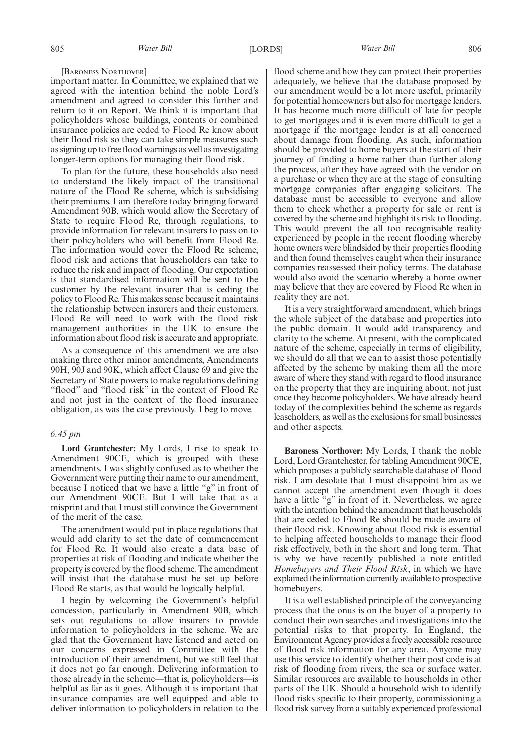#### [BARONESS NORTHOVER]

important matter. In Committee, we explained that we agreed with the intention behind the noble Lord's amendment and agreed to consider this further and return to it on Report. We think it is important that policyholders whose buildings, contents or combined insurance policies are ceded to Flood Re know about their flood risk so they can take simple measures such as signing up to free flood warnings as well as investigating longer-term options for managing their flood risk.

To plan for the future, these households also need to understand the likely impact of the transitional nature of the Flood Re scheme, which is subsidising their premiums. I am therefore today bringing forward Amendment 90B, which would allow the Secretary of State to require Flood Re, through regulations, to provide information for relevant insurers to pass on to their policyholders who will benefit from Flood Re. The information would cover the Flood Re scheme, flood risk and actions that householders can take to reduce the risk and impact of flooding. Our expectation is that standardised information will be sent to the customer by the relevant insurer that is ceding the policy to Flood Re. This makes sense because it maintains the relationship between insurers and their customers. Flood Re will need to work with the flood risk management authorities in the UK to ensure the information about flood risk is accurate and appropriate.

As a consequence of this amendment we are also making three other minor amendments, Amendments 90H, 90J and 90K, which affect Clause 69 and give the Secretary of State powers to make regulations defining "flood" and "flood risk" in the context of Flood Re and not just in the context of the flood insurance obligation, as was the case previously. I beg to move.

#### *6.45 pm*

**Lord Grantchester:** My Lords, I rise to speak to Amendment 90CE, which is grouped with these amendments. I was slightly confused as to whether the Government were putting their name to our amendment, because I noticed that we have a little "g" in front of our Amendment 90CE. But I will take that as a misprint and that I must still convince the Government of the merit of the case.

The amendment would put in place regulations that would add clarity to set the date of commencement for Flood Re. It would also create a data base of properties at risk of flooding and indicate whether the property is covered by the flood scheme. The amendment will insist that the database must be set up before Flood Re starts, as that would be logically helpful.

I begin by welcoming the Government's helpful concession, particularly in Amendment 90B, which sets out regulations to allow insurers to provide information to policyholders in the scheme. We are glad that the Government have listened and acted on our concerns expressed in Committee with the introduction of their amendment, but we still feel that it does not go far enough. Delivering information to those already in the scheme—that is, policyholders—is helpful as far as it goes. Although it is important that insurance companies are well equipped and able to deliver information to policyholders in relation to the flood scheme and how they can protect their properties adequately, we believe that the database proposed by our amendment would be a lot more useful, primarily for potential homeowners but also for mortgage lenders. It has become much more difficult of late for people to get mortgages and it is even more difficult to get a mortgage if the mortgage lender is at all concerned about damage from flooding. As such, information should be provided to home buyers at the start of their journey of finding a home rather than further along the process, after they have agreed with the vendor on a purchase or when they are at the stage of consulting mortgage companies after engaging solicitors. The database must be accessible to everyone and allow them to check whether a property for sale or rent is covered by the scheme and highlight its risk to flooding. This would prevent the all too recognisable reality experienced by people in the recent flooding whereby home owners were blindsided by their properties flooding and then found themselves caught when their insurance companies reassessed their policy terms. The database would also avoid the scenario whereby a home owner may believe that they are covered by Flood Re when in reality they are not.

It is a very straightforward amendment, which brings the whole subject of the database and properties into the public domain. It would add transparency and clarity to the scheme. At present, with the complicated nature of the scheme, especially in terms of eligibility, we should do all that we can to assist those potentially affected by the scheme by making them all the more aware of where they stand with regard to flood insurance on the property that they are inquiring about, not just once they become policyholders. We have already heard today of the complexities behind the scheme as regards leaseholders, as well as the exclusions for small businesses and other aspects.

**Baroness Northover:** My Lords, I thank the noble Lord, Lord Grantchester, for tabling Amendment 90CE, which proposes a publicly searchable database of flood risk. I am desolate that I must disappoint him as we cannot accept the amendment even though it does have a little "g" in front of it. Nevertheless, we agree with the intention behind the amendment that households that are ceded to Flood Re should be made aware of their flood risk. Knowing about flood risk is essential to helping affected households to manage their flood risk effectively, both in the short and long term. That is why we have recently published a note entitled *Homebuyers and Their Flood Risk*, in which we have explained the information currently available to prospective homebuyers.

It is a well established principle of the conveyancing process that the onus is on the buyer of a property to conduct their own searches and investigations into the potential risks to that property. In England, the Environment Agency provides a freely accessible resource of flood risk information for any area. Anyone may use this service to identify whether their post code is at risk of flooding from rivers, the sea or surface water. Similar resources are available to households in other parts of the UK. Should a household wish to identify flood risks specific to their property, commissioning a flood risk survey from a suitably experienced professional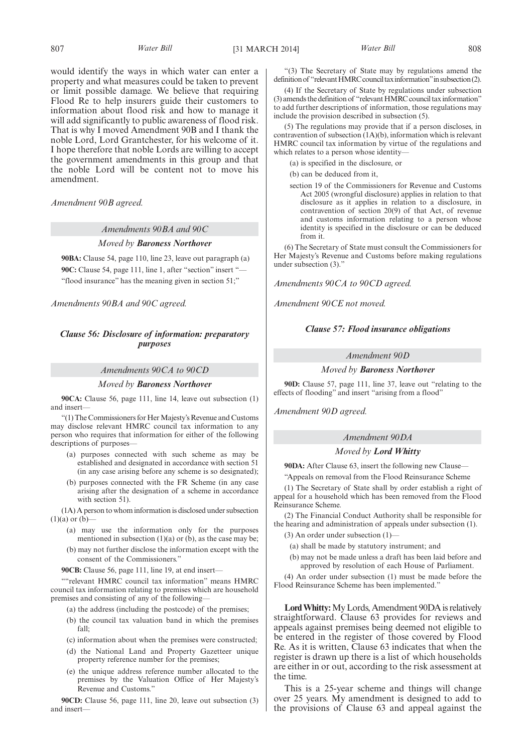would identify the ways in which water can enter a property and what measures could be taken to prevent or limit possible damage. We believe that requiring Flood Re to help insurers guide their customers to information about flood risk and how to manage it will add significantly to public awareness of flood risk. That is why I moved Amendment 90B and I thank the noble Lord, Lord Grantchester, for his welcome of it. I hope therefore that noble Lords are willing to accept the government amendments in this group and that the noble Lord will be content not to move his amendment.

*Amendment 90B agreed.*

*Amendments 90BA and 90C*

### *Moved by Baroness Northover*

**90BA:** Clause 54, page 110, line 23, leave out paragraph (a) 90C: Clause 54, page 111, line 1, after "section" insert " "flood insurance" has the meaning given in section 51;"

*Amendments 90BA and 90C agreed.*

# *Clause 56: Disclosure of information: preparatory purposes*

### *Amendments 90CA to 90CD*

### *Moved by Baroness Northover*

**90CA:** Clause 56, page 111, line 14, leave out subsection (1) and insert—

"(1) The Commissioners for Her Majesty's Revenue and Customs may disclose relevant HMRC council tax information to any person who requires that information for either of the following descriptions of purposes—

- (a) purposes connected with such scheme as may be established and designated in accordance with section 51 (in any case arising before any scheme is so designated);
- (b) purposes connected with the FR Scheme (in any case arising after the designation of a scheme in accordance with section 51).

(1A) A person to whom information is disclosed under subsection  $(1)(a)$  or  $(b)$ –

- (a) may use the information only for the purposes mentioned in subsection  $(1)(a)$  or  $(b)$ , as the case may be;
- (b) may not further disclose the information except with the consent of the Commissioners."

**90CB:** Clause 56, page 111, line 19, at end insert—

""relevant HMRC council tax information" means HMRC council tax information relating to premises which are household premises and consisting of any of the following—

- (a) the address (including the postcode) of the premises;
- (b) the council tax valuation band in which the premises fall;
- (c) information about when the premises were constructed;
- (d) the National Land and Property Gazetteer unique property reference number for the premises;
- (e) the unique address reference number allocated to the premises by the Valuation Office of Her Majesty's Revenue and Customs."

**90CD:** Clause 56, page 111, line 20, leave out subsection (3) and insert—

"(3) The Secretary of State may by regulations amend the definition of "relevant HMRC council tax information" in subsection (2).

(4) If the Secretary of State by regulations under subsection  $(3)$  amends the definition of "relevant HMRC council tax information" to add further descriptions of information, those regulations may include the provision described in subsection (5).

(5) The regulations may provide that if a person discloses, in contravention of subsection (1A)(b), information which is relevant HMRC council tax information by virtue of the regulations and which relates to a person whose identity—

(a) is specified in the disclosure, or

(b) can be deduced from it,

section 19 of the Commissioners for Revenue and Customs Act 2005 (wrongful disclosure) applies in relation to that disclosure as it applies in relation to a disclosure, in contravention of section 20(9) of that Act, of revenue and customs information relating to a person whose identity is specified in the disclosure or can be deduced from it.

(6) The Secretary of State must consult the Commissioners for Her Majesty's Revenue and Customs before making regulations under subsection (3).'

*Amendments 90CA to 90CD agreed.*

*Amendment 90CE not moved.*

### *Clause 57: Flood insurance obligations*

### *Amendment 90D*

#### *Moved by Baroness Northover*

**90D:** Clause 57, page 111, line 37, leave out "relating to the effects of flooding" and insert "arising from a flood"

*Amendment 90D agreed.*

### *Amendment 90DA*

### *Moved by Lord Whitty*

**90DA:** After Clause 63, insert the following new Clause— "Appeals on removal from the Flood Reinsurance Scheme

(1) The Secretary of State shall by order establish a right of appeal for a household which has been removed from the Flood Reinsurance Scheme.

(2) The Financial Conduct Authority shall be responsible for the hearing and administration of appeals under subsection (1).

- (3) An order under subsection (1)—
	- (a) shall be made by statutory instrument; and
	- (b) may not be made unless a draft has been laid before and approved by resolution of each House of Parliament.

(4) An order under subsection (1) must be made before the Flood Reinsurance Scheme has been implemented."

**LordWhitty:**My Lords, Amendment 90DA is relatively straightforward. Clause 63 provides for reviews and appeals against premises being deemed not eligible to be entered in the register of those covered by Flood Re. As it is written, Clause 63 indicates that when the register is drawn up there is a list of which households are either in or out, according to the risk assessment at the time.

This is a 25-year scheme and things will change over 25 years. My amendment is designed to add to the provisions of Clause 63 and appeal against the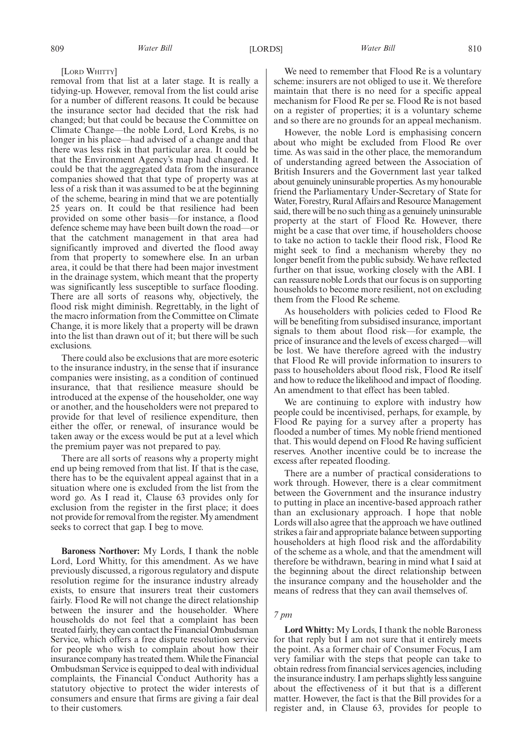[LORD WHITTY]

removal from that list at a later stage. It is really a tidying-up. However, removal from the list could arise for a number of different reasons. It could be because the insurance sector had decided that the risk had changed; but that could be because the Committee on Climate Change—the noble Lord, Lord Krebs, is no longer in his place—had advised of a change and that there was less risk in that particular area. It could be that the Environment Agency's map had changed. It could be that the aggregated data from the insurance companies showed that that type of property was at less of a risk than it was assumed to be at the beginning of the scheme, bearing in mind that we are potentially 25 years on. It could be that resilience had been provided on some other basis—for instance, a flood defence scheme may have been built down the road—or that the catchment management in that area had significantly improved and diverted the flood away from that property to somewhere else. In an urban area, it could be that there had been major investment in the drainage system, which meant that the property was significantly less susceptible to surface flooding. There are all sorts of reasons why, objectively, the flood risk might diminish. Regrettably, in the light of the macro information from the Committee on Climate Change, it is more likely that a property will be drawn into the list than drawn out of it; but there will be such exclusions.

There could also be exclusions that are more esoteric to the insurance industry, in the sense that if insurance companies were insisting, as a condition of continued insurance, that that resilience measure should be introduced at the expense of the householder, one way or another, and the householders were not prepared to provide for that level of resilience expenditure, then either the offer, or renewal, of insurance would be taken away or the excess would be put at a level which the premium payer was not prepared to pay.

There are all sorts of reasons why a property might end up being removed from that list. If that is the case, there has to be the equivalent appeal against that in a situation where one is excluded from the list from the word go. As I read it, Clause 63 provides only for exclusion from the register in the first place; it does not provide for removal from the register. My amendment seeks to correct that gap. I beg to move.

**Baroness Northover:** My Lords, I thank the noble Lord, Lord Whitty, for this amendment. As we have previously discussed, a rigorous regulatory and dispute resolution regime for the insurance industry already exists, to ensure that insurers treat their customers fairly. Flood Re will not change the direct relationship between the insurer and the householder. Where households do not feel that a complaint has been treated fairly, they can contact the Financial Ombudsman Service, which offers a free dispute resolution service for people who wish to complain about how their insurance company has treated them.While the Financial Ombudsman Service is equipped to deal with individual complaints, the Financial Conduct Authority has a statutory objective to protect the wider interests of consumers and ensure that firms are giving a fair deal to their customers.

We need to remember that Flood Re is a voluntary scheme: insurers are not obliged to use it. We therefore maintain that there is no need for a specific appeal mechanism for Flood Re per se. Flood Re is not based on a register of properties; it is a voluntary scheme and so there are no grounds for an appeal mechanism.

However, the noble Lord is emphasising concern about who might be excluded from Flood Re over time. As was said in the other place, the memorandum of understanding agreed between the Association of British Insurers and the Government last year talked about genuinely uninsurable properties. As my honourable friend the Parliamentary Under-Secretary of State for Water, Forestry, Rural Affairs and Resource Management said, there will be no such thing as a genuinely uninsurable property at the start of Flood Re. However, there might be a case that over time, if householders choose to take no action to tackle their flood risk, Flood Re might seek to find a mechanism whereby they no longer benefit from the public subsidy. We have reflected further on that issue, working closely with the ABI. I can reassure noble Lords that our focus is on supporting households to become more resilient, not on excluding them from the Flood Re scheme.

As householders with policies ceded to Flood Re will be benefiting from subsidised insurance, important signals to them about flood risk—for example, the price of insurance and the levels of excess charged—will be lost. We have therefore agreed with the industry that Flood Re will provide information to insurers to pass to householders about flood risk, Flood Re itself and how to reduce the likelihood and impact of flooding. An amendment to that effect has been tabled.

We are continuing to explore with industry how people could be incentivised, perhaps, for example, by Flood Re paying for a survey after a property has flooded a number of times. My noble friend mentioned that. This would depend on Flood Re having sufficient reserves. Another incentive could be to increase the excess after repeated flooding.

There are a number of practical considerations to work through. However, there is a clear commitment between the Government and the insurance industry to putting in place an incentive-based approach rather than an exclusionary approach. I hope that noble Lords will also agree that the approach we have outlined strikes a fair and appropriate balance between supporting householders at high flood risk and the affordability of the scheme as a whole, and that the amendment will therefore be withdrawn, bearing in mind what I said at the beginning about the direct relationship between the insurance company and the householder and the means of redress that they can avail themselves of.

# *7 pm*

**Lord Whitty:** My Lords, I thank the noble Baroness for that reply but I am not sure that it entirely meets the point. As a former chair of Consumer Focus, I am very familiar with the steps that people can take to obtain redress from financial services agencies, including the insurance industry. I am perhaps slightly less sanguine about the effectiveness of it but that is a different matter. However, the fact is that the Bill provides for a register and, in Clause 63, provides for people to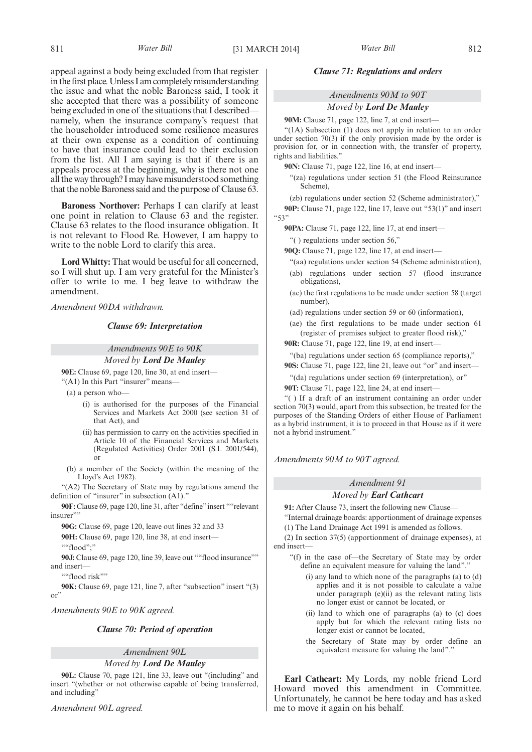appeal against a body being excluded from that register in the first place. Unless I am completely misunderstanding the issue and what the noble Baroness said, I took it she accepted that there was a possibility of someone being excluded in one of the situations that I described namely, when the insurance company's request that the householder introduced some resilience measures at their own expense as a condition of continuing to have that insurance could lead to their exclusion from the list. All I am saying is that if there is an appeals process at the beginning, why is there not one all the way through? I may have misunderstood something that the noble Baroness said and the purpose of Clause 63.

**Baroness Northover:** Perhaps I can clarify at least one point in relation to Clause 63 and the register. Clause 63 relates to the flood insurance obligation. It is not relevant to Flood Re. However, I am happy to write to the noble Lord to clarify this area.

**Lord Whitty:** That would be useful for all concerned, so I will shut up. I am very grateful for the Minister's offer to write to me. I beg leave to withdraw the amendment.

*Amendment 90DA withdrawn.*

# *Clause 69: Interpretation*

# *Amendments 90E to 90K*

*Moved by Lord De Mauley* **90E:** Clause 69, page 120, line 30, at end insert—

"(A1) In this Part "insurer" means—

- (a) a person who—
	- (i) is authorised for the purposes of the Financial Services and Markets Act 2000 (see section 31 of that Act), and
	- (ii) has permission to carry on the activities specified in Article 10 of the Financial Services and Markets (Regulated Activities) Order 2001 (S.I. 2001/544), or
- (b) a member of the Society (within the meaning of the Lloyd's Act 1982).

"(A2) The Secretary of State may by regulations amend the definition of "insurer" in subsection (A1)."

**90F:** Clause 69, page 120, line 31, after "define"insert ""relevant insurer"

**90G:** Clause 69, page 120, leave out lines 32 and 33

**90H:** Clause 69, page 120, line 38, at end insert—

 $" "find"$ 

90J: Clause 69, page 120, line 39, leave out ""flood insurance"" and insert—

""flood risk""

**90K:** Clause 69, page 121, line 7, after "subsection" insert "(3) or"

*Amendments 90E to 90K agreed.*

# *Clause 70: Period of operation*

*Amendment 90L Moved by Lord De Mauley*

**90L:** Clause 70, page 121, line 33, leave out "(including" and insert "(whether or not otherwise capable of being transferred, and including"

*Amendment 90L agreed.*

### *Clause 71: Regulations and orders*

*Amendments 90M to 90T Moved by Lord De Mauley*

90M: Clause 71, page 122, line 7, at end insert-

"(1A) Subsection (1) does not apply in relation to an order under section 70(3) if the only provision made by the order is provision for, or in connection with, the transfer of property, rights and liabilities."

**90N:** Clause 71, page 122, line 16, at end insert—

"(za) regulations under section 51 (the Flood Reinsurance Scheme),

(zb) regulations under section 52 (Scheme administrator),"

**90P:** Clause 71, page 122, line 17, leave out "53(1)" and insert "53"

**90PA:** Clause 71, page 122, line 17, at end insert—

"( ) regulations under section 56,"

**90Q:** Clause 71, page 122, line 17, at end insert—

- "(aa) regulations under section 54 (Scheme administration), (ab) regulations under section 57 (flood insurance obligations),
- (ac) the first regulations to be made under section 58 (target number),
- (ad) regulations under section 59 or 60 (information),
- (ae) the first regulations to be made under section 61 (register of premises subject to greater flood risk),"

**90R:** Clause 71, page 122, line 19, at end insert—

- "(ba) regulations under section 65 (compliance reports),"
- **90S:** Clause 71, page 122, line 21, leave out "or" and insert—

"(da) regulations under section 69 (interpretation), or"

**90T:** Clause 71, page 122, line 24, at end insert—

"( ) If a draft of an instrument containing an order under section 70(3) would, apart from this subsection, be treated for the purposes of the Standing Orders of either House of Parliament as a hybrid instrument, it is to proceed in that House as if it were not a hybrid instrument."

*Amendments 90M to 90T agreed.*

### *Amendment 91*

### *Moved by Earl Cathcart*

**91:** After Clause 73, insert the following new Clause—

"Internal drainage boards: apportionment of drainage expenses (1) The Land Drainage Act 1991 is amended as follows.

(2) In section 37(5) (apportionment of drainage expenses), at end insert—

- "(f) in the case of—the Secretary of State may by order define an equivalent measure for valuing the land".
	- $(i)$  any land to which none of the paragraphs  $(a)$  to  $(d)$ applies and it is not possible to calculate a value under paragraph (e)(ii) as the relevant rating lists no longer exist or cannot be located, or
	- (ii) land to which one of paragraphs (a) to (c) does apply but for which the relevant rating lists no longer exist or cannot be located,
	- the Secretary of State may by order define an equivalent measure for valuing the land"."

**Earl Cathcart:** My Lords, my noble friend Lord Howard moved this amendment in Committee. Unfortunately, he cannot be here today and has asked me to move it again on his behalf.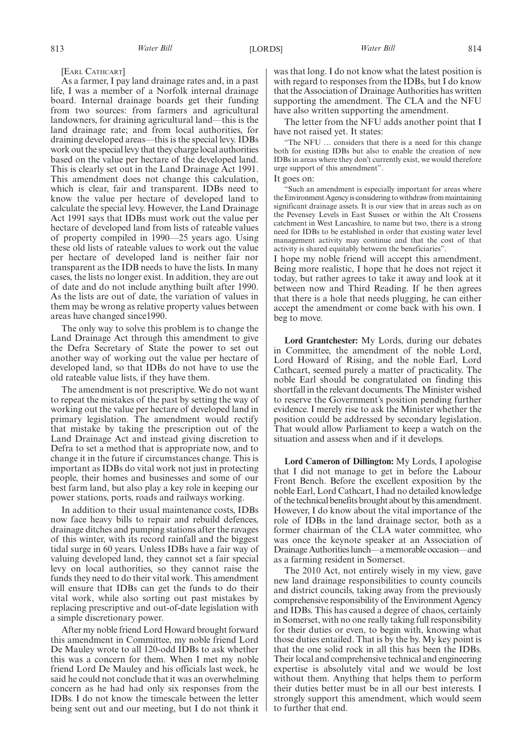[EARL CATHCART]

As a farmer, I pay land drainage rates and, in a past life, I was a member of a Norfolk internal drainage board. Internal drainage boards get their funding from two sources: from farmers and agricultural landowners, for draining agricultural land—this is the land drainage rate; and from local authorities, for draining developed areas—this is the special levy. IDBs work out the special levy that they charge local authorities based on the value per hectare of the developed land. This is clearly set out in the Land Drainage Act 1991. This amendment does not change this calculation, which is clear, fair and transparent. IDBs need to know the value per hectare of developed land to calculate the special levy. However, the Land Drainage Act 1991 says that IDBs must work out the value per hectare of developed land from lists of rateable values of property compiled in 1990—25 years ago. Using these old lists of rateable values to work out the value per hectare of developed land is neither fair nor transparent as the IDB needs to have the lists. In many cases, the lists no longer exist. In addition, they are out of date and do not include anything built after 1990. As the lists are out of date, the variation of values in them may be wrong as relative property values between areas have changed since1990.

The only way to solve this problem is to change the Land Drainage Act through this amendment to give the Defra Secretary of State the power to set out another way of working out the value per hectare of developed land, so that IDBs do not have to use the old rateable value lists, if they have them.

The amendment is not prescriptive. We do not want to repeat the mistakes of the past by setting the way of working out the value per hectare of developed land in primary legislation. The amendment would rectify that mistake by taking the prescription out of the Land Drainage Act and instead giving discretion to Defra to set a method that is appropriate now, and to change it in the future if circumstances change. This is important as IDBs do vital work not just in protecting people, their homes and businesses and some of our best farm land, but also play a key role in keeping our power stations, ports, roads and railways working.

In addition to their usual maintenance costs, IDBs now face heavy bills to repair and rebuild defences, drainage ditches and pumping stations after the ravages of this winter, with its record rainfall and the biggest tidal surge in 60 years. Unless IDBs have a fair way of valuing developed land, they cannot set a fair special levy on local authorities, so they cannot raise the funds they need to do their vital work. This amendment will ensure that IDBs can get the funds to do their vital work, while also sorting out past mistakes by replacing prescriptive and out-of-date legislation with a simple discretionary power.

After my noble friend Lord Howard brought forward this amendment in Committee, my noble friend Lord De Mauley wrote to all 120-odd IDBs to ask whether this was a concern for them. When I met my noble friend Lord De Mauley and his officials last week, he said he could not conclude that it was an overwhelming concern as he had had only six responses from the IDBs. I do not know the timescale between the letter being sent out and our meeting, but I do not think it was that long. I do not know what the latest position is with regard to responses from the IDBs, but I do know that the Association of Drainage Authorities has written supporting the amendment. The CLA and the NFU have also written supporting the amendment.

The letter from the NFU adds another point that I have not raised yet. It states:

"The NFU … considers that there is a need for this change both for existing IDBs but also to enable the creation of new IDBs in areas where they don't currently exist, we would therefore urge support of this amendment".

It goes on:

"Such an amendment is especially important for areas where the Environment Agency is considering to withdraw from maintaining significant drainage assets. It is our view that in areas such as on the Pevensey Levels in East Sussex or within the Alt Crossens catchment in West Lancashire, to name but two, there is a strong need for IDBs to be established in order that existing water level management activity may continue and that the cost of that activity is shared equitably between the beneficiaries".

I hope my noble friend will accept this amendment. Being more realistic, I hope that he does not reject it today, but rather agrees to take it away and look at it between now and Third Reading. If he then agrees that there is a hole that needs plugging, he can either accept the amendment or come back with his own. I beg to move.

**Lord Grantchester:** My Lords, during our debates in Committee, the amendment of the noble Lord, Lord Howard of Rising, and the noble Earl, Lord Cathcart, seemed purely a matter of practicality. The noble Earl should be congratulated on finding this shortfall in the relevant documents. The Minister wished to reserve the Government's position pending further evidence. I merely rise to ask the Minister whether the position could be addressed by secondary legislation. That would allow Parliament to keep a watch on the situation and assess when and if it develops.

**Lord Cameron of Dillington:** My Lords, I apologise that I did not manage to get in before the Labour Front Bench. Before the excellent exposition by the noble Earl, Lord Cathcart, I had no detailed knowledge of the technical benefits brought about by this amendment. However, I do know about the vital importance of the role of IDBs in the land drainage sector, both as a former chairman of the CLA water committee, who was once the keynote speaker at an Association of Drainage Authorities lunch—a memorable occasion—and as a farming resident in Somerset.

The 2010 Act, not entirely wisely in my view, gave new land drainage responsibilities to county councils and district councils, taking away from the previously comprehensive responsibility of the Environment Agency and IDBs. This has caused a degree of chaos, certainly in Somerset, with no one really taking full responsibility for their duties or even, to begin with, knowing what those duties entailed. That is by the by. My key point is that the one solid rock in all this has been the IDBs. Their local and comprehensive technical and engineering expertise is absolutely vital and we would be lost without them. Anything that helps them to perform their duties better must be in all our best interests. I strongly support this amendment, which would seem to further that end.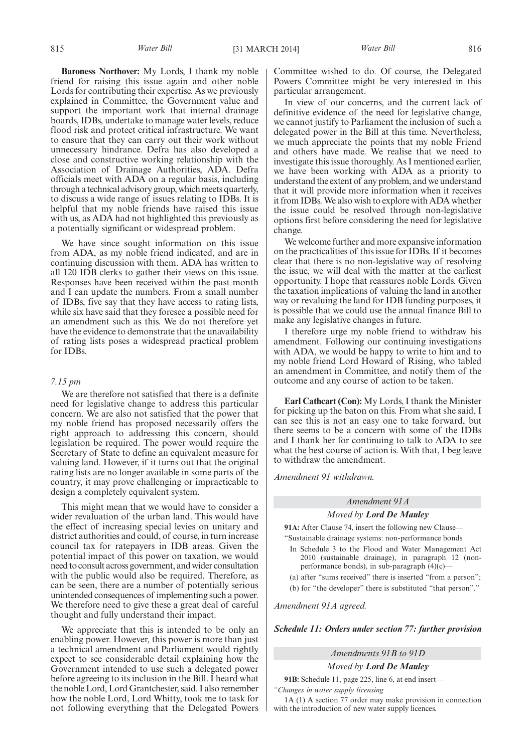**Baroness Northover:** My Lords, I thank my noble friend for raising this issue again and other noble Lords for contributing their expertise. As we previously explained in Committee, the Government value and support the important work that internal drainage boards, IDBs, undertake to manage water levels, reduce flood risk and protect critical infrastructure. We want to ensure that they can carry out their work without unnecessary hindrance. Defra has also developed a close and constructive working relationship with the Association of Drainage Authorities, ADA. Defra officials meet with ADA on a regular basis, including through a technical advisory group, which meets quarterly, to discuss a wide range of issues relating to IDBs. It is helpful that my noble friends have raised this issue with us, as ADA had not highlighted this previously as a potentially significant or widespread problem.

We have since sought information on this issue from ADA, as my noble friend indicated, and are in continuing discussion with them. ADA has written to all 120 IDB clerks to gather their views on this issue. Responses have been received within the past month and I can update the numbers. From a small number of IDBs, five say that they have access to rating lists, while six have said that they foresee a possible need for an amendment such as this. We do not therefore yet have the evidence to demonstrate that the unavailability of rating lists poses a widespread practical problem for IDBs.

### *7.15 pm*

We are therefore not satisfied that there is a definite need for legislative change to address this particular concern. We are also not satisfied that the power that my noble friend has proposed necessarily offers the right approach to addressing this concern, should legislation be required. The power would require the Secretary of State to define an equivalent measure for valuing land. However, if it turns out that the original rating lists are no longer available in some parts of the country, it may prove challenging or impracticable to design a completely equivalent system.

This might mean that we would have to consider a wider revaluation of the urban land. This would have the effect of increasing special levies on unitary and district authorities and could, of course, in turn increase council tax for ratepayers in IDB areas. Given the potential impact of this power on taxation, we would need to consult across government, and wider consultation with the public would also be required. Therefore, as can be seen, there are a number of potentially serious unintended consequences of implementing such a power. We therefore need to give these a great deal of careful thought and fully understand their impact.

We appreciate that this is intended to be only an enabling power. However, this power is more than just a technical amendment and Parliament would rightly expect to see considerable detail explaining how the Government intended to use such a delegated power before agreeing to its inclusion in the Bill. I heard what the noble Lord, Lord Grantchester, said. I also remember how the noble Lord, Lord Whitty, took me to task for not following everything that the Delegated Powers Committee wished to do. Of course, the Delegated Powers Committee might be very interested in this particular arrangement.

In view of our concerns, and the current lack of definitive evidence of the need for legislative change, we cannot justify to Parliament the inclusion of such a delegated power in the Bill at this time. Nevertheless, we much appreciate the points that my noble Friend and others have made. We realise that we need to investigate this issue thoroughly. As I mentioned earlier, we have been working with ADA as a priority to understand the extent of any problem, and we understand that it will provide more information when it receives it from IDBs.We also wish to explore with ADA whether the issue could be resolved through non-legislative options first before considering the need for legislative change.

We welcome further and more expansive information on the practicalities of this issue for IDBs. If it becomes clear that there is no non-legislative way of resolving the issue, we will deal with the matter at the earliest opportunity. I hope that reassures noble Lords. Given the taxation implications of valuing the land in another way or revaluing the land for IDB funding purposes, it is possible that we could use the annual finance Bill to make any legislative changes in future.

I therefore urge my noble friend to withdraw his amendment. Following our continuing investigations with ADA, we would be happy to write to him and to my noble friend Lord Howard of Rising, who tabled an amendment in Committee, and notify them of the outcome and any course of action to be taken.

**Earl Cathcart (Con):** My Lords, I thank the Minister for picking up the baton on this. From what she said, I can see this is not an easy one to take forward, but there seems to be a concern with some of the IDBs and I thank her for continuing to talk to ADA to see what the best course of action is. With that, I beg leave to withdraw the amendment.

*Amendment 91 withdrawn.*

# *Amendment 91A*

# *Moved by Lord De Mauley*

**91A:** After Clause 74, insert the following new Clause— "Sustainable drainage systems: non-performance bonds

- In Schedule 3 to the Flood and Water Management Act 2010 (sustainable drainage), in paragraph 12 (nonperformance bonds), in sub-paragraph (4)(c)—
- (a) after "sums received" there is inserted "from a person"; (b) for "the developer" there is substituted "that person"."

*Amendment 91A agreed.*

*Schedule 11: Orders under section 77: further provision*

# *Amendments 91B to 91D*

*Moved by Lord De Mauley*

**91B:** Schedule 11, page 225, line 6, at end insert— *"Changes in water supply licensing*

1A (1) A section 77 order may make provision in connection with the introduction of new water supply licences.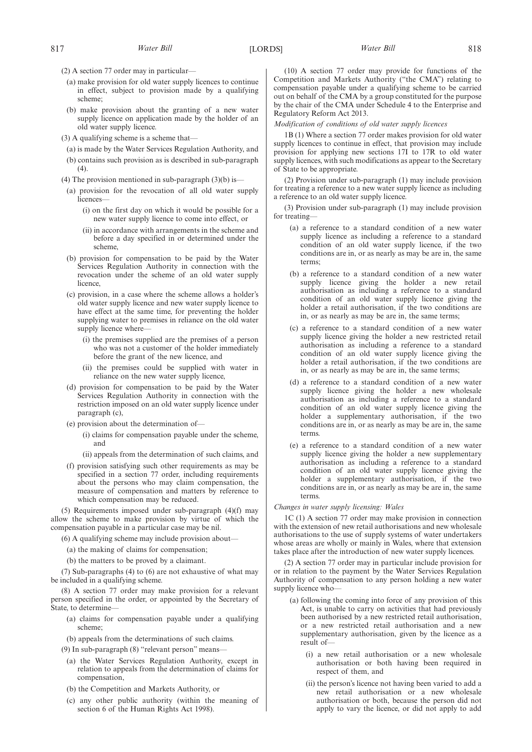- (2) A section 77 order may in particular—
	- (a) make provision for old water supply licences to continue in effect, subject to provision made by a qualifying scheme;
	- (b) make provision about the granting of a new water supply licence on application made by the holder of an old water supply licence.
- (3) A qualifying scheme is a scheme that—
- (a) is made by the Water Services Regulation Authority, and
- (b) contains such provision as is described in sub-paragraph  $(4)$ .
- (4) The provision mentioned in sub-paragraph  $(3)(b)$  is—
- (a) provision for the revocation of all old water supply licences—
	- (i) on the first day on which it would be possible for a new water supply licence to come into effect, or
	- (ii) in accordance with arrangements in the scheme and before a day specified in or determined under the scheme,
- (b) provision for compensation to be paid by the Water Services Regulation Authority in connection with the revocation under the scheme of an old water supply licence,
- (c) provision, in a case where the scheme allows a holder's old water supply licence and new water supply licence to have effect at the same time, for preventing the holder supplying water to premises in reliance on the old water supply licence where-
	- (i) the premises supplied are the premises of a person who was not a customer of the holder immediately before the grant of the new licence, and
	- (ii) the premises could be supplied with water in reliance on the new water supply licence,
- (d) provision for compensation to be paid by the Water Services Regulation Authority in connection with the restriction imposed on an old water supply licence under paragraph (c),
- (e) provision about the determination of—
	- (i) claims for compensation payable under the scheme, and
	- (ii) appeals from the determination of such claims, and
- (f) provision satisfying such other requirements as may be specified in a section 77 order, including requirements about the persons who may claim compensation, the measure of compensation and matters by reference to which compensation may be reduced.

(5) Requirements imposed under sub-paragraph (4)(f) may allow the scheme to make provision by virtue of which the compensation payable in a particular case may be nil.

(6) A qualifying scheme may include provision about—

- (a) the making of claims for compensation;
- (b) the matters to be proved by a claimant.

(7) Sub-paragraphs (4) to (6) are not exhaustive of what may be included in a qualifying scheme.

(8) A section 77 order may make provision for a relevant person specified in the order, or appointed by the Secretary of State, to determine—

- (a) claims for compensation payable under a qualifying scheme;
- (b) appeals from the determinations of such claims.
- (9) In sub-paragraph (8) "relevant person" means—
	- (a) the Water Services Regulation Authority, except in relation to appeals from the determination of claims for compensation,
	- (b) the Competition and Markets Authority, or
	- (c) any other public authority (within the meaning of section 6 of the Human Rights Act 1998).

(10) A section 77 order may provide for functions of the Competition and Markets Authority ("the CMA") relating to compensation payable under a qualifying scheme to be carried out on behalf of the CMA by a group constituted for the purpose by the chair of the CMA under Schedule 4 to the Enterprise and Regulatory Reform Act 2013.

*Modification of conditions of old water supply licences*

1B (1) Where a section 77 order makes provision for old water supply licences to continue in effect, that provision may include provision for applying new sections 17I to 17R to old water supply licences, with such modifications as appear to the Secretary of State to be appropriate.

(2) Provision under sub-paragraph (1) may include provision for treating a reference to a new water supply licence as including a reference to an old water supply licence.

(3) Provision under sub-paragraph (1) may include provision for treating—

- (a) a reference to a standard condition of a new water supply licence as including a reference to a standard condition of an old water supply licence, if the two conditions are in, or as nearly as may be are in, the same terms;
- (b) a reference to a standard condition of a new water supply licence giving the holder a new retail authorisation as including a reference to a standard condition of an old water supply licence giving the holder a retail authorisation, if the two conditions are in, or as nearly as may be are in, the same terms;
- (c) a reference to a standard condition of a new water supply licence giving the holder a new restricted retail authorisation as including a reference to a standard condition of an old water supply licence giving the holder a retail authorisation, if the two conditions are in, or as nearly as may be are in, the same terms;
- (d) a reference to a standard condition of a new water supply licence giving the holder a new wholesale authorisation as including a reference to a standard condition of an old water supply licence giving the holder a supplementary authorisation, if the two conditions are in, or as nearly as may be are in, the same terms.
- (e) a reference to a standard condition of a new water supply licence giving the holder a new supplementary authorisation as including a reference to a standard condition of an old water supply licence giving the holder a supplementary authorisation, if the two conditions are in, or as nearly as may be are in, the same terms.

#### *Changes in water supply licensing: Wales*

1C (1) A section 77 order may make provision in connection with the extension of new retail authorisations and new wholesale authorisations to the use of supply systems of water undertakers whose areas are wholly or mainly in Wales, where that extension takes place after the introduction of new water supply licences.

(2) A section 77 order may in particular include provision for or in relation to the payment by the Water Services Regulation Authority of compensation to any person holding a new water supply licence who—

- (a) following the coming into force of any provision of this Act, is unable to carry on activities that had previously been authorised by a new restricted retail authorisation, or a new restricted retail authorisation and a new supplementary authorisation, given by the licence as a result of—
	- (i) a new retail authorisation or a new wholesale authorisation or both having been required in respect of them, and
	- (ii) the person's licence not having been varied to add a new retail authorisation or a new wholesale authorisation or both, because the person did not apply to vary the licence, or did not apply to add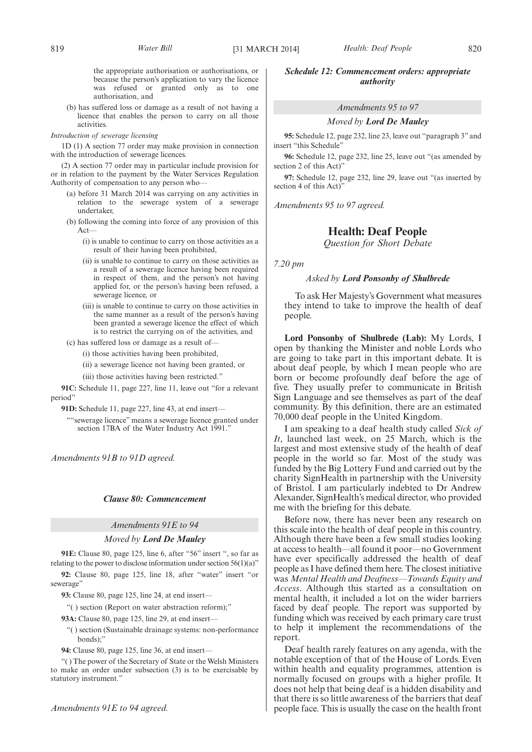the appropriate authorisation or authorisations, or because the person's application to vary the licence was refused or granted only as to one authorisation, and

(b) has suffered loss or damage as a result of not having a licence that enables the person to carry on all those activities.

### *Introduction of sewerage licensing*

1D (1) A section 77 order may make provision in connection with the introduction of sewerage licences.

(2) A section 77 order may in particular include provision for or in relation to the payment by the Water Services Regulation Authority of compensation to any person who—

- (a) before 31 March 2014 was carrying on any activities in relation to the sewerage system of a sewerage undertaker,
- (b) following the coming into force of any provision of this Act—

(i) is unable to continue to carry on those activities as a result of their having been prohibited,

- (ii) is unable to continue to carry on those activities as a result of a sewerage licence having been required in respect of them, and the person's not having applied for, or the person's having been refused, a sewerage licence, or
- (iii) is unable to continue to carry on those activities in the same manner as a result of the person's having been granted a sewerage licence the effect of which is to restrict the carrying on of the activities, and
- (c) has suffered loss or damage as a result of—

(i) those activities having been prohibited,

(ii) a sewerage licence not having been granted, or

(iii) those activities having been restricted."

**91C:** Schedule 11, page 227, line 11, leave out "for a relevant period"

**91D:** Schedule 11, page 227, line 43, at end insert—

""sewerage licence" means a sewerage licence granted under section 17BA of the Water Industry Act 1991."

*Amendments 91B to 91D agreed.*

#### *Clause 80: Commencement*

# *Amendments 91E to 94*

### *Moved by Lord De Mauley*

**91E:** Clause 80, page 125, line 6, after "56" insert ", so far as relating to the power to disclose information under section  $56(1)(a)$ "

**92:** Clause 80, page 125, line 18, after "water" insert "or sewerage"

**93:** Clause 80, page 125, line 24, at end insert—

"( ) section (Report on water abstraction reform);"

**93A:** Clause 80, page 125, line 29, at end insert—

- "( ) section (Sustainable drainage systems: non-performance bonds);
- **94:** Clause 80, page 125, line 36, at end insert—

"( ) The power of the Secretary of State or the Welsh Ministers to make an order under subsection (3) is to be exercisable by statutory instrument."

# *Schedule 12: Commencement orders: appropriate authority*

### *Amendments 95 to 97*

### *Moved by Lord De Mauley*

**95:** Schedule 12, page 232, line 23, leave out "paragraph 3" and insert "this Schedule"

**96:** Schedule 12, page 232, line 25, leave out "(as amended by section 2 of this Act)"

**97:** Schedule 12, page 232, line 29, leave out "(as inserted by section 4 of this Act)

*Amendments 95 to 97 agreed.*

# **Health: Deaf People**

*Question for Short Debate*

*7.20 pm*

# *Asked by Lord Ponsonby of Shulbrede*

To ask Her Majesty's Government what measures they intend to take to improve the health of deaf people.

**Lord Ponsonby of Shulbrede (Lab):** My Lords, I open by thanking the Minister and noble Lords who are going to take part in this important debate. It is about deaf people, by which I mean people who are born or become profoundly deaf before the age of five. They usually prefer to communicate in British Sign Language and see themselves as part of the deaf community. By this definition, there are an estimated 70,000 deaf people in the United Kingdom.

I am speaking to a deaf health study called *Sick of It*, launched last week, on 25 March, which is the largest and most extensive study of the health of deaf people in the world so far. Most of the study was funded by the Big Lottery Fund and carried out by the charity SignHealth in partnership with the University of Bristol. I am particularly indebted to Dr Andrew Alexander, SignHealth's medical director, who provided me with the briefing for this debate.

Before now, there has never been any research on this scale into the health of deaf people in this country. Although there have been a few small studies looking at access to health—all found it poor—no Government have ever specifically addressed the health of deaf people as I have defined them here. The closest initiative was *Mental Health and Deafness—Towards Equity and Access*. Although this started as a consultation on mental health, it included a lot on the wider barriers faced by deaf people. The report was supported by funding which was received by each primary care trust to help it implement the recommendations of the report.

Deaf health rarely features on any agenda, with the notable exception of that of the House of Lords. Even within health and equality programmes, attention is normally focused on groups with a higher profile. It does not help that being deaf is a hidden disability and that there is so little awareness of the barriers that deaf people face. This is usually the case on the health front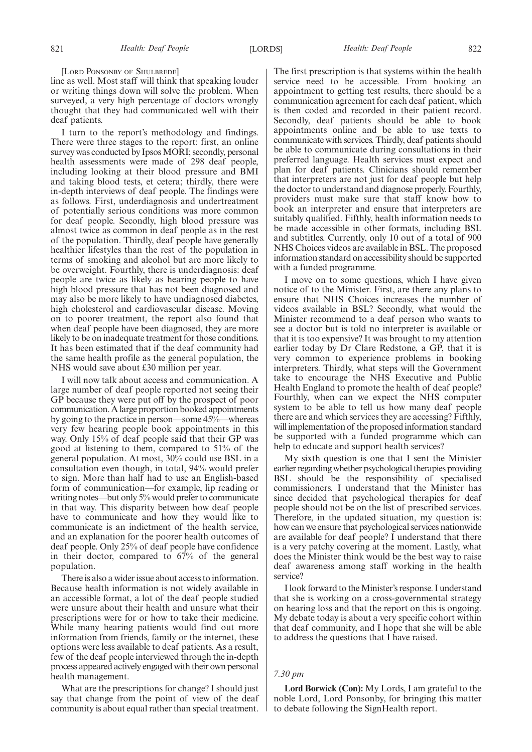[LORD PONSONBY OF SHULBREDE]

line as well. Most staff will think that speaking louder or writing things down will solve the problem. When surveyed, a very high percentage of doctors wrongly thought that they had communicated well with their deaf patients.

I turn to the report's methodology and findings. There were three stages to the report: first, an online survey was conducted by Ipsos MORI; secondly, personal health assessments were made of 298 deaf people, including looking at their blood pressure and BMI and taking blood tests, et cetera; thirdly, there were in-depth interviews of deaf people. The findings were as follows. First, underdiagnosis and undertreatment of potentially serious conditions was more common for deaf people. Secondly, high blood pressure was almost twice as common in deaf people as in the rest of the population. Thirdly, deaf people have generally healthier lifestyles than the rest of the population in terms of smoking and alcohol but are more likely to be overweight. Fourthly, there is underdiagnosis: deaf people are twice as likely as hearing people to have high blood pressure that has not been diagnosed and may also be more likely to have undiagnosed diabetes, high cholesterol and cardiovascular disease. Moving on to poorer treatment, the report also found that when deaf people have been diagnosed, they are more likely to be on inadequate treatment for those conditions. It has been estimated that if the deaf community had the same health profile as the general population, the NHS would save about £30 million per year.

I will now talk about access and communication. A large number of deaf people reported not seeing their GP because they were put off by the prospect of poor communication. A large proportion booked appointments by going to the practice in person—some  $45\%$ —whereas very few hearing people book appointments in this way. Only 15% of deaf people said that their GP was good at listening to them, compared to 51% of the general population. At most, 30% could use BSL in a consultation even though, in total, 94% would prefer to sign. More than half had to use an English-based form of communication—for example, lip reading or writing notes—but only 5% would prefer to communicate in that way. This disparity between how deaf people have to communicate and how they would like to communicate is an indictment of the health service, and an explanation for the poorer health outcomes of deaf people. Only 25% of deaf people have confidence in their doctor, compared to 67% of the general population.

There is also a wider issue about access to information. Because health information is not widely available in an accessible format, a lot of the deaf people studied were unsure about their health and unsure what their prescriptions were for or how to take their medicine. While many hearing patients would find out more information from friends, family or the internet, these options were less available to deaf patients. As a result, few of the deaf people interviewed through the in-depth process appeared actively engaged with their own personal health management.

What are the prescriptions for change? I should just say that change from the point of view of the deaf community is about equal rather than special treatment. The first prescription is that systems within the health service need to be accessible. From booking an appointment to getting test results, there should be a communication agreement for each deaf patient, which is then coded and recorded in their patient record. Secondly, deaf patients should be able to book appointments online and be able to use texts to communicate with services. Thirdly, deaf patients should be able to communicate during consultations in their preferred language. Health services must expect and plan for deaf patients. Clinicians should remember that interpreters are not just for deaf people but help the doctor to understand and diagnose properly. Fourthly, providers must make sure that staff know how to book an interpreter and ensure that interpreters are suitably qualified. Fifthly, health information needs to be made accessible in other formats, including BSL and subtitles. Currently, only 10 out of a total of 900 NHS Choices videos are available in BSL. The proposed information standard on accessibility should be supported with a funded programme.

I move on to some questions, which I have given notice of to the Minister. First, are there any plans to ensure that NHS Choices increases the number of videos available in BSL? Secondly, what would the Minister recommend to a deaf person who wants to see a doctor but is told no interpreter is available or that it is too expensive? It was brought to my attention earlier today by Dr Clare Redstone, a GP, that it is very common to experience problems in booking interpreters. Thirdly, what steps will the Government take to encourage the NHS Executive and Public Health England to promote the health of deaf people? Fourthly, when can we expect the NHS computer system to be able to tell us how many deaf people there are and which services they are accessing? Fifthly, will implementation of the proposed information standard be supported with a funded programme which can help to educate and support health services?

My sixth question is one that I sent the Minister earlier regarding whether psychological therapies providing BSL should be the responsibility of specialised commissioners. I understand that the Minister has since decided that psychological therapies for deaf people should not be on the list of prescribed services. Therefore, in the updated situation, my question is: how can we ensure that psychological services nationwide are available for deaf people? I understand that there is a very patchy covering at the moment. Lastly, what does the Minister think would be the best way to raise deaf awareness among staff working in the health service?

I look forward to theMinister's response. I understand that she is working on a cross-governmental strategy on hearing loss and that the report on this is ongoing. My debate today is about a very specific cohort within that deaf community, and I hope that she will be able to address the questions that I have raised.

### *7.30 pm*

**Lord Borwick (Con):** My Lords, I am grateful to the noble Lord, Lord Ponsonby, for bringing this matter to debate following the SignHealth report.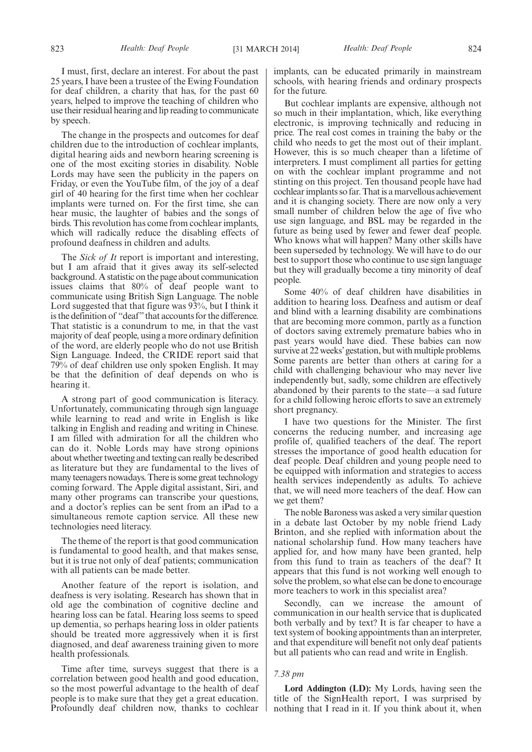I must, first, declare an interest. For about the past 25 years, I have been a trustee of the Ewing Foundation for deaf children, a charity that has, for the past 60 years, helped to improve the teaching of children who use their residual hearing and lip reading to communicate by speech.

The change in the prospects and outcomes for deaf children due to the introduction of cochlear implants, digital hearing aids and newborn hearing screening is one of the most exciting stories in disability. Noble Lords may have seen the publicity in the papers on Friday, or even the YouTube film, of the joy of a deaf girl of 40 hearing for the first time when her cochlear implants were turned on. For the first time, she can hear music, the laughter of babies and the songs of birds. This revolution has come from cochlear implants, which will radically reduce the disabling effects of profound deafness in children and adults.

The *Sick of It* report is important and interesting, but I am afraid that it gives away its self-selected background. A statistic on the page about communication issues claims that 80% of deaf people want to communicate using British Sign Language. The noble Lord suggested that that figure was 93%, but I think it is the definition of "deaf" that accounts for the difference. That statistic is a conundrum to me, in that the vast majority of deaf people, using a more ordinary definition of the word, are elderly people who do not use British Sign Language. Indeed, the CRIDE report said that 79% of deaf children use only spoken English. It may be that the definition of deaf depends on who is hearing it.

A strong part of good communication is literacy. Unfortunately, communicating through sign language while learning to read and write in English is like talking in English and reading and writing in Chinese. I am filled with admiration for all the children who can do it. Noble Lords may have strong opinions about whether tweeting and texting can really be described as literature but they are fundamental to the lives of many teenagers nowadays. There is some great technology coming forward. The Apple digital assistant, Siri, and many other programs can transcribe your questions, and a doctor's replies can be sent from an iPad to a simultaneous remote caption service. All these new technologies need literacy.

The theme of the report is that good communication is fundamental to good health, and that makes sense, but it is true not only of deaf patients; communication with all patients can be made better.

Another feature of the report is isolation, and deafness is very isolating. Research has shown that in old age the combination of cognitive decline and hearing loss can be fatal. Hearing loss seems to speed up dementia, so perhaps hearing loss in older patients should be treated more aggressively when it is first diagnosed, and deaf awareness training given to more health professionals.

Time after time, surveys suggest that there is a correlation between good health and good education, so the most powerful advantage to the health of deaf people is to make sure that they get a great education. Profoundly deaf children now, thanks to cochlear

implants, can be educated primarily in mainstream schools, with hearing friends and ordinary prospects for the future.

But cochlear implants are expensive, although not so much in their implantation, which, like everything electronic, is improving technically and reducing in price. The real cost comes in training the baby or the child who needs to get the most out of their implant. However, this is so much cheaper than a lifetime of interpreters. I must compliment all parties for getting on with the cochlear implant programme and not stinting on this project. Ten thousand people have had cochlear implants so far. That is a marvellous achievement and it is changing society. There are now only a very small number of children below the age of five who use sign language, and BSL may be regarded in the future as being used by fewer and fewer deaf people. Who knows what will happen? Many other skills have been superseded by technology. We will have to do our best to support those who continue to use sign language but they will gradually become a tiny minority of deaf people.

Some 40% of deaf children have disabilities in addition to hearing loss. Deafness and autism or deaf and blind with a learning disability are combinations that are becoming more common, partly as a function of doctors saving extremely premature babies who in past years would have died. These babies can now survive at 22 weeks' gestation, but with multiple problems. Some parents are better than others at caring for a child with challenging behaviour who may never live independently but, sadly, some children are effectively abandoned by their parents to the state—a sad future for a child following heroic efforts to save an extremely short pregnancy.

I have two questions for the Minister. The first concerns the reducing number, and increasing age profile of, qualified teachers of the deaf. The report stresses the importance of good health education for deaf people. Deaf children and young people need to be equipped with information and strategies to access health services independently as adults. To achieve that, we will need more teachers of the deaf. How can we get them?

The noble Baroness was asked a very similar question in a debate last October by my noble friend Lady Brinton, and she replied with information about the national scholarship fund. How many teachers have applied for, and how many have been granted, help from this fund to train as teachers of the deaf? It appears that this fund is not working well enough to solve the problem, so what else can be done to encourage more teachers to work in this specialist area?

Secondly, can we increase the amount of communication in our health service that is duplicated both verbally and by text? It is far cheaper to have a text system of booking appointments than an interpreter, and that expenditure will benefit not only deaf patients but all patients who can read and write in English.

### *7.38 pm*

**Lord Addington (LD):** My Lords, having seen the title of the SignHealth report, I was surprised by nothing that I read in it. If you think about it, when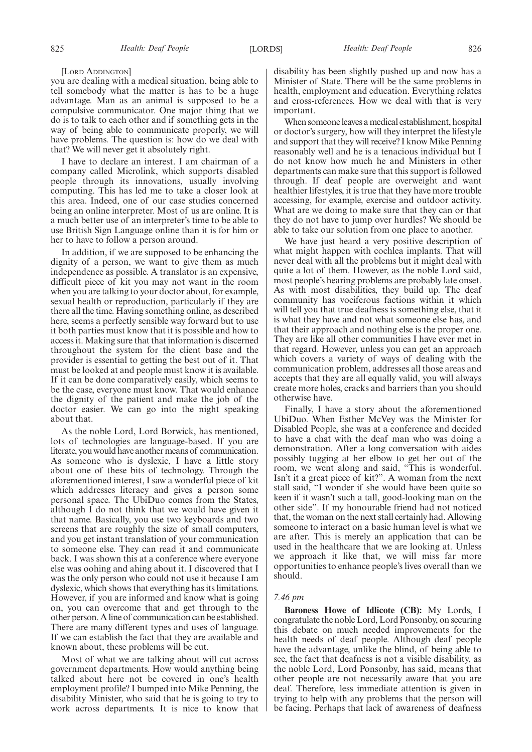#### [LORD ADDINGTON]

you are dealing with a medical situation, being able to tell somebody what the matter is has to be a huge advantage. Man as an animal is supposed to be a compulsive communicator. One major thing that we do is to talk to each other and if something gets in the way of being able to communicate properly, we will have problems. The question is: how do we deal with that? We will never get it absolutely right.

I have to declare an interest. I am chairman of a company called Microlink, which supports disabled people through its innovations, usually involving computing. This has led me to take a closer look at this area. Indeed, one of our case studies concerned being an online interpreter. Most of us are online. It is a much better use of an interpreter's time to be able to use British Sign Language online than it is for him or her to have to follow a person around.

In addition, if we are supposed to be enhancing the dignity of a person, we want to give them as much independence as possible. A translator is an expensive, difficult piece of kit you may not want in the room when you are talking to your doctor about, for example, sexual health or reproduction, particularly if they are there all the time. Having something online, as described here, seems a perfectly sensible way forward but to use it both parties must know that it is possible and how to access it. Making sure that that information is discerned throughout the system for the client base and the provider is essential to getting the best out of it. That must be looked at and people must know it is available. If it can be done comparatively easily, which seems to be the case, everyone must know. That would enhance the dignity of the patient and make the job of the doctor easier. We can go into the night speaking about that.

As the noble Lord, Lord Borwick, has mentioned, lots of technologies are language-based. If you are literate, you would have another means of communication. As someone who is dyslexic, I have a little story about one of these bits of technology. Through the aforementioned interest, I saw a wonderful piece of kit which addresses literacy and gives a person some personal space. The UbiDuo comes from the States, although I do not think that we would have given it that name. Basically, you use two keyboards and two screens that are roughly the size of small computers, and you get instant translation of your communication to someone else. They can read it and communicate back. I was shown this at a conference where everyone else was oohing and ahing about it. I discovered that I was the only person who could not use it because I am dyslexic, which shows that everything has its limitations. However, if you are informed and know what is going on, you can overcome that and get through to the other person. A line of communication can be established. There are many different types and uses of language. If we can establish the fact that they are available and known about, these problems will be cut.

Most of what we are talking about will cut across government departments. How would anything being talked about here not be covered in one's health employment profile? I bumped into Mike Penning, the disability Minister, who said that he is going to try to work across departments. It is nice to know that disability has been slightly pushed up and now has a Minister of State. There will be the same problems in health, employment and education. Everything relates and cross-references. How we deal with that is very important.

When someone leaves a medical establishment, hospital or doctor's surgery, how will they interpret the lifestyle and support that they will receive? I know Mike Penning reasonably well and he is a tenacious individual but I do not know how much he and Ministers in other departments can make sure that this support is followed through. If deaf people are overweight and want healthier lifestyles, it is true that they have more trouble accessing, for example, exercise and outdoor activity. What are we doing to make sure that they can or that they do not have to jump over hurdles? We should be able to take our solution from one place to another.

We have just heard a very positive description of what might happen with cochlea implants. That will never deal with all the problems but it might deal with quite a lot of them. However, as the noble Lord said, most people's hearing problems are probably late onset. As with most disabilities, they build up. The deaf community has vociferous factions within it which will tell you that true deafness is something else, that it is what they have and not what someone else has, and that their approach and nothing else is the proper one. They are like all other communities I have ever met in that regard. However, unless you can get an approach which covers a variety of ways of dealing with the communication problem, addresses all those areas and accepts that they are all equally valid, you will always create more holes, cracks and barriers than you should otherwise have.

Finally, I have a story about the aforementioned UbiDuo. When Esther McVey was the Minister for Disabled People, she was at a conference and decided to have a chat with the deaf man who was doing a demonstration. After a long conversation with aides possibly tugging at her elbow to get her out of the room, we went along and said, "This is wonderful. Isn't it a great piece of kit?". A woman from the next stall said, "I wonder if she would have been quite so keen if it wasn't such a tall, good-looking man on the other side". If my honourable friend had not noticed that, the woman on the next stall certainly had. Allowing someone to interact on a basic human level is what we are after. This is merely an application that can be used in the healthcare that we are looking at. Unless we approach it like that, we will miss far more opportunities to enhance people's lives overall than we should.

### *7.46 pm*

**Baroness Howe of Idlicote (CB):** My Lords, I congratulate the noble Lord, Lord Ponsonby, on securing this debate on much needed improvements for the health needs of deaf people. Although deaf people have the advantage, unlike the blind, of being able to see, the fact that deafness is not a visible disability, as the noble Lord, Lord Ponsonby, has said, means that other people are not necessarily aware that you are deaf. Therefore, less immediate attention is given in trying to help with any problems that the person will be facing. Perhaps that lack of awareness of deafness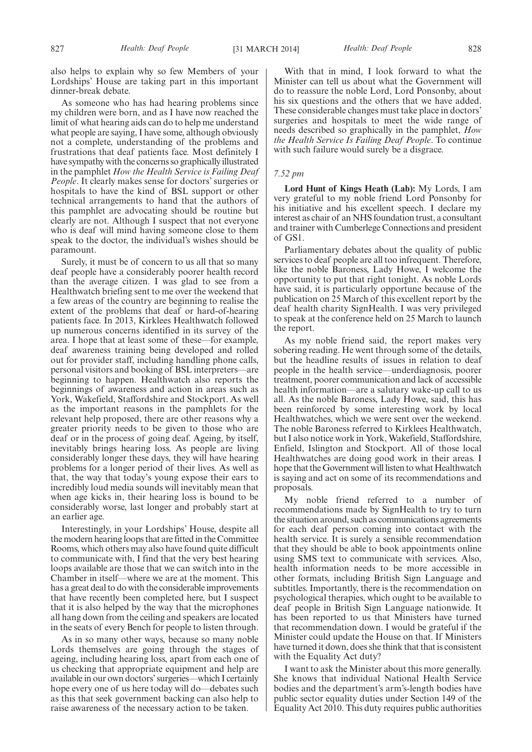also helps to explain why so few Members of your Lordships' House are taking part in this important dinner-break debate.

As someone who has had hearing problems since my children were born, and as I have now reached the limit of what hearing aids can do to help me understand what people are saying, I have some, although obviously not a complete, understanding of the problems and frustrations that deaf patients face. Most definitely I have sympathy with the concerns so graphically illustrated in the pamphlet *How the Health Service is Failing Deaf People*. It clearly makes sense for doctors' surgeries or hospitals to have the kind of BSL support or other technical arrangements to hand that the authors of this pamphlet are advocating should be routine but clearly are not. Although I suspect that not everyone who is deaf will mind having someone close to them speak to the doctor, the individual's wishes should be paramount.

Surely, it must be of concern to us all that so many deaf people have a considerably poorer health record than the average citizen. I was glad to see from a Healthwatch briefing sent to me over the weekend that a few areas of the country are beginning to realise the extent of the problems that deaf or hard-of-hearing patients face. In 2013, Kirklees Healthwatch followed up numerous concerns identified in its survey of the area. I hope that at least some of these—for example, deaf awareness training being developed and rolled out for provider staff, including handling phone calls, personal visitors and booking of BSL interpreters—are beginning to happen. Healthwatch also reports the beginnings of awareness and action in areas such as York, Wakefield, Staffordshire and Stockport. As well as the important reasons in the pamphlets for the relevant help proposed, there are other reasons why a greater priority needs to be given to those who are deaf or in the process of going deaf. Ageing, by itself, inevitably brings hearing loss. As people are living considerably longer these days, they will have hearing problems for a longer period of their lives. As well as that, the way that today's young expose their ears to incredibly loud media sounds will inevitably mean that when age kicks in, their hearing loss is bound to be considerably worse, last longer and probably start at an earlier age.

Interestingly, in your Lordships' House, despite all the modern hearing loops that are fitted in the Committee Rooms, which others may also have found quite difficult to communicate with, I find that the very best hearing loops available are those that we can switch into in the Chamber in itself—where we are at the moment. This has a great deal to do with the considerable improvements that have recently been completed here, but I suspect that it is also helped by the way that the microphones all hang down from the ceiling and speakers are located in the seats of every Bench for people to listen through.

As in so many other ways, because so many noble Lords themselves are going through the stages of ageing, including hearing loss, apart from each one of us checking that appropriate equipment and help are available in our own doctors' surgeries—which I certainly hope every one of us here today will do—debates such as this that seek government backing can also help to raise awareness of the necessary action to be taken.

With that in mind, I look forward to what the Minister can tell us about what the Government will do to reassure the noble Lord, Lord Ponsonby, about his six questions and the others that we have added. These considerable changes must take place in doctors' surgeries and hospitals to meet the wide range of needs described so graphically in the pamphlet, *How the Health Service Is Failing Deaf People*. To continue with such failure would surely be a disgrace.

### *7.52 pm*

**Lord Hunt of Kings Heath (Lab):** My Lords, I am very grateful to my noble friend Lord Ponsonby for his initiative and his excellent speech. I declare my interest as chair of an NHS foundation trust, a consultant and trainer with Cumberlege Connections and president of GS1.

Parliamentary debates about the quality of public services to deaf people are all too infrequent. Therefore, like the noble Baroness, Lady Howe, I welcome the opportunity to put that right tonight. As noble Lords have said, it is particularly opportune because of the publication on 25 March of this excellent report by the deaf health charity SignHealth. I was very privileged to speak at the conference held on 25 March to launch the report.

As my noble friend said, the report makes very sobering reading. He went through some of the details, but the headline results of issues in relation to deaf people in the health service—underdiagnosis, poorer treatment, poorer communication and lack of accessible health information—are a salutary wake-up call to us all. As the noble Baroness, Lady Howe, said, this has been reinforced by some interesting work by local Healthwatches, which we were sent over the weekend. The noble Baroness referred to Kirklees Healthwatch, but I also notice work in York, Wakefield, Staffordshire, Enfield, Islington and Stockport. All of those local Healthwatches are doing good work in their areas. I hope that the Government will listen to what Healthwatch is saying and act on some of its recommendations and proposals.

My noble friend referred to a number of recommendations made by SignHealth to try to turn the situation around, such as communications agreements for each deaf person coming into contact with the health service. It is surely a sensible recommendation that they should be able to book appointments online using SMS text to communicate with services. Also, health information needs to be more accessible in other formats, including British Sign Language and subtitles. Importantly, there is the recommendation on psychological therapies, which ought to be available to deaf people in British Sign Language nationwide. It has been reported to us that Ministers have turned that recommendation down. I would be grateful if the Minister could update the House on that. If Ministers have turned it down, does she think that that is consistent with the Equality Act duty?

I want to ask the Minister about this more generally. She knows that individual National Health Service bodies and the department's arm's-length bodies have public sector equality duties under Section 149 of the Equality Act 2010. This duty requires public authorities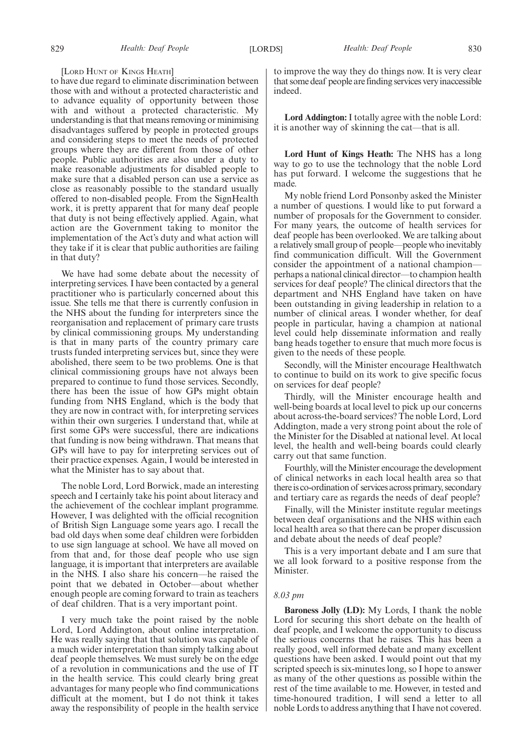#### [LORD HUNT OF KINGS HEATH]

to have due regard to eliminate discrimination between those with and without a protected characteristic and to advance equality of opportunity between those with and without a protected characteristic. My understanding is that that means removing or minimising disadvantages suffered by people in protected groups and considering steps to meet the needs of protected groups where they are different from those of other people. Public authorities are also under a duty to make reasonable adjustments for disabled people to make sure that a disabled person can use a service as close as reasonably possible to the standard usually offered to non-disabled people. From the SignHealth work, it is pretty apparent that for many deaf people that duty is not being effectively applied. Again, what action are the Government taking to monitor the implementation of the Act's duty and what action will they take if it is clear that public authorities are failing in that duty?

We have had some debate about the necessity of interpreting services. I have been contacted by a general practitioner who is particularly concerned about this issue. She tells me that there is currently confusion in the NHS about the funding for interpreters since the reorganisation and replacement of primary care trusts by clinical commissioning groups. My understanding is that in many parts of the country primary care trusts funded interpreting services but, since they were abolished, there seem to be two problems. One is that clinical commissioning groups have not always been prepared to continue to fund those services. Secondly, there has been the issue of how GPs might obtain funding from NHS England, which is the body that they are now in contract with, for interpreting services within their own surgeries. I understand that, while at first some GPs were successful, there are indications that funding is now being withdrawn. That means that GPs will have to pay for interpreting services out of their practice expenses. Again, I would be interested in what the Minister has to say about that.

The noble Lord, Lord Borwick, made an interesting speech and I certainly take his point about literacy and the achievement of the cochlear implant programme. However, I was delighted with the official recognition of British Sign Language some years ago. I recall the bad old days when some deaf children were forbidden to use sign language at school. We have all moved on from that and, for those deaf people who use sign language, it is important that interpreters are available in the NHS. I also share his concern—he raised the point that we debated in October—about whether enough people are coming forward to train as teachers of deaf children. That is a very important point.

I very much take the point raised by the noble Lord, Lord Addington, about online interpretation. He was really saying that that solution was capable of a much wider interpretation than simply talking about deaf people themselves. We must surely be on the edge of a revolution in communications and the use of IT in the health service. This could clearly bring great advantages for many people who find communications difficult at the moment, but I do not think it takes away the responsibility of people in the health service

to improve the way they do things now. It is very clear that some deaf people are finding services very inaccessible indeed.

**Lord Addington:** I totally agree with the noble Lord: it is another way of skinning the cat—that is all.

**Lord Hunt of Kings Heath:** The NHS has a long way to go to use the technology that the noble Lord has put forward. I welcome the suggestions that he made.

My noble friend Lord Ponsonby asked the Minister a number of questions. I would like to put forward a number of proposals for the Government to consider. For many years, the outcome of health services for deaf people has been overlooked. We are talking about a relatively small group of people—people who inevitably find communication difficult. Will the Government consider the appointment of a national champion perhaps a national clinical director—to champion health services for deaf people? The clinical directors that the department and NHS England have taken on have been outstanding in giving leadership in relation to a number of clinical areas. I wonder whether, for deaf people in particular, having a champion at national level could help disseminate information and really bang heads together to ensure that much more focus is given to the needs of these people.

Secondly, will the Minister encourage Healthwatch to continue to build on its work to give specific focus on services for deaf people?

Thirdly, will the Minister encourage health and well-being boards at local level to pick up our concerns about across-the-board services? The noble Lord, Lord Addington, made a very strong point about the role of the Minister for the Disabled at national level. At local level, the health and well-being boards could clearly carry out that same function.

Fourthly, will the Minister encourage the development of clinical networks in each local health area so that thereis co-ordination of services across primary, secondary and tertiary care as regards the needs of deaf people?

Finally, will the Minister institute regular meetings between deaf organisations and the NHS within each local health area so that there can be proper discussion and debate about the needs of deaf people?

This is a very important debate and I am sure that we all look forward to a positive response from the Minister.

#### *8.03 pm*

**Baroness Jolly (LD):** My Lords, I thank the noble Lord for securing this short debate on the health of deaf people, and I welcome the opportunity to discuss the serious concerns that he raises. This has been a really good, well informed debate and many excellent questions have been asked. I would point out that my scripted speech is six-minutes long, so I hope to answer as many of the other questions as possible within the rest of the time available to me. However, in tested and time-honoured tradition, I will send a letter to all noble Lords to address anything that I have not covered.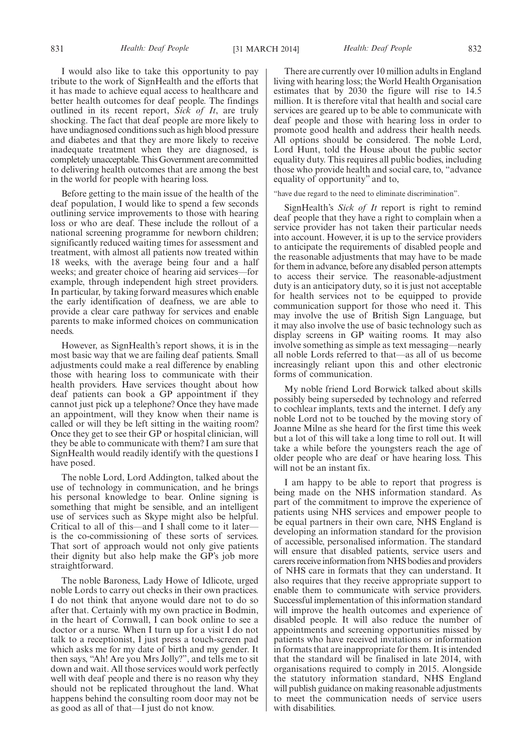831 *Health: Deaf People Health: Deaf People* [31 MARCH 2014] 832

I would also like to take this opportunity to pay tribute to the work of SignHealth and the efforts that it has made to achieve equal access to healthcare and better health outcomes for deaf people. The findings outlined in its recent report, *Sick of It*, are truly shocking. The fact that deaf people are more likely to have undiagnosed conditions such as high blood pressure and diabetes and that they are more likely to receive inadequate treatment when they are diagnosed, is completely unacceptable. ThisGovernment are committed to delivering health outcomes that are among the best in the world for people with hearing loss.

Before getting to the main issue of the health of the deaf population, I would like to spend a few seconds outlining service improvements to those with hearing loss or who are deaf. These include the rollout of a national screening programme for newborn children; significantly reduced waiting times for assessment and treatment, with almost all patients now treated within 18 weeks, with the average being four and a half weeks; and greater choice of hearing aid services—for example, through independent high street providers. In particular, by taking forward measures which enable the early identification of deafness, we are able to provide a clear care pathway for services and enable parents to make informed choices on communication needs.

However, as SignHealth's report shows, it is in the most basic way that we are failing deaf patients. Small adjustments could make a real difference by enabling those with hearing loss to communicate with their health providers. Have services thought about how deaf patients can book a GP appointment if they cannot just pick up a telephone? Once they have made an appointment, will they know when their name is called or will they be left sitting in the waiting room? Once they get to see their GP or hospital clinician, will they be able to communicate with them? I am sure that SignHealth would readily identify with the questions I have posed.

The noble Lord, Lord Addington, talked about the use of technology in communication, and he brings his personal knowledge to bear. Online signing is something that might be sensible, and an intelligent use of services such as Skype might also be helpful. Critical to all of this—and I shall come to it later is the co-commissioning of these sorts of services. That sort of approach would not only give patients their dignity but also help make the GP's job more straightforward.

The noble Baroness, Lady Howe of Idlicote, urged noble Lords to carry out checks in their own practices. I do not think that anyone would dare not to do so after that. Certainly with my own practice in Bodmin, in the heart of Cornwall, I can book online to see a doctor or a nurse. When I turn up for a visit I do not talk to a receptionist, I just press a touch-screen pad which asks me for my date of birth and my gender. It then says, "Ah! Are you Mrs Jolly?", and tells me to sit down and wait. All those services would work perfectly well with deaf people and there is no reason why they should not be replicated throughout the land. What happens behind the consulting room door may not be as good as all of that—I just do not know.

There are currently over 10 million adults in England living with hearing loss; the World Health Organisation estimates that by 2030 the figure will rise to 14.5 million. It is therefore vital that health and social care services are geared up to be able to communicate with deaf people and those with hearing loss in order to promote good health and address their health needs. All options should be considered. The noble Lord, Lord Hunt, told the House about the public sector equality duty. This requires all public bodies, including those who provide health and social care, to, "advance equality of opportunity" and to,

"have due regard to the need to eliminate discrimination".

SignHealth's *Sick of It* report is right to remind deaf people that they have a right to complain when a service provider has not taken their particular needs into account. However, it is up to the service providers to anticipate the requirements of disabled people and the reasonable adjustments that may have to be made for them in advance, before any disabled person attempts to access their service. The reasonable-adjustment duty is an anticipatory duty, so it is just not acceptable for health services not to be equipped to provide communication support for those who need it. This may involve the use of British Sign Language, but it may also involve the use of basic technology such as display screens in GP waiting rooms. It may also involve something as simple as text messaging—nearly all noble Lords referred to that—as all of us become increasingly reliant upon this and other electronic forms of communication.

My noble friend Lord Borwick talked about skills possibly being superseded by technology and referred to cochlear implants, texts and the internet. I defy any noble Lord not to be touched by the moving story of Joanne Milne as she heard for the first time this week but a lot of this will take a long time to roll out. It will take a while before the youngsters reach the age of older people who are deaf or have hearing loss. This will not be an instant fix.

I am happy to be able to report that progress is being made on the NHS information standard. As part of the commitment to improve the experience of patients using NHS services and empower people to be equal partners in their own care, NHS England is developing an information standard for the provision of accessible, personalised information. The standard will ensure that disabled patients, service users and carers receive information from NHS bodies and providers of NHS care in formats that they can understand. It also requires that they receive appropriate support to enable them to communicate with service providers. Successful implementation of this information standard will improve the health outcomes and experience of disabled people. It will also reduce the number of appointments and screening opportunities missed by patients who have received invitations or information in formats that are inappropriate for them. It is intended that the standard will be finalised in late 2014, with organisations required to comply in 2015. Alongside the statutory information standard, NHS England will publish guidance on making reasonable adjustments to meet the communication needs of service users with disabilities.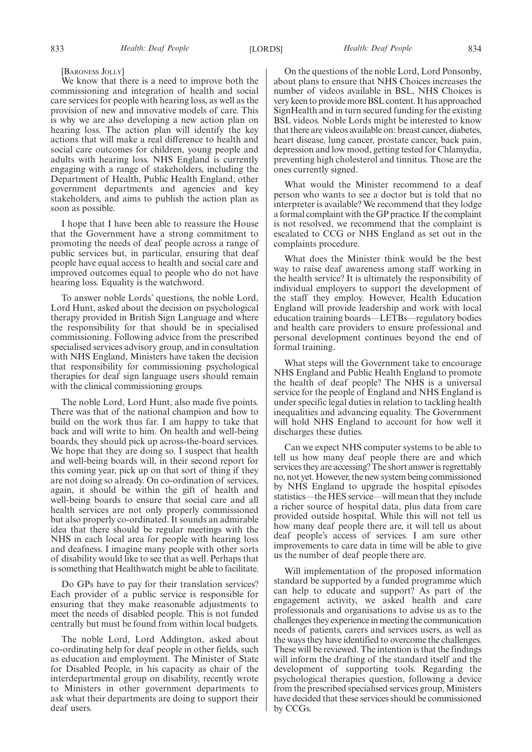We know that there is a need to improve both the commissioning and integration of health and social care services for people with hearing loss, as well as the provision of new and innovative models of care. This is why we are also developing a new action plan on hearing loss. The action plan will identify the key actions that will make a real difference to health and social care outcomes for children, young people and adults with hearing loss. NHS England is currently engaging with a range of stakeholders, including the Department of Health, Public Health England, other government departments and agencies and key stakeholders, and aims to publish the action plan as soon as possible.

I hope that I have been able to reassure the House that the Government have a strong commitment to promoting the needs of deaf people across a range of public services but, in particular, ensuring that deaf people have equal access to health and social care and improved outcomes equal to people who do not have hearing loss. Equality is the watchword.

To answer noble Lords' questions, the noble Lord, Lord Hunt, asked about the decision on psychological therapy provided in British Sign Language and where the responsibility for that should be in specialised commissioning. Following advice from the prescribed specialised services advisory group, and in consultation with NHS England, Ministers have taken the decision that responsibility for commissioning psychological therapies for deaf sign language users should remain with the clinical commissioning groups.

The noble Lord, Lord Hunt, also made five points. There was that of the national champion and how to build on the work thus far. I am happy to take that back and will write to him. On health and well-being boards, they should pick up across-the-board services. We hope that they are doing so. I suspect that health and well-being boards will, in their second report for this coming year, pick up on that sort of thing if they are not doing so already. On co-ordination of services, again, it should be within the gift of health and well-being boards to ensure that social care and all health services are not only properly commissioned but also properly co-ordinated. It sounds an admirable idea that there should be regular meetings with the NHS in each local area for people with hearing loss and deafness. I imagine many people with other sorts of disability would like to see that as well. Perhaps that is something that Healthwatch might be able to facilitate.

Do GPs have to pay for their translation services? Each provider of a public service is responsible for ensuring that they make reasonable adjustments to meet the needs of disabled people. This is not funded centrally but must be found from within local budgets.

The noble Lord, Lord Addington, asked about co-ordinating help for deaf people in other fields, such as education and employment. The Minister of State for Disabled People, in his capacity as chair of the interdepartmental group on disability, recently wrote to Ministers in other government departments to ask what their departments are doing to support their deaf users.

On the questions of the noble Lord, Lord Ponsonby, about plans to ensure that NHS Choices increases the number of videos available in BSL, NHS Choices is very keen to provide more BSL content. It has approached SignHealth and in turn secured funding for the existing BSL videos. Noble Lords might be interested to know that there are videos available on: breast cancer, diabetes, heart disease, lung cancer, prostate cancer, back pain, depression and low mood, getting tested for Chlamydia, preventing high cholesterol and tinnitus. Those are the ones currently signed.

What would the Minister recommend to a deaf person who wants to see a doctor but is told that no interpreter is available? We recommend that they lodge a formal complaint with the GP practice. If the complaint is not resolved, we recommend that the complaint is escalated to CCG or NHS England as set out in the complaints procedure.

What does the Minister think would be the best way to raise deaf awareness among staff working in the health service? It is ultimately the responsibility of individual employers to support the development of the staff they employ. However, Health Education England will provide leadership and work with local education training boards—LETBs—regulatory bodies and health care providers to ensure professional and personal development continues beyond the end of formal training.

What steps will the Government take to encourage NHS England and Public Health England to promote the health of deaf people? The NHS is a universal service for the people of England and NHS England is under specific legal duties in relation to tackling health inequalities and advancing equality. The Government will hold NHS England to account for how well it discharges these duties.

Can we expect NHS computer systems to be able to tell us how many deaf people there are and which services they are accessing? The short answer is regrettably no, not yet. However, the new system being commissioned by NHS England to upgrade the hospital episodes statistics—the HES service—will mean that they include a richer source of hospital data, plus data from care provided outside hospital. While this will not tell us how many deaf people there are, it will tell us about deaf people's access of services. I am sure other improvements to care data in time will be able to give us the number of deaf people there are.

Will implementation of the proposed information standard be supported by a funded programme which can help to educate and support? As part of the engagement activity, we asked health and care professionals and organisations to advise us as to the challenges they experience in meeting the communication needs of patients, carers and services users, as well as the ways they have identified to overcome the challenges. These will be reviewed. The intention is that the findings will inform the drafting of the standard itself and the development of supporting tools. Regarding the psychological therapies question, following a device from the prescribed specialised services group, Ministers have decided that these services should be commissioned by CCGs.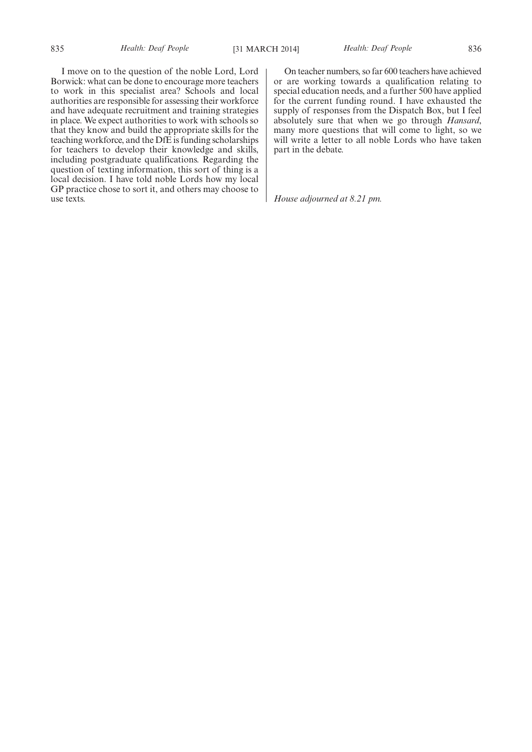I move on to the question of the noble Lord, Lord Borwick: what can be done to encourage more teachers to work in this specialist area? Schools and local authorities are responsible for assessing their workforce and have adequate recruitment and training strategies in place. We expect authorities to work with schools so that they know and build the appropriate skills for the teaching workforce, and the DfE is funding scholarships for teachers to develop their knowledge and skills, including postgraduate qualifications. Regarding the question of texting information, this sort of thing is a local decision. I have told noble Lords how my local GP practice chose to sort it, and others may choose to use texts.

On teacher numbers, so far 600 teachers have achieved or are working towards a qualification relating to special education needs, and a further 500 have applied for the current funding round. I have exhausted the supply of responses from the Dispatch Box, but I feel absolutely sure that when we go through *Hansard*, many more questions that will come to light, so we will write a letter to all noble Lords who have taken part in the debate.

*House adjourned at 8.21 pm.*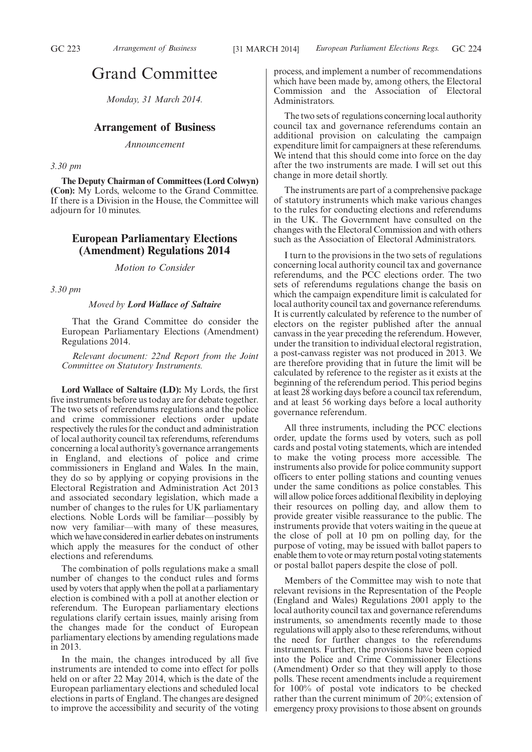# Grand Committee

*Monday, 31 March 2014.*

# **Arrangement of Business**

*Announcement*

# *3.30 pm*

**The Deputy Chairman of Committees (Lord Colwyn) (Con):** My Lords, welcome to the Grand Committee. If there is a Division in the House, the Committee will adjourn for 10 minutes.

# **European Parliamentary Elections (Amendment) Regulations 2014**

*Motion to Consider*

*3.30 pm*

# *Moved by Lord Wallace of Saltaire*

That the Grand Committee do consider the European Parliamentary Elections (Amendment) Regulations 2014.

*Relevant document: 22nd Report from the Joint Committee on Statutory Instruments.*

**Lord Wallace of Saltaire (LD):** My Lords, the first five instruments before us today are for debate together. The two sets of referendums regulations and the police and crime commissioner elections order update respectively the rules for the conduct and administration of local authority council tax referendums, referendums concerning a local authority's governance arrangements in England, and elections of police and crime commissioners in England and Wales. In the main, they do so by applying or copying provisions in the Electoral Registration and Administration Act 2013 and associated secondary legislation, which made a number of changes to the rules for UK parliamentary elections. Noble Lords will be familiar—possibly by now very familiar—with many of these measures, which we have considered in earlier debates on instruments which apply the measures for the conduct of other elections and referendums.

The combination of polls regulations make a small number of changes to the conduct rules and forms used by voters that apply when the poll at a parliamentary election is combined with a poll at another election or referendum. The European parliamentary elections regulations clarify certain issues, mainly arising from the changes made for the conduct of European parliamentary elections by amending regulations made in 2013.

In the main, the changes introduced by all five instruments are intended to come into effect for polls held on or after 22 May 2014, which is the date of the European parliamentary elections and scheduled local elections in parts of England. The changes are designed to improve the accessibility and security of the voting process, and implement a number of recommendations which have been made by, among others, the Electoral Commission and the Association of Electoral Administrators.

The two sets of regulations concerning local authority council tax and governance referendums contain an additional provision on calculating the campaign expenditure limit for campaigners at these referendums. We intend that this should come into force on the day after the two instruments are made. I will set out this change in more detail shortly.

The instruments are part of a comprehensive package of statutory instruments which make various changes to the rules for conducting elections and referendums in the UK. The Government have consulted on the changes with the Electoral Commission and with others such as the Association of Electoral Administrators.

I turn to the provisions in the two sets of regulations concerning local authority council tax and governance referendums, and the PCC elections order. The two sets of referendums regulations change the basis on which the campaign expenditure limit is calculated for local authority council tax and governance referendums. It is currently calculated by reference to the number of electors on the register published after the annual canvass in the year preceding the referendum. However, under the transition to individual electoral registration, a post-canvass register was not produced in 2013. We are therefore providing that in future the limit will be calculated by reference to the register as it exists at the beginning of the referendum period. This period begins at least 28 working days before a council tax referendum, and at least 56 working days before a local authority governance referendum.

All three instruments, including the PCC elections order, update the forms used by voters, such as poll cards and postal voting statements, which are intended to make the voting process more accessible. The instruments also provide for police community support officers to enter polling stations and counting venues under the same conditions as police constables. This will allow police forces additional flexibility in deploying their resources on polling day, and allow them to provide greater visible reassurance to the public. The instruments provide that voters waiting in the queue at the close of poll at 10 pm on polling day, for the purpose of voting, may be issued with ballot papers to enable them to vote or may return postal voting statements or postal ballot papers despite the close of poll.

Members of the Committee may wish to note that relevant revisions in the Representation of the People (England and Wales) Regulations 2001 apply to the local authority council tax and governance referendums instruments, so amendments recently made to those regulations will apply also to these referendums, without the need for further changes to the referendums instruments. Further, the provisions have been copied into the Police and Crime Commissioner Elections (Amendment) Order so that they will apply to those polls. These recent amendments include a requirement for 100% of postal vote indicators to be checked rather than the current minimum of 20%; extension of emergency proxy provisions to those absent on grounds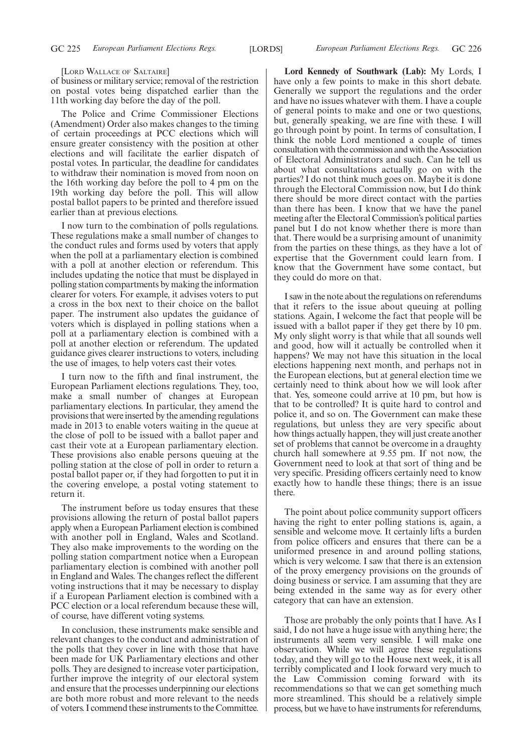[LORD WALLACE OF SALTAIRE]

of business or military service; removal of the restriction on postal votes being dispatched earlier than the 11th working day before the day of the poll.

The Police and Crime Commissioner Elections (Amendment) Order also makes changes to the timing of certain proceedings at PCC elections which will ensure greater consistency with the position at other elections and will facilitate the earlier dispatch of postal votes. In particular, the deadline for candidates to withdraw their nomination is moved from noon on the 16th working day before the poll to 4 pm on the 19th working day before the poll. This will allow postal ballot papers to be printed and therefore issued earlier than at previous elections.

I now turn to the combination of polls regulations. These regulations make a small number of changes to the conduct rules and forms used by voters that apply when the poll at a parliamentary election is combined with a poll at another election or referendum. This includes updating the notice that must be displayed in polling station compartments by making the information clearer for voters. For example, it advises voters to put a cross in the box next to their choice on the ballot paper. The instrument also updates the guidance of voters which is displayed in polling stations when a poll at a parliamentary election is combined with a poll at another election or referendum. The updated guidance gives clearer instructions to voters, including the use of images, to help voters cast their votes.

I turn now to the fifth and final instrument, the European Parliament elections regulations. They, too, make a small number of changes at European parliamentary elections. In particular, they amend the provisions that were inserted by the amending regulations made in 2013 to enable voters waiting in the queue at the close of poll to be issued with a ballot paper and cast their vote at a European parliamentary election. These provisions also enable persons queuing at the polling station at the close of poll in order to return a postal ballot paper or, if they had forgotten to put it in the covering envelope, a postal voting statement to return it.

The instrument before us today ensures that these provisions allowing the return of postal ballot papers apply when a European Parliament election is combined with another poll in England, Wales and Scotland. They also make improvements to the wording on the polling station compartment notice when a European parliamentary election is combined with another poll in England and Wales. The changes reflect the different voting instructions that it may be necessary to display if a European Parliament election is combined with a PCC election or a local referendum because these will, of course, have different voting systems.

In conclusion, these instruments make sensible and relevant changes to the conduct and administration of the polls that they cover in line with those that have been made for UK Parliamentary elections and other polls. They are designed to increase voter participation, further improve the integrity of our electoral system and ensure that the processes underpinning our elections are both more robust and more relevant to the needs of voters. I commend these instruments to the Committee.

**Lord Kennedy of Southwark (Lab):** My Lords, I have only a few points to make in this short debate. Generally we support the regulations and the order and have no issues whatever with them. I have a couple of general points to make and one or two questions, but, generally speaking, we are fine with these. I will go through point by point. In terms of consultation, I think the noble Lord mentioned a couple of times consultation with the commission and with the Association of Electoral Administrators and such. Can he tell us about what consultations actually go on with the parties? I do not think much goes on. Maybe it is done through the Electoral Commission now, but I do think there should be more direct contact with the parties than there has been. I know that we have the panel meeting after the Electoral Commission's political parties panel but I do not know whether there is more than that. There would be a surprising amount of unanimity from the parties on these things, as they have a lot of expertise that the Government could learn from. I know that the Government have some contact, but they could do more on that.

I saw in the note about the regulations on referendums that it refers to the issue about queuing at polling stations. Again, I welcome the fact that people will be issued with a ballot paper if they get there by 10 pm. My only slight worry is that while that all sounds well and good, how will it actually be controlled when it happens? We may not have this situation in the local elections happening next month, and perhaps not in the European elections, but at general election time we certainly need to think about how we will look after that. Yes, someone could arrive at 10 pm, but how is that to be controlled? It is quite hard to control and police it, and so on. The Government can make these regulations, but unless they are very specific about how things actually happen, they will just create another set of problems that cannot be overcome in a draughty church hall somewhere at 9.55 pm. If not now, the Government need to look at that sort of thing and be very specific. Presiding officers certainly need to know exactly how to handle these things; there is an issue there.

The point about police community support officers having the right to enter polling stations is, again, a sensible and welcome move. It certainly lifts a burden from police officers and ensures that there can be a uniformed presence in and around polling stations, which is very welcome. I saw that there is an extension of the proxy emergency provisions on the grounds of doing business or service. I am assuming that they are being extended in the same way as for every other category that can have an extension.

Those are probably the only points that I have. As I said, I do not have a huge issue with anything here; the instruments all seem very sensible. I will make one observation. While we will agree these regulations today, and they will go to the House next week, it is all terribly complicated and I look forward very much to the Law Commission coming forward with its recommendations so that we can get something much more streamlined. This should be a relatively simple process, but we have to have instruments for referendums,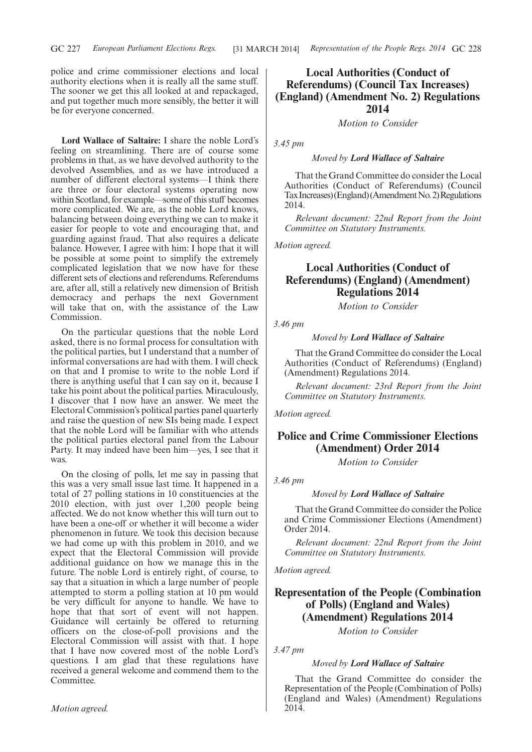police and crime commissioner elections and local authority elections when it is really all the same stuff. The sooner we get this all looked at and repackaged, and put together much more sensibly, the better it will be for everyone concerned.

**Lord Wallace of Saltaire:** I share the noble Lord's feeling on streamlining. There are of course some problems in that, as we have devolved authority to the devolved Assemblies, and as we have introduced a number of different electoral systems—I think there are three or four electoral systems operating now within Scotland, for example—some of this stuff becomes more complicated. We are, as the noble Lord knows, balancing between doing everything we can to make it easier for people to vote and encouraging that, and guarding against fraud. That also requires a delicate balance. However, I agree with him: I hope that it will be possible at some point to simplify the extremely complicated legislation that we now have for these different sets of elections and referendums. Referendums are, after all, still a relatively new dimension of British democracy and perhaps the next Government will take that on, with the assistance of the Law Commission.

On the particular questions that the noble Lord asked, there is no formal process for consultation with the political parties, but I understand that a number of informal conversations are had with them. I will check on that and I promise to write to the noble Lord if there is anything useful that I can say on it, because I take his point about the political parties. Miraculously, I discover that I now have an answer. We meet the Electoral Commission's political parties panel quarterly and raise the question of new SIs being made. I expect that the noble Lord will be familiar with who attends the political parties electoral panel from the Labour Party. It may indeed have been him—yes, I see that it was.

On the closing of polls, let me say in passing that this was a very small issue last time. It happened in a total of 27 polling stations in 10 constituencies at the 2010 election, with just over 1,200 people being affected. We do not know whether this will turn out to have been a one-off or whether it will become a wider phenomenon in future. We took this decision because we had come up with this problem in 2010, and we expect that the Electoral Commission will provide additional guidance on how we manage this in the future. The noble Lord is entirely right, of course, to say that a situation in which a large number of people attempted to storm a polling station at 10 pm would be very difficult for anyone to handle. We have to hope that that sort of event will not happen. Guidance will certainly be offered to returning officers on the close-of-poll provisions and the Electoral Commission will assist with that. I hope that I have now covered most of the noble Lord's questions. I am glad that these regulations have received a general welcome and commend them to the Committee.

# **Local Authorities (Conduct of Referendums) (Council Tax Increases) (England) (Amendment No. 2) Regulations 2014**

*Motion to Consider*

*3.45 pm*

*Moved by Lord Wallace of Saltaire*

That the Grand Committee do consider the Local Authorities (Conduct of Referendums) (Council Tax Increases)(England)(Amendment No. 2) Regulations 2014.

*Relevant document: 22nd Report from the Joint Committee on Statutory Instruments.*

*Motion agreed.*

# **Local Authorities (Conduct of Referendums) (England) (Amendment) Regulations 2014**

*Motion to Consider*

*3.46 pm*

*Moved by Lord Wallace of Saltaire*

That the Grand Committee do consider the Local Authorities (Conduct of Referendums) (England) (Amendment) Regulations 2014.

*Relevant document: 23rd Report from the Joint Committee on Statutory Instruments.*

*Motion agreed.*

# **Police and Crime Commissioner Elections (Amendment) Order 2014**

*Motion to Consider*

*3.46 pm*

*Moved by Lord Wallace of Saltaire*

That the Grand Committee do consider the Police and Crime Commissioner Elections (Amendment) Order 2014.

*Relevant document: 22nd Report from the Joint Committee on Statutory Instruments.*

*Motion agreed.*

# **Representation of the People (Combination of Polls) (England and Wales) (Amendment) Regulations 2014**

*Motion to Consider*

*3.47 pm*

# *Moved by Lord Wallace of Saltaire*

That the Grand Committee do consider the Representation of the People (Combination of Polls) (England and Wales) (Amendment) Regulations 2014.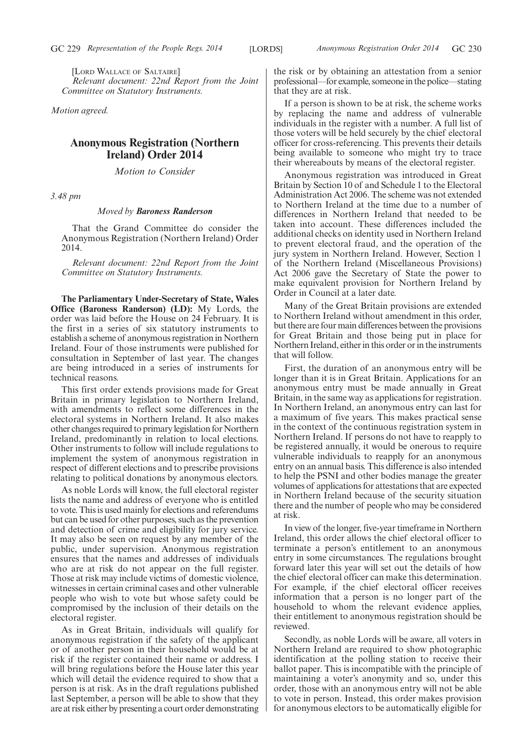[LORD WALLACE OF SALTAIRE] *Relevant document: 22nd Report from the Joint Committee on Statutory Instruments.*

*Motion agreed.*

# **Anonymous Registration (Northern Ireland) Order 2014**

*Motion to Consider*

*3.48 pm*

# *Moved by Baroness Randerson*

That the Grand Committee do consider the Anonymous Registration (Northern Ireland) Order 2014.

*Relevant document: 22nd Report from the Joint Committee on Statutory Instruments.*

**The Parliamentary Under-Secretary of State, Wales Office (Baroness Randerson) (LD):** My Lords, the order was laid before the House on 24 February. It is the first in a series of six statutory instruments to establish a scheme of anonymous registration in Northern Ireland. Four of those instruments were published for consultation in September of last year. The changes are being introduced in a series of instruments for technical reasons.

This first order extends provisions made for Great Britain in primary legislation to Northern Ireland, with amendments to reflect some differences in the electoral systems in Northern Ireland. It also makes other changes required to primary legislation for Northern Ireland, predominantly in relation to local elections. Other instruments to follow will include regulations to implement the system of anonymous registration in respect of different elections and to prescribe provisions relating to political donations by anonymous electors.

As noble Lords will know, the full electoral register lists the name and address of everyone who is entitled to vote. This is used mainly for elections and referendums but can be used for other purposes, such as the prevention and detection of crime and eligibility for jury service. It may also be seen on request by any member of the public, under supervision. Anonymous registration ensures that the names and addresses of individuals who are at risk do not appear on the full register. Those at risk may include victims of domestic violence, witnesses in certain criminal cases and other vulnerable people who wish to vote but whose safety could be compromised by the inclusion of their details on the electoral register.

As in Great Britain, individuals will qualify for anonymous registration if the safety of the applicant or of another person in their household would be at risk if the register contained their name or address. I will bring regulations before the House later this year which will detail the evidence required to show that a person is at risk. As in the draft regulations published last September, a person will be able to show that they are at risk either by presenting a court order demonstrating the risk or by obtaining an attestation from a senior professional—for example, someone in the police—stating that they are at risk.

If a person is shown to be at risk, the scheme works by replacing the name and address of vulnerable individuals in the register with a number. A full list of those voters will be held securely by the chief electoral officer for cross-referencing. This prevents their details being available to someone who might try to trace their whereabouts by means of the electoral register.

Anonymous registration was introduced in Great Britain by Section 10 of and Schedule 1 to the Electoral Administration Act 2006. The scheme was not extended to Northern Ireland at the time due to a number of differences in Northern Ireland that needed to be taken into account. These differences included the additional checks on identity used in Northern Ireland to prevent electoral fraud, and the operation of the jury system in Northern Ireland. However, Section 1 of the Northern Ireland (Miscellaneous Provisions) Act 2006 gave the Secretary of State the power to make equivalent provision for Northern Ireland by Order in Council at a later date.

Many of the Great Britain provisions are extended to Northern Ireland without amendment in this order, but there are four main differences between the provisions for Great Britain and those being put in place for Northern Ireland, either in this order or in the instruments that will follow.

First, the duration of an anonymous entry will be longer than it is in Great Britain. Applications for an anonymous entry must be made annually in Great Britain, in the same way as applications for registration. In Northern Ireland, an anonymous entry can last for a maximum of five years. This makes practical sense in the context of the continuous registration system in Northern Ireland. If persons do not have to reapply to be registered annually, it would be onerous to require vulnerable individuals to reapply for an anonymous entry on an annual basis. This difference is also intended to help the PSNI and other bodies manage the greater volumes of applications for attestations that are expected in Northern Ireland because of the security situation there and the number of people who may be considered at risk.

In view of the longer, five-year timeframe in Northern Ireland, this order allows the chief electoral officer to terminate a person's entitlement to an anonymous entry in some circumstances. The regulations brought forward later this year will set out the details of how the chief electoral officer can make this determination. For example, if the chief electoral officer receives information that a person is no longer part of the household to whom the relevant evidence applies, their entitlement to anonymous registration should be reviewed.

Secondly, as noble Lords will be aware, all voters in Northern Ireland are required to show photographic identification at the polling station to receive their ballot paper. This is incompatible with the principle of maintaining a voter's anonymity and so, under this order, those with an anonymous entry will not be able to vote in person. Instead, this order makes provision for anonymous electors to be automatically eligible for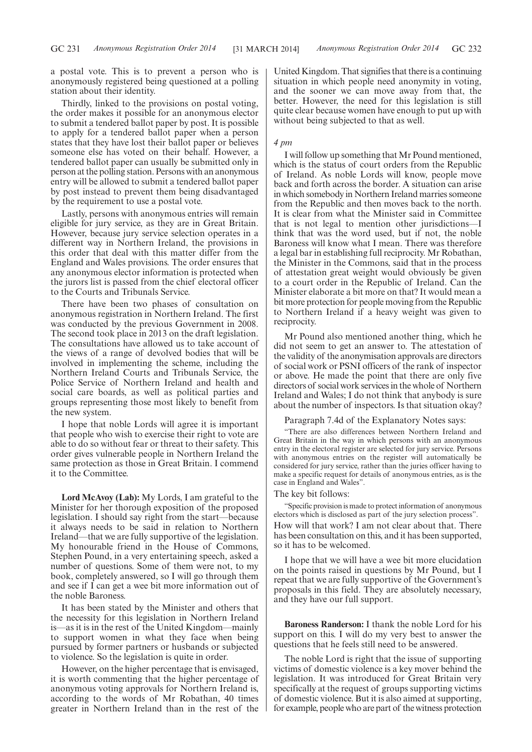a postal vote. This is to prevent a person who is anonymously registered being questioned at a polling station about their identity.

Thirdly, linked to the provisions on postal voting, the order makes it possible for an anonymous elector to submit a tendered ballot paper by post. It is possible to apply for a tendered ballot paper when a person states that they have lost their ballot paper or believes someone else has voted on their behalf. However, a tendered ballot paper can usually be submitted only in person at the polling station. Persons with an anonymous entry will be allowed to submit a tendered ballot paper by post instead to prevent them being disadvantaged by the requirement to use a postal vote.

Lastly, persons with anonymous entries will remain eligible for jury service, as they are in Great Britain. However, because jury service selection operates in a different way in Northern Ireland, the provisions in this order that deal with this matter differ from the England and Wales provisions. The order ensures that any anonymous elector information is protected when the jurors list is passed from the chief electoral officer to the Courts and Tribunals Service.

There have been two phases of consultation on anonymous registration in Northern Ireland. The first was conducted by the previous Government in 2008. The second took place in 2013 on the draft legislation. The consultations have allowed us to take account of the views of a range of devolved bodies that will be involved in implementing the scheme, including the Northern Ireland Courts and Tribunals Service, the Police Service of Northern Ireland and health and social care boards, as well as political parties and groups representing those most likely to benefit from the new system.

I hope that noble Lords will agree it is important that people who wish to exercise their right to vote are able to do so without fear or threat to their safety. This order gives vulnerable people in Northern Ireland the same protection as those in Great Britain. I commend it to the Committee.

**Lord McAvoy (Lab):** My Lords, I am grateful to the Minister for her thorough exposition of the proposed legislation. I should say right from the start—because it always needs to be said in relation to Northern Ireland—that we are fully supportive of the legislation. My honourable friend in the House of Commons, Stephen Pound, in a very entertaining speech, asked a number of questions. Some of them were not, to my book, completely answered, so I will go through them and see if I can get a wee bit more information out of the noble Baroness.

It has been stated by the Minister and others that the necessity for this legislation in Northern Ireland is—as it is in the rest of the United Kingdom—mainly to support women in what they face when being pursued by former partners or husbands or subjected to violence. So the legislation is quite in order.

However, on the higher percentage that is envisaged, it is worth commenting that the higher percentage of anonymous voting approvals for Northern Ireland is, according to the words of Mr Robathan, 40 times greater in Northern Ireland than in the rest of the

United Kingdom. That signifies that there is a continuing situation in which people need anonymity in voting, and the sooner we can move away from that, the better. However, the need for this legislation is still quite clear because women have enough to put up with without being subjected to that as well.

# *4 pm*

I will follow up something that Mr Pound mentioned, which is the status of court orders from the Republic of Ireland. As noble Lords will know, people move back and forth across the border. A situation can arise in which somebody in Northern Ireland marries someone from the Republic and then moves back to the north. It is clear from what the Minister said in Committee that is not legal to mention other jurisdictions—I think that was the word used, but if not, the noble Baroness will know what I mean. There was therefore a legal bar in establishing full reciprocity. Mr Robathan, the Minister in the Commons, said that in the process of attestation great weight would obviously be given to a court order in the Republic of Ireland. Can the Minister elaborate a bit more on that? It would mean a bit more protection for people moving from the Republic to Northern Ireland if a heavy weight was given to reciprocity.

Mr Pound also mentioned another thing, which he did not seem to get an answer to. The attestation of the validity of the anonymisation approvals are directors of social work or PSNI officers of the rank of inspector or above. He made the point that there are only five directors of social work services in the whole of Northern Ireland and Wales; I do not think that anybody is sure about the number of inspectors. Is that situation okay?

Paragraph 7.4d of the Explanatory Notes says:

"There are also differences between Northern Ireland and Great Britain in the way in which persons with an anonymous entry in the electoral register are selected for jury service. Persons with anonymous entries on the register will automatically be considered for jury service, rather than the juries officer having to make a specific request for details of anonymous entries, as is the case in England and Wales".

The key bit follows:

"Specific provision is made to protect information of anonymous electors which is disclosed as part of the jury selection process". How will that work? I am not clear about that. There has been consultation on this, and it has been supported, so it has to be welcomed.

I hope that we will have a wee bit more elucidation on the points raised in questions by Mr Pound, but I repeat that we are fully supportive of the Government's proposals in this field. They are absolutely necessary, and they have our full support.

**Baroness Randerson:** I thank the noble Lord for his support on this. I will do my very best to answer the questions that he feels still need to be answered.

The noble Lord is right that the issue of supporting victims of domestic violence is a key mover behind the legislation. It was introduced for Great Britain very specifically at the request of groups supporting victims of domestic violence. But it is also aimed at supporting, for example, people who are part of the witness protection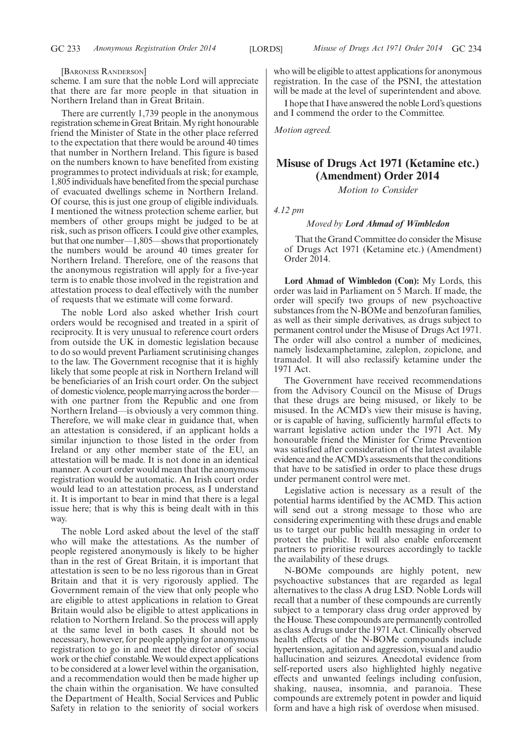[BARONESS RANDERSON]

scheme. I am sure that the noble Lord will appreciate that there are far more people in that situation in Northern Ireland than in Great Britain.

There are currently 1,739 people in the anonymous registration scheme in Great Britain.My right honourable friend the Minister of State in the other place referred to the expectation that there would be around 40 times that number in Northern Ireland. This figure is based on the numbers known to have benefited from existing programmes to protect individuals at risk; for example, 1,805 individuals have benefited from the special purchase of evacuated dwellings scheme in Northern Ireland. Of course, this is just one group of eligible individuals. I mentioned the witness protection scheme earlier, but members of other groups might be judged to be at risk, such as prison officers. I could give other examples, but that one number—1,805—shows that proportionately the numbers would be around 40 times greater for Northern Ireland. Therefore, one of the reasons that the anonymous registration will apply for a five-year term is to enable those involved in the registration and attestation process to deal effectively with the number of requests that we estimate will come forward.

The noble Lord also asked whether Irish court orders would be recognised and treated in a spirit of reciprocity. It is very unusual to reference court orders from outside the UK in domestic legislation because to do so would prevent Parliament scrutinising changes to the law. The Government recognise that it is highly likely that some people at risk in Northern Ireland will be beneficiaries of an Irish court order. On the subject of domestic violence, people marrying across the border with one partner from the Republic and one from Northern Ireland—is obviously a very common thing. Therefore, we will make clear in guidance that, when an attestation is considered, if an applicant holds a similar injunction to those listed in the order from Ireland or any other member state of the EU, an attestation will be made. It is not done in an identical manner. A court order would mean that the anonymous registration would be automatic. An Irish court order would lead to an attestation process, as I understand it. It is important to bear in mind that there is a legal issue here; that is why this is being dealt with in this way.

The noble Lord asked about the level of the staff who will make the attestations. As the number of people registered anonymously is likely to be higher than in the rest of Great Britain, it is important that attestation is seen to be no less rigorous than in Great Britain and that it is very rigorously applied. The Government remain of the view that only people who are eligible to attest applications in relation to Great Britain would also be eligible to attest applications in relation to Northern Ireland. So the process will apply at the same level in both cases. It should not be necessary, however, for people applying for anonymous registration to go in and meet the director of social work or the chief constable.We would expect applications to be considered at a lower level within the organisation, and a recommendation would then be made higher up the chain within the organisation. We have consulted the Department of Health, Social Services and Public Safety in relation to the seniority of social workers who will be eligible to attest applications for anonymous registration. In the case of the PSNI, the attestation will be made at the level of superintendent and above.

I hope that I have answered the noble Lord's questions and I commend the order to the Committee.

*Motion agreed.*

# **Misuse of Drugs Act 1971 (Ketamine etc.) (Amendment) Order 2014**

*Motion to Consider*

*4.12 pm*

### *Moved by Lord Ahmad of Wimbledon*

That the Grand Committee do consider the Misuse of Drugs Act 1971 (Ketamine etc.) (Amendment) Order 2014.

**Lord Ahmad of Wimbledon (Con):** My Lords, this order was laid in Parliament on 5 March. If made, the order will specify two groups of new psychoactive substances from the N-BOMe and benzofuran families, as well as their simple derivatives, as drugs subject to permanent control under the Misuse of Drugs Act 1971. The order will also control a number of medicines, namely lisdexamphetamine, zaleplon, zopiclone, and tramadol. It will also reclassify ketamine under the 1971 Act.

The Government have received recommendations from the Advisory Council on the Misuse of Drugs that these drugs are being misused, or likely to be misused. In the ACMD's view their misuse is having, or is capable of having, sufficiently harmful effects to warrant legislative action under the 1971 Act. My honourable friend the Minister for Crime Prevention was satisfied after consideration of the latest available evidence and the ACMD's assessments that the conditions that have to be satisfied in order to place these drugs under permanent control were met.

Legislative action is necessary as a result of the potential harms identified by the ACMD. This action will send out a strong message to those who are considering experimenting with these drugs and enable us to target our public health messaging in order to protect the public. It will also enable enforcement partners to prioritise resources accordingly to tackle the availability of these drugs.

N-BOMe compounds are highly potent, new psychoactive substances that are regarded as legal alternatives to the class A drug LSD. Noble Lords will recall that a number of these compounds are currently subject to a temporary class drug order approved by the House. These compounds are permanently controlled as class A drugs under the 1971 Act. Clinically observed health effects of the N-BOMe compounds include hypertension, agitation and aggression, visual and audio hallucination and seizures. Anecdotal evidence from self-reported users also highlighted highly negative effects and unwanted feelings including confusion, shaking, nausea, insomnia, and paranoia. These compounds are extremely potent in powder and liquid form and have a high risk of overdose when misused.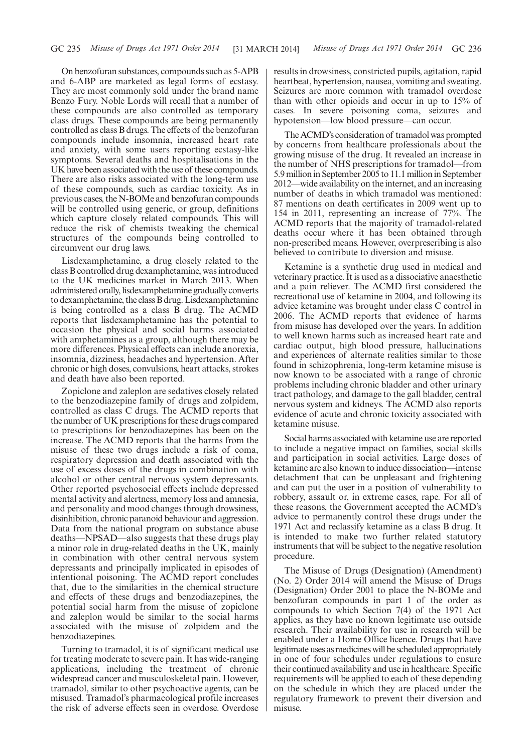On benzofuran substances, compounds such as 5-APB and 6-ABP are marketed as legal forms of ecstasy. They are most commonly sold under the brand name Benzo Fury. Noble Lords will recall that a number of these compounds are also controlled as temporary class drugs. These compounds are being permanently controlled as class B drugs. The effects of the benzofuran compounds include insomnia, increased heart rate and anxiety, with some users reporting ecstasy-like symptoms. Several deaths and hospitalisations in the UK have been associated with the use of these compounds. There are also risks associated with the long-term use of these compounds, such as cardiac toxicity. As in previous cases, the N-BOMe and benzofuran compounds will be controlled using generic, or group, definitions which capture closely related compounds. This will reduce the risk of chemists tweaking the chemical structures of the compounds being controlled to circumvent our drug laws.

Lisdexamphetamine, a drug closely related to the class B controlled drug dexamphetamine, was introduced to the UK medicines market in March 2013. When administered orally, lisdexamphetamine gradually converts to dexamphetamine, the class B drug. Lisdexamphetamine is being controlled as a class B drug. The ACMD reports that lisdexamphetamine has the potential to occasion the physical and social harms associated with amphetamines as a group, although there may be more differences. Physical effects can include anorexia, insomnia, dizziness, headaches and hypertension. After chronic or high doses, convulsions, heart attacks, strokes and death have also been reported.

Zopiclone and zaleplon are sedatives closely related to the benzodiazepine family of drugs and zolpidem, controlled as class C drugs. The ACMD reports that the number of UK prescriptions for these drugs compared to prescriptions for benzodiazepines has been on the increase. The ACMD reports that the harms from the misuse of these two drugs include a risk of coma, respiratory depression and death associated with the use of excess doses of the drugs in combination with alcohol or other central nervous system depressants. Other reported psychosocial effects include depressed mental activity and alertness, memory loss and amnesia, and personality and mood changes through drowsiness, disinhibition, chronic paranoid behaviour and aggression. Data from the national program on substance abuse deaths—NPSAD—also suggests that these drugs play a minor role in drug-related deaths in the UK, mainly in combination with other central nervous system depressants and principally implicated in episodes of intentional poisoning. The ACMD report concludes that, due to the similarities in the chemical structure and effects of these drugs and benzodiazepines, the potential social harm from the misuse of zopiclone and zaleplon would be similar to the social harms associated with the misuse of zolpidem and the benzodiazepines.

Turning to tramadol, it is of significant medical use for treating moderate to severe pain. It has wide-ranging applications, including the treatment of chronic widespread cancer and musculoskeletal pain. However, tramadol, similar to other psychoactive agents, can be misused. Tramadol's pharmacological profile increases the risk of adverse effects seen in overdose. Overdose results in drowsiness, constricted pupils, agitation, rapid heartbeat, hypertension, nausea, vomiting and sweating. Seizures are more common with tramadol overdose than with other opioids and occur in up to 15% of cases. In severe poisoning coma, seizures and hypotension—low blood pressure—can occur.

The ACMD's consideration of tramadol was prompted by concerns from healthcare professionals about the growing misuse of the drug. It revealed an increase in the number of NHS prescriptions for tramadol—from 5.9 million in September 2005 to 11.1 million in September 2012—wide availability on the internet, and an increasing number of deaths in which tramadol was mentioned: 87 mentions on death certificates in 2009 went up to 154 in 2011, representing an increase of 77%. The ACMD reports that the majority of tramadol-related deaths occur where it has been obtained through non-prescribed means. However, overprescribing is also believed to contribute to diversion and misuse.

Ketamine is a synthetic drug used in medical and veterinary practice. It is used as a dissociative anaesthetic and a pain reliever. The ACMD first considered the recreational use of ketamine in 2004, and following its advice ketamine was brought under class C control in 2006. The ACMD reports that evidence of harms from misuse has developed over the years. In addition to well known harms such as increased heart rate and cardiac output, high blood pressure, hallucinations and experiences of alternate realities similar to those found in schizophrenia, long-term ketamine misuse is now known to be associated with a range of chronic problems including chronic bladder and other urinary tract pathology, and damage to the gall bladder, central nervous system and kidneys. The ACMD also reports evidence of acute and chronic toxicity associated with ketamine misuse.

Social harms associated with ketamine use are reported to include a negative impact on families, social skills and participation in social activities. Large doses of ketamine are also known to induce dissociation—intense detachment that can be unpleasant and frightening and can put the user in a position of vulnerability to robbery, assault or, in extreme cases, rape. For all of these reasons, the Government accepted the ACMD's advice to permanently control these drugs under the 1971 Act and reclassify ketamine as a class B drug. It is intended to make two further related statutory instruments that will be subject to the negative resolution procedure.

The Misuse of Drugs (Designation) (Amendment) (No. 2) Order 2014 will amend the Misuse of Drugs (Designation) Order 2001 to place the N-BOMe and benzofuran compounds in part 1 of the order as compounds to which Section 7(4) of the 1971 Act applies, as they have no known legitimate use outside research. Their availability for use in research will be enabled under a Home Office licence. Drugs that have legitimate uses as medicines will be scheduled appropriately in one of four schedules under regulations to ensure their continued availability and use in healthcare. Specific requirements will be applied to each of these depending on the schedule in which they are placed under the regulatory framework to prevent their diversion and misuse.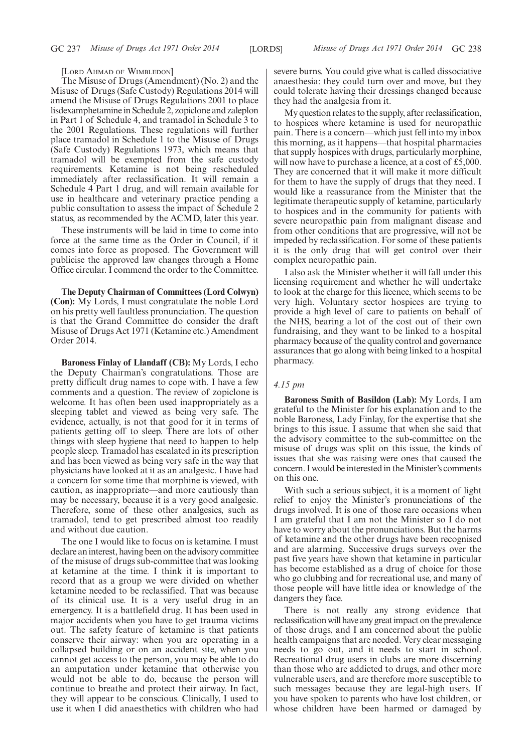[LORD AHMAD OF WIMBLEDON]

The Misuse of Drugs (Amendment) (No. 2) and the Misuse of Drugs (Safe Custody) Regulations 2014 will amend the Misuse of Drugs Regulations 2001 to place lisdexamphetamine in Schedule 2, zopiclone and zaleplon in Part 1 of Schedule 4, and tramadol in Schedule 3 to the 2001 Regulations. These regulations will further place tramadol in Schedule 1 to the Misuse of Drugs (Safe Custody) Regulations 1973, which means that tramadol will be exempted from the safe custody requirements. Ketamine is not being rescheduled immediately after reclassification. It will remain a Schedule 4 Part 1 drug, and will remain available for use in healthcare and veterinary practice pending a public consultation to assess the impact of Schedule 2 status, as recommended by the ACMD, later this year.

These instruments will be laid in time to come into force at the same time as the Order in Council, if it comes into force as proposed. The Government will publicise the approved law changes through a Home Office circular. I commend the order to the Committee.

**The Deputy Chairman of Committees (Lord Colwyn) (Con):** My Lords, I must congratulate the noble Lord on his pretty well faultless pronunciation. The question is that the Grand Committee do consider the draft Misuse of Drugs Act 1971 (Ketamine etc.) Amendment Order 2014.

**Baroness Finlay of Llandaff (CB):** My Lords, I echo the Deputy Chairman's congratulations. Those are pretty difficult drug names to cope with. I have a few comments and a question. The review of zopiclone is welcome. It has often been used inappropriately as a sleeping tablet and viewed as being very safe. The evidence, actually, is not that good for it in terms of patients getting off to sleep. There are lots of other things with sleep hygiene that need to happen to help people sleep. Tramadol has escalated in its prescription and has been viewed as being very safe in the way that physicians have looked at it as an analgesic. I have had a concern for some time that morphine is viewed, with caution, as inappropriate—and more cautiously than may be necessary, because it is a very good analgesic. Therefore, some of these other analgesics, such as tramadol, tend to get prescribed almost too readily and without due caution.

The one I would like to focus on is ketamine. I must declare an interest, having been on the advisory committee of the misuse of drugs sub-committee that was looking at ketamine at the time. I think it is important to record that as a group we were divided on whether ketamine needed to be reclassified. That was because of its clinical use. It is a very useful drug in an emergency. It is a battlefield drug. It has been used in major accidents when you have to get trauma victims out. The safety feature of ketamine is that patients conserve their airway: when you are operating in a collapsed building or on an accident site, when you cannot get access to the person, you may be able to do an amputation under ketamine that otherwise you would not be able to do, because the person will continue to breathe and protect their airway. In fact, they will appear to be conscious. Clinically, I used to use it when I did anaesthetics with children who had severe burns. You could give what is called dissociative anaesthesia: they could turn over and move, but they could tolerate having their dressings changed because they had the analgesia from it.

My question relates to the supply, after reclassification, to hospices where ketamine is used for neuropathic pain. There is a concern—which just fell into my inbox this morning, as it happens—that hospital pharmacies that supply hospices with drugs, particularly morphine, will now have to purchase a licence, at a cost of £5,000. They are concerned that it will make it more difficult for them to have the supply of drugs that they need. I would like a reassurance from the Minister that the legitimate therapeutic supply of ketamine, particularly to hospices and in the community for patients with severe neuropathic pain from malignant disease and from other conditions that are progressive, will not be impeded by reclassification. For some of these patients it is the only drug that will get control over their complex neuropathic pain.

I also ask the Minister whether it will fall under this licensing requirement and whether he will undertake to look at the charge for this licence, which seems to be very high. Voluntary sector hospices are trying to provide a high level of care to patients on behalf of the NHS, bearing a lot of the cost out of their own fundraising, and they want to be linked to a hospital pharmacy because of the quality control and governance assurances that go along with being linked to a hospital pharmacy.

### *4.15 pm*

**Baroness Smith of Basildon (Lab):** My Lords, I am grateful to the Minister for his explanation and to the noble Baroness, Lady Finlay, for the expertise that she brings to this issue. I assume that when she said that the advisory committee to the sub-committee on the misuse of drugs was split on this issue, the kinds of issues that she was raising were ones that caused the concern. I would be interested in the Minister's comments on this one.

With such a serious subject, it is a moment of light relief to enjoy the Minister's pronunciations of the drugs involved. It is one of those rare occasions when I am grateful that I am not the Minister so I do not have to worry about the pronunciations. But the harms of ketamine and the other drugs have been recognised and are alarming. Successive drugs surveys over the past five years have shown that ketamine in particular has become established as a drug of choice for those who go clubbing and for recreational use, and many of those people will have little idea or knowledge of the dangers they face.

There is not really any strong evidence that reclassification will have any greatimpact on the prevalence of those drugs, and I am concerned about the public health campaigns that are needed. Very clear messaging needs to go out, and it needs to start in school. Recreational drug users in clubs are more discerning than those who are addicted to drugs, and other more vulnerable users, and are therefore more susceptible to such messages because they are legal-high users. If you have spoken to parents who have lost children, or whose children have been harmed or damaged by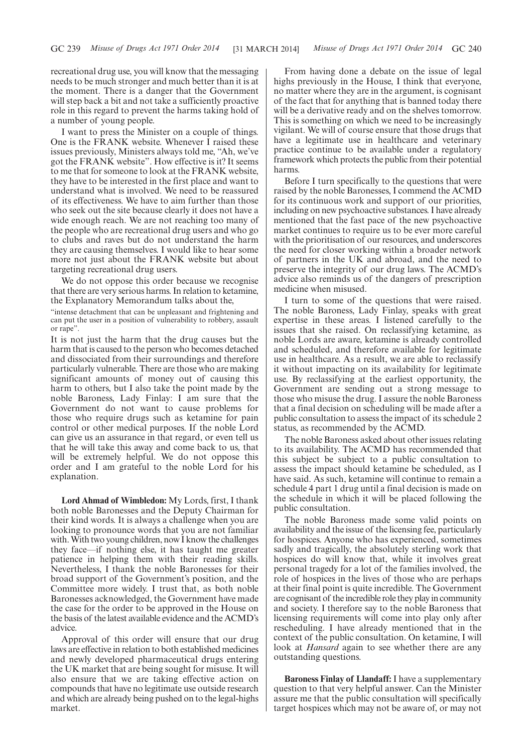recreational drug use, you will know that the messaging needs to be much stronger and much better than it is at the moment. There is a danger that the Government will step back a bit and not take a sufficiently proactive role in this regard to prevent the harms taking hold of a number of young people.

I want to press the Minister on a couple of things. One is the FRANK website. Whenever I raised these issues previously, Ministers always told me, "Ah, we've got the FRANK website". How effective is it? It seems to me that for someone to look at the FRANK website, they have to be interested in the first place and want to understand what is involved. We need to be reassured of its effectiveness. We have to aim further than those who seek out the site because clearly it does not have a wide enough reach. We are not reaching too many of the people who are recreational drug users and who go to clubs and raves but do not understand the harm they are causing themselves. I would like to hear some more not just about the FRANK website but about targeting recreational drug users.

We do not oppose this order because we recognise that there are very serious harms. In relation to ketamine, the Explanatory Memorandum talks about the,

"intense detachment that can be unpleasant and frightening and can put the user in a position of vulnerability to robbery, assault or rape".

It is not just the harm that the drug causes but the harm that is caused to the person who becomes detached and dissociated from their surroundings and therefore particularly vulnerable. There are those who are making significant amounts of money out of causing this harm to others, but I also take the point made by the noble Baroness, Lady Finlay: I am sure that the Government do not want to cause problems for those who require drugs such as ketamine for pain control or other medical purposes. If the noble Lord can give us an assurance in that regard, or even tell us that he will take this away and come back to us, that will be extremely helpful. We do not oppose this order and I am grateful to the noble Lord for his explanation.

**Lord Ahmad of Wimbledon:** My Lords, first, I thank both noble Baronesses and the Deputy Chairman for their kind words. It is always a challenge when you are looking to pronounce words that you are not familiar with. With two young children, now I know the challenges they face—if nothing else, it has taught me greater patience in helping them with their reading skills. Nevertheless, I thank the noble Baronesses for their broad support of the Government's position, and the Committee more widely. I trust that, as both noble Baronesses acknowledged, the Government have made the case for the order to be approved in the House on the basis of the latest available evidence and the ACMD's advice.

Approval of this order will ensure that our drug laws are effective in relation to both established medicines and newly developed pharmaceutical drugs entering the UK market that are being sought for misuse. It will also ensure that we are taking effective action on compounds that have no legitimate use outside research and which are already being pushed on to the legal-highs market.

From having done a debate on the issue of legal highs previously in the House, I think that everyone, no matter where they are in the argument, is cognisant of the fact that for anything that is banned today there will be a derivative ready and on the shelves tomorrow. This is something on which we need to be increasingly vigilant. We will of course ensure that those drugs that have a legitimate use in healthcare and veterinary practice continue to be available under a regulatory framework which protects the public from their potential harms.

Before I turn specifically to the questions that were raised by the noble Baronesses, I commend the ACMD for its continuous work and support of our priorities, including on new psychoactive substances. I have already mentioned that the fast pace of the new psychoactive market continues to require us to be ever more careful with the prioritisation of our resources, and underscores the need for closer working within a broader network of partners in the UK and abroad, and the need to preserve the integrity of our drug laws. The ACMD's advice also reminds us of the dangers of prescription medicine when misused.

I turn to some of the questions that were raised. The noble Baroness, Lady Finlay, speaks with great expertise in these areas. I listened carefully to the issues that she raised. On reclassifying ketamine, as noble Lords are aware, ketamine is already controlled and scheduled, and therefore available for legitimate use in healthcare. As a result, we are able to reclassify it without impacting on its availability for legitimate use. By reclassifying at the earliest opportunity, the Government are sending out a strong message to those who misuse the drug. I assure the noble Baroness that a final decision on scheduling will be made after a public consultation to assess the impact of its schedule 2 status, as recommended by the ACMD.

The noble Baroness asked about other issues relating to its availability. The ACMD has recommended that this subject be subject to a public consultation to assess the impact should ketamine be scheduled, as I have said. As such, ketamine will continue to remain a schedule 4 part 1 drug until a final decision is made on the schedule in which it will be placed following the public consultation.

The noble Baroness made some valid points on availability and the issue of the licensing fee, particularly for hospices. Anyone who has experienced, sometimes sadly and tragically, the absolutely sterling work that hospices do will know that, while it involves great personal tragedy for a lot of the families involved, the role of hospices in the lives of those who are perhaps at their final point is quite incredible. The Government are cognisant of the incredible role they play in community and society. I therefore say to the noble Baroness that licensing requirements will come into play only after rescheduling. I have already mentioned that in the context of the public consultation. On ketamine, I will look at *Hansard* again to see whether there are any outstanding questions.

**Baroness Finlay of Llandaff:** I have a supplementary question to that very helpful answer. Can the Minister assure me that the public consultation will specifically target hospices which may not be aware of, or may not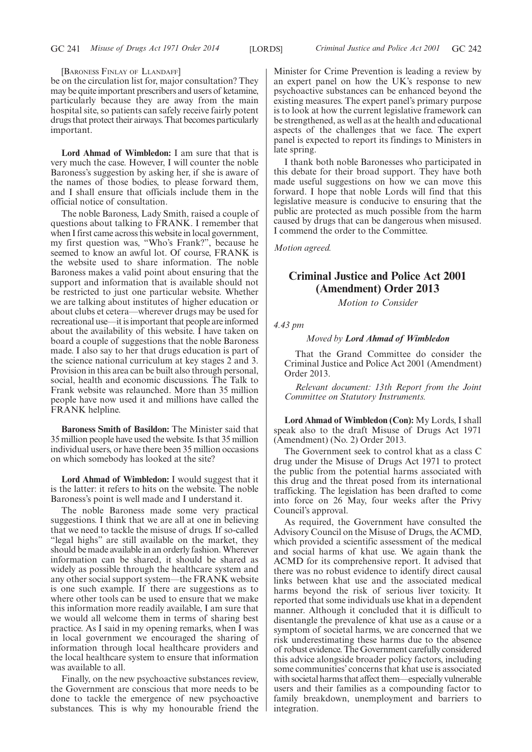[BARONESS FINLAY OF LLANDAFF]

be on the circulation list for, major consultation? They may be quite important prescribers and users of ketamine, particularly because they are away from the main hospital site, so patients can safely receive fairly potent drugs that protect their airways. That becomes particularly important.

**Lord Ahmad of Wimbledon:** I am sure that that is very much the case. However, I will counter the noble Baroness's suggestion by asking her, if she is aware of the names of those bodies, to please forward them, and I shall ensure that officials include them in the official notice of consultation.

The noble Baroness, Lady Smith, raised a couple of questions about talking to FRANK. I remember that when I first came across this website in local government, my first question was, "Who's Frank?", because he seemed to know an awful lot. Of course, FRANK is the website used to share information. The noble Baroness makes a valid point about ensuring that the support and information that is available should not be restricted to just one particular website. Whether we are talking about institutes of higher education or about clubs et cetera—wherever drugs may be used for recreational use—it is important that people are informed about the availability of this website. I have taken on board a couple of suggestions that the noble Baroness made. I also say to her that drugs education is part of the science national curriculum at key stages 2 and 3. Provision in this area can be built also through personal, social, health and economic discussions. The Talk to Frank website was relaunched. More than 35 million people have now used it and millions have called the FRANK helpline.

**Baroness Smith of Basildon:** The Minister said that 35 million people have used the website. Is that 35 million individual users, or have there been 35 million occasions on which somebody has looked at the site?

**Lord Ahmad of Wimbledon:** I would suggest that it is the latter: it refers to hits on the website. The noble Baroness's point is well made and I understand it.

The noble Baroness made some very practical suggestions. I think that we are all at one in believing that we need to tackle the misuse of drugs. If so-called "legal highs" are still available on the market, they should be made available in an orderly fashion. Wherever information can be shared, it should be shared as widely as possible through the healthcare system and any other social support system—the FRANK website is one such example. If there are suggestions as to where other tools can be used to ensure that we make this information more readily available, I am sure that we would all welcome them in terms of sharing best practice. As I said in my opening remarks, when I was in local government we encouraged the sharing of information through local healthcare providers and the local healthcare system to ensure that information was available to all.

Finally, on the new psychoactive substances review, the Government are conscious that more needs to be done to tackle the emergence of new psychoactive substances. This is why my honourable friend the Minister for Crime Prevention is leading a review by an expert panel on how the UK's response to new psychoactive substances can be enhanced beyond the existing measures. The expert panel's primary purpose is to look at how the current legislative framework can be strengthened, as well as at the health and educational aspects of the challenges that we face. The expert panel is expected to report its findings to Ministers in late spring.

I thank both noble Baronesses who participated in this debate for their broad support. They have both made useful suggestions on how we can move this forward. I hope that noble Lords will find that this legislative measure is conducive to ensuring that the public are protected as much possible from the harm caused by drugs that can be dangerous when misused. I commend the order to the Committee.

*Motion agreed.*

# **Criminal Justice and Police Act 2001 (Amendment) Order 2013**

*Motion to Consider*

*4.43 pm*

# *Moved by Lord Ahmad of Wimbledon*

That the Grand Committee do consider the Criminal Justice and Police Act 2001 (Amendment) Order 2013.

*Relevant document: 13th Report from the Joint Committee on Statutory Instruments.*

**Lord Ahmad of Wimbledon (Con):** My Lords, I shall speak also to the draft Misuse of Drugs Act 1971 (Amendment) (No. 2) Order 2013.

The Government seek to control khat as a class C drug under the Misuse of Drugs Act 1971 to protect the public from the potential harms associated with this drug and the threat posed from its international trafficking. The legislation has been drafted to come into force on 26 May, four weeks after the Privy Council's approval.

As required, the Government have consulted the Advisory Council on the Misuse of Drugs, the ACMD, which provided a scientific assessment of the medical and social harms of khat use. We again thank the ACMD for its comprehensive report. It advised that there was no robust evidence to identify direct causal links between khat use and the associated medical harms beyond the risk of serious liver toxicity. It reported that some individuals use khat in a dependent manner. Although it concluded that it is difficult to disentangle the prevalence of khat use as a cause or a symptom of societal harms, we are concerned that we risk underestimating these harms due to the absence of robust evidence. The Government carefully considered this advice alongside broader policy factors, including some communities' concerns that khat use is associated with societal harms that affect them—especially vulnerable users and their families as a compounding factor to family breakdown, unemployment and barriers to integration.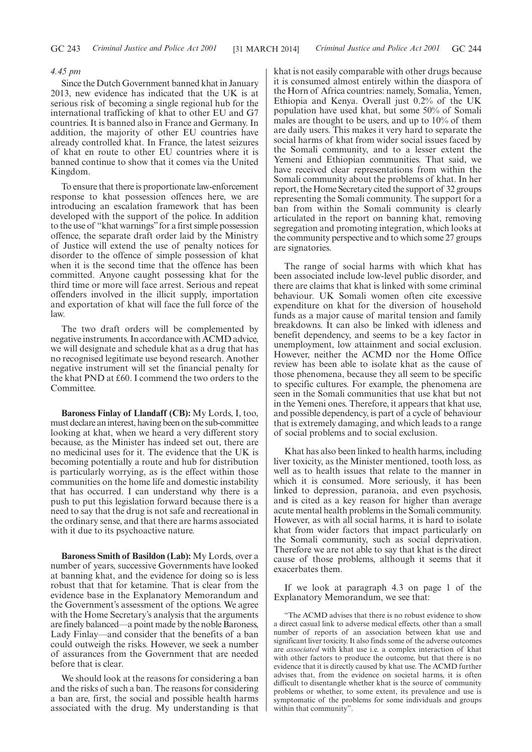# *4.45 pm*

Since the Dutch Government banned khat in January 2013, new evidence has indicated that the UK is at serious risk of becoming a single regional hub for the international trafficking of khat to other EU and G7 countries. It is banned also in France and Germany. In addition, the majority of other EU countries have already controlled khat. In France, the latest seizures of khat en route to other EU countries where it is banned continue to show that it comes via the United Kingdom.

To ensure that there is proportionate law-enforcement response to khat possession offences here, we are introducing an escalation framework that has been developed with the support of the police. In addition to the use of "khat warnings" for a first simple possession offence, the separate draft order laid by the Ministry of Justice will extend the use of penalty notices for disorder to the offence of simple possession of khat when it is the second time that the offence has been committed. Anyone caught possessing khat for the third time or more will face arrest. Serious and repeat offenders involved in the illicit supply, importation and exportation of khat will face the full force of the law.

The two draft orders will be complemented by negative instruments. In accordance with ACMD advice, we will designate and schedule khat as a drug that has no recognised legitimate use beyond research. Another negative instrument will set the financial penalty for the khat PND at £60. I commend the two orders to the Committee.

**Baroness Finlay of Llandaff (CB):** My Lords, I, too, must declare aninterest, having been on the sub-committee looking at khat, when we heard a very different story because, as the Minister has indeed set out, there are no medicinal uses for it. The evidence that the UK is becoming potentially a route and hub for distribution is particularly worrying, as is the effect within those communities on the home life and domestic instability that has occurred. I can understand why there is a push to put this legislation forward because there is a need to say that the drug is not safe and recreational in the ordinary sense, and that there are harms associated with it due to its psychoactive nature.

**Baroness Smith of Basildon (Lab):** My Lords, over a number of years, successive Governments have looked at banning khat, and the evidence for doing so is less robust that that for ketamine. That is clear from the evidence base in the Explanatory Memorandum and the Government's assessment of the options. We agree with the Home Secretary's analysis that the arguments are finely balanced—a point made by the noble Baroness, Lady Finlay—and consider that the benefits of a ban could outweigh the risks. However, we seek a number of assurances from the Government that are needed before that is clear.

We should look at the reasons for considering a ban and the risks of such a ban. The reasons for considering a ban are, first, the social and possible health harms associated with the drug. My understanding is that khat is not easily comparable with other drugs because it is consumed almost entirely within the diaspora of the Horn of Africa countries: namely, Somalia, Yemen, Ethiopia and Kenya. Overall just 0.2% of the UK population have used khat, but some 50% of Somali males are thought to be users, and up to 10% of them are daily users. This makes it very hard to separate the social harms of khat from wider social issues faced by the Somali community, and to a lesser extent the Yemeni and Ethiopian communities. That said, we have received clear representations from within the Somali community about the problems of khat. In her report, the Home Secretary cited the support of 32 groups representing the Somali community. The support for a ban from within the Somali community is clearly articulated in the report on banning khat, removing segregation and promoting integration, which looks at the community perspective and to which some 27 groups are signatories.

The range of social harms with which khat has been associated include low-level public disorder, and there are claims that khat is linked with some criminal behaviour. UK Somali women often cite excessive expenditure on khat for the diversion of household funds as a major cause of marital tension and family breakdowns. It can also be linked with idleness and benefit dependency, and seems to be a key factor in unemployment, low attainment and social exclusion. However, neither the ACMD nor the Home Office review has been able to isolate khat as the cause of those phenomena, because they all seem to be specific to specific cultures. For example, the phenomena are seen in the Somali communities that use khat but not in the Yemeni ones. Therefore, it appears that khat use, and possible dependency, is part of a cycle of behaviour that is extremely damaging, and which leads to a range of social problems and to social exclusion.

Khat has also been linked to health harms, including liver toxicity, as the Minister mentioned, tooth loss, as well as to health issues that relate to the manner in which it is consumed. More seriously, it has been linked to depression, paranoia, and even psychosis, and is cited as a key reason for higher than average acute mental health problems in the Somali community. However, as with all social harms, it is hard to isolate khat from wider factors that impact particularly on the Somali community, such as social deprivation. Therefore we are not able to say that khat is the direct cause of those problems, although it seems that it exacerbates them.

If we look at paragraph 4.3 on page 1 of the Explanatory Memorandum, we see that:

"The ACMD advises that there is no robust evidence to show a direct casual link to adverse medical effects, other than a small number of reports of an association between khat use and significant liver toxicity. It also finds some of the adverse outcomes are *associated* with khat use i.e. a complex interaction of khat with other factors to produce the outcome, but that there is no evidence that it is directly caused by khat use. The ACMD further advises that, from the evidence on societal harms, it is often difficult to disentangle whether khat is the source of community problems or whether, to some extent, its prevalence and use is symptomatic of the problems for some individuals and groups within that community".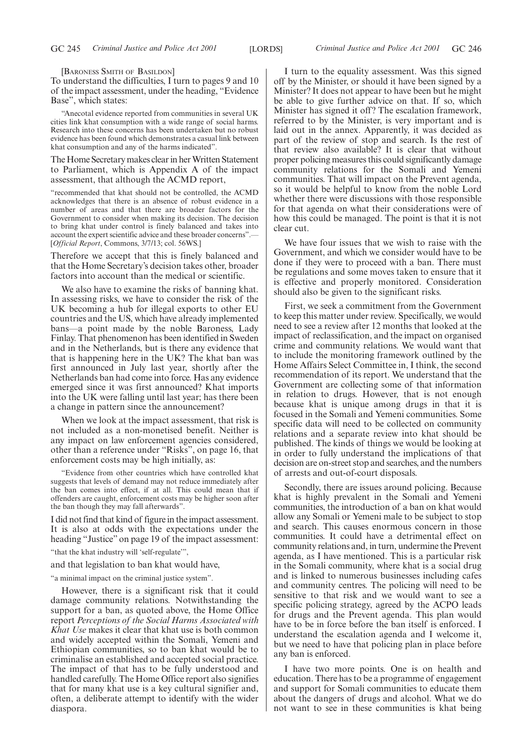[BARONESS SMITH OF BASILDON]

To understand the difficulties, I turn to pages 9 and 10 of the impact assessment, under the heading, "Evidence Base", which states:

"Anecotal evidence reported from communities in several UK cities link khat consumption with a wide range of social harms. Research into these concerns has been undertaken but no robust evidence has been found which demonstrates a casual link between khat consumption and any of the harms indicated".

The Home Secretary makes clear in her Written Statement to Parliament, which is Appendix A of the impact assessment, that although the ACMD report,

"recommended that khat should not be controlled, the ACMD acknowledges that there is an absence of robust evidence in a number of areas and that there are broader factors for the Government to consider when making its decision. The decision to bring khat under control is finely balanced and takes into account the expert scientific advice and these broader concerns".— [*Official Report*, Commons, 3/7/13; col. 56WS.]

Therefore we accept that this is finely balanced and that the Home Secretary's decision takes other, broader factors into account than the medical or scientific.

We also have to examine the risks of banning khat. In assessing risks, we have to consider the risk of the UK becoming a hub for illegal exports to other EU countries and the US, which have already implemented bans—a point made by the noble Baroness, Lady Finlay. That phenomenon has been identified in Sweden and in the Netherlands, but is there any evidence that that is happening here in the UK? The khat ban was first announced in July last year, shortly after the Netherlands ban had come into force. Has any evidence emerged since it was first announced? Khat imports into the UK were falling until last year; has there been a change in pattern since the announcement?

When we look at the impact assessment, that risk is not included as a non-monetised benefit. Neither is any impact on law enforcement agencies considered, other than a reference under "Risks", on page 16, that enforcement costs may be high initially, as:

"Evidence from other countries which have controlled khat suggests that levels of demand may not reduce immediately after the ban comes into effect, if at all. This could mean that if offenders are caught, enforcement costs may be higher soon after the ban though they may fall afterwards".

I did not find that kind of figure in the impact assessment. It is also at odds with the expectations under the heading "Justice" on page 19 of the impact assessment:

"that the khat industry will 'self-regulate'",

and that legislation to ban khat would have,

"a minimal impact on the criminal justice system".

However, there is a significant risk that it could damage community relations. Notwithstanding the support for a ban, as quoted above, the Home Office report *Perceptions of the Social Harms Associated with Khat Use* makes it clear that khat use is both common and widely accepted within the Somali, Yemeni and Ethiopian communities, so to ban khat would be to criminalise an established and accepted social practice. The impact of that has to be fully understood and handled carefully. The Home Office report also signifies that for many khat use is a key cultural signifier and, often, a deliberate attempt to identify with the wider diaspora.

I turn to the equality assessment. Was this signed off by the Minister, or should it have been signed by a Minister? It does not appear to have been but he might be able to give further advice on that. If so, which Minister has signed it off? The escalation framework, referred to by the Minister, is very important and is laid out in the annex. Apparently, it was decided as part of the review of stop and search. Is the rest of that review also available? It is clear that without proper policing measures this could significantly damage community relations for the Somali and Yemeni communities. That will impact on the Prevent agenda, so it would be helpful to know from the noble Lord whether there were discussions with those responsible for that agenda on what their considerations were of how this could be managed. The point is that it is not clear cut.

We have four issues that we wish to raise with the Government, and which we consider would have to be done if they were to proceed with a ban. There must be regulations and some moves taken to ensure that it is effective and properly monitored. Consideration should also be given to the significant risks.

First, we seek a commitment from the Government to keep this matter under review. Specifically, we would need to see a review after 12 months that looked at the impact of reclassification, and the impact on organised crime and community relations. We would want that to include the monitoring framework outlined by the Home Affairs Select Committee in, I think, the second recommendation of its report. We understand that the Government are collecting some of that information in relation to drugs. However, that is not enough because khat is unique among drugs in that it is focused in the Somali and Yemeni communities. Some specific data will need to be collected on community relations and a separate review into khat should be published. The kinds of things we would be looking at in order to fully understand the implications of that decision are on-street stop and searches, and the numbers of arrests and out-of-court disposals.

Secondly, there are issues around policing. Because khat is highly prevalent in the Somali and Yemeni communities, the introduction of a ban on khat would allow any Somali or Yemeni male to be subject to stop and search. This causes enormous concern in those communities. It could have a detrimental effect on community relations and, in turn, undermine the Prevent agenda, as I have mentioned. This is a particular risk in the Somali community, where khat is a social drug and is linked to numerous businesses including cafes and community centres. The policing will need to be sensitive to that risk and we would want to see a specific policing strategy, agreed by the ACPO leads for drugs and the Prevent agenda. This plan would have to be in force before the ban itself is enforced. I understand the escalation agenda and I welcome it, but we need to have that policing plan in place before any ban is enforced.

I have two more points. One is on health and education. There has to be a programme of engagement and support for Somali communities to educate them about the dangers of drugs and alcohol. What we do not want to see in these communities is khat being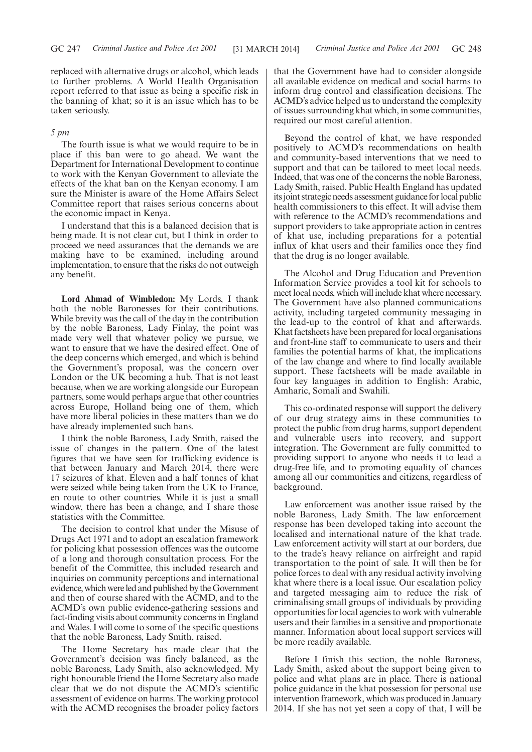replaced with alternative drugs or alcohol, which leads to further problems. A World Health Organisation report referred to that issue as being a specific risk in the banning of khat; so it is an issue which has to be taken seriously.

# *5 pm*

The fourth issue is what we would require to be in place if this ban were to go ahead. We want the Department for International Development to continue to work with the Kenyan Government to alleviate the effects of the khat ban on the Kenyan economy. I am sure the Minister is aware of the Home Affairs Select Committee report that raises serious concerns about the economic impact in Kenya.

I understand that this is a balanced decision that is being made. It is not clear cut, but I think in order to proceed we need assurances that the demands we are making have to be examined, including around implementation, to ensure that the risks do not outweigh any benefit.

**Lord Ahmad of Wimbledon:** My Lords, I thank both the noble Baronesses for their contributions. While brevity was the call of the day in the contribution by the noble Baroness, Lady Finlay, the point was made very well that whatever policy we pursue, we want to ensure that we have the desired effect. One of the deep concerns which emerged, and which is behind the Government's proposal, was the concern over London or the UK becoming a hub. That is not least because, when we are working alongside our European partners, some would perhaps argue that other countries across Europe, Holland being one of them, which have more liberal policies in these matters than we do have already implemented such bans.

I think the noble Baroness, Lady Smith, raised the issue of changes in the pattern. One of the latest figures that we have seen for trafficking evidence is that between January and March 2014, there were 17 seizures of khat. Eleven and a half tonnes of khat were seized while being taken from the UK to France, en route to other countries. While it is just a small window, there has been a change, and I share those statistics with the Committee.

The decision to control khat under the Misuse of Drugs Act 1971 and to adopt an escalation framework for policing khat possession offences was the outcome of a long and thorough consultation process. For the benefit of the Committee, this included research and inquiries on community perceptions and international evidence, which wereled and published by theGovernment and then of course shared with the ACMD, and to the ACMD's own public evidence-gathering sessions and fact-finding visits about community concerns in England and Wales. I will come to some of the specific questions that the noble Baroness, Lady Smith, raised.

The Home Secretary has made clear that the Government's decision was finely balanced, as the noble Baroness, Lady Smith, also acknowledged. My right honourable friend the Home Secretary also made clear that we do not dispute the ACMD's scientific assessment of evidence on harms. The working protocol with the ACMD recognises the broader policy factors that the Government have had to consider alongside all available evidence on medical and social harms to inform drug control and classification decisions. The ACMD's advice helped us to understand the complexity of issues surrounding khat which, in some communities, required our most careful attention.

Beyond the control of khat, we have responded positively to ACMD's recommendations on health and community-based interventions that we need to support and that can be tailored to meet local needs. Indeed, that was one of the concerns the noble Baroness, Lady Smith, raised. Public Health England has updated itsjoint strategic needs assessment guidance forlocal public health commissioners to this effect. It will advise them with reference to the ACMD's recommendations and support providers to take appropriate action in centres of khat use, including preparations for a potential influx of khat users and their families once they find that the drug is no longer available.

The Alcohol and Drug Education and Prevention Information Service provides a tool kit for schools to meet local needs, which will include khat where necessary. The Government have also planned communications activity, including targeted community messaging in the lead-up to the control of khat and afterwards. Khat factsheets have been prepared for local organisations and front-line staff to communicate to users and their families the potential harms of khat, the implications of the law change and where to find locally available support. These factsheets will be made available in four key languages in addition to English: Arabic, Amharic, Somali and Swahili.

This co-ordinated response will support the delivery of our drug strategy aims in these communities to protect the public from drug harms, support dependent and vulnerable users into recovery, and support integration. The Government are fully committed to providing support to anyone who needs it to lead a drug-free life, and to promoting equality of chances among all our communities and citizens, regardless of background.

Law enforcement was another issue raised by the noble Baroness, Lady Smith. The law enforcement response has been developed taking into account the localised and international nature of the khat trade. Law enforcement activity will start at our borders, due to the trade's heavy reliance on airfreight and rapid transportation to the point of sale. It will then be for police forces to deal with any residual activity involving khat where there is a local issue. Our escalation policy and targeted messaging aim to reduce the risk of criminalising small groups of individuals by providing opportunities for local agencies to work with vulnerable users and their families in a sensitive and proportionate manner. Information about local support services will be more readily available.

Before I finish this section, the noble Baroness, Lady Smith, asked about the support being given to police and what plans are in place. There is national police guidance in the khat possession for personal use intervention framework, which was produced in January 2014. If she has not yet seen a copy of that, I will be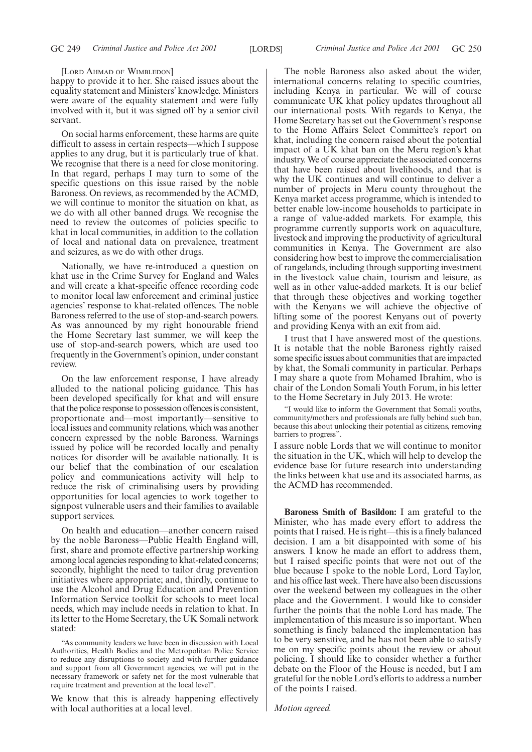#### [LORD AHMAD OF WIMBLEDON]

happy to provide it to her. She raised issues about the equality statement and Ministers' knowledge. Ministers were aware of the equality statement and were fully involved with it, but it was signed off by a senior civil servant.

On social harms enforcement, these harms are quite difficult to assess in certain respects—which I suppose applies to any drug, but it is particularly true of khat. We recognise that there is a need for close monitoring. In that regard, perhaps I may turn to some of the specific questions on this issue raised by the noble Baroness. On reviews, as recommended by the ACMD, we will continue to monitor the situation on khat, as we do with all other banned drugs. We recognise the need to review the outcomes of policies specific to khat in local communities, in addition to the collation of local and national data on prevalence, treatment and seizures, as we do with other drugs.

Nationally, we have re-introduced a question on khat use in the Crime Survey for England and Wales and will create a khat-specific offence recording code to monitor local law enforcement and criminal justice agencies' response to khat-related offences. The noble Baroness referred to the use of stop-and-search powers. As was announced by my right honourable friend the Home Secretary last summer, we will keep the use of stop-and-search powers, which are used too frequently in the Government's opinion, under constant review.

On the law enforcement response, I have already alluded to the national policing guidance. This has been developed specifically for khat and will ensure that the police response to possession offencesis consistent, proportionate and—most importantly—sensitive to local issues and community relations, which was another concern expressed by the noble Baroness. Warnings issued by police will be recorded locally and penalty notices for disorder will be available nationally. It is our belief that the combination of our escalation policy and communications activity will help to reduce the risk of criminalising users by providing opportunities for local agencies to work together to signpost vulnerable users and their families to available support services.

On health and education—another concern raised by the noble Baroness—Public Health England will, first, share and promote effective partnership working among local agencies responding to khat-related concerns; secondly, highlight the need to tailor drug prevention initiatives where appropriate; and, thirdly, continue to use the Alcohol and Drug Education and Prevention Information Service toolkit for schools to meet local needs, which may include needs in relation to khat. In its letter to the Home Secretary, the UK Somali network stated:

"As community leaders we have been in discussion with Local Authorities, Health Bodies and the Metropolitan Police Service to reduce any disruptions to society and with further guidance and support from all Government agencies, we will put in the necessary framework or safety net for the most vulnerable that require treatment and prevention at the local level".

We know that this is already happening effectively with local authorities at a local level.

The noble Baroness also asked about the wider, international concerns relating to specific countries, including Kenya in particular. We will of course communicate UK khat policy updates throughout all our international posts. With regards to Kenya, the Home Secretary has set out the Government's response to the Home Affairs Select Committee's report on khat, including the concern raised about the potential impact of a UK khat ban on the Meru region's khat industry.We of course appreciate the associated concerns that have been raised about livelihoods, and that is why the UK continues and will continue to deliver a number of projects in Meru county throughout the Kenya market access programme, which is intended to better enable low-income households to participate in a range of value-added markets. For example, this programme currently supports work on aquaculture, livestock and improving the productivity of agricultural communities in Kenya. The Government are also considering how best to improve the commercialisation of rangelands, including through supporting investment in the livestock value chain, tourism and leisure, as well as in other value-added markets. It is our belief that through these objectives and working together with the Kenyans we will achieve the objective of lifting some of the poorest Kenyans out of poverty and providing Kenya with an exit from aid.

I trust that I have answered most of the questions. It is notable that the noble Baroness rightly raised some specific issues about communities that are impacted by khat, the Somali community in particular. Perhaps I may share a quote from Mohamed Ibrahim, who is chair of the London Somali Youth Forum, in his letter to the Home Secretary in July 2013. He wrote:

"I would like to inform the Government that Somali youths, community/mothers and professionals are fully behind such ban, because this about unlocking their potential as citizens, removing barriers to progress".

I assure noble Lords that we will continue to monitor the situation in the UK, which will help to develop the evidence base for future research into understanding the links between khat use and its associated harms, as the ACMD has recommended.

**Baroness Smith of Basildon:** I am grateful to the Minister, who has made every effort to address the points that I raised. He is right—this is a finely balanced decision. I am a bit disappointed with some of his answers. I know he made an effort to address them, but I raised specific points that were not out of the blue because I spoke to the noble Lord, Lord Taylor, and his office last week. There have also been discussions over the weekend between my colleagues in the other place and the Government. I would like to consider further the points that the noble Lord has made. The implementation of this measure is so important. When something is finely balanced the implementation has to be very sensitive, and he has not been able to satisfy me on my specific points about the review or about policing. I should like to consider whether a further debate on the Floor of the House is needed, but I am grateful for the noble Lord's efforts to address a number of the points I raised.

*Motion agreed.*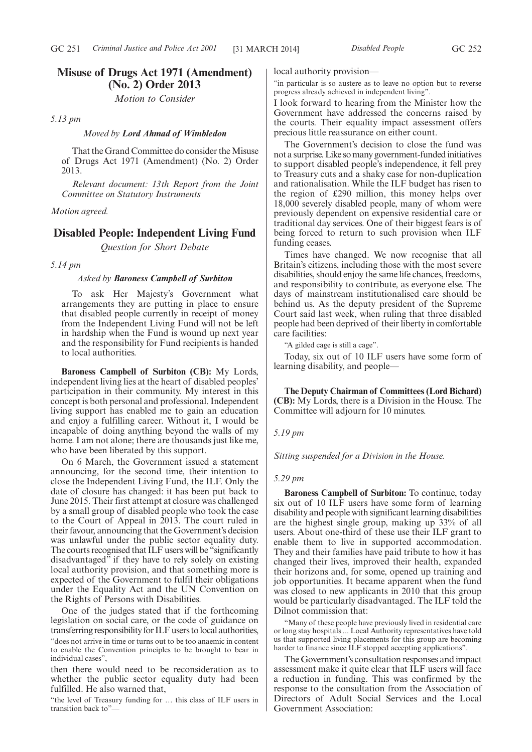*Motion to Consider*

*5.13 pm*

# *Moved by Lord Ahmad of Wimbledon*

That the Grand Committee do consider the Misuse of Drugs Act 1971 (Amendment) (No. 2) Order 2013.

*Relevant document: 13th Report from the Joint Committee on Statutory Instruments*

# *Motion agreed.*

# **Disabled People: Independent Living Fund**

*Question for Short Debate*

*5.14 pm*

# *Asked by Baroness Campbell of Surbiton*

To ask Her Majesty's Government what arrangements they are putting in place to ensure that disabled people currently in receipt of money from the Independent Living Fund will not be left in hardship when the Fund is wound up next year and the responsibility for Fund recipients is handed to local authorities.

**Baroness Campbell of Surbiton (CB):** My Lords, independent living lies at the heart of disabled peoples' participation in their community. My interest in this concept is both personal and professional. Independent living support has enabled me to gain an education and enjoy a fulfilling career. Without it, I would be incapable of doing anything beyond the walls of my home. I am not alone; there are thousands just like me, who have been liberated by this support.

On 6 March, the Government issued a statement announcing, for the second time, their intention to close the Independent Living Fund, the ILF. Only the date of closure has changed: it has been put back to June 2015. Their first attempt at closure was challenged by a small group of disabled people who took the case to the Court of Appeal in 2013. The court ruled in their favour, announcing that the Government's decision was unlawful under the public sector equality duty. The courts recognised that ILF users will be "significantly disadvantaged" if they have to rely solely on existing local authority provision, and that something more is expected of the Government to fulfil their obligations under the Equality Act and the UN Convention on the Rights of Persons with Disabilities.

One of the judges stated that if the forthcoming legislation on social care, or the code of guidance on transferring responsibility for ILF users tolocal authorities, "does not arrive in time or turns out to be too anaemic in content to enable the Convention principles to be brought to bear in individual cases",

then there would need to be reconsideration as to whether the public sector equality duty had been fulfilled. He also warned that,

"the level of Treasury funding for … this class of ILF users in transition back to"—

local authority provision—

"in particular is so austere as to leave no option but to reverse progress already achieved in independent living".

I look forward to hearing from the Minister how the Government have addressed the concerns raised by the courts. Their equality impact assessment offers precious little reassurance on either count.

The Government's decision to close the fund was not a surprise. Like so many government-funded initiatives to support disabled people's independence, it fell prey to Treasury cuts and a shaky case for non-duplication and rationalisation. While the ILF budget has risen to the region of £290 million, this money helps over 18,000 severely disabled people, many of whom were previously dependent on expensive residential care or traditional day services. One of their biggest fears is of being forced to return to such provision when ILF funding ceases.

Times have changed. We now recognise that all Britain's citizens, including those with the most severe disabilities, should enjoy the same life chances, freedoms, and responsibility to contribute, as everyone else. The days of mainstream institutionalised care should be behind us. As the deputy president of the Supreme Court said last week, when ruling that three disabled people had been deprived of their liberty in comfortable care facilities:

"A gilded cage is still a cage".

Today, six out of 10 ILF users have some form of learning disability, and people—

**The Deputy Chairman of Committees (Lord Bichard) (CB):** My Lords, there is a Division in the House. The Committee will adjourn for 10 minutes.

*5.19 pm*

*Sitting suspended for a Division in the House.*

### *5.29 pm*

**Baroness Campbell of Surbiton:** To continue, today six out of 10 ILF users have some form of learning disability and people with significant learning disabilities are the highest single group, making up 33% of all users. About one-third of these use their ILF grant to enable them to live in supported accommodation. They and their families have paid tribute to how it has changed their lives, improved their health, expanded their horizons and, for some, opened up training and job opportunities. It became apparent when the fund was closed to new applicants in 2010 that this group would be particularly disadvantaged. The ILF told the Dilnot commission that:

"Many of these people have previously lived in residential care or long stay hospitals ... Local Authority representatives have told us that supported living placements for this group are becoming harder to finance since ILF stopped accepting applications".

The Government's consultation responses and impact assessment make it quite clear that ILF users will face a reduction in funding. This was confirmed by the response to the consultation from the Association of Directors of Adult Social Services and the Local Government Association: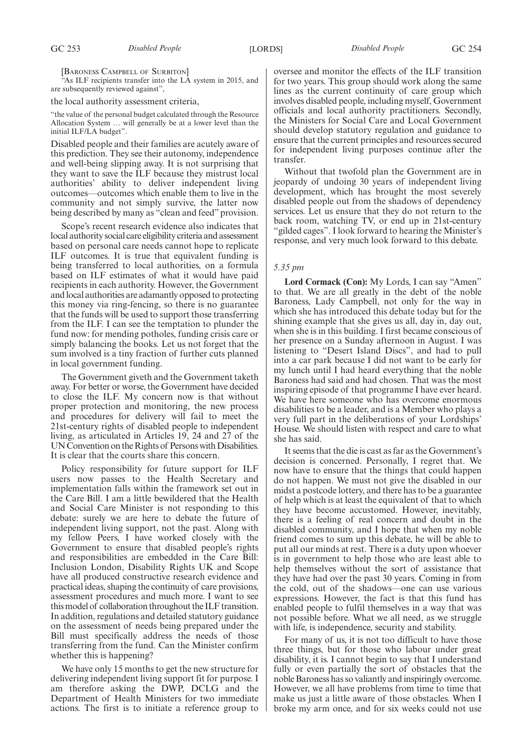[BARONESS CAMPBELL OF SURBITON]

As ILF recipients transfer into the LA system in 2015, and are subsequently reviewed against",

the local authority assessment criteria,

"the value of the personal budget calculated through the Resource Allocation System … will generally be at a lower level than the initial ILF/LA budget".

Disabled people and their families are acutely aware of this prediction. They see their autonomy, independence and well-being slipping away. It is not surprising that they want to save the ILF because they mistrust local authorities' ability to deliver independent living outcomes—outcomes which enable them to live in the community and not simply survive, the latter now being described by many as "clean and feed" provision.

Scope's recent research evidence also indicates that local authority social care eligibility criteria and assessment based on personal care needs cannot hope to replicate ILF outcomes. It is true that equivalent funding is being transferred to local authorities, on a formula based on ILF estimates of what it would have paid recipients in each authority. However, the Government and local authorities are adamantly opposed to protecting this money via ring-fencing, so there is no guarantee that the funds will be used to support those transferring from the ILF. I can see the temptation to plunder the fund now: for mending potholes, funding crisis care or simply balancing the books. Let us not forget that the sum involved is a tiny fraction of further cuts planned in local government funding.

The Government giveth and the Government taketh away. For better or worse, the Government have decided to close the ILF. My concern now is that without proper protection and monitoring, the new process and procedures for delivery will fail to meet the 21st-century rights of disabled people to independent living, as articulated in Articles 19, 24 and 27 of the UN Convention on the Rights of Persons with Disabilities. It is clear that the courts share this concern.

Policy responsibility for future support for ILF users now passes to the Health Secretary and implementation falls within the framework set out in the Care Bill. I am a little bewildered that the Health and Social Care Minister is not responding to this debate: surely we are here to debate the future of independent living support, not the past. Along with my fellow Peers, I have worked closely with the Government to ensure that disabled people's rights and responsibilities are embedded in the Care Bill: Inclusion London, Disability Rights UK and Scope have all produced constructive research evidence and practical ideas, shaping the continuity of care provisions, assessment procedures and much more. I want to see this model of collaboration throughout the ILF transition. In addition, regulations and detailed statutory guidance on the assessment of needs being prepared under the Bill must specifically address the needs of those transferring from the fund. Can the Minister confirm whether this is happening?

We have only 15 months to get the new structure for delivering independent living support fit for purpose. I am therefore asking the DWP, DCLG and the Department of Health Ministers for two immediate actions. The first is to initiate a reference group to oversee and monitor the effects of the ILF transition for two years. This group should work along the same lines as the current continuity of care group which involves disabled people, including myself, Government officials and local authority practitioners. Secondly, the Ministers for Social Care and Local Government should develop statutory regulation and guidance to ensure that the current principles and resources secured for independent living purposes continue after the transfer.

Without that twofold plan the Government are in jeopardy of undoing 30 years of independent living development, which has brought the most severely disabled people out from the shadows of dependency services. Let us ensure that they do not return to the back room, watching TV, or end up in 21st-century "gilded cages". I look forward to hearing the Minister's response, and very much look forward to this debate.

### *5.35 pm*

**Lord Cormack (Con):** My Lords, I can say "Amen" to that. We are all greatly in the debt of the noble Baroness, Lady Campbell, not only for the way in which she has introduced this debate today but for the shining example that she gives us all, day in, day out, when she is in this building. I first became conscious of her presence on a Sunday afternoon in August. I was listening to "Desert Island Discs", and had to pull into a car park because I did not want to be early for my lunch until I had heard everything that the noble Baroness had said and had chosen. That was the most inspiring episode of that programme I have ever heard. We have here someone who has overcome enormous disabilities to be a leader, and is a Member who plays a very full part in the deliberations of your Lordships' House. We should listen with respect and care to what she has said.

It seems that the die is cast as far as the Government's decision is concerned. Personally, I regret that. We now have to ensure that the things that could happen do not happen. We must not give the disabled in our midst a postcode lottery, and there has to be a guarantee of help which is at least the equivalent of that to which they have become accustomed. However, inevitably, there is a feeling of real concern and doubt in the disabled community, and I hope that when my noble friend comes to sum up this debate, he will be able to put all our minds at rest. There is a duty upon whoever is in government to help those who are least able to help themselves without the sort of assistance that they have had over the past 30 years. Coming in from the cold, out of the shadows—one can use various expressions. However, the fact is that this fund has enabled people to fulfil themselves in a way that was not possible before. What we all need, as we struggle with life, is independence, security and stability.

For many of us, it is not too difficult to have those three things, but for those who labour under great disability, it is. I cannot begin to say that I understand fully or even partially the sort of obstacles that the noble Baroness has so valiantly and inspiringly overcome. However, we all have problems from time to time that make us just a little aware of those obstacles. When I broke my arm once, and for six weeks could not use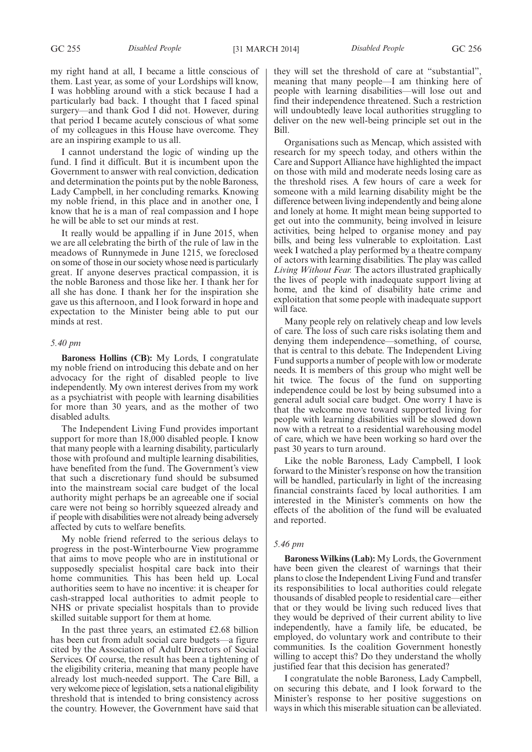my right hand at all, I became a little conscious of them. Last year, as some of your Lordships will know, I was hobbling around with a stick because I had a particularly bad back. I thought that I faced spinal surgery—and thank God I did not. However, during that period I became acutely conscious of what some of my colleagues in this House have overcome. They are an inspiring example to us all.

I cannot understand the logic of winding up the fund. I find it difficult. But it is incumbent upon the Government to answer with real conviction, dedication and determination the points put by the noble Baroness, Lady Campbell, in her concluding remarks. Knowing my noble friend, in this place and in another one, I know that he is a man of real compassion and I hope he will be able to set our minds at rest.

It really would be appalling if in June 2015, when we are all celebrating the birth of the rule of law in the meadows of Runnymede in June 1215, we foreclosed on some of those in our society whose need is particularly great. If anyone deserves practical compassion, it is the noble Baroness and those like her. I thank her for all she has done. I thank her for the inspiration she gave us this afternoon, and I look forward in hope and expectation to the Minister being able to put our minds at rest.

### *5.40 pm*

**Baroness Hollins (CB):** My Lords, I congratulate my noble friend on introducing this debate and on her advocacy for the right of disabled people to live independently. My own interest derives from my work as a psychiatrist with people with learning disabilities for more than 30 years, and as the mother of two disabled adults.

The Independent Living Fund provides important support for more than 18,000 disabled people. I know that many people with a learning disability, particularly those with profound and multiple learning disabilities, have benefited from the fund. The Government's view that such a discretionary fund should be subsumed into the mainstream social care budget of the local authority might perhaps be an agreeable one if social care were not being so horribly squeezed already and if people with disabilities were not already being adversely affected by cuts to welfare benefits.

My noble friend referred to the serious delays to progress in the post-Winterbourne View programme that aims to move people who are in institutional or supposedly specialist hospital care back into their home communities. This has been held up. Local authorities seem to have no incentive: it is cheaper for cash-strapped local authorities to admit people to NHS or private specialist hospitals than to provide skilled suitable support for them at home.

In the past three years, an estimated £2.68 billion has been cut from adult social care budgets—a figure cited by the Association of Adult Directors of Social Services. Of course, the result has been a tightening of the eligibility criteria, meaning that many people have already lost much-needed support. The Care Bill, a very welcome piece of legislation, sets a national eligibility threshold that is intended to bring consistency across the country. However, the Government have said that they will set the threshold of care at "substantial", meaning that many people—I am thinking here of people with learning disabilities—will lose out and find their independence threatened. Such a restriction will undoubtedly leave local authorities struggling to deliver on the new well-being principle set out in the Bill.

Organisations such as Mencap, which assisted with research for my speech today, and others within the Care and Support Alliance have highlighted the impact on those with mild and moderate needs losing care as the threshold rises. A few hours of care a week for someone with a mild learning disability might be the difference between living independently and being alone and lonely at home. It might mean being supported to get out into the community, being involved in leisure activities, being helped to organise money and pay bills, and being less vulnerable to exploitation. Last week I watched a play performed by a theatre company of actors with learning disabilities. The play was called *Living Without Fear.* The actors illustrated graphically the lives of people with inadequate support living at home, and the kind of disability hate crime and exploitation that some people with inadequate support will face.

Many people rely on relatively cheap and low levels of care. The loss of such care risks isolating them and denying them independence—something, of course, that is central to this debate. The Independent Living Fund supports a number of people with low or moderate needs. It is members of this group who might well be hit twice. The focus of the fund on supporting independence could be lost by being subsumed into a general adult social care budget. One worry I have is that the welcome move toward supported living for people with learning disabilities will be slowed down now with a retreat to a residential warehousing model of care, which we have been working so hard over the past 30 years to turn around.

Like the noble Baroness, Lady Campbell, I look forward to the Minister's response on how the transition will be handled, particularly in light of the increasing financial constraints faced by local authorities. I am interested in the Minister's comments on how the effects of the abolition of the fund will be evaluated and reported.

### *5.46 pm*

**Baroness Wilkins (Lab):** My Lords, the Government have been given the clearest of warnings that their plans to close the Independent Living Fund and transfer its responsibilities to local authorities could relegate thousands of disabled people to residential care—either that or they would be living such reduced lives that they would be deprived of their current ability to live independently, have a family life, be educated, be employed, do voluntary work and contribute to their communities. Is the coalition Government honestly willing to accept this? Do they understand the wholly justified fear that this decision has generated?

I congratulate the noble Baroness, Lady Campbell, on securing this debate, and I look forward to the Minister's response to her positive suggestions on ways in which this miserable situation can be alleviated.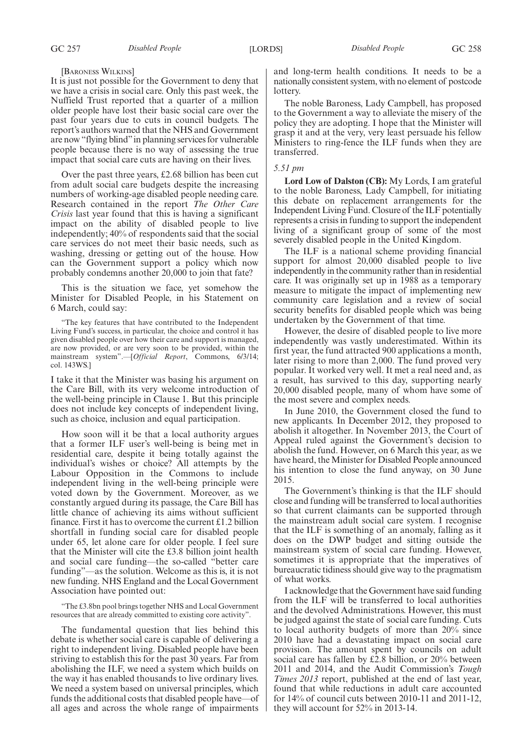### [BARONESS WILKINS]

It is just not possible for the Government to deny that we have a crisis in social care. Only this past week, the Nuffield Trust reported that a quarter of a million older people have lost their basic social care over the past four years due to cuts in council budgets. The report's authors warned that the NHS and Government are now "flying blind"in planning services for vulnerable people because there is no way of assessing the true impact that social care cuts are having on their lives.

Over the past three years, £2.68 billion has been cut from adult social care budgets despite the increasing numbers of working-age disabled people needing care. Research contained in the report *The Other Care Crisis* last year found that this is having a significant impact on the ability of disabled people to live independently; 40% of respondents said that the social care services do not meet their basic needs, such as washing, dressing or getting out of the house. How can the Government support a policy which now probably condemns another 20,000 to join that fate?

This is the situation we face, yet somehow the Minister for Disabled People, in his Statement on 6 March, could say:

"The key features that have contributed to the Independent Living Fund's success, in particular, the choice and control it has given disabled people over how their care and support is managed, are now provided, or are very soon to be provided, within the mainstream system".—[*Official Report*, Commons, 6/3/14; col. 143WS.]

I take it that the Minister was basing his argument on the Care Bill, with its very welcome introduction of the well-being principle in Clause 1. But this principle does not include key concepts of independent living, such as choice, inclusion and equal participation.

How soon will it be that a local authority argues that a former ILF user's well-being is being met in residential care, despite it being totally against the individual's wishes or choice? All attempts by the Labour Opposition in the Commons to include independent living in the well-being principle were voted down by the Government. Moreover, as we constantly argued during its passage, the Care Bill has little chance of achieving its aims without sufficient finance. First it has to overcome the current  $£1.2$  billion shortfall in funding social care for disabled people under 65, let alone care for older people. I feel sure that the Minister will cite the £3.8 billion joint health and social care funding—the so-called "better care funding"—as the solution. Welcome as this is, it is not new funding. NHS England and the Local Government Association have pointed out:

"The £3.8bn pool brings together NHS and Local Government resources that are already committed to existing core activity".

The fundamental question that lies behind this debate is whether social care is capable of delivering a right to independent living. Disabled people have been striving to establish this for the past 30 years. Far from abolishing the ILF, we need a system which builds on the way it has enabled thousands to live ordinary lives. We need a system based on universal principles, which funds the additional costs that disabled people have—of all ages and across the whole range of impairments and long-term health conditions. It needs to be a nationally consistent system, with no element of postcode lottery.

The noble Baroness, Lady Campbell, has proposed to the Government a way to alleviate the misery of the policy they are adopting. I hope that the Minister will grasp it and at the very, very least persuade his fellow Ministers to ring-fence the ILF funds when they are transferred.

### *5.51 pm*

**Lord Low of Dalston (CB):** My Lords, I am grateful to the noble Baroness, Lady Campbell, for initiating this debate on replacement arrangements for the Independent Living Fund. Closure of the ILF potentially represents a crisis in funding to support the independent living of a significant group of some of the most severely disabled people in the United Kingdom.

The ILF is a national scheme providing financial support for almost 20,000 disabled people to live independently in the community rather than in residential care. It was originally set up in 1988 as a temporary measure to mitigate the impact of implementing new community care legislation and a review of social security benefits for disabled people which was being undertaken by the Government of that time.

However, the desire of disabled people to live more independently was vastly underestimated. Within its first year, the fund attracted 900 applications a month, later rising to more than 2,000. The fund proved very popular. It worked very well. It met a real need and, as a result, has survived to this day, supporting nearly 20,000 disabled people, many of whom have some of the most severe and complex needs.

In June 2010, the Government closed the fund to new applicants. In December 2012, they proposed to abolish it altogether. In November 2013, the Court of Appeal ruled against the Government's decision to abolish the fund. However, on 6 March this year, as we have heard, the Minister for Disabled People announced his intention to close the fund anyway, on 30 June 2015.

The Government's thinking is that the ILF should close and funding will be transferred to local authorities so that current claimants can be supported through the mainstream adult social care system. I recognise that the ILF is something of an anomaly, falling as it does on the DWP budget and sitting outside the mainstream system of social care funding. However, sometimes it is appropriate that the imperatives of bureaucratic tidiness should give way to the pragmatism of what works.

I acknowledge that the Government have said funding from the ILF will be transferred to local authorities and the devolved Administrations. However, this must be judged against the state of social care funding. Cuts to local authority budgets of more than 20% since 2010 have had a devastating impact on social care provision. The amount spent by councils on adult social care has fallen by  $\hat{z}$ . 2.8 billion, or 20% between 2011 and 2014, and the Audit Commission's *Tough Times 2013* report, published at the end of last year, found that while reductions in adult care accounted for 14% of council cuts between 2010-11 and 2011-12, they will account for 52% in 2013-14.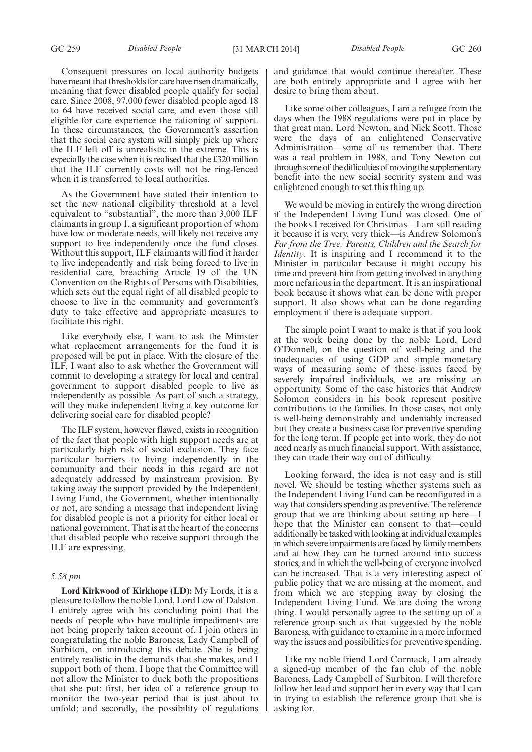Consequent pressures on local authority budgets have meant that thresholds for care have risen dramatically, meaning that fewer disabled people qualify for social care. Since 2008, 97,000 fewer disabled people aged 18 to 64 have received social care, and even those still eligible for care experience the rationing of support. In these circumstances, the Government's assertion that the social care system will simply pick up where the ILF left off is unrealistic in the extreme. This is especially the case when it is realised that the £320 million that the ILF currently costs will not be ring-fenced when it is transferred to local authorities.

As the Government have stated their intention to set the new national eligibility threshold at a level equivalent to "substantial", the more than 3,000 ILF claimants in group 1, a significant proportion of whom have low or moderate needs, will likely not receive any support to live independently once the fund closes. Without this support, ILF claimants will find it harder to live independently and risk being forced to live in residential care, breaching Article 19 of the UN Convention on the Rights of Persons with Disabilities, which sets out the equal right of all disabled people to choose to live in the community and government's duty to take effective and appropriate measures to facilitate this right.

Like everybody else, I want to ask the Minister what replacement arrangements for the fund it is proposed will be put in place. With the closure of the ILF, I want also to ask whether the Government will commit to developing a strategy for local and central government to support disabled people to live as independently as possible. As part of such a strategy, will they make independent living a key outcome for delivering social care for disabled people?

The ILF system, however flawed, exists in recognition of the fact that people with high support needs are at particularly high risk of social exclusion. They face particular barriers to living independently in the community and their needs in this regard are not adequately addressed by mainstream provision. By taking away the support provided by the Independent Living Fund, the Government, whether intentionally or not, are sending a message that independent living for disabled people is not a priority for either local or national government. That is at the heart of the concerns that disabled people who receive support through the ILF are expressing.

# *5.58 pm*

**Lord Kirkwood of Kirkhope (LD):** My Lords, it is a pleasure to follow the noble Lord, Lord Low of Dalston. I entirely agree with his concluding point that the needs of people who have multiple impediments are not being properly taken account of. I join others in congratulating the noble Baroness, Lady Campbell of Surbiton, on introducing this debate. She is being entirely realistic in the demands that she makes, and I support both of them. I hope that the Committee will not allow the Minister to duck both the propositions that she put: first, her idea of a reference group to monitor the two-year period that is just about to unfold; and secondly, the possibility of regulations and guidance that would continue thereafter. These are both entirely appropriate and I agree with her desire to bring them about.

Like some other colleagues, I am a refugee from the days when the 1988 regulations were put in place by that great man, Lord Newton, and Nick Scott. Those were the days of an enlightened Conservative Administration—some of us remember that. There was a real problem in 1988, and Tony Newton cut through some of the difficulties of moving the supplementary benefit into the new social security system and was enlightened enough to set this thing up.

We would be moving in entirely the wrong direction if the Independent Living Fund was closed. One of the books I received for Christmas—I am still reading it because it is very, very thick—is Andrew Solomon's *Far from the Tree: Parents, Children and the Search for Identity*. It is inspiring and I recommend it to the Minister in particular because it might occupy his time and prevent him from getting involved in anything more nefarious in the department. It is an inspirational book because it shows what can be done with proper support. It also shows what can be done regarding employment if there is adequate support.

The simple point I want to make is that if you look at the work being done by the noble Lord, Lord O'Donnell, on the question of well-being and the inadequacies of using GDP and simple monetary ways of measuring some of these issues faced by severely impaired individuals, we are missing an opportunity. Some of the case histories that Andrew Solomon considers in his book represent positive contributions to the families. In those cases, not only is well-being demonstrably and undeniably increased but they create a business case for preventive spending for the long term. If people get into work, they do not need nearly as much financial support. With assistance, they can trade their way out of difficulty.

Looking forward, the idea is not easy and is still novel. We should be testing whether systems such as the Independent Living Fund can be reconfigured in a way that considers spending as preventive. The reference group that we are thinking about setting up here—I hope that the Minister can consent to that—could additionally be tasked with looking at individual examples in which severe impairments are faced by family members and at how they can be turned around into success stories, and in which the well-being of everyone involved can be increased. That is a very interesting aspect of public policy that we are missing at the moment, and from which we are stepping away by closing the Independent Living Fund. We are doing the wrong thing. I would personally agree to the setting up of a reference group such as that suggested by the noble Baroness, with guidance to examine in a more informed way the issues and possibilities for preventive spending.

Like my noble friend Lord Cormack, I am already a signed-up member of the fan club of the noble Baroness, Lady Campbell of Surbiton. I will therefore follow her lead and support her in every way that I can in trying to establish the reference group that she is asking for.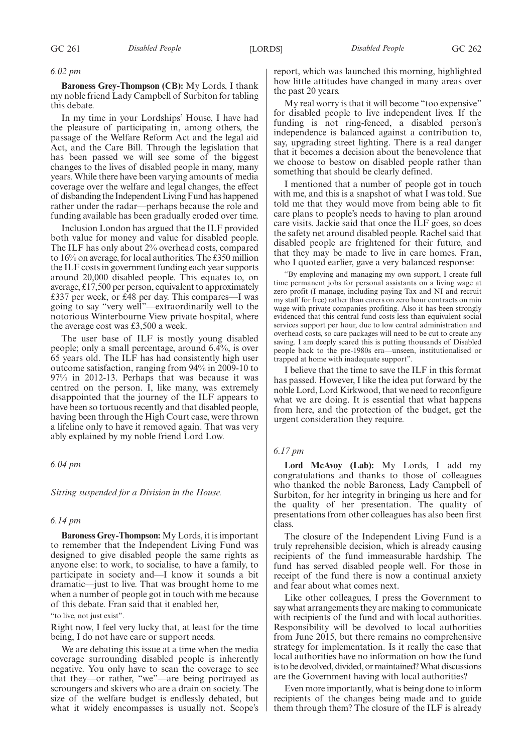# *6.02 pm*

**Baroness Grey-Thompson (CB):** My Lords, I thank my noble friend Lady Campbell of Surbiton for tabling this debate.

In my time in your Lordships' House, I have had the pleasure of participating in, among others, the passage of the Welfare Reform Act and the legal aid Act, and the Care Bill. Through the legislation that has been passed we will see some of the biggest changes to the lives of disabled people in many, many years. While there have been varying amounts of media coverage over the welfare and legal changes, the effect of disbanding the Independent Living Fund has happened rather under the radar—perhaps because the role and funding available has been gradually eroded over time.

Inclusion London has argued that the ILF provided both value for money and value for disabled people. The ILF has only about 2% overhead costs, compared to 16% on average, for local authorities. The £350 million the ILF costs in government funding each year supports around 20,000 disabled people. This equates to, on average, £17,500 per person, equivalent to approximately £337 per week, or £48 per day. This compares—I was going to say "very well"—extraordinarily well to the notorious Winterbourne View private hospital, where the average cost was £3,500 a week.

The user base of ILF is mostly young disabled people; only a small percentage, around 6.4%, is over 65 years old. The ILF has had consistently high user outcome satisfaction, ranging from 94% in 2009-10 to 97% in 2012-13. Perhaps that was because it was centred on the person. I, like many, was extremely disappointed that the journey of the ILF appears to have been so tortuous recently and that disabled people, having been through the High Court case, were thrown a lifeline only to have it removed again. That was very ably explained by my noble friend Lord Low.

### *6.04 pm*

### *Sitting suspended for a Division in the House.*

### *6.14 pm*

**Baroness Grey-Thompson:** My Lords, it is important to remember that the Independent Living Fund was designed to give disabled people the same rights as anyone else: to work, to socialise, to have a family, to participate in society and—I know it sounds a bit dramatic—just to live. That was brought home to me when a number of people got in touch with me because of this debate. Fran said that it enabled her,

"to live, not just exist".

Right now, I feel very lucky that, at least for the time being, I do not have care or support needs.

We are debating this issue at a time when the media coverage surrounding disabled people is inherently negative. You only have to scan the coverage to see that they—or rather, "we"—are being portrayed as scroungers and skivers who are a drain on society. The size of the welfare budget is endlessly debated, but what it widely encompasses is usually not. Scope's report, which was launched this morning, highlighted how little attitudes have changed in many areas over the past 20 years.

My real worry is that it will become "too expensive" for disabled people to live independent lives. If the funding is not ring-fenced, a disabled person's independence is balanced against a contribution to, say, upgrading street lighting. There is a real danger that it becomes a decision about the benevolence that we choose to bestow on disabled people rather than something that should be clearly defined.

I mentioned that a number of people got in touch with me, and this is a snapshot of what I was told. Sue told me that they would move from being able to fit care plans to people's needs to having to plan around care visits. Jackie said that once the ILF goes, so does the safety net around disabled people. Rachel said that disabled people are frightened for their future, and that they may be made to live in care homes. Fran, who I quoted earlier, gave a very balanced response:

"By employing and managing my own support, I create full time permanent jobs for personal assistants on a living wage at zero profit (I manage, including paying Tax and NI and recruit my staff for free) rather than carers on zero hour contracts on min wage with private companies profiting. Also it has been strongly evidenced that this central fund costs less than equivalent social services support per hour, due to low central administration and overhead costs, so care packages will need to be cut to create any saving. I am deeply scared this is putting thousands of Disabled people back to the pre-1980s era—unseen, institutionalised or trapped at home with inadequate support".

I believe that the time to save the ILF in this format has passed. However, I like the idea put forward by the noble Lord, Lord Kirkwood, that we need to reconfigure what we are doing. It is essential that what happens from here, and the protection of the budget, get the urgent consideration they require.

### *6.17 pm*

**Lord McAvoy (Lab):** My Lords, I add my congratulations and thanks to those of colleagues who thanked the noble Baroness, Lady Campbell of Surbiton, for her integrity in bringing us here and for the quality of her presentation. The quality of presentations from other colleagues has also been first class.

The closure of the Independent Living Fund is a truly reprehensible decision, which is already causing recipients of the fund immeasurable hardship. The fund has served disabled people well. For those in receipt of the fund there is now a continual anxiety and fear about what comes next.

Like other colleagues, I press the Government to say what arrangements they are making to communicate with recipients of the fund and with local authorities. Responsibility will be devolved to local authorities from June 2015, but there remains no comprehensive strategy for implementation. Is it really the case that local authorities have no information on how the fund is to be devolved, divided, or maintained? What discussions are the Government having with local authorities?

Even more importantly, what is being done to inform recipients of the changes being made and to guide them through them? The closure of the ILF is already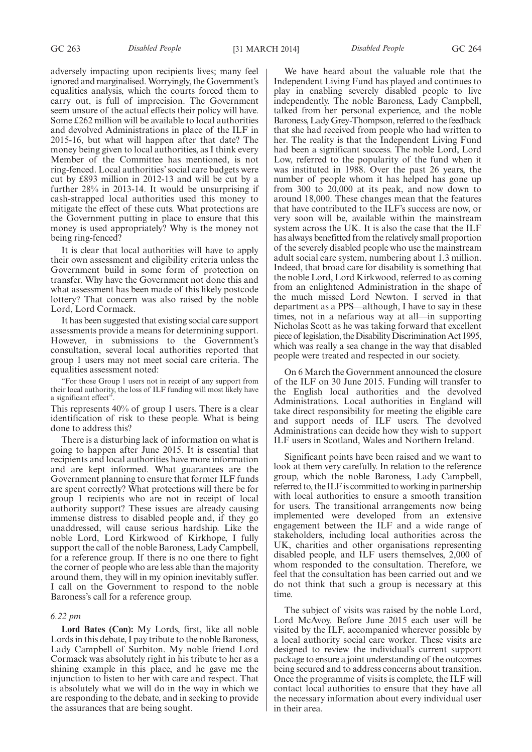adversely impacting upon recipients lives; many feel ignored and marginalised.Worryingly, the Government's equalities analysis, which the courts forced them to carry out, is full of imprecision. The Government seem unsure of the actual effects their policy will have. Some £262 million will be available to local authorities and devolved Administrations in place of the ILF in 2015-16, but what will happen after that date? The money being given to local authorities, as I think every Member of the Committee has mentioned, is not ring-fenced. Local authorities' social care budgets were cut by £893 million in 2012-13 and will be cut by a further 28% in 2013-14. It would be unsurprising if cash-strapped local authorities used this money to mitigate the effect of these cuts. What protections are the Government putting in place to ensure that this money is used appropriately? Why is the money not being ring-fenced?

It is clear that local authorities will have to apply their own assessment and eligibility criteria unless the Government build in some form of protection on transfer. Why have the Government not done this and what assessment has been made of this likely postcode lottery? That concern was also raised by the noble Lord, Lord Cormack.

It has been suggested that existing social care support assessments provide a means for determining support. However, in submissions to the Government's consultation, several local authorities reported that group 1 users may not meet social care criteria. The equalities assessment noted:

"For those Group 1 users not in receipt of any support from their local authority, the loss of ILF funding will most likely have a significant effect".

This represents 40% of group 1 users. There is a clear identification of risk to these people. What is being done to address this?

There is a disturbing lack of information on what is going to happen after June 2015. It is essential that recipients and local authorities have more information and are kept informed. What guarantees are the Government planning to ensure that former ILF funds are spent correctly? What protections will there be for group 1 recipients who are not in receipt of local authority support? These issues are already causing immense distress to disabled people and, if they go unaddressed, will cause serious hardship. Like the noble Lord, Lord Kirkwood of Kirkhope, I fully support the call of the noble Baroness, Lady Campbell, for a reference group. If there is no one there to fight the corner of people who are less able than the majority around them, they will in my opinion inevitably suffer. I call on the Government to respond to the noble Baroness's call for a reference group.

#### *6.22 pm*

**Lord Bates (Con):** My Lords, first, like all noble Lords in this debate, I pay tribute to the noble Baroness, Lady Campbell of Surbiton. My noble friend Lord Cormack was absolutely right in his tribute to her as a shining example in this place, and he gave me the injunction to listen to her with care and respect. That is absolutely what we will do in the way in which we are responding to the debate, and in seeking to provide the assurances that are being sought.

We have heard about the valuable role that the Independent Living Fund has played and continues to play in enabling severely disabled people to live independently. The noble Baroness, Lady Campbell, talked from her personal experience, and the noble Baroness, Lady Grey-Thompson, referred to the feedback that she had received from people who had written to her. The reality is that the Independent Living Fund had been a significant success. The noble Lord, Lord Low, referred to the popularity of the fund when it was instituted in 1988. Over the past 26 years, the number of people whom it has helped has gone up from 300 to 20,000 at its peak, and now down to around 18,000. These changes mean that the features that have contributed to the ILF's success are now, or very soon will be, available within the mainstream system across the UK. It is also the case that the ILF has always benefitted from the relatively small proportion of the severely disabled people who use the mainstream adult social care system, numbering about 1.3 million. Indeed, that broad care for disability is something that the noble Lord, Lord Kirkwood, referred to as coming from an enlightened Administration in the shape of the much missed Lord Newton. I served in that department as a PPS—although, I have to say in these times, not in a nefarious way at all—in supporting Nicholas Scott as he was taking forward that excellent piece of legislation, the Disability Discrimination Act 1995, which was really a sea change in the way that disabled people were treated and respected in our society.

On 6 March the Government announced the closure of the ILF on 30 June 2015. Funding will transfer to the English local authorities and the devolved Administrations. Local authorities in England will take direct responsibility for meeting the eligible care and support needs of ILF users. The devolved Administrations can decide how they wish to support ILF users in Scotland, Wales and Northern Ireland.

Significant points have been raised and we want to look at them very carefully. In relation to the reference group, which the noble Baroness, Lady Campbell, referred to, the ILF is committed to working in partnership with local authorities to ensure a smooth transition for users. The transitional arrangements now being implemented were developed from an extensive engagement between the ILF and a wide range of stakeholders, including local authorities across the UK, charities and other organisations representing disabled people, and ILF users themselves, 2,000 of whom responded to the consultation. Therefore, we feel that the consultation has been carried out and we do not think that such a group is necessary at this time.

The subject of visits was raised by the noble Lord, Lord McAvoy. Before June 2015 each user will be visited by the ILF, accompanied wherever possible by a local authority social care worker. These visits are designed to review the individual's current support package to ensure a joint understanding of the outcomes being secured and to address concerns about transition. Once the programme of visits is complete, the ILF will contact local authorities to ensure that they have all the necessary information about every individual user in their area.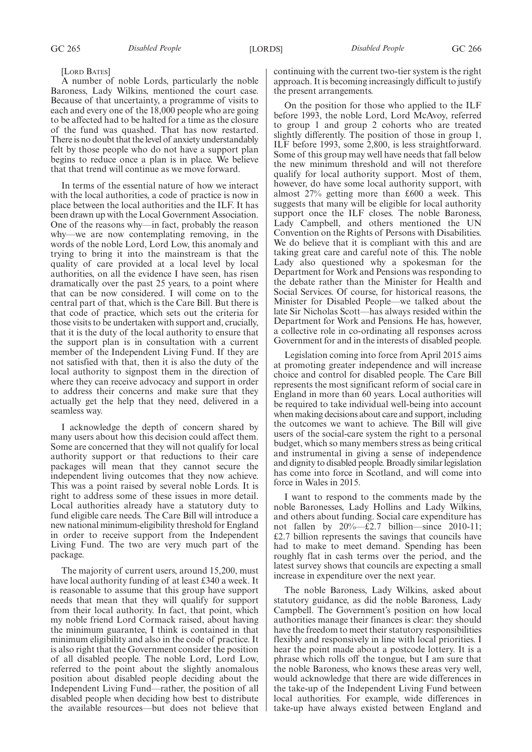#### [LORD BATES]

A number of noble Lords, particularly the noble Baroness, Lady Wilkins, mentioned the court case. Because of that uncertainty, a programme of visits to each and every one of the 18,000 people who are going to be affected had to be halted for a time as the closure of the fund was quashed. That has now restarted. There is no doubt that the level of anxiety understandably felt by those people who do not have a support plan begins to reduce once a plan is in place. We believe that that trend will continue as we move forward.

In terms of the essential nature of how we interact with the local authorities, a code of practice is now in place between the local authorities and the ILF. It has been drawn up with the Local Government Association. One of the reasons why—in fact, probably the reason why—we are now contemplating removing, in the words of the noble Lord, Lord Low, this anomaly and trying to bring it into the mainstream is that the quality of care provided at a local level by local authorities, on all the evidence I have seen, has risen dramatically over the past 25 years, to a point where that can be now considered. I will come on to the central part of that, which is the Care Bill. But there is that code of practice, which sets out the criteria for those visits to be undertaken with support and, crucially, that it is the duty of the local authority to ensure that the support plan is in consultation with a current member of the Independent Living Fund. If they are not satisfied with that, then it is also the duty of the local authority to signpost them in the direction of where they can receive advocacy and support in order to address their concerns and make sure that they actually get the help that they need, delivered in a seamless way.

I acknowledge the depth of concern shared by many users about how this decision could affect them. Some are concerned that they will not qualify for local authority support or that reductions to their care packages will mean that they cannot secure the independent living outcomes that they now achieve. This was a point raised by several noble Lords. It is right to address some of these issues in more detail. Local authorities already have a statutory duty to fund eligible care needs. The Care Bill will introduce a new national minimum-eligibility threshold for England in order to receive support from the Independent Living Fund. The two are very much part of the package.

The majority of current users, around 15,200, must have local authority funding of at least £340 a week. It is reasonable to assume that this group have support needs that mean that they will qualify for support from their local authority. In fact, that point, which my noble friend Lord Cormack raised, about having the minimum guarantee, I think is contained in that minimum eligibility and also in the code of practice. It is also right that the Government consider the position of all disabled people. The noble Lord, Lord Low, referred to the point about the slightly anomalous position about disabled people deciding about the Independent Living Fund—rather, the position of all disabled people when deciding how best to distribute the available resources—but does not believe that continuing with the current two-tier system is the right approach. It is becoming increasingly difficult to justify the present arrangements.

On the position for those who applied to the ILF before 1993, the noble Lord, Lord McAvoy, referred to group 1 and group 2 cohorts who are treated slightly differently. The position of those in group 1, ILF before 1993, some 2,800, is less straightforward. Some of this group may well have needs that fall below the new minimum threshold and will not therefore qualify for local authority support. Most of them, however, do have some local authority support, with almost 27% getting more than £600 a week. This suggests that many will be eligible for local authority support once the ILF closes. The noble Baroness, Lady Campbell, and others mentioned the UN Convention on the Rights of Persons with Disabilities. We do believe that it is compliant with this and are taking great care and careful note of this. The noble Lady also questioned why a spokesman for the Department for Work and Pensions was responding to the debate rather than the Minister for Health and Social Services. Of course, for historical reasons, the Minister for Disabled People—we talked about the late Sir Nicholas Scott—has always resided within the Department for Work and Pensions. He has, however, a collective role in co-ordinating all responses across Government for and in the interests of disabled people.

Legislation coming into force from April 2015 aims at promoting greater independence and will increase choice and control for disabled people. The Care Bill represents the most significant reform of social care in England in more than 60 years. Local authorities will be required to take individual well-being into account when making decisions about care and support, including the outcomes we want to achieve. The Bill will give users of the social-care system the right to a personal budget, which so many members stress as being critical and instrumental in giving a sense of independence and dignity to disabled people. Broadly similar legislation has come into force in Scotland, and will come into force in Wales in 2015.

I want to respond to the comments made by the noble Baronesses, Lady Hollins and Lady Wilkins, and others about funding. Social care expenditure has not fallen by  $20\%$ —£2.7 billion—since 2010-11; £2.7 billion represents the savings that councils have had to make to meet demand. Spending has been roughly flat in cash terms over the period, and the latest survey shows that councils are expecting a small increase in expenditure over the next year.

The noble Baroness, Lady Wilkins, asked about statutory guidance, as did the noble Baroness, Lady Campbell. The Government's position on how local authorities manage their finances is clear: they should have the freedom to meet their statutory responsibilities flexibly and responsively in line with local priorities. I hear the point made about a postcode lottery. It is a phrase which rolls off the tongue, but I am sure that the noble Baroness, who knows these areas very well, would acknowledge that there are wide differences in the take-up of the Independent Living Fund between local authorities. For example, wide differences in take-up have always existed between England and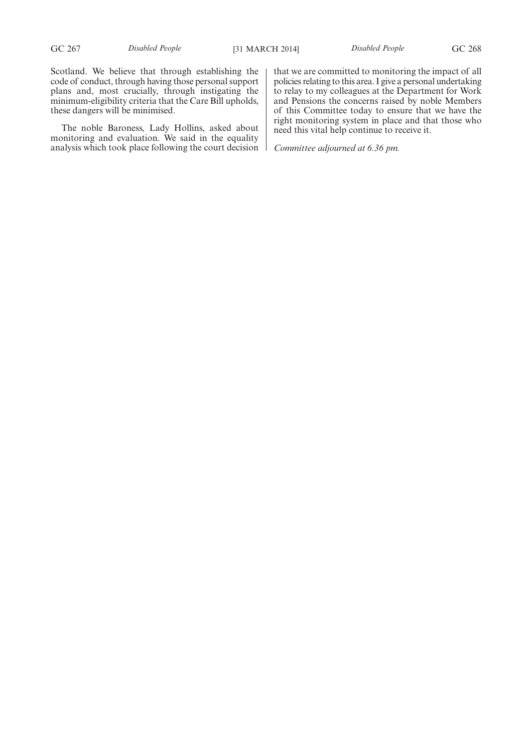Scotland. We believe that through establishing the code of conduct, through having those personal support plans and, most crucially, through instigating the minimum-eligibility criteria that the Care Bill upholds, these dangers will be minimised.

The noble Baroness, Lady Hollins, asked about monitoring and evaluation. We said in the equality analysis which took place following the court decision that we are committed to monitoring the impact of all policies relating to this area. I give a personal undertaking to relay to my colleagues at the Department for Work and Pensions the concerns raised by noble Members of this Committee today to ensure that we have the right monitoring system in place and that those who need this vital help continue to receive it.

*Committee adjourned at 6.36 pm.*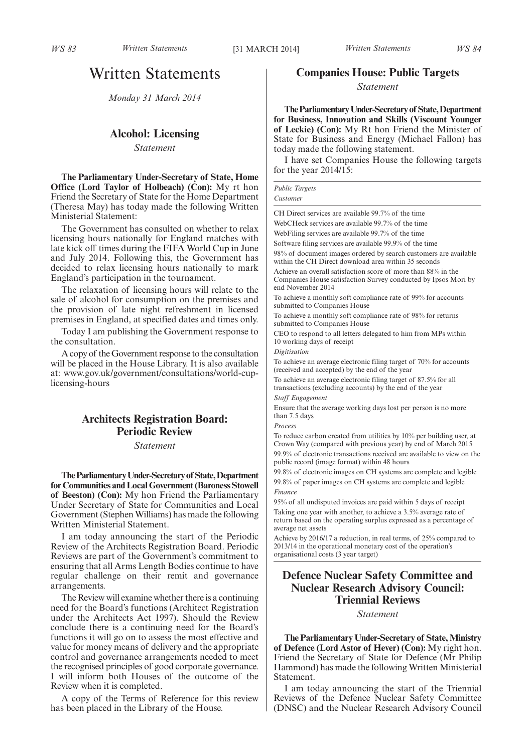# Written Statements

*Monday 31 March 2014*

## **Alcohol: Licensing**

*Statement*

**The Parliamentary Under-Secretary of State, Home Office (Lord Taylor of Holbeach) (Con):** My rt hon Friend the Secretary of State for the Home Department (Theresa May) has today made the following Written Ministerial Statement:

The Government has consulted on whether to relax licensing hours nationally for England matches with late kick off times during the FIFA World Cup in June and July 2014. Following this, the Government has decided to relax licensing hours nationally to mark England's participation in the tournament.

The relaxation of licensing hours will relate to the sale of alcohol for consumption on the premises and the provision of late night refreshment in licensed premises in England, at specified dates and times only.

Today I am publishing the Government response to the consultation.

A copy of theGovernment response to the consultation will be placed in the House Library. It is also available at: www.gov.uk/government/consultations/world-cuplicensing-hours

## **Architects Registration Board: Periodic Review**

*Statement*

**TheParliamentaryUnder-Secretaryof State,Department for Communities and Local Government (Baroness Stowell of Beeston) (Con):** My hon Friend the Parliamentary Under Secretary of State for Communities and Local Government (Stephen Williams) has made the following Written Ministerial Statement.

I am today announcing the start of the Periodic Review of the Architects Registration Board. Periodic Reviews are part of the Government's commitment to ensuring that all Arms Length Bodies continue to have regular challenge on their remit and governance arrangements.

The Review will examine whether there is a continuing need for the Board's functions (Architect Registration under the Architects Act 1997). Should the Review conclude there is a continuing need for the Board's functions it will go on to assess the most effective and value for money means of delivery and the appropriate control and governance arrangements needed to meet the recognised principles of good corporate governance. I will inform both Houses of the outcome of the Review when it is completed.

A copy of the Terms of Reference for this review has been placed in the Library of the House.

## **Companies House: Public Targets**

*Statement*

**TheParliamentaryUnder-Secretaryof State,Department for Business, Innovation and Skills (Viscount Younger of Leckie) (Con):** My Rt hon Friend the Minister of State for Business and Energy (Michael Fallon) has today made the following statement.

I have set Companies House the following targets for the year 2014/15:

| <b>Public Targets</b> |  |
|-----------------------|--|
| Customer              |  |

CH Direct services are available 99.7% of the time

WebCHeck services are available 99.7% of the time

WebFiling services are available 99.7% of the time

Software filing services are available 99.9% of the time

98% of document images ordered by search customers are available within the CH Direct download area within 35 seconds

Achieve an overall satisfaction score of more than 88% in the Companies House satisfaction Survey conducted by Ipsos Mori by end November 2014

To achieve a monthly soft compliance rate of 99% for accounts submitted to Companies House

To achieve a monthly soft compliance rate of 98% for returns submitted to Companies House

CEO to respond to all letters delegated to him from MPs within 10 working days of receipt

*Digitisation*

To achieve an average electronic filing target of 70% for accounts (received and accepted) by the end of the year

To achieve an average electronic filing target of 87.5% for all transactions (excluding accounts) by the end of the year

*Staff Engagement*

Ensure that the average working days lost per person is no more than 7.5 days

*Process*

To reduce carbon created from utilities by 10% per building user, at Crown Way (compared with previous year) by end of March 2015 99.9% of electronic transactions received are available to view on the public record (image format) within 48 hours

99.8% of electronic images on CH systems are complete and legible 99.8% of paper images on CH systems are complete and legible *Finance*

95% of all undisputed invoices are paid within 5 days of receipt Taking one year with another, to achieve a 3.5% average rate of return based on the operating surplus expressed as a percentage of average net assets

Achieve by 2016/17 a reduction, in real terms, of 25% compared to 2013/14 in the operational monetary cost of the operation's organisational costs (3 year target)

## **Defence Nuclear Safety Committee and Nuclear Research Advisory Council: Triennial Reviews**

#### *Statement*

**The Parliamentary Under-Secretary of State,Ministry of Defence (Lord Astor of Hever) (Con):** My right hon. Friend the Secretary of State for Defence (Mr Philip Hammond) has made the following Written Ministerial **Statement** 

I am today announcing the start of the Triennial Reviews of the Defence Nuclear Safety Committee (DNSC) and the Nuclear Research Advisory Council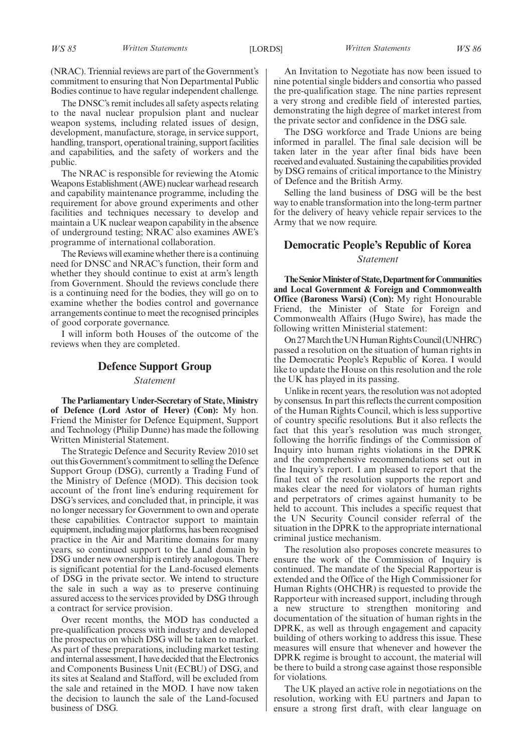(NRAC). Triennial reviews are part of the Government's commitment to ensuring that Non Departmental Public Bodies continue to have regular independent challenge.

The DNSC's remit includes all safety aspects relating to the naval nuclear propulsion plant and nuclear weapon systems, including related issues of design, development, manufacture, storage, in service support, handling, transport, operational training, support facilities and capabilities, and the safety of workers and the public.

The NRAC is responsible for reviewing the Atomic Weapons Establishment (AWE) nuclear warhead research and capability maintenance programme, including the requirement for above ground experiments and other facilities and techniques necessary to develop and maintain a UK nuclear weapon capability in the absence of underground testing; NRAC also examines AWE's programme of international collaboration.

The Reviews will examine whether there is a continuing need for DNSC and NRAC's function, their form and whether they should continue to exist at arm's length from Government. Should the reviews conclude there is a continuing need for the bodies, they will go on to examine whether the bodies control and governance arrangements continue to meet the recognised principles of good corporate governance.

I will inform both Houses of the outcome of the reviews when they are completed.

## **Defence Support Group** *Statement*

**The Parliamentary Under-Secretary of State,Ministry of Defence (Lord Astor of Hever) (Con):** My hon. Friend the Minister for Defence Equipment, Support and Technology (Philip Dunne) has made the following Written Ministerial Statement.

The Strategic Defence and Security Review 2010 set out this Government's commitment to selling the Defence Support Group (DSG), currently a Trading Fund of the Ministry of Defence (MOD). This decision took account of the front line's enduring requirement for DSG's services, and concluded that, in principle, it was no longer necessary for Government to own and operate these capabilities. Contractor support to maintain equipment, including major platforms, has been recognised practice in the Air and Maritime domains for many years, so continued support to the Land domain by DSG under new ownership is entirely analogous. There is significant potential for the Land-focused elements of DSG in the private sector. We intend to structure the sale in such a way as to preserve continuing assured access to the services provided by DSG through a contract for service provision.

Over recent months, the MOD has conducted a pre-qualification process with industry and developed the prospectus on which DSG will be taken to market. As part of these preparations, including market testing andinternal assessment, I have decided that the Electronics and Components Business Unit (ECBU) of DSG, and its sites at Sealand and Stafford, will be excluded from the sale and retained in the MOD. I have now taken the decision to launch the sale of the Land-focused business of DSG.

An Invitation to Negotiate has now been issued to nine potential single bidders and consortia who passed the pre-qualification stage. The nine parties represent a very strong and credible field of interested parties, demonstrating the high degree of market interest from the private sector and confidence in the DSG sale.

The DSG workforce and Trade Unions are being informed in parallel. The final sale decision will be taken later in the year after final bids have been received and evaluated. Sustaining the capabilities provided by DSG remains of critical importance to the Ministry of Defence and the British Army.

Selling the land business of DSG will be the best way to enable transformation into the long-term partner for the delivery of heavy vehicle repair services to the Army that we now require.

## **Democratic People's Republic of Korea** *Statement*

#### **The Senior Minister of State, Department for Communities and Local Government & Foreign and Commonwealth Office (Baroness Warsi) (Con):** My right Honourable Friend, the Minister of State for Foreign and Commonwealth Affairs (Hugo Swire), has made the following written Ministerial statement:

On27March theUNHumanRightsCouncil (UNHRC) passed a resolution on the situation of human rights in the Democratic People's Republic of Korea. I would like to update the House on this resolution and the role the UK has played in its passing.

Unlike in recent years, the resolution was not adopted by consensus. In part this reflects the current composition of the Human Rights Council, which is less supportive of country specific resolutions. But it also reflects the fact that this year's resolution was much stronger, following the horrific findings of the Commission of Inquiry into human rights violations in the DPRK and the comprehensive recommendations set out in the Inquiry's report. I am pleased to report that the final text of the resolution supports the report and makes clear the need for violators of human rights and perpetrators of crimes against humanity to be held to account. This includes a specific request that the UN Security Council consider referral of the situation in the DPRK to the appropriate international criminal justice mechanism.

The resolution also proposes concrete measures to ensure the work of the Commission of Inquiry is continued. The mandate of the Special Rapporteur is extended and the Office of the High Commissioner for Human Rights (OHCHR) is requested to provide the Rapporteur with increased support, including through a new structure to strengthen monitoring and documentation of the situation of human rights in the DPRK, as well as through engagement and capacity building of others working to address this issue. These measures will ensure that whenever and however the DPRK regime is brought to account, the material will be there to build a strong case against those responsible for violations.

The UK played an active role in negotiations on the resolution, working with EU partners and Japan to ensure a strong first draft, with clear language on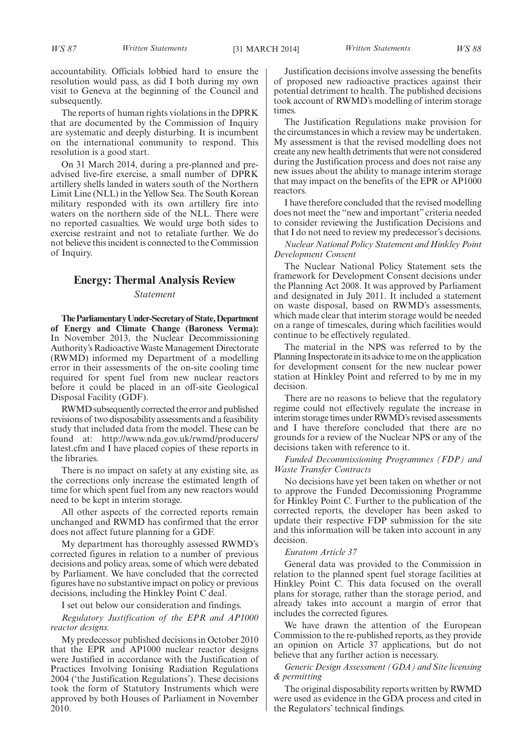accountability. Officials lobbied hard to ensure the resolution would pass, as did I both during my own visit to Geneva at the beginning of the Council and subsequently.

The reports of human rights violations in the DPRK that are documented by the Commission of Inquiry are systematic and deeply disturbing. It is incumbent on the international community to respond. This resolution is a good start.

On 31 March 2014, during a pre-planned and preadvised live-fire exercise, a small number of DPRK artillery shells landed in waters south of the Northern Limit Line (NLL) in the Yellow Sea. The South Korean military responded with its own artillery fire into waters on the northern side of the NLL. There were no reported casualties. We would urge both sides to exercise restraint and not to retaliate further. We do not believe this incident is connected to the Commission of Inquiry.

## **Energy: Thermal Analysis Review**

#### *Statement*

**TheParliamentaryUnder-Secretaryof State,Department of Energy and Climate Change (Baroness Verma):** In November 2013, the Nuclear Decommissioning Authority's Radioactive Waste Management Directorate (RWMD) informed my Department of a modelling error in their assessments of the on-site cooling time required for spent fuel from new nuclear reactors before it could be placed in an off-site Geological Disposal Facility (GDF).

RWMD subsequently corrected the error and published revisions of two disposability assessments and a feasibility study that included data from the model. These can be found at: http://www.nda.gov.uk/rwmd/producers/ latest.cfm and I have placed copies of these reports in the libraries.

There is no impact on safety at any existing site, as the corrections only increase the estimated length of time for which spent fuel from any new reactors would need to be kept in interim storage.

All other aspects of the corrected reports remain unchanged and RWMD has confirmed that the error does not affect future planning for a GDF.

My department has thoroughly assessed RWMD's corrected figures in relation to a number of previous decisions and policy areas, some of which were debated by Parliament. We have concluded that the corrected figures have no substantive impact on policy or previous decisions, including the Hinkley Point C deal.

I set out below our consideration and findings.

*Regulatory Justification of the EPR and AP1000 reactor designs.*

My predecessor published decisions in October 2010 that the EPR and AP1000 nuclear reactor designs were Justified in accordance with the Justification of Practices Involving Ionising Radiation Regulations 2004 ('the Justification Regulations'). These decisions took the form of Statutory Instruments which were approved by both Houses of Parliament in November 2010.

Justification decisions involve assessing the benefits of proposed new radioactive practices against their potential detriment to health. The published decisions took account of RWMD's modelling of interim storage times.

The Justification Regulations make provision for the circumstances in which a review may be undertaken. My assessment is that the revised modelling does not create any new health detriments that were not considered during the Justification process and does not raise any new issues about the ability to manage interim storage that may impact on the benefits of the EPR or AP1000 reactors.

I have therefore concluded that the revised modelling does not meet the "new and important" criteria needed to consider reviewing the Justification Decisions and that I do not need to review my predecessor's decisions.

*Nuclear National Policy Statement and Hinkley Point Development Consent*

The Nuclear National Policy Statement sets the framework for Development Consent decisions under the Planning Act 2008. It was approved by Parliament and designated in July 2011. It included a statement on waste disposal, based on RWMD's assessments, which made clear that interim storage would be needed on a range of timescales, during which facilities would continue to be effectively regulated.

The material in the NPS was referred to by the Planning Inspectorate in its advice to me on the application for development consent for the new nuclear power station at Hinkley Point and referred to by me in my decision.

There are no reasons to believe that the regulatory regime could not effectively regulate the increase in interim storage times under RWMD's revised assessments and I have therefore concluded that there are no grounds for a review of the Nuclear NPS or any of the decisions taken with reference to it.

*Funded Decommissioning Programmes (FDP) and Waste Transfer Contracts*

No decisions have yet been taken on whether or not to approve the Funded Decomissioning Programme for Hinkley Point C. Further to the publication of the corrected reports, the developer has been asked to update their respective FDP submission for the site and this information will be taken into account in any decision.

#### *Euratom Article 37*

General data was provided to the Commission in relation to the planned spent fuel storage facilities at Hinkley Point C. This data focused on the overall plans for storage, rather than the storage period, and already takes into account a margin of error that includes the corrected figures.

We have drawn the attention of the European Commission to the re-published reports, as they provide an opinion on Article 37 applications, but do not believe that any further action is necessary.

*Generic Design Assessment (GDA) and Site licensing & permitting*

The original disposability reports written by RWMD were used as evidence in the GDA process and cited in the Regulators' technical findings.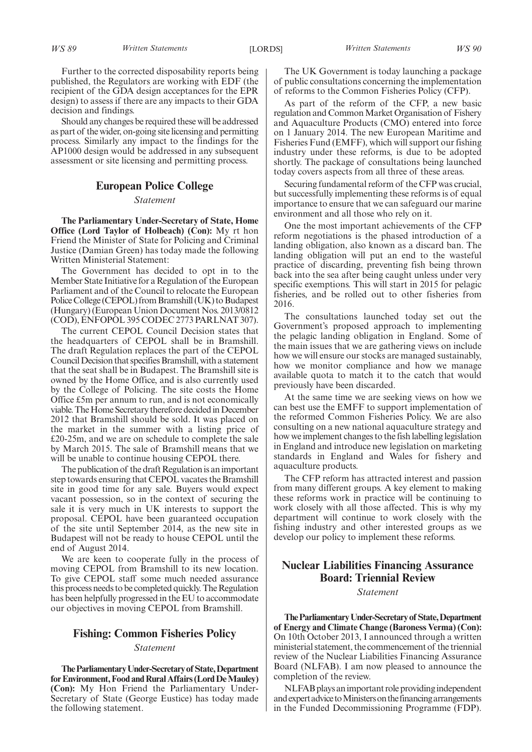Further to the corrected disposability reports being published, the Regulators are working with EDF (the recipient of the GDA design acceptances for the EPR design) to assess if there are any impacts to their GDA decision and findings.

Should any changes be required these will be addressed as part of the wider, on-going site licensing and permitting process. Similarly any impact to the findings for the AP1000 design would be addressed in any subsequent assessment or site licensing and permitting process.

## **European Police College**

*Statement*

**The Parliamentary Under-Secretary of State, Home Office (Lord Taylor of Holbeach) (Con):** My rt hon Friend the Minister of State for Policing and Criminal Justice (Damian Green) has today made the following Written Ministerial Statement:

The Government has decided to opt in to the Member State Initiative for a Regulation of the European Parliament and of the Council to relocate the European Police College (CEPOL) from Bramshill (UK) to Budapest (Hungary) (European Union Document Nos. 2013/0812 (COD), ENFOPOL 395 CODEC 2773 PARLNAT 307).

The current CEPOL Council Decision states that the headquarters of CEPOL shall be in Bramshill. The draft Regulation replaces the part of the CEPOL CouncilDecision that specifies Bramshill, with a statement that the seat shall be in Budapest. The Bramshill site is owned by the Home Office, and is also currently used by the College of Policing. The site costs the Home Office £5m per annum to run, and is not economically viable. The Home Secretary therefore decided in December 2012 that Bramshill should be sold. It was placed on the market in the summer with a listing price of £20-25m, and we are on schedule to complete the sale by March 2015. The sale of Bramshill means that we will be unable to continue housing CEPOL there.

The publication of the draft Regulation is an important step towards ensuring that CEPOL vacates the Bramshill site in good time for any sale. Buyers would expect vacant possession, so in the context of securing the sale it is very much in UK interests to support the proposal. CEPOL have been guaranteed occupation of the site until September 2014, as the new site in Budapest will not be ready to house CEPOL until the end of August 2014.

We are keen to cooperate fully in the process of moving CEPOL from Bramshill to its new location. To give CEPOL staff some much needed assurance this process needs to be completed quickly. The Regulation has been helpfully progressed in the EU to accommodate our objectives in moving CEPOL from Bramshill.

## **Fishing: Common Fisheries Policy**

#### *Statement*

**TheParliamentaryUnder-Secretaryof State,Department forEnvironment, Food and Rural Affairs (Lord DeMauley) (Con):** My Hon Friend the Parliamentary Under-Secretary of State (George Eustice) has today made the following statement.

The UK Government is today launching a package of public consultations concerning the implementation of reforms to the Common Fisheries Policy (CFP).

As part of the reform of the CFP, a new basic regulation and Common Market Organisation of Fishery and Aquaculture Products (CMO) entered into force on 1 January 2014. The new European Maritime and Fisheries Fund (EMFF), which will support our fishing industry under these reforms, is due to be adopted shortly. The package of consultations being launched today covers aspects from all three of these areas.

Securing fundamental reform of the CFP was crucial, but successfully implementing these reforms is of equal importance to ensure that we can safeguard our marine environment and all those who rely on it.

One the most important achievements of the CFP reform negotiations is the phased introduction of a landing obligation, also known as a discard ban. The landing obligation will put an end to the wasteful practice of discarding, preventing fish being thrown back into the sea after being caught unless under very specific exemptions. This will start in 2015 for pelagic fisheries, and be rolled out to other fisheries from 2016.

The consultations launched today set out the Government's proposed approach to implementing the pelagic landing obligation in England. Some of the main issues that we are gathering views on include how we will ensure our stocks are managed sustainably, how we monitor compliance and how we manage available quota to match it to the catch that would previously have been discarded.

At the same time we are seeking views on how we can best use the EMFF to support implementation of the reformed Common Fisheries Policy. We are also consulting on a new national aquaculture strategy and how we implement changes to the fish labelling legislation in England and introduce new legislation on marketing standards in England and Wales for fishery and aquaculture products.

The CFP reform has attracted interest and passion from many different groups. A key element to making these reforms work in practice will be continuing to work closely with all those affected. This is why my department will continue to work closely with the fishing industry and other interested groups as we develop our policy to implement these reforms.

# **Nuclear Liabilities Financing Assurance Board: Triennial Review**

## *Statement*

**TheParliamentaryUnder-Secretaryof State,Department of Energy and Climate Change (Baroness Verma) (Con):** On 10th October 2013, I announced through a written ministerial statement, the commencement of the triennial review of the Nuclear Liabilities Financing Assurance Board (NLFAB). I am now pleased to announce the completion of the review.

NLFAB plays an important role providing independent andexpertadvice toMinisterson the financingarrangements in the Funded Decommissioning Programme (FDP).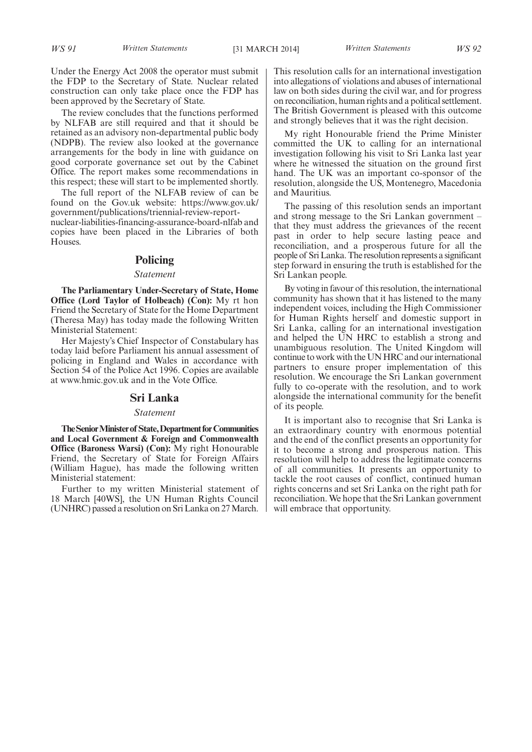Under the Energy Act 2008 the operator must submit the FDP to the Secretary of State. Nuclear related construction can only take place once the FDP has been approved by the Secretary of State.

The review concludes that the functions performed by NLFAB are still required and that it should be retained as an advisory non-departmental public body (NDPB). The review also looked at the governance arrangements for the body in line with guidance on good corporate governance set out by the Cabinet Office. The report makes some recommendations in this respect; these will start to be implemented shortly.

The full report of the NLFAB review of can be found on the Gov.uk website: https://www.gov.uk/ government/publications/triennial-review-report-

nuclear-liabilities-financing-assurance-board-nlfab and copies have been placed in the Libraries of both Houses.

### **Policing**

#### *Statement*

**The Parliamentary Under-Secretary of State, Home Office (Lord Taylor of Holbeach) (Con):** My rt hon Friend the Secretary of State for the Home Department (Theresa May) has today made the following Written Ministerial Statement:

Her Majesty's Chief Inspector of Constabulary has today laid before Parliament his annual assessment of policing in England and Wales in accordance with Section 54 of the Police Act 1996. Copies are available at www.hmic.gov.uk and in the Vote Office.

#### **Sri Lanka**

#### *Statement*

**The Senior Minister of State, Department for Communities and Local Government & Foreign and Commonwealth Office (Baroness Warsi) (Con):** My right Honourable Friend, the Secretary of State for Foreign Affairs (William Hague), has made the following written Ministerial statement:

Further to my written Ministerial statement of 18 March [40WS], the UN Human Rights Council (UNHRC) passed a resolution on Sri Lanka on 27March. This resolution calls for an international investigation into allegations of violations and abuses of international law on both sides during the civil war, and for progress on reconciliation, human rights and a political settlement. The British Government is pleased with this outcome and strongly believes that it was the right decision.

My right Honourable friend the Prime Minister committed the UK to calling for an international investigation following his visit to Sri Lanka last year where he witnessed the situation on the ground first hand. The UK was an important co-sponsor of the resolution, alongside the US, Montenegro, Macedonia and Mauritius.

The passing of this resolution sends an important and strong message to the Sri Lankan government – that they must address the grievances of the recent past in order to help secure lasting peace and reconciliation, and a prosperous future for all the people of SriLanka.The resolution represents a significant step forward in ensuring the truth is established for the Sri Lankan people.

By voting in favour of this resolution, the international community has shown that it has listened to the many independent voices, including the High Commissioner for Human Rights herself and domestic support in Sri Lanka, calling for an international investigation and helped the UN HRC to establish a strong and unambiguous resolution. The United Kingdom will continue to work with the UN HRC and our international partners to ensure proper implementation of this resolution. We encourage the Sri Lankan government fully to co-operate with the resolution, and to work alongside the international community for the benefit of its people.

It is important also to recognise that Sri Lanka is an extraordinary country with enormous potential and the end of the conflict presents an opportunity for it to become a strong and prosperous nation. This resolution will help to address the legitimate concerns of all communities. It presents an opportunity to tackle the root causes of conflict, continued human rights concerns and set Sri Lanka on the right path for reconciliation. We hope that the Sri Lankan government will embrace that opportunity.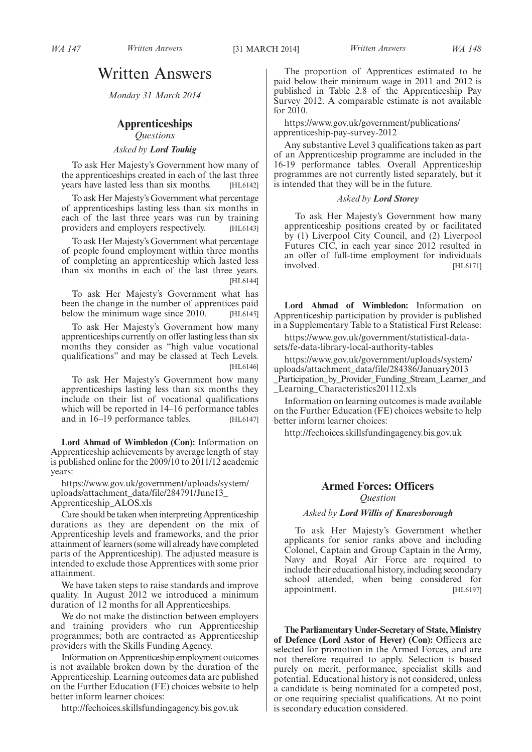# Written Answers

*Monday 31 March 2014*

## **Apprenticeships** *Questions*

*Asked by Lord Touhig*

To ask Her Majesty's Government how many of the apprenticeships created in each of the last three years have lasted less than six months. [HL6142]

To ask Her Majesty's Government what percentage of apprenticeships lasting less than six months in each of the last three years was run by training providers and employers respectively. [HL6143]

To ask Her Majesty's Government what percentage of people found employment within three months of completing an apprenticeship which lasted less than six months in each of the last three years. [HL6144]

To ask Her Majesty's Government what has been the change in the number of apprentices paid below the minimum wage since 2010. [HL6145]

To ask Her Majesty's Government how many apprenticeships currently on offer lasting less than six months they consider as "high value vocational qualifications" and may be classed at Tech Levels. [HL6146]

To ask Her Majesty's Government how many apprenticeships lasting less than six months they include on their list of vocational qualifications which will be reported in 14–16 performance tables and in 16–19 performance tables. [HL6147]

**Lord Ahmad of Wimbledon (Con):** Information on Apprenticeship achievements by average length of stay is published online for the 2009/10 to 2011/12 academic years:

https://www.gov.uk/government/uploads/system/ uploads/attachment\_data/file/284791/June13\_ Apprenticeship\_ALOS.xls

Care should be taken when interpreting Apprenticeship durations as they are dependent on the mix of Apprenticeship levels and frameworks, and the prior attainment of learners (some will already have completed parts of the Apprenticeship). The adjusted measure is

intended to exclude those Apprentices with some prior attainment. We have taken steps to raise standards and improve

quality. In August 2012 we introduced a minimum duration of 12 months for all Apprenticeships.

We do not make the distinction between employers and training providers who run Apprenticeship programmes; both are contracted as Apprenticeship providers with the Skills Funding Agency.

Information on Apprenticeship employment outcomes is not available broken down by the duration of the Apprenticeship. Learning outcomes data are published on the Further Education (FE) choices website to help better inform learner choices:

http://fechoices.skillsfundingagency.bis.gov.uk

The proportion of Apprentices estimated to be paid below their minimum wage in 2011 and 2012 is published in Table 2.8 of the Apprenticeship Pay Survey 2012. A comparable estimate is not available for 2010.

https://www.gov.uk/government/publications/ apprenticeship-pay-survey-2012

Any substantive Level 3 qualifications taken as part of an Apprenticeship programme are included in the 16-19 performance tables. Overall Apprenticeship programmes are not currently listed separately, but it is intended that they will be in the future.

### *Asked by Lord Storey*

To ask Her Majesty's Government how many apprenticeship positions created by or facilitated by (1) Liverpool City Council, and (2) Liverpool Futures CIC, in each year since 2012 resulted in an offer of full-time employment for individuals involved. [HL6171]

**Lord Ahmad of Wimbledon:** Information on Apprenticeship participation by provider is published in a Supplementary Table to a Statistical First Release:

https://www.gov.uk/government/statistical-datasets/fe-data-library-local-authority-tables

https://www.gov.uk/government/uploads/system/ uploads/attachment\_data/file/284386/January2013 \_Participation\_by\_Provider\_Funding\_Stream\_Learner\_and \_Learning\_Characteristics201112.xls

Information on learning outcomes is made available on the Further Education (FE) choices website to help better inform learner choices:

http://fechoices.skillsfundingagency.bis.gov.uk

## **Armed Forces: Officers** *Question*

#### *Asked by Lord Willis of Knaresborough*

To ask Her Majesty's Government whether applicants for senior ranks above and including Colonel, Captain and Group Captain in the Army, Navy and Royal Air Force are required to include their educational history, including secondary school attended, when being considered for appointment. [HL6197]

**The Parliamentary Under-Secretary of State,Ministry of Defence (Lord Astor of Hever) (Con):** Officers are selected for promotion in the Armed Forces, and are not therefore required to apply. Selection is based purely on merit, performance, specialist skills and potential. Educational history is not considered, unless a candidate is being nominated for a competed post, or one requiring specialist qualifications. At no point is secondary education considered.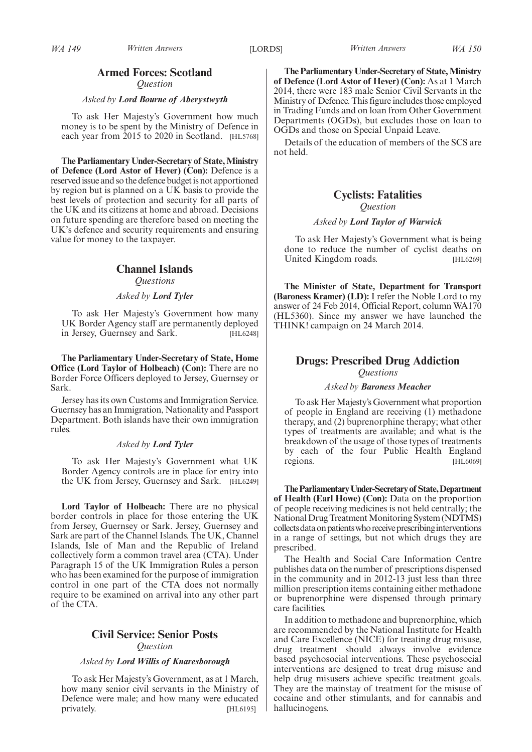# **Armed Forces: Scotland**

*Question*

#### *Asked by Lord Bourne of Aberystwyth*

To ask Her Majesty's Government how much money is to be spent by the Ministry of Defence in each year from 2015 to 2020 in Scotland. [HL5768]

**The Parliamentary Under-Secretary of State,Ministry of Defence (Lord Astor of Hever) (Con):** Defence is a reserved issue and so the defence budget is not apportioned by region but is planned on a UK basis to provide the best levels of protection and security for all parts of the UK and its citizens at home and abroad. Decisions on future spending are therefore based on meeting the UK's defence and security requirements and ensuring value for money to the taxpayer.

## **Channel Islands**

*Questions*

#### *Asked by Lord Tyler*

To ask Her Majesty's Government how many UK Border Agency staff are permanently deployed in Jersey, Guernsey and Sark. [HL6248]

**The Parliamentary Under-Secretary of State, Home Office (Lord Taylor of Holbeach) (Con):** There are no Border Force Officers deployed to Jersey, Guernsey or Sark.

Jersey has its own Customs and Immigration Service. Guernsey has an Immigration, Nationality and Passport Department. Both islands have their own immigration rules.

## *Asked by Lord Tyler*

To ask Her Majesty's Government what UK Border Agency controls are in place for entry into the UK from Jersey, Guernsey and Sark. [HL6249]

**Lord Taylor of Holbeach:** There are no physical border controls in place for those entering the UK from Jersey, Guernsey or Sark. Jersey, Guernsey and Sark are part of the Channel Islands. The UK, Channel Islands, Isle of Man and the Republic of Ireland collectively form a common travel area (CTA). Under Paragraph 15 of the UK Immigration Rules a person who has been examined for the purpose of immigration control in one part of the CTA does not normally require to be examined on arrival into any other part of the CTA.

## **Civil Service: Senior Posts** *Question*

#### *Asked by Lord Willis of Knaresborough*

To ask Her Majesty's Government, as at 1 March, how many senior civil servants in the Ministry of Defence were male; and how many were educated privately. [HL6195]

**The Parliamentary Under-Secretary of State,Ministry of Defence (Lord Astor of Hever) (Con):** As at 1 March 2014, there were 183 male Senior Civil Servants in the Ministry of Defence. This figure includes those employed in Trading Funds and on loan from Other Government Departments (OGDs), but excludes those on loan to OGDs and those on Special Unpaid Leave.

Details of the education of members of the SCS are not held.

## **Cyclists: Fatalities** *Question*

### *Asked by Lord Taylor of Warwick*

To ask Her Majesty's Government what is being done to reduce the number of cyclist deaths on United Kingdom roads. [HL6269]

**The Minister of State, Department for Transport (Baroness Kramer) (LD):** I refer the Noble Lord to my answer of 24 Feb 2014, Official Report, column WA170 (HL5360). Since my answer we have launched the THINK! campaign on 24 March 2014.

## **Drugs: Prescribed Drug Addiction** *Questions*

#### *Asked by Baroness Meacher*

To ask Her Majesty's Government what proportion of people in England are receiving (1) methadone therapy, and (2) buprenorphine therapy; what other types of treatments are available; and what is the breakdown of the usage of those types of treatments by each of the four Public Health England regions. [HL6069]

**TheParliamentaryUnder-Secretaryof State,Department of Health (Earl Howe) (Con):** Data on the proportion of people receiving medicines is not held centrally; the National Drug Treatment Monitoring System (NDTMS) collects data on patients who receive prescribing interventions in a range of settings, but not which drugs they are prescribed.

The Health and Social Care Information Centre publishes data on the number of prescriptions dispensed in the community and in 2012-13 just less than three million prescription items containing either methadone or buprenorphine were dispensed through primary care facilities.

In addition to methadone and buprenorphine, which are recommended by the National Institute for Health and Care Excellence (NICE) for treating drug misuse, drug treatment should always involve evidence based psychosocial interventions. These psychosocial interventions are designed to treat drug misuse and help drug misusers achieve specific treatment goals. They are the mainstay of treatment for the misuse of cocaine and other stimulants, and for cannabis and hallucinogens.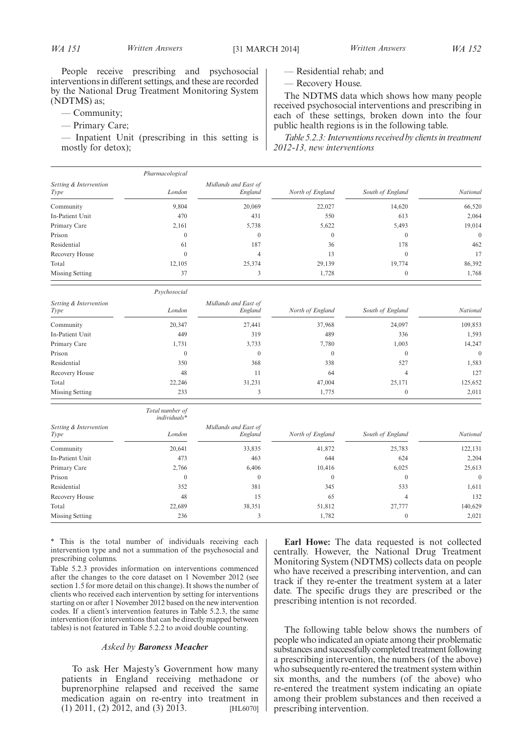People receive prescribing and psychosocial interventions in different settings, and these are recorded by the National Drug Treatment Monitoring System (NDTMS) as;

- Community;
- Primary Care;

— Inpatient Unit (prescribing in this setting is mostly for detox);

*Psychosocial*

- Residential rehab; and
- Recovery House.

The NDTMS data which shows how many people received psychosocial interventions and prescribing in each of these settings, broken down into the four public health regions is in the following table.

*Table 5.2.3: Interventions received by clients in treatment 2012-13, new interventions*

|                                | Pharmacological |                                 |                  |                  |          |
|--------------------------------|-----------------|---------------------------------|------------------|------------------|----------|
| Setting & Intervention<br>Type | London          | Midlands and East of<br>England | North of England | South of England | National |
| Community                      | 9,804           | 20,069                          | 22,027           | 14,620           | 66,520   |
| In-Patient Unit                | 470             | 431                             | 550              | 613              | 2,064    |
| Primary Care                   | 2,161           | 5,738                           | 5,622            | 5,493            | 19,014   |
| Prison                         | $\mathbf{0}$    | $\mathbf{0}$                    | $\Omega$         | $\overline{0}$   | $\theta$ |
| Residential                    | 61              | 187                             | 36               | 178              | 462      |
| Recovery House                 | $\Omega$        | 4                               | 13               | $\theta$         | 17       |
| Total                          | 12,105          | 25,374                          | 29,139           | 19,774           | 86,392   |
| Missing Setting                | 37              | 3                               | 1,728            | $\overline{0}$   | 1,768    |

| Setting & Intervention<br><i>Type</i> | London | Midlands and East of<br>England | North of England | South of England | <b>National</b> |
|---------------------------------------|--------|---------------------------------|------------------|------------------|-----------------|
| Community                             | 20,347 | 27,441                          | 37,968           | 24,097           | 109,853         |
| In-Patient Unit                       | 449    | 319                             | 489              | 336              | 1,593           |
| Primary Care                          | 1,731  | 3,733                           | 7,780            | 1,003            | 14,247          |
| Prison                                |        |                                 |                  |                  | $\theta$        |
| Residential                           | 350    | 368                             | 338              | 527              | 1,583           |
| Recovery House                        | 48     | 11                              | 64               |                  | 127             |
| Total                                 | 22,246 | 31.231                          | 47,004           | 25,171           | 125,652         |
| Missing Setting                       | 233    |                                 | 1,775            | $\theta$         | 2,011           |

|                        | Total number of<br>individuals* |                      |                  |                  |                 |
|------------------------|---------------------------------|----------------------|------------------|------------------|-----------------|
| Setting & Intervention |                                 | Midlands and East of |                  |                  | <b>National</b> |
| <i>Type</i>            | London                          | England              | North of England | South of England |                 |
| Community              | 20,641                          | 33,835               | 41,872           | 25,783           | 122,131         |
| In-Patient Unit        | 473                             | 463                  | 644              | 624              | 2,204           |
| Primary Care           | 2,766                           | 6,406                | 10,416           | 6,025            | 25,613          |
| Prison                 | $\theta$                        | $\mathbf{0}$         | $\Omega$         | $\theta$         | $\overline{0}$  |
| Residential            | 352                             | 381                  | 345              | 533              | 1,611           |
| Recovery House         | 48                              | 15                   | 65               | 4                | 132             |
| Total                  | 22,689                          | 38,351               | 51,812           | 27,777           | 140,629         |
| Missing Setting        | 236                             |                      | 1,782            | $\Omega$         | 2,021           |

\* This is the total number of individuals receiving each intervention type and not a summation of the psychosocial and prescribing columns.

Table 5.2.3 provides information on interventions commenced after the changes to the core dataset on 1 November 2012 (see section 1.5 for more detail on this change). It shows the number of clients who received each intervention by setting for interventions starting on or after 1 November 2012 based on the new intervention codes. If a client's intervention features in Table 5.2.3, the same intervention (for interventions that can be directly mapped between tables) is not featured in Table 5.2.2 to avoid double counting.

#### *Asked by Baroness Meacher*

To ask Her Majesty's Government how many patients in England receiving methadone or buprenorphine relapsed and received the same medication again on re-entry into treatment in (1) 2011, (2) 2012, and (3) 2013. [HL6070]

**Earl Howe:** The data requested is not collected centrally. However, the National Drug Treatment Monitoring System (NDTMS) collects data on people who have received a prescribing intervention, and can track if they re-enter the treatment system at a later date. The specific drugs they are prescribed or the prescribing intention is not recorded.

The following table below shows the numbers of people who indicated an opiate among their problematic substances and successfully completed treatment following a prescribing intervention, the numbers (of the above) who subsequently re-entered the treatment system within six months, and the numbers (of the above) who re-entered the treatment system indicating an opiate among their problem substances and then received a prescribing intervention.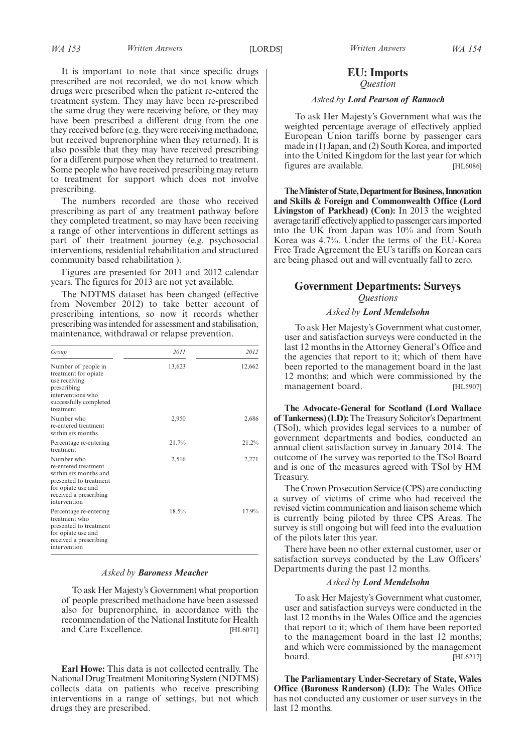It is important to note that since specific drugs prescribed are not recorded, we do not know which drugs were prescribed when the patient re-entered the treatment system. They may have been re-prescribed the same drug they were receiving before, or they may have been prescribed a different drug from the one they received before (e.g. they were receiving methadone, but received buprenorphine when they returned). It is also possible that they may have received prescribing for a different purpose when they returned to treatment. Some people who have received prescribing may return to treatment for support which does not involve prescribing.

The numbers recorded are those who received prescribing as part of any treatment pathway before they completed treatment, so may have been receiving a range of other interventions in different settings as part of their treatment journey (e.g. psychosocial interventions, residential rehabilitation and structured community based rehabilitation ).

Figures are presented for 2011 and 2012 calendar years. The figures for 2013 are not yet available.

The NDTMS dataset has been changed (effective from November 2012) to take better account of prescribing intentions, so now it records whether prescribing was intended for assessment and stabilisation, maintenance, withdrawal or relapse prevention.

| Group                                                                                                                                                 | 2011   | 2012   |
|-------------------------------------------------------------------------------------------------------------------------------------------------------|--------|--------|
| Number of people in<br>treatment for opiate<br>use receiving<br>prescribing<br>interventions who<br>successfully completed<br>treatment               | 13,623 | 12,662 |
| Number who<br>re-entered treatment<br>within six months                                                                                               | 2,950  | 2,686  |
| Percentage re-entering<br>treatment                                                                                                                   | 21.7%  | 21.2%  |
| Number who<br>re-entered treatment<br>within six months and<br>presented to treatment<br>for opiate use and<br>received a prescribing<br>intervention | 2,516  | 2,271  |
| Percentage re-entering<br>treatment who<br>presented to treatment<br>for opiate use and<br>received a prescribing<br>intervention                     | 18.5%  | 17.9%  |

#### *Asked by Baroness Meacher*

To ask Her Majesty's Government what proportion of people prescribed methadone have been assessed also for buprenorphine, in accordance with the recommendation of the National Institute for Health and Care Excellence. [HL6071]

**Earl Howe:** This data is not collected centrally. The National Drug Treatment Monitoring System (NDTMS) collects data on patients who receive prescribing interventions in a range of settings, but not which drugs they are prescribed.

## **EU: Imports** *Question*

#### *Asked by Lord Pearson of Rannoch*

To ask Her Majesty's Government what was the weighted percentage average of effectively applied European Union tariffs borne by passenger cars made in (1) Japan, and (2) South Korea, and imported into the United Kingdom for the last year for which figures are available. [HL6086]

**The Minister of State, Department for Business, Innovation and Skills & Foreign and Commonwealth Office (Lord Livingston of Parkhead) (Con):** In 2013 the weighted average tariff effectively applied to passenger carsimported into the UK from Japan was 10% and from South Korea was 4.7%. Under the terms of the EU-Korea Free Trade Agreement the EU's tariffs on Korean cars are being phased out and will eventually fall to zero.

## **Government Departments: Surveys** *Questions*

#### *Asked by Lord Mendelsohn*

To ask Her Majesty's Government what customer, user and satisfaction surveys were conducted in the last 12 months in the Attorney General's Office and the agencies that report to it; which of them have been reported to the management board in the last 12 months; and which were commissioned by the management board. [HL5907]

**The Advocate-General for Scotland (Lord Wallace of Tankerness) (LD):**The Treasury Solicitor's Department (TSol), which provides legal services to a number of government departments and bodies, conducted an annual client satisfaction survey in January 2014. The outcome of the survey was reported to the TSol Board and is one of the measures agreed with TSol by HM Treasury.

The Crown Prosecution Service (CPS) are conducting a survey of victims of crime who had received the revised victim communication and liaison scheme which is currently being piloted by three CPS Areas. The survey is still ongoing but will feed into the evaluation of the pilots later this year.

There have been no other external customer, user or satisfaction surveys conducted by the Law Officers' Departments during the past 12 months.

#### *Asked by Lord Mendelsohn*

To ask Her Majesty's Government what customer, user and satisfaction surveys were conducted in the last 12 months in the Wales Office and the agencies that report to it; which of them have been reported to the management board in the last 12 months; and which were commissioned by the management board. [HL6217]

**The Parliamentary Under-Secretary of State, Wales Office (Baroness Randerson) (LD):** The Wales Office has not conducted any customer or user surveys in the last 12 months.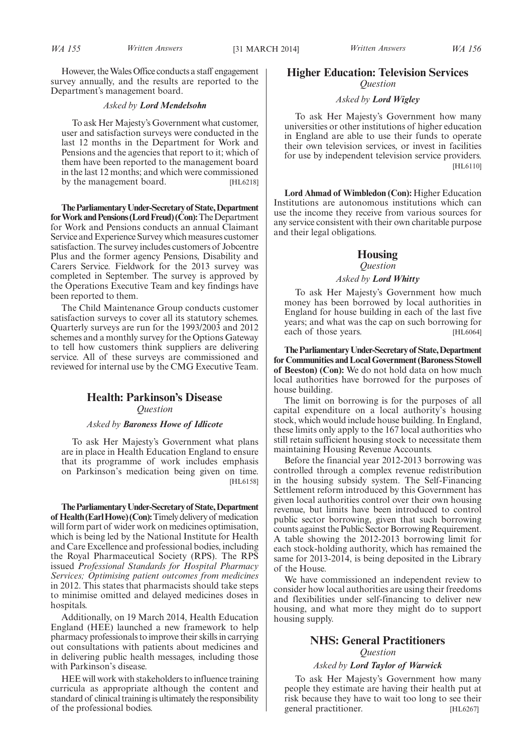However, the Wales Office conducts a staff engagement survey annually, and the results are reported to the Department's management board.

#### *Asked by Lord Mendelsohn*

To ask Her Majesty's Government what customer, user and satisfaction surveys were conducted in the last 12 months in the Department for Work and Pensions and the agencies that report to it; which of them have been reported to the management board in the last 12 months; and which were commissioned by the management board. [HL6218]

**TheParliamentaryUnder-Secretaryof State,Department for Work and Pensions (Lord Freud) (Con):** The Department for Work and Pensions conducts an annual Claimant Service and Experience Survey which measures customer satisfaction. The survey includes customers of Jobcentre Plus and the former agency Pensions, Disability and Carers Service. Fieldwork for the 2013 survey was completed in September. The survey is approved by the Operations Executive Team and key findings have been reported to them.

The Child Maintenance Group conducts customer satisfaction surveys to cover all its statutory schemes. Quarterly surveys are run for the 1993/2003 and 2012 schemes and a monthly survey for the Options Gateway to tell how customers think suppliers are delivering service. All of these surveys are commissioned and reviewed for internal use by the CMG Executive Team.

## **Health: Parkinson's Disease** *Question*

### *Asked by Baroness Howe of Idlicote*

To ask Her Majesty's Government what plans are in place in Health Education England to ensure that its programme of work includes emphasis on Parkinson's medication being given on time. [HL6158]

**TheParliamentaryUnder-Secretaryof State,Department of Health (EarlHowe) (Con):**Timelydeliveryof medication will form part of wider work on medicines optimisation, which is being led by the National Institute for Health and Care Excellence and professional bodies, including the Royal Pharmaceutical Society (RPS). The RPS issued *Professional Standards for Hospital Pharmacy Services; Optimising patient outcomes from medicines* in 2012. This states that pharmacists should take steps to minimise omitted and delayed medicines doses in hospitals.

Additionally, on 19 March 2014, Health Education England (HEE) launched a new framework to help pharmacy professionals to improve their skills in carrying out consultations with patients about medicines and in delivering public health messages, including those with Parkinson's disease.

HEE will work with stakeholders to influence training curricula as appropriate although the content and standard of clinical training is ultimately the responsibility of the professional bodies.

## **Higher Education: Television Services** *Question*

#### *Asked by Lord Wigley*

To ask Her Majesty's Government how many universities or other institutions of higher education in England are able to use their funds to operate their own television services, or invest in facilities for use by independent television service providers. [HL6110]

**Lord Ahmad of Wimbledon (Con):** Higher Education Institutions are autonomous institutions which can use the income they receive from various sources for any service consistent with their own charitable purpose and their legal obligations.

## **Housing**

## *Question*

#### *Asked by Lord Whitty*

To ask Her Majesty's Government how much money has been borrowed by local authorities in England for house building in each of the last five years; and what was the cap on such borrowing for each of those years. [HL6064]

**TheParliamentaryUnder-Secretaryof State,Department for Communities and Local Government (Baroness Stowell of Beeston) (Con):** We do not hold data on how much local authorities have borrowed for the purposes of house building.

The limit on borrowing is for the purposes of all capital expenditure on a local authority's housing stock, which would include house building. In England, these limits only apply to the 167 local authorities who still retain sufficient housing stock to necessitate them maintaining Housing Revenue Accounts.

Before the financial year 2012-2013 borrowing was controlled through a complex revenue redistribution in the housing subsidy system. The Self-Financing Settlement reform introduced by this Government has given local authorities control over their own housing revenue, but limits have been introduced to control public sector borrowing, given that such borrowing counts against the Public Sector Borrowing Requirement. A table showing the 2012-2013 borrowing limit for each stock-holding authority, which has remained the same for 2013-2014, is being deposited in the Library of the House.

We have commissioned an independent review to consider how local authorities are using their freedoms and flexibilities under self-financing to deliver new housing, and what more they might do to support housing supply.

# **NHS: General Practitioners**

## *Question*

### *Asked by Lord Taylor of Warwick*

To ask Her Majesty's Government how many people they estimate are having their health put at risk because they have to wait too long to see their general practitioner. [HL6267]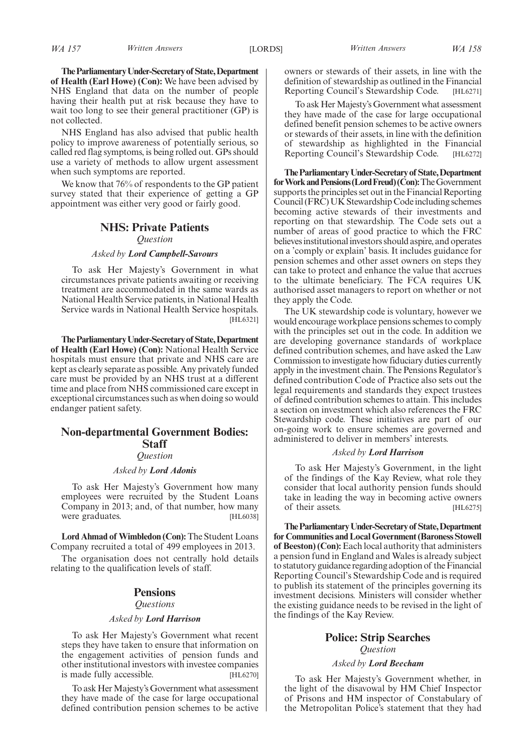**TheParliamentaryUnder-Secretaryof State,Department of Health (Earl Howe) (Con):** We have been advised by NHS England that data on the number of people having their health put at risk because they have to wait too long to see their general practitioner (GP) is not collected.

NHS England has also advised that public health policy to improve awareness of potentially serious, so called red flag symptoms, is being rolled out. GPs should use a variety of methods to allow urgent assessment when such symptoms are reported.

We know that 76% of respondents to the GP patient survey stated that their experience of getting a GP appointment was either very good or fairly good.

#### **NHS: Private Patients**

*Question*

#### *Asked by Lord Campbell-Savours*

To ask Her Majesty's Government in what circumstances private patients awaiting or receiving treatment are accommodated in the same wards as National Health Service patients, in National Health Service wards in National Health Service hospitals. [HL6321]

**TheParliamentaryUnder-Secretaryof State,Department of Health (Earl Howe) (Con):** National Health Service hospitals must ensure that private and NHS care are kept as clearly separate as possible. Any privately funded care must be provided by an NHS trust at a different time and place from NHS commissioned care except in exceptional circumstances such as when doing so would endanger patient safety.

## **Non-departmental Government Bodies: Staff**

*Question*

#### *Asked by Lord Adonis*

To ask Her Majesty's Government how many employees were recruited by the Student Loans Company in 2013; and, of that number, how many were graduates. [HL6038]

**Lord Ahmad of Wimbledon (Con):**The Student Loans Company recruited a total of 499 employees in 2013.

The organisation does not centrally hold details relating to the qualification levels of staff.

## **Pensions**

#### *Questions*

#### *Asked by Lord Harrison*

To ask Her Majesty's Government what recent steps they have taken to ensure that information on the engagement activities of pension funds and other institutional investors with investee companies is made fully accessible. [HL6270]

To ask Her Majesty's Government what assessment they have made of the case for large occupational defined contribution pension schemes to be active owners or stewards of their assets, in line with the definition of stewardship as outlined in the Financial Reporting Council's Stewardship Code. [HL6271]

To ask Her Majesty's Government what assessment they have made of the case for large occupational defined benefit pension schemes to be active owners or stewards of their assets, in line with the definition of stewardship as highlighted in the Financial Reporting Council's Stewardship Code. [HL6272]

**TheParliamentaryUnder-Secretaryof State,Department** for Work and Pensions (Lord Freud) (Con): The Government supports the principles set out in the Financial Reporting Council (FRC) UK Stewardship Code including schemes becoming active stewards of their investments and reporting on that stewardship. The Code sets out a number of areas of good practice to which the FRC believes institutional investors should aspire, and operates on a 'comply or explain' basis. It includes guidance for pension schemes and other asset owners on steps they can take to protect and enhance the value that accrues to the ultimate beneficiary. The FCA requires UK authorised asset managers to report on whether or not they apply the Code.

The UK stewardship code is voluntary, however we would encourage workplace pensions schemes to comply with the principles set out in the code. In addition we are developing governance standards of workplace defined contribution schemes, and have asked the Law Commission to investigate how fiduciary duties currently apply in the investment chain. The Pensions Regulator's defined contribution Code of Practice also sets out the legal requirements and standards they expect trustees of defined contribution schemes to attain. This includes a section on investment which also references the FRC Stewardship code. These initiatives are part of our on-going work to ensure schemes are governed and administered to deliver in members' interests.

#### *Asked by Lord Harrison*

To ask Her Majesty's Government, in the light of the findings of the Kay Review, what role they consider that local authority pension funds should take in leading the way in becoming active owners of their assets. [HL6275]

**TheParliamentaryUnder-Secretaryof State,Department for Communities and Local Government (Baroness Stowell of Beeston) (Con):**Each local authority that administers a pension fund in England and Wales is already subject to statutory guidance regarding adoption of theFinancial Reporting Council's Stewardship Code and is required to publish its statement of the principles governing its investment decisions. Ministers will consider whether the existing guidance needs to be revised in the light of the findings of the Kay Review.

## **Police: Strip Searches** *Question*

#### *Asked by Lord Beecham*

To ask Her Majesty's Government whether, in the light of the disavowal by HM Chief Inspector of Prisons and HM inspector of Constabulary of the Metropolitan Police's statement that they had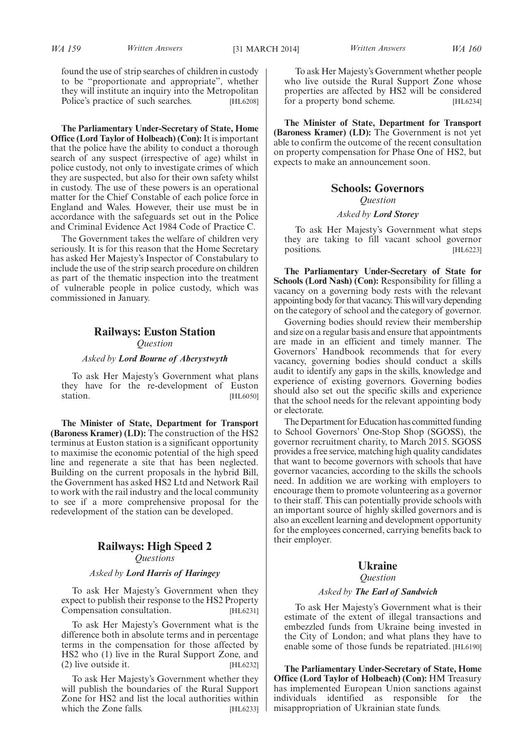found the use of strip searches of children in custody to be "proportionate and appropriate", whether they will institute an inquiry into the Metropolitan Police's practice of such searches. [HL6208]

**The Parliamentary Under-Secretary of State, Home Office (Lord Taylor of Holbeach) (Con):** It is important that the police have the ability to conduct a thorough search of any suspect (irrespective of age) whilst in police custody, not only to investigate crimes of which they are suspected, but also for their own safety whilst in custody. The use of these powers is an operational matter for the Chief Constable of each police force in England and Wales. However, their use must be in accordance with the safeguards set out in the Police and Criminal Evidence Act 1984 Code of Practice C.

The Government takes the welfare of children very seriously. It is for this reason that the Home Secretary has asked Her Majesty's Inspector of Constabulary to include the use of the strip search procedure on children as part of the thematic inspection into the treatment of vulnerable people in police custody, which was commissioned in January.

## **Railways: Euston Station** *Question*

*Asked by Lord Bourne of Aberystwyth*

To ask Her Majesty's Government what plans they have for the re-development of Euston station. [HL6050]

**The Minister of State, Department for Transport (Baroness Kramer) (LD):** The construction of the HS2 terminus at Euston station is a significant opportunity to maximise the economic potential of the high speed line and regenerate a site that has been neglected. Building on the current proposals in the hybrid Bill, the Government has asked HS2 Ltd and Network Rail to work with the rail industry and the local community to see if a more comprehensive proposal for the redevelopment of the station can be developed.

# **Railways: High Speed 2**

*Questions*

#### *Asked by Lord Harris of Haringey*

To ask Her Majesty's Government when they expect to publish their response to the HS2 Property Compensation consultation. [HL6231]

To ask Her Majesty's Government what is the difference both in absolute terms and in percentage terms in the compensation for those affected by HS2 who (1) live in the Rural Support Zone, and (2) live outside it. [HL6232]

To ask Her Majesty's Government whether they will publish the boundaries of the Rural Support Zone for HS2 and list the local authorities within which the Zone falls. [HL6233]

To ask Her Majesty's Government whether people who live outside the Rural Support Zone whose properties are affected by HS2 will be considered for a property bond scheme. [HL6234]

**The Minister of State, Department for Transport (Baroness Kramer) (LD):** The Government is not yet able to confirm the outcome of the recent consultation on property compensation for Phase One of HS2, but expects to make an announcement soon.

# **Schools: Governors** *Question*

### *Asked by Lord Storey*

To ask Her Majesty's Government what steps they are taking to fill vacant school governor positions. [HL6223]

**The Parliamentary Under-Secretary of State for Schools (Lord Nash) (Con):** Responsibility for filling a vacancy on a governing body rests with the relevant appointing body for that vacancy. This will vary depending on the category of school and the category of governor.

Governing bodies should review their membership and size on a regular basis and ensure that appointments are made in an efficient and timely manner. The Governors' Handbook recommends that for every vacancy, governing bodies should conduct a skills audit to identify any gaps in the skills, knowledge and experience of existing governors. Governing bodies should also set out the specific skills and experience that the school needs for the relevant appointing body or electorate.

The Department for Education has committed funding to School Governors' One-Stop Shop (SGOSS), the governor recruitment charity, to March 2015. SGOSS provides a free service, matching high quality candidates that want to become governors with schools that have governor vacancies, according to the skills the schools need. In addition we are working with employers to encourage them to promote volunteering as a governor to their staff. This can potentially provide schools with an important source of highly skilled governors and is also an excellent learning and development opportunity for the employees concerned, carrying benefits back to their employer.

## **Ukraine**

#### *Question*

#### *Asked by The Earl of Sandwich*

To ask Her Majesty's Government what is their estimate of the extent of illegal transactions and embezzled funds from Ukraine being invested in the City of London; and what plans they have to enable some of those funds be repatriated. [HL6190]

**The Parliamentary Under-Secretary of State, Home Office (Lord Taylor of Holbeach) (Con):** HM Treasury has implemented European Union sanctions against individuals identified as responsible for the misappropriation of Ukrainian state funds.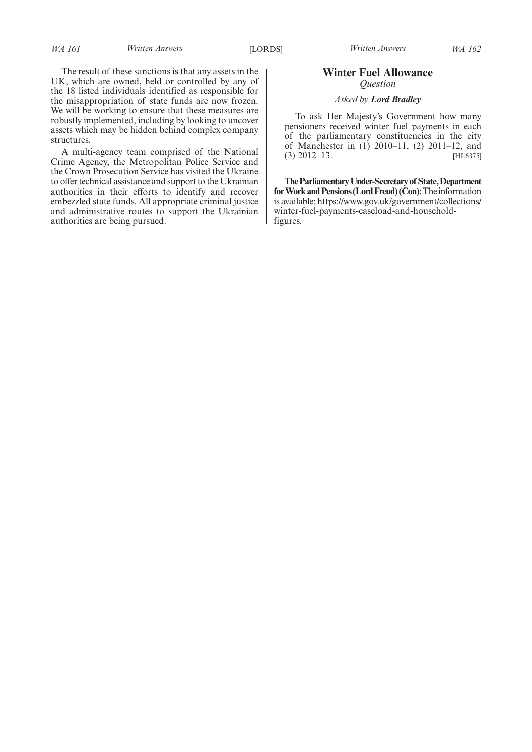# **Winter Fuel Allowance** *Question*

### *Asked by Lord Bradley*

To ask Her Majesty's Government how many pensioners received winter fuel payments in each of the parliamentary constituencies in the city of Manchester in (1) 2010–11, (2) 2011–12, and (3) 2012–13. [HL6375]

**TheParliamentaryUnder-Secretaryof State,Department** for Work and Pensions (Lord Freud) (Con): The information is available: https://www.gov.uk/government/collections/ winter-fuel-payments-caseload-and-householdfigures.

The result of these sanctions is that any assets in the UK, which are owned, held or controlled by any of the 18 listed individuals identified as responsible for the misappropriation of state funds are now frozen. We will be working to ensure that these measures are robustly implemented, including by looking to uncover assets which may be hidden behind complex company structures.

A multi-agency team comprised of the National Crime Agency, the Metropolitan Police Service and the Crown Prosecution Service has visited the Ukraine to offer technical assistance and support to the Ukrainian authorities in their efforts to identify and recover embezzled state funds. All appropriate criminal justice and administrative routes to support the Ukrainian authorities are being pursued.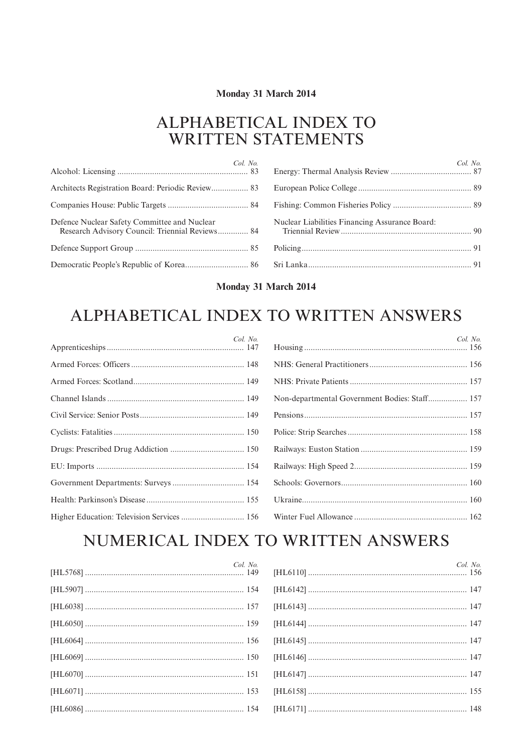# Monday 31 March 2014

# ALPHABETICAL INDEX TO **WRITTEN STATEMENTS**

| Col. No.                                                                                        | Col. No.                                       |
|-------------------------------------------------------------------------------------------------|------------------------------------------------|
|                                                                                                 |                                                |
|                                                                                                 |                                                |
| Defence Nuclear Safety Committee and Nuclear<br>Research Advisory Council: Triennial Reviews 84 | Nuclear Liabilities Financing Assurance Board: |
|                                                                                                 |                                                |
|                                                                                                 |                                                |

## Monday 31 March 2014

# ALPHABETICAL INDEX TO WRITTEN ANSWERS

| Col. No. | Col. No.                                      |
|----------|-----------------------------------------------|
|          |                                               |
|          |                                               |
|          | Non-departmental Government Bodies: Staff 157 |
|          |                                               |
|          |                                               |
|          |                                               |
|          |                                               |
|          |                                               |
|          |                                               |
|          |                                               |

# NUMERICAL INDEX TO WRITTEN ANSWERS

| Col. No. | Col. No. |
|----------|----------|
|          |          |
|          |          |
|          |          |
|          |          |
|          |          |
|          |          |
|          |          |
|          |          |
|          |          |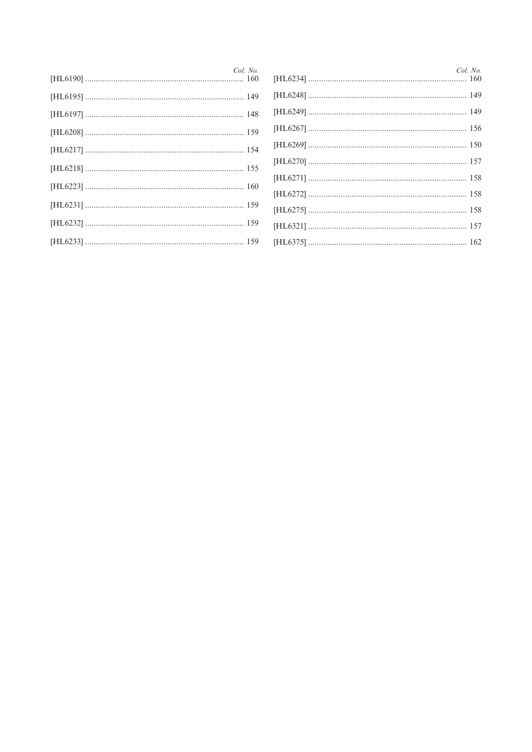| Col. No. | Col. No. |
|----------|----------|
|          |          |
|          |          |
|          |          |
|          |          |
|          |          |
|          |          |
|          |          |
|          |          |
|          |          |
|          |          |